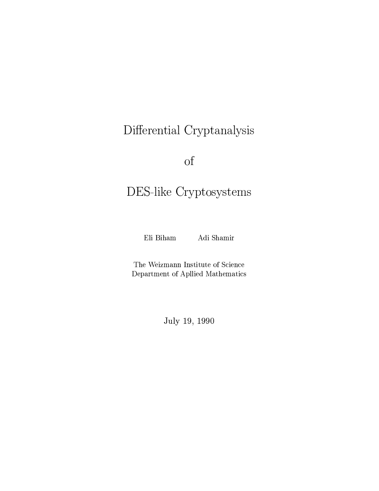## Differential Cryptanalysis

 $% \left( \left( \mathcal{A},\mathcal{A}\right) \right) =\left( \mathcal{A},\mathcal{A}\right)$  of

# DES-like Cryptosystems

 $\mathop{\rm Eli}\nolimits$ Biham

Adi Shamir

The Weizmann Institute of Science Department of Apllied Mathematics

July 19, 1990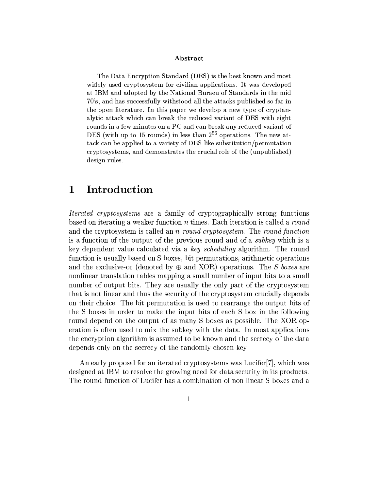### Abstract

The Data Encryption Standard (DES) is the best known and most widely used cryptosystem for civilian applications. It was developed at IBM and adopted by the National Buraeu of Standards in the mid 70's, and has successfully withstood all the attacks published so far in the open literature. In this paper we develop a new type of cryptanalytic attack which can break the reduced variant of DES with eight rounds in a few minutes on a PC and can break any reduced variant of DES (with up to 15 rounds) in less than  $2^{56}$  operations. The new attack can be applied to a variety of DES-like substitution/permutation cryptosystems, and demonstrates the crucial role of the (unpublished) design rules.

#### Introduction  $\mathbf 1$

*Iterated cryptosystems* are a family of cryptographically strong functions based on iterating a weaker function  $n$  times. Each iteration is called a round and the cryptosystem is called an  $n$ -round cryptosystem. The round function is a function of the output of the previous round and of a *subkey* which is a key dependent value calculated via a key scheduling algorithm. The round function is usually based on S boxes, bit permutations, arithmetic operations and the exclusive-or (denoted by  $\oplus$  and XOR) operations. The *S* boxes are nonlinear translation tables mapping a small number of input bits to a small number of output bits. They are usually the only part of the cryptosystem that is not linear and thus the security of the cryptosystem crucially depends on their choice. The bit permutation is used to rearrange the output bits of the S boxes in order to make the input bits of each S box in the following round depend on the output of as many S boxes as possible. The XOR operation is often used to mix the subkey with the data. In most applications the encryption algorithm is assumed to be known and the secrecy of the data depends only on the secrecy of the randomly chosen key.

An early proposal for an iterated cryptosystems was Lucifer<sup>[7]</sup>, which was designed at IBM to resolve the growing need for data security in its products. The round function of Lucifer has a combination of non-linear S boxes and a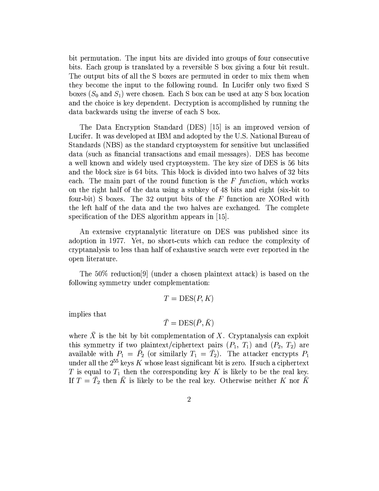bit permutation. The input bits are divided into groups of four consecutive bits. Each group is translated by a reversible S box giving a four bit result. The output bits of all the S boxes are permuted in order to mix them when they become the input to the following round. In Lucifer only two fixed S boxes  $(S_0 \text{ and } S_1)$  were chosen. Each S box can be used at any S box location and the choice is key dependent. Decryption is accomplished by running the data backwards using the inverse of each S box.

The Data Encryption Standard (DES) [15] is an improved version of Lucifer. It was developed at IBM and adopted by the U.S. National Bureau of Standards (NBS) as the standard cryptosystem for sensitive but unclassified data (such as financial transactions and email messages). DES has become a well known and widely used cryptosystem. The key size of DES is 56 bits and the block size is 64 bits. This block is divided into two halves of 32 bits each. The main part of the round function is the  $F$  function, which works on the right half of the data using a subkey of 48 bits and eight (six-bit to four-bit) S boxes. The 32 output bits of the  $F$  function are XORed with the left half of the data and the two halves are exchanged. The complete specification of the DES algorithm appears in [15].

An extensive cryptanalytic literature on DES was published since its adoption in 1977. Yet, no short-cuts which can reduce the complexity of cryptanalysis to less than half of exhaustive search were ever reported in the open literature.

The 50% reduction [9] (under a chosen plaintext attack) is based on the following symmetry under complementation:

$$
T = DES(P, K)
$$

implies that

$$
\bar{T} = \text{DES}(\bar{P}, \bar{K})
$$

where  $\bar{X}$  is the bit by bit complementation of X. Cryptanalysis can exploit this symmetry if two plaintext/ciphertext pairs  $(P_1, T_1)$  and  $(P_2, T_2)$  are available with  $P_1 = \bar{P}_2$  (or similarly  $T_1 = \bar{T}_2$ ). The attacker encrypts  $P_1$ under all the  $2^{55}$  keys K whose least significant bit is zero. If such a ciphertext T is equal to  $T_1$  then the corresponding key K is likely to be the real key. If  $T = \bar{T}_2$  then  $\bar{K}$  is likely to be the real key. Otherwise neither K nor  $\bar{K}$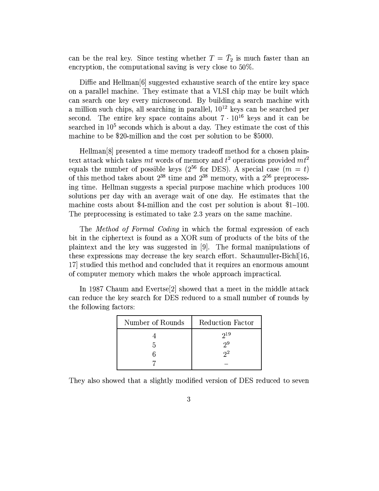can be the real key. Since testing whether  $T = \bar{T}_2$  is much faster than an encryption, the computational saving is very close to  $50\%$ .

Diffie and Hellman<sup>[6]</sup> suggested exhaustive search of the entire key space on a parallel machine. They estimate that a VLSI chip may be built which can search one key every microsecond. By building a search machine with a million such chips, all searching in parallel,  $10^{12}$  keys can be searched per second. The entire key space contains about  $7 \cdot 10^{16}$  keys and it can be searched in  $10<sup>5</sup>$  seconds which is about a day. They estimate the cost of this machine to be \$20-million and the cost per solution to be \$5000.

Hellman<sup>[8]</sup> presented a time memory tradeoff method for a chosen plaintext attack which takes mt words of memory and  $t^2$  operations provided  $m t^2$ equals the number of possible keys (2<sup>56</sup> for DES). A special case ( $m = t$ ) of this method takes about  $2^{38}$  time and  $2^{38}$  memory, with a  $2^{56}$  preprocessing time. Hellman suggests a special purpose machine which produces 100 solutions per day with an average wait of one day. He estimates that the machine costs about \$4-million and the cost per solution is about  $$1-100$ . The preprocessing is estimated to take 2.3 years on the same machine.

The Method of Formal Coding in which the formal expression of each bit in the ciphertext is found as a XOR sum of products of the bits of the plaintext and the key was suggested in  $|9|$ . The formal manipulations of these expressions may decrease the key search effort. Schaumuller-Bichl[16, 17 studied this method and concluded that it requires an enormous amount of computer memory which makes the whole approach impractical.

| Number of Rounds | <b>Reduction Factor</b> |
|------------------|-------------------------|
|                  | $2^{19}$                |
| h                | 2 <sup>9</sup>          |
|                  | $2^{\circ}$             |
|                  |                         |

In 1987 Chaum and Evertse<sup>[2]</sup> showed that a meet in the middle attack can reduce the key search for DES reduced to a small number of rounds by the following factors:

They also showed that a slightly modified version of DES reduced to seven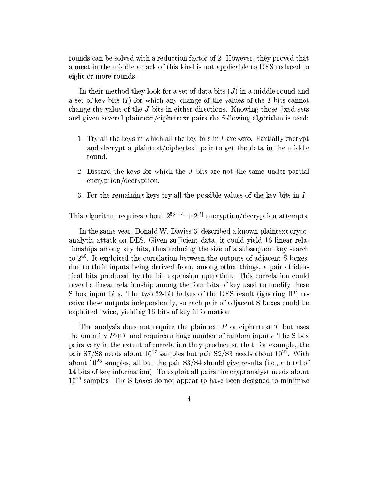$\blacksquare$  and the state of the state of the state of the state of the state of the state of the state of the state of the state of the state of the state of the state of the state of the state of the state of the state of th 5!7LEEQD0KMLQ4<EZ7L0K:F:F/KE;58QRQ 5@XAT@V Q4F01P?m0KMF:0KP3MFT@QD5@[F[F/K01X 5/1EDQT'YH.=LBREI:FS<XIEI:QT E0o4Q]TBD7ATBREHBTSFM<:FP

In their method they look for a set of data bits  $(J)$  in a middle round and 5APE(Q;T@VP@E} 0QP-±-K·3VTBH]4F01X45@MaX4F5@M5E!T@V,Q4FEY¦85@/KSFEIP]T@VWQ4FE- 0KQP^XI5@MFMFT@Q  $\mathbf{v}$  , and  $\mathbf{v}$  is the state of  $\mathbf{v}$  $58.8\pm 0.1$  and  $58.8\pm 0.1$  and  $58.8\pm 0.1$  and  $58.8\pm 0.1$  and  $58.8\pm 0.1$  and  $58.8\pm 0.1$  and  $58.8\pm 0.1$ 

- <sup>À</sup> ]CB+ 5@/K/mQ4FE8E}mP
01M-]4<01X4'5@/K/mQ4FE@E 0QP 01M-!5@BE JIEBT5 5@BRQ0 5@/K/GHEMFXIB+m[<Q  $5.9$  . The set of the set of the set of the set of the set of the set of the set of the set of the set of the set of the set of the set of the set of the set of the set of the set of the set of the set of the set of the round.
- 2. Discard the keys for which the  $J$  bits are not the same under partial encryption/decryption.
- $\blacksquare$  . The contract the contract of the contract of the contract of the contract of the contract of the contract of the contract of the contract of the contract of the contract of the contract of the contract of the con

CD4<01P]5@/GTB0Q4F7 BE<\SF01BREIP5 TS<Q x7y EMFXIB+m[<Q0KTM 18:FEXIB+?[?Q01T@M58QRQE7L[<QP

In the same year, Donald W. Davies [3] described a known plaintext crypt-58M65@/G\Q01X 5cQQ 58X TM YH.= H0G¦EM PSX01EIMQ :658Q5Q¯ 0KQZXITSF/K:´m01EI/K: À /10KMFE 5@B^BE/ 5n°  $\mathcal{L}=\mathcal{L}=\mathcal{L}=\mathcal{L}=\mathcal{L}=\mathcal{L}=\mathcal{L}=\mathcal{L}=\mathcal{L}=\mathcal{L}=\mathcal{L}=\mathcal{L}=\mathcal{L}=\mathcal{L}=\mathcal{L}=\mathcal{L}=\mathcal{L}=\mathcal{L}=\mathcal{L}=\mathcal{L}=\mathcal{L}=\mathcal{L}=\mathcal{L}=\mathcal{L}=\mathcal{L}=\mathcal{L}=\mathcal{L}=\mathcal{L}=\mathcal{L}=\mathcal{L}=\mathcal{L}=\mathcal{L}=\mathcal{L}=\mathcal{L}=\mathcal{L}=\mathcal{L}=\mathcal{$  $\frac{10}{100}$   $\frac{1}{100}$   $\frac{1}{100}$   $\frac{1}{100}$   $\frac{1}{100}$   $\frac{1}{100}$   $\frac{1}{100}$   $\frac{1}{100}$   $\frac{1}{100}$   $\frac{1}{100}$   $\frac{1}{100}$   $\frac{1}{100}$   $\frac{1}{100}$   $\frac{1}{100}$   $\frac{1}{100}$   $\frac{1}{100}$   $\frac{1}{100}$   $\frac{1}{100}$   $\frac{$ : SFE QT $\alpha$  and  $\alpha$  is the state of  $\alpha$  and  $\alpha$  is the state of  $\alpha$  and  $\alpha$  and  $\alpha$  and  $\alpha$ Q01XI5@/ 0KQP![FBRT?:<SFXIE: Q4FE 0QE6®?[65@MFPR01TM T@[EB58Q01TM1CD4F0KP!XTBBREI/158Q0KTMXTSF/K: reveal a linear relationship among the four bits of key used to modify these  $\blacksquare$ ceive these outputs independently, so each pair of adjacent S boxes could be E6®?[F/1T0QE:Q7]0KXIED¯5?0KEI/K:F01M5 <sup>À</sup> 0KQPDT8V/8E}01M?VTB7L58Q0KTM1

The analysis does not require the plaintext  $P$  or ciphertext  $T$  but uses the quantity  $P \oplus T$  and requires a huge number of random inputs. The S box  $\blacksquare$  and the following the following  $\blacksquare$  and the following the following  $\blacksquare$ [F5@01B =5½1@= MFEEI:FP 5 T@S<Q À P5@7L[</1EIP S<Q [65@0KB <sup>=</sup> 1 <sup>=</sup> MFEIE:FPD5 TS<Q À <sup>5</sup> ,G0KQ4  $\frac{1}{\sqrt{2}}$  TS? $\frac{1}{\sqrt{2}}$   $\frac{1}{\sqrt{2}}$   $\frac{1}{\sqrt{2}}$   $\frac{1}{\sqrt{2}}$   $\frac{1}{\sqrt{2}}$   $\frac{1}{\sqrt{2}}$   $\frac{1}{\sqrt{2}}$   $\frac{1}{\sqrt{2}}$   $\frac{1}{\sqrt{2}}$   $\frac{1}{\sqrt{2}}$   $\frac{1}{\sqrt{2}}$   $\frac{1}{\sqrt{2}}$   $\frac{1}{\sqrt{2}}$   $\frac{1}{\sqrt{2}}$   $\frac{1}{\sqrt{2}}$   $\frac{1}{\sqrt{2$ À= 0KQP
T8V8E}'01M?VTB7L58Q0KTM{·6 CTUE®?[F/KT0KQ 58/1/<[F5@01BRPWQ4FEDXBjm[<Q 58M65@/GmPQ M<EIEI:<P35 TS<Q <sup>À</sup> <sup>y</sup> P587L[F/KEIP}WCD4FEU= T®<EP :FT M<T@QD5@[<[EI5@B QT465¦E EIEM:FEIPR0oM<EI:bQT 7L0KMF017A01JE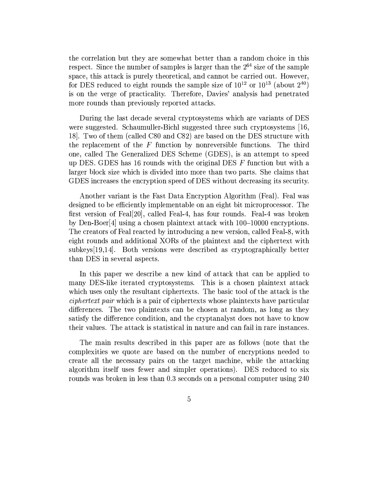$\mathcal{L}_\mathcal{A}$  , and the set of the set of the set of the set of the set of the set of the set of the set of the set of the set of the set of the set of the set of the set of the set of the set of the set of the set of th  $\mathcal{D}_4$  and  $\mathcal{D}_5$  and  $\mathcal{D}_7$  and  $\mathcal{D}_8$  and  $\mathcal{D}_8$  and  $\mathcal{D}_9$  and  $\mathcal{D}_8$  and  $\mathcal{D}_9$  and  $\mathcal{D}_9$  and  $\mathcal{D}_9$  and  $\mathcal{D}_9$  and  $\mathcal{D}_9$  and  $\mathcal{D}_9$  and  $\mathcal{D}_9$  and  $\mathcal{D}_9$  and  $\mathcal{D}_9$  a PREFECTION TO THE CONTROL 5 AND THE CONTROL FERENCE DESCRIPTION OF THE CONTROL INTERFERENCE OF THE CONTROL TO THE CONTROL TO A SEXUAL FERENCE OF THE CONTROL TO A SEXUAL FERENCE OF THE CONTROL TO A SEXUAL FERENCE OF THE CO VT@B^YH.=BEI:<SFXIE: QTbE0o4QBT@SFMF:FPQ4FE!P5@7A[F/1EUPR01JIE T@V <sup>À</sup> TB À <sup>±</sup> 5 TS<Q ·  $\alpha$  and  $\alpha$  is the set of the set of the set of the set of the set of the set of the set of the set of the set of the set of the set of the set of the set of the set of the set of the set of the set of the set of the se more rounds than previously reported attacks.

During the last decade several cryptosystems which are variants of DES EIBRE'PS5:@EIPRQEI:1 =?X465@S<7SF/1/KEIB°230KX4F/,PRS5:EPRQE: Q4FBREIE'PSFX4 XBjm[<QT@PjmPRQEI7APd¼ À ¯ 18. Two of them (called C80 and C82) are based on the DES structure with  $\blacksquare$ one, called The Generalized DES Scheme (GDES), is an attempt to speed STA OSTAJ : WARDER AFTA A BRTSFM /15@B@EIB /KT?XLP0KJIEb]4F0KX4a0KPD:F0G¦m01:<EI:01MQTA7ATBRE;Q4658MQ7TA[65@BRQP =?4FEUX/ 5@0K7LP Q4658Q UYH.=01MFXBEI5@PEPQ4FE]EIMFXBjm[<Q01TM'P[\*EIE:bT@VYH.=-]0KQ4FTS<Q:FEXIBRE 5@PR01M5U0KQP
PEXISFBR0KQ7:

Another variant is the Fast Data Encryption Algorithm (Feal). Feal was :eiladh ann an comanachd ann an comanachd ann an comanachd ann an comanachd ann an comanachd 70 mae in 1e an C  $\mathcal{S}$  , a substituting the set of the set of the set of the set of the set of the set of the set of the set of the set of the set of the set of the set of the set of the set of the set of the set of the set of the set by Den-Boer [4] using a chosen plaintext attack with  $100-10000$  encryptions. CD4<EXBEI58QTBRP
T@V !6E 5@/?BE 58XQE: 01MQBRT?:FS<XI01MQH5HMFE}z¦EBP0KTM1¯\X 58/1/1E:!6E 5@/@° ¯n]0KQ4 eight rounds and additional XORs of the plaintext and the ciphertext with  $\blacksquare$ Q465@MaYH.=0KMPE}¦@EIB5@/>5@P[\*EIX(QP

 $\mathbf{r}$  and  $\mathbf{r}$  and  $\mathbf{r}$  and  $\mathbf{r}$  and  $\mathbf{r}$  and  $\mathbf{r}$  and  $\mathbf{r}$  and  $\mathbf{r}$ many DES-like iterated cryptosystems. This is a chosen plaintext attack  $\blacksquare$  . The set of the set of the set of the set of the set of the set of the set of the set of the set of the set of the set of the set of the set of the set of the set of the set of the set of the set of the set of the ciphertext pair which is a pair of ciphertexts whose plaintexts have particular :<0 EIBEMFXIEP CD4FEQ73T [F/15@01MQE®mQP XI5@M EbX4FTPEM5cQB5@M<:FT7¯5@P /1T@M5 5@PQ4FE} satisfy the difference condition, and the cryptanalyst does not have to know Q4FEI0KBR¦@58/1SFEP WCD4FE;58QQ5@X01PPQ 58Q01PRQ01XI5@/F01MAM658QSFBE^5@MF:AX 58MLVh5@0K/601M'B5@BRE^0KMFPRQ5@MFXEIP

CD4FE`7L5@01M BREIPS</KQPA:FEPXIBR0 EI: 01M Q4<01P'[65@[\*EIBA5@BREa58P'VT@/1/1T
]P±MFT@QEQ4658QQ4<E complexities we quote are based on the number of encryptions needed to  $X = \mathbf{M} \mathbf{M} + \mathbf{M} \mathbf{M} = \mathbf{M} \mathbf{M} + \mathbf{M} \mathbf{M} + \mathbf{M} \mathbf{M} + \mathbf{M} \mathbf{M}$ algorithm itself uses fewer and simpler operations). DES reduced to six BRTSFMF:<P35@P BT"@EIML01M'/1EPPQ4658M UPEXITMF:<P3TMA5U[EBPT@M65@/6XIT@7L[FS?QEIBSFPR01M5@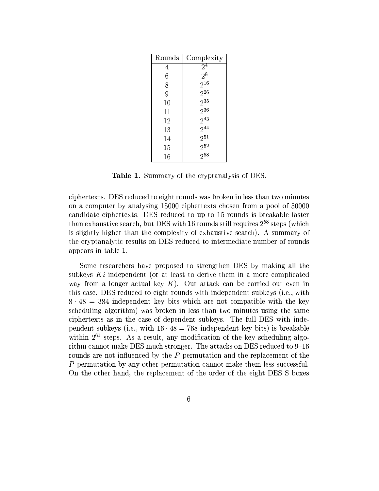| Rounds | Complexity |
|--------|------------|
| 4      | $2^4\,$    |
| 6      | $2^8$      |
| 8      | $2^{16}$   |
| 9      | $2^{26}$   |
| $10\,$ | $2^{35}$   |
| 11     | $2^{36}$   |
| 12     | $2^{43}$   |
| 13     | $2^{44}$   |
| 14     | $2^{51}$   |
| 15     | $2^{52}$   |
| 16     | $2^{58}$   |

**Table 1.** Summary of the cryptanalysis of DES.

ciphertexts. DES reduced to eight rounds was broken in less than two minutes on a computer by analysing 15000 ciphertexts chosen from a pool of 50000 candidate ciphertexts. DES reduced to up to 15 rounds is breakable faster than exhaustive search, but DES with 16 rounds still requires 2<sup>58</sup> steps (which is slightly higher than the complexity of exhaustive search). A summary of the cryptanalytic results on DES reduced to intermediate number of rounds appears in table 1.

Some researchers have proposed to strengthen DES by making all the subkeys  $Ki$  independent (or at least to derive them in a more complicated way from a longer actual key  $K$ ). Our attack can be carried out even in this case. DES reduced to eight rounds with independent subkeys (i.e., with  $8 \cdot 48 = 384$  independent key bits which are not compatible with the key scheduling algorithm) was broken in less than two minutes using the same ciphertexts as in the case of dependent subkeys. The full DES with independent subkeys (i.e., with  $16 \cdot 48 = 768$  independent key bits) is breakable within  $2^{61}$  steps. As a result, any modification of the key scheduling algorithm cannot make DES much stronger. The attacks on DES reduced to 9-16 rounds are not influenced by the  $P$  permutation and the replacement of the  $P$  permutation by any other permutation cannot make them less successful. On the other hand, the replacement of the order of the eight DES S boxes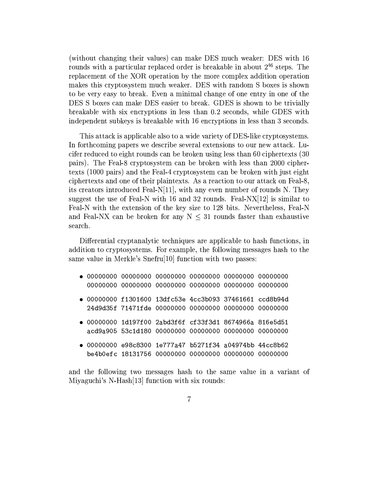(without changing their values) can make DES much weaker: DES with 16 rounds with a particular replaced order is breakable in about  $2^{46}$  steps. The replacement of the XOR operation by the more complex addition operation makes this cryptosystem much weaker. DES with random S boxes is shown to be very easy to break. Even a minimal change of one entry in one of the DES S boxes can make DES easier to break. GDES is shown to be trivially breakable with six encryptions in less than 0.2 seconds, while GDES with independent subkeys is breakable with 16 encryptions in less than 3 seconds.

This attack is applicable also to a wide variety of DES-like cryptosystems. In forthcoming papers we describe several extensions to our new attack. Lucifer reduced to eight rounds can be broken using less than 60 ciphertexts (30) pairs). The Feal-8 cryptosystem can be broken with less than 2000 ciphertexts (1000 pairs) and the Feal-4 cryptosystem can be broken with just eight ciphertexts and one of their plaintexts. As a reaction to our attack on Feal-8, its creators introduced Feal-N[11], with any even number of rounds N. They suggest the use of Feal-N with 16 and 32 rounds. Feal-NX $[12]$  is similar to Feal-N with the extension of the key size to 128 bits. Nevertheless, Feal-N and Feal-NX can be broken for any  $N \leq 31$  rounds faster than exhaustive search.

Differential cryptanalytic techniques are applicable to hash functions, in addition to cryptosystems. For example, the following messages hash to the same value in Merkle's Snefru[10] function with two passes:

| • 00000000 f1301600 13dfc53e 4cc3b093 37461661 ccd8b94d |  |                                                       |  |
|---------------------------------------------------------|--|-------------------------------------------------------|--|
|                                                         |  | 24d9d35f 71471fde 00000000 00000000 00000000 00000000 |  |
| • 00000000 1d197f00 2abd3f6f cf33f3d1 8674966a 816e5d51 |  |                                                       |  |
|                                                         |  | acd9a905 53c1d180 00000000 00000000 00000000 00000000 |  |
| • 00000000 e98c8300 1e777a47 b5271f34 a04974bb 44cc8b62 |  |                                                       |  |
| be4b0efc 18131756 00000000 00000000 00000000 00000000   |  |                                                       |  |

and the following two messages hash to the same value in a variant of Miyaguchi's N-Hash|13| function with six rounds: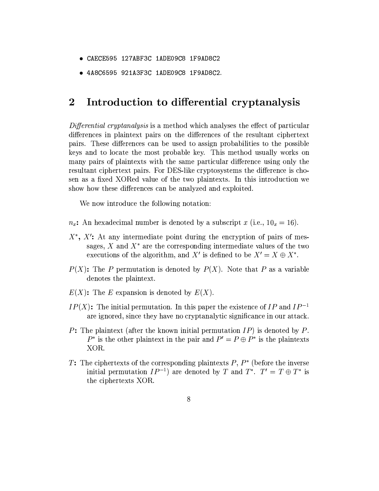- · CAECE595 127ABF3C 1ADE09C8 1F9AD8C2
- 4A8C6595 921A3F3C 1ADE09C8 1F9AD8C2.

#### $\bf{2}$ Introduction to differential cryptanalysis

*Differential cryptanalysis* is a method which analyses the effect of particular differences in plaintext pairs on the differences of the resultant ciphertext pairs. These differences can be used to assign probabilities to the possible keys and to locate the most probable key. This method usually works on many pairs of plaintexts with the same particular difference using only the resultant ciphertext pairs. For DES-like cryptosystems the difference is chosen as a fixed XORed value of the two plaintexts. In this introduction we show how these differences can be analyzed and exploited.

We now introduce the following notation:

- $n_x$ : An hexadecimal number is denoted by a subscript x (i.e.,  $10_x = 16$ ).
- $X^*, X'$ : At any intermediate point during the encryption of pairs of messages, X and  $X^*$  are the corresponding intermediate values of the two executions of the algorithm, and X' is defined to be  $X' = X \oplus X^*$ .
- $P(X)$ : The P permutation is denoted by  $P(X)$ . Note that P as a variable denotes the plaintext.
- $E(X)$ : The E expansion is denoted by  $E(X)$ .
- $IP(X)$ : The initial permutation. In this paper the existence of IP and IP<sup>-1</sup> are ignored, since they have no cryptanalytic significance in our attack.
- P: The plaintext (after the known initial permutation  $IP$ ) is denoted by P.  $P^*$  is the other plaintext in the pair and  $P' = P \oplus P^*$  is the plaintexts XOR.
- T: The ciphertexts of the corresponding plaintexts  $P, P^*$  (before the inverse initial permutation  $IP^{-1}$  are denoted by T and  $T^*$ .  $T' = T \oplus T^*$  is the ciphertexts XOR.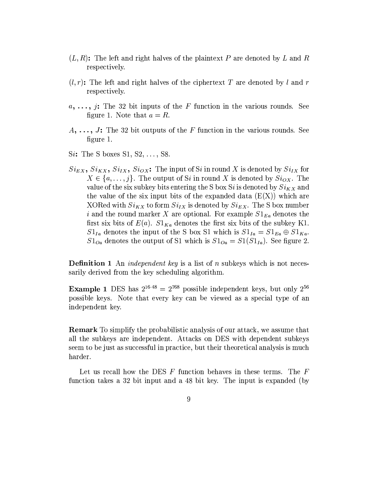- $(L, R)$ : The left and right halves of the plaintext P are denoted by L and R respectively.
- $(l, r)$ : The left and right halves of the ciphertext T are denoted by l and r respectively.
- $a, \ldots, j$ : The 32 bit inputs of the F function in the various rounds. See figure 1. Note that  $a = R$ .
- $A, \ldots, J$ : The 32 bit outputs of the F function in the various rounds. See figure 1.
- $Si:$  The S boxes S1, S2, ..., S8.
- $Si_{EX}, Si_{KX}, Si_{IX}, Si_{OX}:$  The input of Si in round X is denoted by  $Si_{IX}$  for  $X \in \{a, \ldots, j\}$ . The output of Si in round X is denoted by  $Si_{OX}$ . The value of the six subkey bits entering the S box Si is denoted by  $Si_{KX}$  and the value of the six input bits of the expanded data  $(E(X))$  which are XORed with  $Si_{KX}$  to form  $Si_{IX}$  is denoted by  $Si_{EX}$ . The S box number  $i$  and the round marker  $X$  are optional. For example  $S1_{E\bm a}$  denotes the first six bits of  $E(a)$ .  $S1_{Ka}$  denotes the first six bits of the subkey K1.  $S1_{Ia}$  denotes the input of the S box S1 which is  $S1_{Ia} = S1_{Ea} \oplus S1_{Ka}$ .  $S1_{Oa}$  denotes the output of S1 which is  $S1_{Oa} = S1(S1_{Ia})$ . See figure 2.

**Definition 1** An *independent key* is a list of *n* subkeys which is not necessarily derived from the key scheduling algorithm.

**Example 1** DES has  $2^{16.48} = 2^{768}$  possible independent keys, but only  $2^{56}$ possible keys. Note that every key can be viewed as a special type of an independent key.

**Remark** To simplify the probabilistic analysis of our attack, we assume that all the subkeys are independent. Attacks on DES with dependent subkeys seem to be just as successful in practice, but their theoretical analysis is much harder.

Let us recall how the DES  $F$  function behaves in these terms. The  $F$ function takes a 32 bit input and a 48 bit key. The input is expanded (by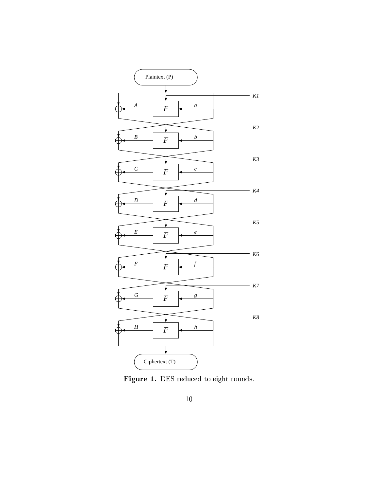

Figure 1. DES reduced to eight rounds.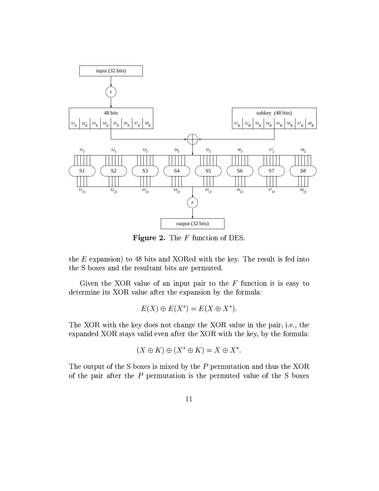

)-; CD4FE %VSFMFX(Q0KTMT@VWYH.=

 $\bullet$  Fe. estimate the state of the state of the state  $\bullet$  and  $\bullet$   $\bullet$  . The state  $\bullet$  is contributed by  $\bullet$  is contributed by  $\bullet$  in  $\bullet$  . The state of the state of the state of the state of the state of the state  $\bullet$  . The set of the set of the set of the set of the set of the set of the set of the set of the set of the set of the set of the set of the set of the set of the set of the set of the set of the set of the set of the s

Given the XOR value of an input pair to the  $F$  function it is easy to determine its XOR value after the expansion by the formula:

$$
E(X) \oplus E(X^*) = E(X \oplus X^*).
$$

The XOR with the key does not change the XOR value in the pair, i.e., the expanded XOR stays valid even after the XOR with the key, by the formula:

$$
(X \oplus K) \oplus (X^* \oplus K) = X \oplus X^*.
$$

CD4<E^TS?Q[FS<Q T@VQ4FE;= T®?EIP 01P7A03®?EI: Q4FE % [\*EIB7S<Q 58Q01TMA5@M<:AQ4mS<P Q4FE³aµ>¶ T8V^Q4FE[65@0KB58VQEB Q4FE% [EB7S<Q58Q0KTM 01P!Q4FE[\*EIB7S<QE:z¦85@/KSFET@VQ4FE`= T
®?EP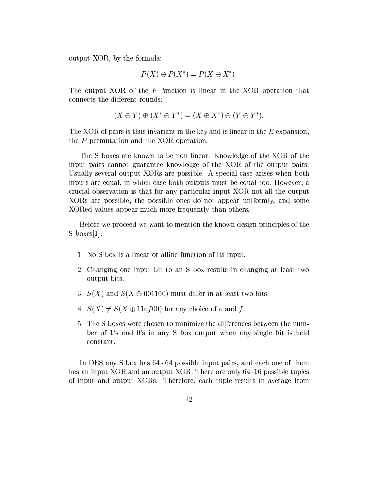output XOR, by the formula:

$$
P(X) \oplus P(X^*) = P(X \oplus X^*).
$$

CD4<E TS<Q[<S<QC³aµ>¶ T@VUQ4<E #VSFMFX(Q0KTM 01P/K01MFEI5@Bb0KM Q4FE ³aµ\¶ T[EB58Q01TM Q4658Q connects the different rounds:

$$
(X \oplus Y) \oplus (X^* \oplus Y^*) = (X \oplus X^*) \oplus (Y \oplus Y^*).
$$

The XOR of pairs is thus invariant in the key and is linear in the  $E$  expansion,  $\blacksquare$  . The set of  $\blacksquare$  the set of  $\blacksquare$ 

CD4FE= T®?EIPH58BE-\MFT
]M QT EMFTM /K01MFEI5@B HMFT
]/1EI:QET@V
Q4FEY³aµ>¶ T@VWQ4<E  $\blacksquare$  ), and the set of the set of the set of the set of the set of the set of the set of the set of the set of the set of the set of the set of the set of the set of the set of the set of the set of the set of the set o PS658/1/G`PRE}¦EB5@/,TS<Q[<S<Qb³aµ>¶PZ5@BE [\*TPRP0/1E";9%P[\*EIX0 5@/ <sup>X</sup> 5@PRE'5@B0KPEPa]4FEM T@Q4  $\sim$  50  $\sim$  500  $\mu$  3.5  $\mu$  5.5  $\mu$  5.5  $\mu$  5.5  $\mu$  5.5  $\mu$  5.5  $\mu$  5.5  $\mu$  5.5  $\mu$  5.5  $\mu$  5.5  $\mu$  5.5  $\mu$  5.5  $\mu$  5.5  $\mu$  5.5  $\mu$  5.5  $\mu$  5.5  $\mu$  5.5  $\mu$  5.5  $\mu$  5.5  $\mu$  5.5  $\mu$  5.5  $\mu$  5.5  $\mu$  5  $X$  , the state is a state of the state of  $\mathbb{R}^n$  and  $\mathbb{R}^n$  and  $\mathbb{R}^n$  and  $\mathbb{R}^n$  and  $\mathbb{R}^n$  and  $\mathbb{R}^n$ XORs are possible, the possible ones do not appear uniformly, and some XORed values appear much more frequently than others.

Before we proceed we want to mention the known design principles of the = T
®?EP
¼ <sup>À</sup> ¿-

- $\blacksquare$  . The  $\blacksquare$  the  $\blacksquare$  the  $\blacksquare$  the  $\blacksquare$
- 2. Changing one input bit to an S box results in changing at least two  $T$  , and  $T$  are  $\sim$   $T$  , and  $\sim$   $T$  , and  $\sim$   $T$  , and  $\sim$   $T$  , and  $T$
- Q ±-· 5@MF: H±- <sup>²</sup> KÀ:À · 7SFPRQ:F0 EBD01M58Q/KE 5@PQDQ73T 0KQP
- 4.  $S(X) \neq S(X \oplus 11ef00)$  for any choice of e and f.
- 5. The S boxes were chosen to minimize the differences between the num-EBT@V <sup>À</sup> P5@MF: P0KM 5@M <sup>=</sup> T® T@S<Q[FS?Qd]4FEIM 5@M P0KM5/1E 0KQb01PL4FEI/K:

NOMaYH.=`5@M`= T
®465@P [T@PP0/1EH0KMF[FS<Q][F5@01BRP ¯ 5@MF:EI5@X4TM<E T8V Q4FEI7 4F5@P 5@M'01MF[FS?Q<³aµ>¶ 58MF:b58MAT@S<Q[FS?Q<³aµ>¶\ CD4FEIBRE;58BEDTMF/3 À [\*TPPR0/KE QSF[</1EIP  $T$  and the set of the set of the set of the set of the set of the set of the set of the set of the set of the set of the set of the set of the set of the set of the set of the set of the set of the set of the set of the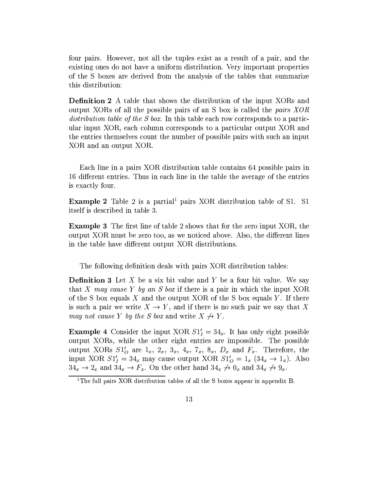four pairs. However, not all the tuples exist as a result of a pair, and the existing ones do not have a uniform distribution. Very important properties of the S boxes are derived from the analysis of the tables that summarize this distribution:

**Definition 2** A table that shows the distribution of the input XORs and output XORs of all the possible pairs of an S box is called the pairs XOR *distribution table of the S box.* In this table each row corresponds to a particular input XOR, each column corresponds to a particular output XOR and the entries themselves count the number of possible pairs with such an input XOR and an output XOR.

Each line in a pairs XOR distribution table contains 64 possible pairs in 16 different entries. Thus in each line in the table the average of the entries is exactly four.

**Example 2** Table 2 is a partial<sup>1</sup> pairs XOR distribution table of S1. S1 itself is described in table 3.

**Example 3** The first line of table 2 shows that for the zero input XOR, the output XOR must be zero too, as we noticed above. Also, the different lines in the table have different output XOR distributions.

The following definition deals with pairs XOR distribution tables:

**Definition 3** Let  $X$  be a six bit value and  $Y$  be a four bit value. We say that X may cause Y by an S box if there is a pair in which the input XOR of the S box equals X and the output XOR of the S box equals Y. If there is such a pair we write  $X \to Y$ , and if there is no such pair we say that X may not cause Y by the S box and write  $X \nrightarrow Y$ .

**Example 4** Consider the input XOR  $S1'_1 = 34_x$ . It has only eight possible output XORs, while the other eight entries are impossible. The possible output XORs  $S1'_{O}$  are  $1_x$ ,  $2_x$ ,  $3_x$ ,  $4_x$ ,  $7_x$ ,  $8_x$ ,  $D_x$  and  $F_x$ . Therefore, the input XOR  $S1'_I = 34_x$  may cause output XOR  $S1'_O = 1_x (34_x \rightarrow 1_x)$ . Also  $34_x \rightarrow 2_x$  and  $34_x \rightarrow F_x$ . On the other hand  $34_x \not\rightarrow 0_x$  and  $34_x \not\rightarrow 9_x$ .

<sup>&</sup>lt;sup>1</sup>The full pairs XOR distribution tables of all the S boxes appear in appendix B.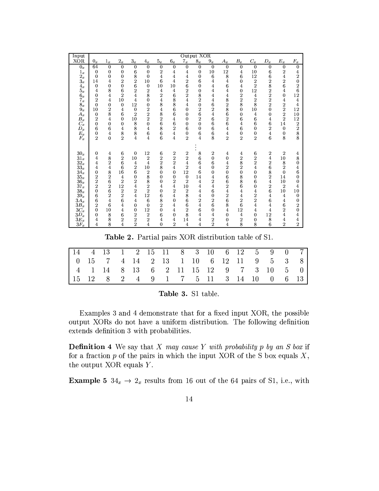| Input                    |                                  |                     |                      |                                  |                     |                                  |                                  |                      | Output XOR                       |                                  |                     |                |                            |                         |                            |                                              |
|--------------------------|----------------------------------|---------------------|----------------------|----------------------------------|---------------------|----------------------------------|----------------------------------|----------------------|----------------------------------|----------------------------------|---------------------|----------------|----------------------------|-------------------------|----------------------------|----------------------------------------------|
| XÒR                      | $0_x$                            | $1_x$               | $2\,x$               | $\mathbf{3}_x$                   | $4_x$               | $5_x$                            | $6_x$                            | $7_x$                | $\mathbf{8}_x$                   | $9_x\,$                          | $A_x$               | $B_x$          | $C_x$                      | $\mathbb{D}_x$          | $\mathbb{E}_x$             | $F_x$                                        |
| $0_x$                    | 64                               | $\overline{0}$      | $\overline{0}$       | $\overline{0}$                   | $\overline{0}$      | $\overline{0}$                   | $\mathbf 0$                      | $\mathbf 0$          | $\mathbf 0$                      | $\overline{0}$                   | $\mathbf 0$         | $\overline{0}$ | $\mathbf 0$                | $\overline{0}$          | $\overline{0}$             | $\overline{0}$                               |
| $1_x$                    | $\bf{0}$                         | $\bf{0}$            | $\mathbf 0$          | 6                                | $\bf{0}$            | $\overline{2}$                   | $\overline{4}$                   | $\overline{4}$       | $\overline{0}$                   | 10                               | 12                  | 4              | 10                         | $\,6$                   | $\,2$                      | $\,4$                                        |
| $2_x$                    | $\mathbf{0}$                     | $\mathbf{0}$        | $\Omega$             | $\,$ 8 $\,$                      | $\overline{0}$      | $\overline{4}$                   | $\overline{4}$                   | $\overline{4}$       | $\mathbf 0$                      | 6                                | 8                   | 6              | 12                         | 6                       | $\overline{4}$             | $^2_{\rm 0}$                                 |
| $3_x^{\degree}$          | 14                               | 4                   | $\overline{2}$       | $\overline{2}$                   | 10                  | 6                                | $\overline{4}$                   | $\overline{2}$       | 6                                | 4                                | $\overline{4}$      | 0              | $\overline{2}$             | $\overline{2}$          | $\overline{2}$             |                                              |
| $4_x$                    | $\bf{0}$                         | $\bf{0}$            | $\overline{0}$<br>6  | $\overline{6}$                   | $\mathbf 0$         | 10                               | 10                               | $\,$ 6               | $\mathbf 0$                      | 4                                | 6                   | 4<br>0         | $\overline{2}$             | 8                       | 6                          | $^2_{\phantom{1}6}$                          |
| $5_x^{\degree}$          | 4<br>$\overline{0}$              | 8<br>$\overline{4}$ | $\overline{2}$       | $\overline{2}$<br>$\overline{4}$ | $\overline{2}$<br>8 | $\sqrt{4}$<br>$\overline{2}$     | $\overline{4}$<br>6              | $\overline{2}$       | $\mathbf 0$<br>8                 | 4<br>4                           | 4<br>4              | $\overline{2}$ | $12\,$<br>$\sqrt{4}$       | $\overline{2}$          | $\overline{4}$<br>$\bf{0}$ |                                              |
| $6_x$<br>$7_x^{\degree}$ | $\overline{2}$                   | $\overline{4}$      | 10                   | $\overline{4}$                   | 0                   | $\sqrt{4}$                       | 8                                | $\frac{2}{4}$        | $\overline{2}$                   | 4                                | 8                   | $\overline{2}$ | $\sqrt{2}$                 | $\frac{2}{2}$           | $\overline{4}$             | $12\,$<br>$\sqrt{4}$                         |
| $8_x^{\degree}$          | $\overline{0}$                   | $\bf{0}$            | $\mathbf 0$          | 12                               | 0                   | 8                                | 8                                | $\overline{4}$       | $\mathbf 0$                      | 6                                | $\overline{2}$      | 8              | 8                          | $\overline{2}$          | $\overline{2}$             | $\overline{4}$                               |
| $9_x$                    | 10                               | $\overline{2}$      | $\overline{4}$       | $\overline{0}$                   | $\overline{2}$      | $\overline{4}$                   | 6                                | $\overline{0}$       | $\overline{2}$                   | $\overline{2}$                   | 8                   | 0              | $10\,$                     | 0                       | $\overline{2}$             | 12                                           |
| $\mathcal{A}_x$          | $\bf{0}$                         | 8                   | 6                    | $\overline{2}$                   | $\overline{2}$      | 8                                | 6                                | $\overline{0}$       | 6                                | $\overline{4}$                   | 6                   | 0              | $\overline{4}$             | $\mathbf 0$             | $\overline{2}$             | 10                                           |
| $\boldsymbol{B}_{x}$     | $\overline{2}$                   | $\overline{4}$      | $\Omega$             | 10                               | $\overline{2}$      | $\overline{2}$                   | $\overline{4}$                   | $\overline{0}$       | $\overline{2}$                   | 6                                | $\overline{2}$      | 6              | $\,6$                      | 4                       | $\overline{2}$             | $12\,$                                       |
| $\tilde{C_x}$            | $\bf{0}$                         | $\Omega$            | $\Omega$             | 8                                | 0                   | 6                                | 6                                | $\mathbf 0$          | $\overline{0}$                   | 6                                | 6                   | 4              | 6                          | 6                       | 14                         | $\frac{2}{2}$                                |
| $\boldsymbol{D}_{x}$     | 6                                | 6                   | $\overline{4}$       | 8                                | $\overline{4}$      | 8                                | $\overline{2}$                   | 6                    | $\mathbf 0$                      | 6                                | $\overline{4}$      | 6              | $\bf{0}$                   | $\overline{2}$          | $\mathbf{0}$               |                                              |
| $E_x\$                   | $\bf{0}$                         | $\overline{4}$      | 8                    | 8                                | 6                   | 6                                | $\overline{4}$                   | $\mathbf 0$          | 6                                | 6                                | 4                   | 0              | $\bf{0}$                   | $\overline{4}$          | $\bf{0}$                   | $\frac{8}{8}$                                |
| $F_x$                    | $\overline{2}$                   | $\overline{0}$      | $\overline{2}$       | $\overline{4}$                   | $\overline{4}$      | 6                                | $\overline{4}$                   | $\overline{2}$       | $\overline{4}$                   | 8                                | $\overline{2}$      | $\overline{2}$ | $\overline{2}$             | 6                       | 8                          |                                              |
|                          |                                  |                     |                      |                                  |                     |                                  |                                  |                      |                                  |                                  |                     |                |                            |                         |                            |                                              |
| $30_x$                   | 0                                | 4                   | $\,6$                | $\mathbf 0$                      | 12                  | 6                                |                                  |                      | 8                                | 2                                | 4                   | 4              | 6                          | 2                       | $\overline{2}$             |                                              |
| $31_x$                   | 4                                | 8                   | $\overline{2}$       | 10                               | $\,2$               |                                  | $\frac{2}{2}$                    | $\frac{2}{2}$        | 6                                | $\overline{0}$                   | $\overline{0}$      |                |                            | $\overline{4}$          | 10                         | $\frac{4}{8}$                                |
| $32_x$                   | 4                                | $\overline{2}$      | 6                    | $\overline{4}$                   | $\overline{4}$      | $\frac{2}{2}$                    |                                  |                      | 6                                | 6                                | 4                   | $\frac{2}{8}$  | $\frac{2}{4}$              | $\overline{\mathbf{c}}$ | 8                          | $\boldsymbol{0}$                             |
| $33_x$                   | $\overline{4}$                   | $\overline{4}$      | 6                    | $\boldsymbol{2}$                 | 10                  | 8                                | $\overline{4}$                   | $\overline{2}$       | $\overline{4}$                   | $\overline{0}$                   | $\overline{2}$      | $\overline{2}$ |                            | 6                       | $\overline{2}$             | $\overline{\mathbf{4}}$                      |
| $34_x$                   | $\bf{0}$                         | 8                   | 16                   | 6                                | $\overline{2}$      | $\overline{0}$                   | 0                                | 12                   | 6                                | $\overline{0}$                   | 0                   | 0              | $\bf{0}$                   | $^8_2$                  | $\overline{0}$             | $\overline{6}$                               |
| $35_x$                   | $\overline{2}$                   | $\overline{2}$      | $\overline{4}$       | $\mathbf{0}$                     | $\frac{8}{8}$       | $\overline{0}$                   | 0                                | $\mathbf 0$          | 14                               | $\overline{4}$                   | 6                   | 8              | $\bf{0}$                   |                         | 14                         | $\bf{0}$                                     |
| $36_x$                   | $\overline{2}$<br>$\overline{2}$ | 6<br>$\overline{2}$ | $\overline{2}$<br>12 | $\overline{2}$<br>$\overline{4}$ | $\overline{2}$      | $\overline{0}$<br>$\overline{4}$ | $\overline{2}$<br>$\overline{4}$ | $\overline{2}$<br>10 | $\overline{4}$<br>$\overline{4}$ | $\overline{2}$<br>$\overline{4}$ | 6<br>$\overline{2}$ | 8<br>6         | 6                          | 4                       | 10<br>$\overline{2}$       | $\bf{0}$                                     |
| $37_x$<br>$38_x$         | $\bf{0}$                         | 6                   | $\overline{2}$       | $\overline{2}$                   | $\overline{2}$      | $\mathbf 0$                      | $\overline{2}$                   | $\overline{2}$       | $\overline{4}$                   | 6                                | $\overline{4}$      | 4              | $\bf{0}$<br>$\overline{4}$ | $\overline{2}$<br>6     | 10                         | $\overline{4}$<br>10                         |
| 39 <sub>x</sub>          | 6                                | $\overline{2}$      | $\overline{2}$       | $\overline{4}$                   | 12                  | 6                                | $\overline{4}$                   | 8                    | $\overline{4}$                   | $\overline{0}$                   | $\overline{2}$      | $\overline{4}$ | $\overline{2}$             | $\overline{4}$          | 4                          | $\mathbf 0$                                  |
| $3A_x$                   | 6                                | $\overline{4}$      | 6                    | $\overline{4}$                   | $\boldsymbol{6}$    | 8                                | $\overline{0}$                   | $\overline{6}$       | $\overline{2}$                   | $\overline{2}$                   | 6                   | $\overline{2}$ | $\overline{2}$             | 6                       | $\overline{4}$             |                                              |
| $3B_x$                   | $\overline{2}$                   | 6                   | $\overline{4}$       | $\mathbf{0}$                     | $\Omega$            | $\overline{2}$                   | 4                                | 6                    | $\overline{4}$                   | 6                                | 8                   | 6              | $\overline{4}$             | 4                       | 6                          | $\begin{smallmatrix} 0\\2 \end{smallmatrix}$ |
| $3C_x$                   | $\Omega$                         | 10                  | $\overline{4}$       | $\mathbf{0}$                     | 12                  | $\mathbf 0$                      | $\overline{4}$                   | $\overline{2}$       | 6                                | $\mathbf 0$                      | 4                   | 12             | $\overline{4}$             | $\overline{4}$          | $\overline{2}$             | $\bf{0}$                                     |
| $3D_x^{\mathbb{Z}}$      | $\bf{0}$                         | 8                   | 6                    | $\overline{2}$                   | $\overline{2}$      | 6                                | 0                                | 8                    | $\overline{4}$                   | $\overline{4}$                   | 0                   | $\overline{4}$ | $\bf{0}$                   | 12                      | 4                          | 4                                            |
| $3E_x$                   | 4                                | 8                   | $\overline{2}$       | $\overline{2}$                   | $\overline{2}$      | $\overline{4}$                   | 4                                | 14                   | $\overline{4}$                   | $\overline{2}$                   | 0                   | $\overline{2}$ | $\bf{0}$                   | 8                       | 4                          | $\overline{\mathbf{4}}$                      |
| $3F_x$                   | 4                                | 8                   | $\overline{4}$       | $\overline{2}$                   | $\overline{4}$      | $\Omega$                         | $\overline{2}$                   | $\overline{4}$       | $\overline{4}$                   | $\overline{2}$                   | 4                   | 8              | 8                          | 6                       | $\overline{2}$             | $\overline{2}$                               |

Table 2. Partial pairs XOR distribution table of S1.

| 0 15 7 4 14 2 13 1 10 6 12 11 9 5 3 8                                                                            |  |  |  |  |  |  |  |  |
|------------------------------------------------------------------------------------------------------------------|--|--|--|--|--|--|--|--|
|                                                                                                                  |  |  |  |  |  |  |  |  |
| $\begin{array}{ccccccccc}\n1 & 15 & 12 & 8 & 2 & 4 & 9 & 1 & 7 & 5 & 11 & 3 & 14 & 10 & 0 & 6 & 13\n\end{array}$ |  |  |  |  |  |  |  |  |

| Table 3. S1 table. |  |  |  |
|--------------------|--|--|--|
|--------------------|--|--|--|

Examples 3 and 4 demonstrate that for a fixed input XOR, the possible output XORs do not have a uniform distribution. The following definition extends definition 3 with probabilities.

**Definition 4** We say that X may cause Y with probability p by an S box if for a fraction  $p$  of the pairs in which the input XOR of the S box equals  $X$ , the output XOR equals Y.

**Example 5**  $34_x \rightarrow 2_x$  results from 16 out of the 64 pairs of S1, i.e., with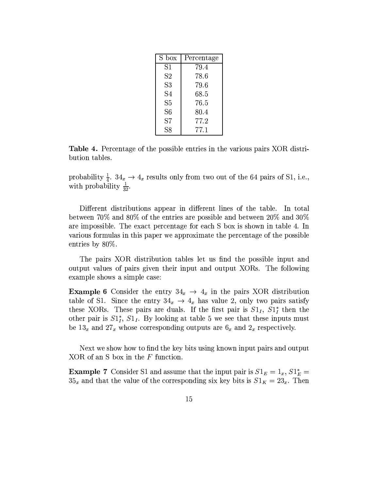| S box          | Percentage |
|----------------|------------|
| S <sub>1</sub> | 79.4       |
| S <sub>2</sub> | 78.6       |
| S <sub>3</sub> | 79.6       |
| S4             | 68.5       |
| S <sub>5</sub> | 76.5       |
| S6             | 80.4       |
| S7             | 77.2       |
| S8             | 77.1       |

**Table 4.** Percentage of the possible entries in the various pairs XOR distribution tables.

probability  $\frac{1}{4}$ .  $34_x \rightarrow 4_x$  results only from two out of the 64 pairs of S1, i.e., with probability  $\frac{1}{32}$ .

Different distributions appear in different lines of the table. In total between  $70\%$  and  $80\%$  of the entries are possible and between  $20\%$  and  $30\%$ are impossible. The exact percentage for each S box is shown in table 4. In various formulas in this paper we approximate the percentage of the possible entries by 80\%.

The pairs XOR distribution tables let us find the possible input and output values of pairs given their input and output XORs. The following example shows a simple case:

**Example 6** Consider the entry  $34_x \rightarrow 4_x$  in the pairs XOR distribution table of S1. Since the entry  $34_x \rightarrow 4_x$  has value 2, only two pairs satisfy these XORs. These pairs are duals. If the first pair is  $S1_I$ ,  $S1_I^*$  then the other pair is  $S1<sub>I</sub>^*$ ,  $S1<sub>I</sub>$ . By looking at table 5 we see that these inputs must be  $13_x$  and  $27_x$  whose corresponding outputs are  $6_x$  and  $2_x$  respectively.

Next we show how to find the key bits using known input pairs and output XOR of an S box in the  $F$  function.

**Example 7** Consider S1 and assume that the input pair is  $S1<sub>E</sub> = 1<sub>x</sub>$ ,  $S1<sup>*</sup><sub>E</sub> =$  $35_x$  and that the value of the corresponding six key bits is  $S1_K = 23_x$ . Then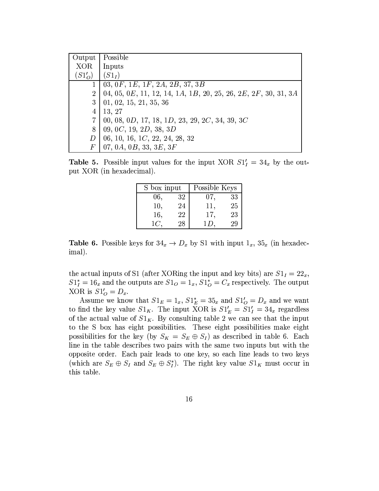| Output         | Possible                                                                            |  |
|----------------|-------------------------------------------------------------------------------------|--|
| <b>XOR</b>     | Inputs                                                                              |  |
| $(S1'_O)$      | $(S1_I)$                                                                            |  |
|                | 03, 0 <i>F</i> , 1 <i>E</i> , 1 <i>F</i> , 2 <i>A</i> , 2 <i>B</i> , 37, 3 <i>B</i> |  |
| $\overline{2}$ | 04, 05, 0E, 11, 12, 14, 1A, 1B, 20, 25, 26, 2E, 2F, 30, 31, 3A                      |  |
| 3              | 01, 02, 15, 21, 35, 36                                                              |  |
| 4              | 13, 27                                                                              |  |
| 7              | 00, 08, 0 <i>D</i> , 17, 18, 1 <i>D</i> , 23, 29, 2 <i>C</i> , 34, 39, 3 <i>C</i>   |  |
| 8              | 09, 0 $C$ , 19, 2 $D$ , 38, 3 $D$                                                   |  |
| D              | 06, 10, 16, 1 $C$ , 22, 24, 28, 32                                                  |  |
| $\,F$          | 07, 0 <i>A</i> , 0 <i>B</i> , 33, 3 <i>E</i> , 3 <i>F</i>                           |  |

**Table 5.** Possible input values for the input  $XOR_S1' = 34$  by the output XOR (in hexadecimal).

| S box input |    | Possible Keys |    |
|-------------|----|---------------|----|
| 06,         | 32 |               | 33 |
| 10,         | 24 | 11            | 25 |
| 16,         | 22 | 17            | 23 |
| 1C          | 28 |               | 29 |

- T@PP0/1E\8E}mP^VTB ! ! a= <sup>À</sup> ]0Q401MF[<S<Q <sup>À</sup> !¯ !d±01M4FE6®F58:FEIX6° imal).

the actual inputs of S1 (after XORing the input and key hits) are  $S1<sub>t</sub> = 22$ .  $S1^*_r = 16$ , and the outputs are  $S1_Q = 1$ ,  $S1^*_Q = C$ , respectively. The output  $\mathbf{v} \cdot \mathbf{v} = \mathbf{v} \cdot \mathbf{v}$ 

9^PPS<7LE>E(\MFT Q465cQ <sup>À</sup> # <sup>À</sup> !¯ <sup>À</sup> & # ! 5@MF: <sup>À</sup> ) # ! 58MF:C3E>35@MQ to find the key value  $S1_{K}$ . The input XOR is  $S1'_{F} = S1'_{L} = 34_{x}$  regardless  $\mathbb{R}$  , and  $\mathbb{R}$  , and  $\mathbb{R}$  is the set of  $\mathbb{R}$  and  $\mathbb{R}$  and  $\mathbb{R}$  and  $\mathbb{R}$  and  $\mathbb{R}$  and  $\mathbb{R}$  and  $\mathbb{R}$  and  $\mathbb{R}$  and  $\mathbb{R}$  and  $\mathbb{R}$  and  $\mathbb{R}$  and  $\mathbb{R}$  and  $\mathbb{R}$  and QT Q4FE <sup>=</sup> T
® 465@PEI0G4Q[T@PP001/K0KQ01EIP} CD4FEIPRE E0o4Q[\*TPPR00K/10Q01EPL7L5"8E EI0o@4\Q possibilities for the key (by  $S_{\kappa} = S_{\kappa} \oplus S_{I}$ ) as described in table 6. Each  $\mathcal{F}(\mathcal{F})$  , the set of the set of the set of the set of the set of the set of the set of the set of the set of the set of the set of the set of the set of the set of the set of the set of the set of the set of the se opposite order. Each pair leads to one key, so each line leads to two keys (which are  $S_F \oplus S_I$  and  $S_F \oplus S_I^*$ ). The right key value  $S1_K$  must occur in  $\sim$   $\sim$   $\sim$   $\sim$   $\sim$   $\sim$   $\sim$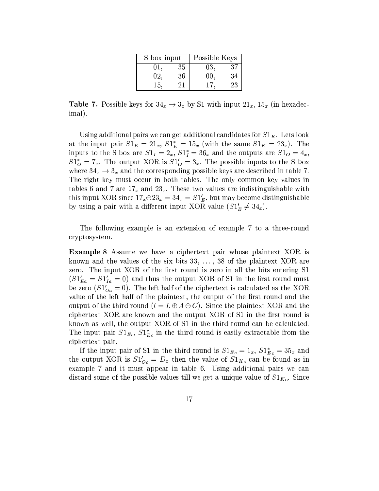|    | S box input |          | Possible Keys |  |  |  |
|----|-------------|----------|---------------|--|--|--|
|    | 35          | $03\,$   | 37            |  |  |  |
| 02 | 36          | $\rm 00$ | 34            |  |  |  |
| 15 |             |          | 23            |  |  |  |

-Brand - Popper Post Post Politics and the Post Politics of the Post Politics of the Politics of the Politics imal).

 P01MQ^58:F:F0KQ01TMF5@/@[65801BP1EX 5@M(E(Q>5@:F:F0Q01T@M65@/cX 5@MF:<01:658QEIP VTB <sup>À</sup> /»EQP+/1TmT: the state of the state of the state of the state of the state of the state of the state of the state of the state of the state of the state of the state of the state of the state of the state of the state of the state of t inputs to the S box are  $S1<sub>L</sub> = 2<sub>a</sub>$ ,  $S1<sup>*</sup> = 36<sub>a</sub>$  and the outputs are  $S1<sub>O</sub> = 4<sub>a</sub>$ .  $\mathcal{D}$  and  $\mathcal{D}$  . The state  $\mathcal{D}$  and  $\mathcal{D}$  is the state  $\mathcal{D}$  and  $\mathcal{D}$  $\blacksquare$  . The set of the set of the set of the set of the set of the set of the set of the set of the set of the set of the set of the set of the set of the set of the set of the set of the set of the set of the set of the CD4<EbB0G4Q-8E}7SFPQ TmXIXIS<B!0KM T@Q4 <sup>Q</sup> 5/KEIP}aCD4FELTMF/3 XIT7A7LT@M 8E} ¦@58/1SFEP01M Q5/KEIP 5@MF:½5@BRE <sup>À</sup> ½!5@MF: !: CD4FEPE!Q7Tu¦85@/KSFEIP5@BREU01MF:F0KPRQ01M5S<01P4F5/1E]0KQ4 Q4F01P 0KMF[FS<Q9³aµ>¶ PR01MFXE <sup>À</sup> ½!D² ! # ! # <sup>À</sup> ) ¯ S<Q>7L5 EXIT7AE:F01PQ0KM5SF0KP465/1E S<P01MQb5[65@0KBk]0KQ45:F0 EBEM\Q0KMF[FS<QO³aµ>¶¦85@/KSFEJ±- <sup>À</sup> ) # !
·

CD4FE VT/K/1T
]01MQ E®<5@7A[F/KE 01P5@M E6®?QEIMFPR01TM T@V!E®<5@7A[F/1E½ QT <sup>5</sup> Q4FBREIE° BTS<MF: cryptosystem.

132465 9;PRPSF7AE 3E 465¦E <sup>5</sup> XI0K[F4FEIBQE6®?Q[65@0KBs]4FTPRE [</ 5@0KM\QE®mQ³aµ>¶ 01P  $\mathcal{M} = \mathcal{M} = \mathcal{M} = \mathcal{M} = \mathcal{M} = \mathcal{M} = \mathcal{M} = \mathcal{M} = \mathcal{M} = \mathcal{M} = \mathcal{M} = \mathcal{M} = \mathcal{M} = \mathcal{M} = \mathcal{M} = \mathcal{M} = \mathcal{M} = \mathcal{M} = \mathcal{M} = \mathcal{M} = \mathcal{M} = \mathcal{M} = \mathcal{M} = \mathcal{M} = \mathcal{M} = \mathcal{M} = \mathcal{M} = \mathcal{M} = \mathcal{M} = \mathcal{M} = \mathcal{M} = \mathcal$ zero. The input XOR of the first round is zero in all the bits entering S1 **A A A A A A A A A A**  $(S1'_{\mathcal{F}} = S1'_{\mathcal{F}} = 0$  and thus the output XOR of S1 in the first round must EHJI ALIMITA TARAT LILA LILA TEND value of the left half of the plaintext, the output of the first round and the  $\overline{\phantom{a}}$  , the state  $\overline{\phantom{a}}$  ,  $\overline{\phantom{a}}$  ,  $\overline{\phantom{a}}$  ,  $\overline{\phantom{a}}$  ,  $\overline{\phantom{a}}$  ,  $\overline{\phantom{a}}$  $\blacksquare$  $\mathcal{M} = \mathcal{M} = \mathcal{M} = \mathcal{M} = \mathcal{M} = \mathcal{M} = \mathcal{M} = \mathcal{M} = \mathcal{M} = \mathcal{M} = \mathcal{M} = \mathcal{M} = \mathcal{M} = \mathcal{M} = \mathcal{M} = \mathcal{M} = \mathcal{M} = \mathcal{M} = \mathcal{M} = \mathcal{M} = \mathcal{M} = \mathcal{M} = \mathcal{M} = \mathcal{M} = \mathcal{M} = \mathcal{M} = \mathcal{M} = \mathcal{M} = \mathcal{M} = \mathcal{M} = \mathcal{M} = \mathcal$ CD4: E AI AI AI III II II II II II A ciphertext pair.

TRI : A RILIII A HA AI AI AI AU I Q4FEbT@S<Q[FS?Q-³aµ>¶j01P <sup>À</sup> )- # !bQ4FEM Q4FEJ¦85@/1SFEAT@V <sup>À</sup> ^X 5@M EAVTSFMF: 58P01M E6®<5@7L[</1Es½ 5@MF: 0KQL7SFPRQ5@[F[\*E 5@BL01M <sup>Q</sup> 5/KE P0KM5 5@:F:<0KQ0KTM65@/D[F5@01BRPJEXI5@M :<01PXI5@B:PRT7LEHT8V Q4FEH[T@PP0/1Eb¦85@/KSFEIP Q01/K/EY@EQ5SFMF0<mS<Eb¦@58/1SFEHT@V; <sup>À</sup> =?0KMFXIE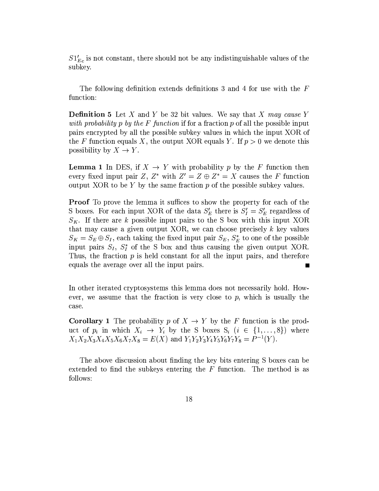$S1'_{Ec}$  is not constant, there should not be any indistinguishable values of the subkey.

The following definition extends definitions 3 and 4 for use with the  $F$ function:

**Definition 5** Let X and Y be 32 bit values. We say that X may cause Y with probability p by the F function if for a fraction p of all the possible input pairs encrypted by all the possible subkey values in which the input XOR of the F function equals X, the output XOR equals Y. If  $p > 0$  we denote this possibility by  $X \to Y$ .

**Lemma 1** In DES, if  $X \to Y$  with probability p by the F function then every fixed input pair Z,  $Z^*$  with  $Z' = Z \oplus Z^* = X$  causes the F function output XOR to be  $Y$  by the same fraction  $p$  of the possible subkey values.

**Proof** To prove the lemma it suffices to show the property for each of the S boxes. For each input XOR of the data  $S'_E$  there is  $S'_I = S'_E$  regardless of  $S_K$ . If there are k possible input pairs to the S box with this input XOR that may cause a given output XOR, we can choose precisely  $k$  key values  $S_K = S_E \oplus S_I$ , each taking the fixed input pair  $S_E$ ,  $S_E^*$  to one of the possible input pairs  $S_I$ ,  $S_I^*$  of the S box and thus causing the given output XOR. Thus, the fraction  $p$  is held constant for all the input pairs, and therefore equals the average over all the input pairs.

In other iterated cryptosystems this lemma does not necessarily hold. However, we assume that the fraction is very close to  $p$ , which is usually the case.

**Corollary 1** The probability p of  $X \to Y$  by the F function is the product of  $p_i$  in which  $X_i \rightarrow Y_i$  by the S boxes  $S_i$   $(i \in \{1, ..., 8\})$  where  $X_1X_2X_3X_4X_5X_6X_7X_8 = E(X)$  and  $Y_1Y_2Y_3Y_4Y_5Y_6Y_7Y_8 = P^{-1}(Y)$ .

The above discussion about finding the key bits entering S boxes can be extended to find the subkeys entering the  $F$  function. The method is as follows: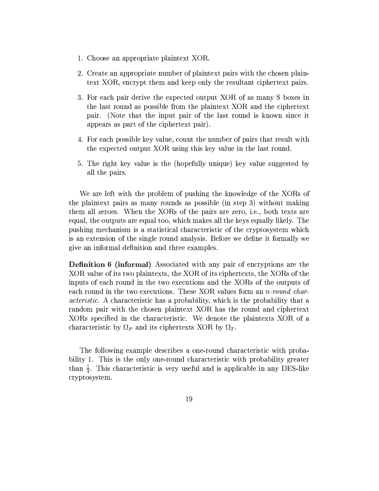- 1. Choose an appropriate plaintext XOR.
- 2. Create an appropriate number of plaintext pairs with the chosen plaintext XOR, encrypt them and keep only the resultant ciphertext pairs.
- 3. For each pair derive the expected output XOR of as many S boxes in  $\mathbf{F} = \mathbf{F} \mathbf{F} = \mathbf{F} \mathbf{F} \mathbf{F} = \mathbf{F} \mathbf{F} \mathbf{F} = \mathbf{F} \mathbf{F} \mathbf{F} = \mathbf{F} \mathbf{F} \mathbf{F} \mathbf{F} = \mathbf{F} \mathbf{F} \mathbf{F} \mathbf{F} = \mathbf{F} \mathbf{F} \mathbf{F} \mathbf{F} = \mathbf{F} \mathbf{F} \mathbf{F} \mathbf{F} = \mathbf{F} \mathbf{F} \mathbf{F} \mathbf{F}$ pair. (Note that the input pair of the last round is known since it  $\overline{a}$  , the set of  $\overline{a}$  and  $\overline{a}$  and  $\overline{a}$
- 4. For each possible key value, count the number of pairs that result with the expected output XOR using this key value in the last round.
- 5. The right key value is the (hopefully unique) key value suggested by all the pairs.

We are left with the problem of pushing the knowledge of the XORs of  $\mathcal{L} = \mathcal{L} = \mathcal{L} = \mathcal{L} = \mathcal{L} = \mathcal{L} = \mathcal{L} = \mathcal{L} = \mathcal{L} = \mathcal{L} = \mathcal{L} = \mathcal{L} = \mathcal{L} = \mathcal{L} = \mathcal{L} = \mathcal{L} = \mathcal{L} = \mathcal{L} = \mathcal{L} = \mathcal{L} = \mathcal{L} = \mathcal{L} = \mathcal{L} = \mathcal{L} = \mathcal{L} = \mathcal{L} = \mathcal{L} = \mathcal{L} = \mathcal{L} = \mathcal{L} = \mathcal{L} = \mathcal$ 's the state of the state of the state of the state of the state of the state of the state of the state of the state of the state of the state of the state of the state of the state of the state of the state of the state o equal, the outputs are equal too, which makes all the keys equally likely. The pushing mechanism is a statistical characteristic of the cryptosystem which is an extension of the single round analysis. Before we define it formally we give an informal definition and three examples.

%'&(\*),+-)/.0( )( .;4- 9^PPTmXI0158QE: ]0KQ4 5@M [65@0KBUT@VDEIM<XIBjm[<Q01TM<P5@BE'Q4<E ³aµ>¶e¦85@/KSFEDT@V0KQPWQ73TU[F/15@01MQE6®mQP ¯ Q4FE³aµ>¶ T@V 0QPWX01[F4<EIBRQE®mQP}¯mQ4FEO³aµ>¶P
T@V\*Q4<E 0KMF[FS<QP^T8V
E 5@X4BTSFM<: 01MQ4FE Q73TbE®?EIXS<Q0KTMFPZ58MF:aQ4FEY³aµ>¶]P;T@VWQ4FE TS<Q[<S<QP^T@V each round in the two executions. These XOR values form an  $n$ -round char*acteristic*. A characteristic has a probability, which is the probability that a B5@MF:FT@7-[65@01B>]0Q4Q4FEAX4FTPEM [F/ 5801MQE6®?Q\³aµ>¶j465@PUQ4FELBTS<MF: 5@M<: XI0K[F4FEBRQE6®mQ XORs specified in the characteristic. We denote the plaintexts XOR of a  $\blacksquare$ 

The following example describes a one-round characteristic with probability 1. This is the only one-round characteristic with probability greater Q465@M CD4F01P;X465@B58XQEB0KPRQ0KX 01Pa¦EIB+ SFPREVSF/W5@MF: 01P;5@[F[F/K01X 5/1E!01M 5@M YH.=°O/10G@E cryptosystem.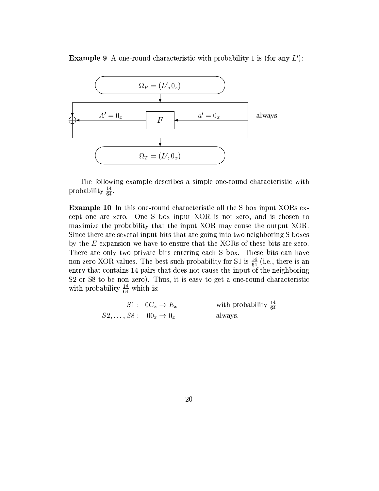

**Example 9** A one-round characteristic with probability 1 is (for any  $L'$ ):

The following example describes a simple one-round characteristic with probability  $\frac{14}{64}$ .

**Example 10** In this one-round characteristic all the S box input XORs except one are zero. One S box input XOR is not zero, and is chosen to maximize the probability that the input XOR may cause the output XOR. Since there are several input bits that are going into two neighboring S boxes by the  $E$  expansion we have to ensure that the XORs of these bits are zero. There are only two private bits entering each S box. These bits can have non zero XOR values. The best such probability for S1 is  $\frac{14}{64}$  (i.e., there is an entry that contains 14 pairs that does not cause the input of the neighboring S2 or S8 to be non zero). Thus, it is easy to get a one-round characteristic with probability  $\frac{14}{64}$  which is:

$$
S1: \t0C_x \to E_x \t\t\t with probability  $\frac{14}{64}$   

$$
S2, \ldots, S8: \t00_x \to 0_x \t\t\t always.
$$
$$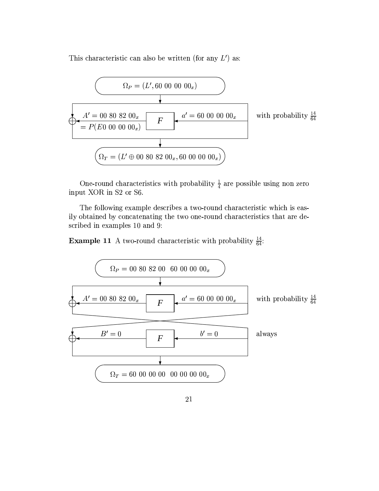CD4<01P]X465@B5@XQEIB0KPRQ01XHX 58M5@/KPT Eb]B0KQRQEM¹± VTB]5@M)3· 5@P



One-round characteristics with probability  $\frac{1}{4}$  are possible using non zero 0KMF[FS<QO³aµ>¶ 0KM`= 'T@B=

The following example describes a two-round characteristic which is easily obtained by concatenating the two one-round characteristics that are de-PRIMITION EINES AND EXECUTIVE EXECUTIVE EXECUTIVE EXECUTIVE EXECUTIVE EXECUTIVE EXECUTIVE EXECUTIVE EXECUTIVE

 $\frac{1}{2}$  and  $\frac{1}{2}$  and  $\frac{1}{2}$  and  $\frac{1}{2}$  and  $\frac{1}{2}$  and  $\frac{1}{2}$  and  $\frac{1}{2}$  and  $\frac{1}{2}$  and  $\frac{1}{2}$  and  $\frac{1}{2}$  and  $\frac{1}{2}$  and  $\frac{1}{2}$  and  $\frac{1}{2}$  and  $\frac{1}{2}$  and  $\frac{1}{2}$  and  $\frac{1}{2}$  a  $\sim$   $\sim$   $\sim$ 

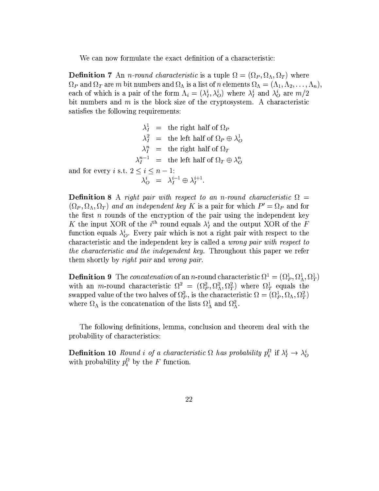We can now formulate the exact definition of a characteristic:

**Definition 7** An *n*-round characteristic is a tuple  $\Omega = (\Omega_P, \Omega_\Lambda, \Omega_T)$  where  $\Omega_P$  and  $\Omega_T$  are m bit numbers and  $\Omega_\Lambda$  is a list of n elements  $\Omega_\Lambda = (\Lambda_1, \Lambda_2, \ldots, \Lambda_n)$ , each of which is a pair of the form  $\Lambda_i = (\lambda_I^i, \lambda_O^i)$  where  $\lambda_I^i$  and  $\lambda_O^i$  are  $m/2$ bit numbers and  $m$  is the block size of the cryptosystem. A characteristic satisfies the following requirements:

 $\lambda_I^1$  = the right half of  $\Omega_P$ <br>  $\lambda_I^2$  = the left half of  $\Omega_P \oplus \lambda_O^1$  $\lambda_I^n$  = the right half of  $\Omega_T$  $\lambda_I^{n-1}$  = the left half of  $\Omega_T \oplus \lambda_C^n$ and for every i s.t.  $2 \leq i \leq n-1$ :  $\lambda_O^i = \lambda_I^{i-1} \oplus \lambda_I^{i+1}.$ 

**Definition 8** A right pair with respect to an n-round characteristic  $\Omega$  =  $(\Omega_P, \Omega_\Lambda, \Omega_T)$  and an independent key K is a pair for which  $P' = \Omega_P$  and for the first  $n$  rounds of the encryption of the pair using the independent key K the input XOR of the i<sup>th</sup> round equals  $\lambda_I^i$  and the output XOR of the F function equals  $\lambda_O^i$ . Every pair which is not a right pair with respect to the characteristic and the independent key is called a *wrong pair with respect to the characteristic and the independent key.* Throughout this paper we refer them shortly by *right pair* and *wrong pair*.

**Definition 9** The *concatenation* of an *n*-round characteristic  $\Omega^1 = (\Omega^1_P, \Omega^1_\Lambda, \Omega^1_T)$ with an *m*-round characteristic  $\Omega^2 = (\Omega_P^2, \Omega_\Lambda^2, \Omega_T^2)$  where  $\Omega_T^1$  equals the swapped value of the two halves of  $\Omega_P^2$ , is the characteristic  $\Omega = (\Omega_P^1, \Omega_\Lambda, \Omega_T^2)$ where  $\Omega_{\Lambda}$  is the concatenation of the lists  $\Omega_{\Lambda}^1$  and  $\Omega_{\Lambda}^2$ .

The following definitions, lemma, conclusion and theorem deal with the probability of characteristics:

**Definition 10** Round *i* of a characteristic  $\Omega$  has probability  $p_i^{\Omega}$  if  $\lambda_I^i \to \lambda_O^i$ with probability  $p_i^{\Omega}$  by the F function.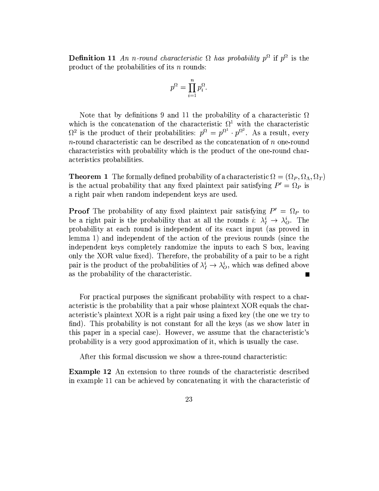**Definition 11** An n-round characteristic  $\Omega$  has probability  $p^{\Omega}$  if  $p^{\Omega}$  is the product of the probabilities of its  $n$  rounds:

$$
p^{\Omega} = \prod_{i=1}^{n} p_i^{\Omega}.
$$

Note that by definitions 9 and 11 the probability of a characteristic  $\Omega$ which is the concatenation of the characteristic  $\Omega^1$  with the characteristic  $\Omega^2$  is the product of their probabilities:  $p^{\Omega} = p^{\Omega^1} \cdot p^{\Omega^2}$ . As a result, every  $n$ -round characteristic can be described as the concatenation of  $n$  one-round characteristics with probability which is the product of the one-round characteristics probabilities.

**Theorem 1** The formally defined probability of a characteristic  $\Omega = (\Omega_P, \Omega_\Lambda, \Omega_T)$ is the actual probability that any fixed plaintext pair satisfying  $P' = \Omega_P$  is a right pair when random independent keys are used.

**Proof** The probability of any fixed plaintext pair satisfying  $P' = \Omega_P$  to be a right pair is the probability that at all the rounds i:  $\lambda_I^i \rightarrow \lambda_O^i$ . The probability at each round is independent of its exact input (as proved in lemma 1) and independent of the action of the previous rounds (since the independent keys completely randomize the inputs to each S box, leaving only the XOR value fixed). Therefore, the probability of a pair to be a right pair is the product of the probabilities of  $\lambda_I^i \to \lambda_O^i$ , which was defined above as the probability of the characteristic.

For practical purposes the significant probability with respect to a characteristic is the probability that a pair whose plaintext XOR equals the characteristic's plaintext XOR is a right pair using a fixed key (the one we try to find). This probability is not constant for all the keys (as we show later in this paper in a special case). However, we assume that the characteristic's probability is a very good approximation of it, which is usually the case.

After this formal discussion we show a three-round characteristic.

**Example 12** An extension to three rounds of the characteristic described in example 11 can be achieved by concatenating it with the characteristic of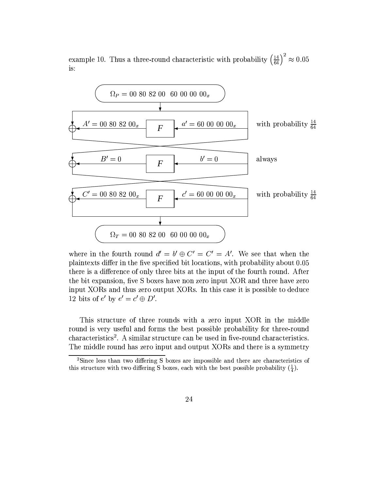example 10. Thus a three-round characteristic with probability  $\left(\frac{14}{64}\right)^2 \approx 0.05$ is:



where in the fourth round  $d' = b' \oplus C' = C' = A'$ . We see that when the plaintexts differ in the five specified bit locations, with probability about 0.05 there is a difference of only three bits at the input of the fourth round. After the bit expansion, five S boxes have non zero input XOR and three have zero input XORs and thus zero output XORs. In this case it is possible to deduce 12 bits of  $e'$  by  $e' = c' \oplus D'$ .

This structure of three rounds with a zero input XOR in the middle round is very useful and forms the best possible probability for three-round characteristics<sup>2</sup>. A similar structure can be used in five-round characteristics. The middle round has zero input and output XORs and there is a symmetry

<sup>&</sup>lt;sup>2</sup>Since less than two differing S boxes are impossible and there are characteristics of this structure with two differing S boxes, each with the best possible probability  $(\frac{1}{4})$ .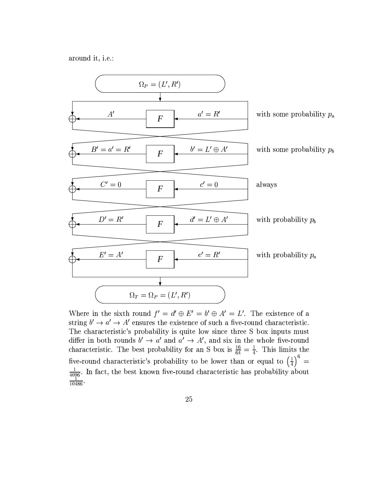around it, i.e.:



G4<EIBEA01M Q4FELPR03®mQ4 BT@SFMF: ) # ) <sup>²</sup> ,) # ) <sup>²</sup> ) # ) LCD4FEAE®?0KPRQEMFXIELT@V35  $P$ . External of the contract of the contract of the contract of the contract of the contract of the contract of the contract of the contract of the contract of the contract of the contract of the contract of the contract of differ in both rounds  $b' \rightarrow a'$  and  $a' \rightarrow A'$ , and six in the whole five-round  $\frac{1}{2}$   $\frac{1}{2}$   $\frac{1}{2}$   $\frac{1}{2}$   $\frac{1}{2}$   $\frac{1}{2}$   $\frac{1}{2}$   $\frac{1}{2}$   $\frac{1}{2}$   $\frac{1}{2}$   $\frac{1}{2}$   $\frac{1}{2}$   $\frac{1}{2}$   $\frac{1}{2}$   $\frac{1}{2}$   $\frac{1}{2}$   $\frac{1}{2}$   $\frac{1}{2}$   $\frac{1}{2}$   $\frac{1}{2}$   $\frac{1}{2}$   $\frac{1}{2}$   $\sim$   $\sim$   $\sim$   $\sim$ #  $\mathbf{a}$  . The contract of  $\mathbf{a}$ HCD4F0KP2. HCD4F0KP2. HCD4F0KP2. HCD4F0KP2. HCD4F0KP2. HCD4F0KP2. HCD4F0KP2. HCD4F0KP2. HCD4F0KP2. HCD4F0KP2.  $\frac{1}{4}$   $\frac{6}{5}$  $\cdots$   $\cdots$  $\sigma$  and  $\sigma$  and  $\sigma$  and  $\sigma$  $\frac{1}{4006}$ . In te  $\mathcal{M}$  is the state of the state of the state of the state of the state of the state of the state of the state of the state of the state of the state of the state of the state of the state of the state of the state of th 96. --- $\frac{1}{10486}$ .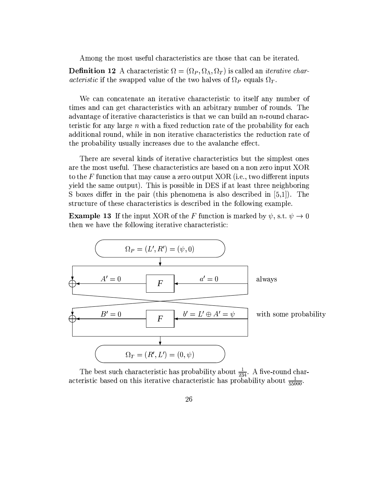Among the most useful characteristics are those that can be iterated.

**Definition 12** A characteristic  $\Omega = (\Omega_P, \Omega_\Lambda, \Omega_T)$  is called an *iterative characteristic* if the swapped value of the two halves of  $\Omega_P$  equals  $\Omega_T$ .

GEXI5@MXTMFX 5cQEIMF58QE5@M0QEIB58Q03¦EX465@B5@XQEIBR01PRQ01XQT0KQPREI/VH5@M M\SF7 EIBAT@V  $\mathcal{S}=\mathcal{S}=\mathcal{S}=\mathcal{S}=\mathcal{S}=\mathcal{S}=\mathcal{S}=\mathcal{S}=\mathcal{S}=\mathcal{S}=\mathcal{S}=\mathcal{S}=\mathcal{S}=\mathcal{S}=\mathcal{S}=\mathcal{S}=\mathcal{S}=\mathcal{S}=\mathcal{S}=\mathcal{S}=\mathcal{S}=\mathcal{S}=\mathcal{S}=\mathcal{S}=\mathcal{S}=\mathcal{S}=\mathcal{S}=\mathcal{S}=\mathcal{S}=\mathcal{S}=\mathcal{S}=\mathcal{S}=\mathcal{S}=\mathcal{S}=\mathcal{S}=\mathcal{S}=\mathcal{$ advantage of iterative characteristics is that we can build an  $n$ -round charac-QEIBR01PRQ01X]VTB 5@Mb/15@BE ]0Q4b5 ®?EI:BREI:FSFX(Q0KTMB5cQE;T8V Q4FE;[FBT501/K0KQ7!VTB3EI5@X4 58:F:F0KQ01TMF5@/ BRTSFMF:1¯[]4F0K/1EH0KMaMFT@Ma0QEIB58Q03¦EUX465@B5@XQEIBR01PRQ01XP]Q4FE BEI:<SFXQ01TM`B58QEUT@V the probability usually increases due to the avalanche effect.

There are several kinds of iterative characteristics but the simplest ones 58BE Q4FE37ATPQWSFPREVSF/N,CD4FEPE X4658B5@X(QEIBR01PQ01XP
5@BRE 5@PREI: T@M5;MFTMJIEIBRTZ01M<[FS<Q/³aµ>¶  $\blacksquare$ yield the same output). This is possible in DES if at least three neighboring = T®?EIP :<0 EIB0KMQ4FEb[65801Bi± Q4<01P[<4FEIMFT@7LEM6501P!5@/KPT:<EIPXB0 E: 01M ¼ ¯ <sup>À</sup> ¿.·CD4<E PQBRSFXQSFBE T@V>Q4FEPE X465@B58XQEB0KPRQ0KXIP]01PD:<EIPXB0 E:a0KMQ4FEHVT/1/KT
]01M5 E6®<5@7L[</1E"

 $\blacksquare$  is the most decomposition of  $\blacksquare$ then we have the following iterative characteristic:



The best such characteristic has probability about  $\frac{1}{224}$ . A fiv  $\blacksquare$  . As a set of the set of the set of the set of the set of the set of the set of the set of the set of the set of the set of the set of the set of the set of the set of the set of the set of the set of the set of th  $\frac{1}{234}$  is the second contract of the probability about  $\frac{1}{2580}$ .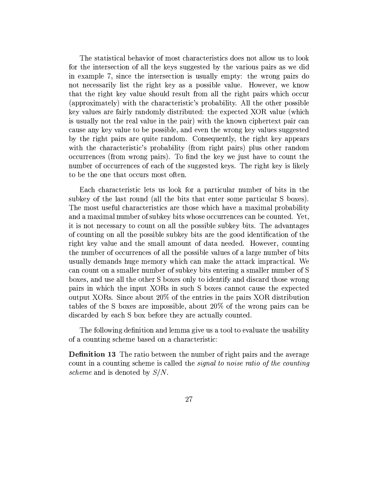CD4FEUPQ 58Q01PRQ01XI5@/ EI465¦m01T@B T@V>7LT@PRQDX4658B5@X(QEIBR01PQ01XPD:FTmEIP]MFT@Q]58/1/1T SFPDQT/1TmT: VT@B;Q4FE0KMQEIBRPEXQ0KTM T@V5@/K/>Q4FEW@E?PUPRS5:EPRQE: aQ4FEX¦85@BR01TSFP;[65@01BRPZ5@PbE:F0K:  $\mathcal{C}^*$  and  $\mathcal{C}^*$  are the set of the set of the set of the set of the set of the set of the set of the set of the set of the set of the set of the set of the set of the set of the set of the set of the set of the  $\mathcal{L} = \mathcal{L} = \mathcal{L} = \mathcal{L} = \mathcal{L} = \mathcal{L} = \mathcal{L} = \mathcal{L} = \mathcal{L} = \mathcal{L} = \mathcal{L} = \mathcal{L} = \mathcal{L} = \mathcal{L} = \mathcal{L} = \mathcal{L} = \mathcal{L} = \mathcal{L} = \mathcal{L} = \mathcal{L} = \mathcal{L} = \mathcal{L} = \mathcal{L} = \mathcal{L} = \mathcal{L} = \mathcal{L} = \mathcal{L} = \mathcal{L} = \mathcal{L} = \mathcal{L} = \mathcal{L} = \mathcal$ that the right key value should result from all the right pairs which occur (approximately) with the characteristic's probability. All the other possible key values are fairly randomly distributed: the expected XOR value (which is usually not the real value in the pair) with the known ciphertext pair can cause any key value to be possible, and even the wrong key values suggested by the right pairs are quite random. Consequently, the right key appears with the characteristic's probability (from right pairs) plus other random occurrences (from wrong pairs). To find the key we just have to count the  $\blacksquare$  $\blacksquare$ 

. The set of the set of the set of the set of the set of the set of the set of the set of the set of the set of the set of the set of the set of the set of the set of the set of the set of the set of the set of the set of subkey of the last round (all the bits that enter some particular S boxes). CD4<E7ATPRQSFPREVSF/>X465@B5@XQEIB0KPRQ01XIP^5@BRE Q4FTPE(]4F01X4a465¦E5L7L5n®?017L5@/ [FBRT50K/10Q7 and a maximal number of subkey bits whose occurrences can be counted. Yet, it is not necessary to count on all the possible subkey bits. The advantages of counting on all the possible subkey bits are the good identification of the right key value and the small amount of data needed. However, counting  $\blacksquare$  and the state that the state  $\blacksquare$ usually demands huge memory which can make the attack impractical. We  $\mathbf{M} = \mathbf{M} \mathbf{M} = \mathbf{M} \mathbf{M}$  example  $\mathbf{M} = \mathbf{M} \mathbf{M}$  . The problem of  $\mathbf{M} = \mathbf{M} \mathbf{M}$  T®?EIP ¯?5@MF:LSFPE^5@/K/<Q4FET@Q4FEIB <sup>=</sup> T®?EIP TMF/GQT 01:FEM\Q0KV« 5@MF:b:<01PXI5@B:'Q4<TPEH]BTMQ [F5@01BRP 0KM ]4<01X4Q4FEA01MF[FS?Q(³aµ>¶]P!0KM PSFX4 <sup>=</sup> T®?EIP!X 5@M<MFT@Q <sup>X</sup> 5@S<PELQ4FEAE®?[EXQEI: T@S<Q[FS?Q³aµ>¶P}3=m01MFXEH5 TS<Q T@V Q4FEHEIMQB01EPD01MbQ4FEH[65@0KBP<³aµ\¶ :F01PQB0S<Q01TM Q5/KEIPUT@V Q4FEL= T®?EIP!5@BE'0K7L[\*TPPR0/KE"¯ 5 TS?Q T@V Q4FEW]BRTM5`[65@01BRPHX 5@M <sup>E</sup> :<01PXI5@B:<EI: EI5@X4= T® E(VTBEZQ4FE}`58BEU5@X(QS65@/K/GbXITSFMQEI:1

CD4FE VT/1/KT&]0KM5]:FEMF0KQ01TM!5@MF: /KEI7A7b5O03¦E SFPW5]QTmT/ QT;E¦85@/1S65cQEQ4FE SFP501/10Q7 of a counting scheme based on a characteristic:

Definition 13 The ratio between the number of right pairs and the average tsfman in the state of the state of the state of the state of the state of the state of the state of the state of the state of the state of the state of the state of the state of the state of the state of the state of the scheme and is denoted by  $S/N$ .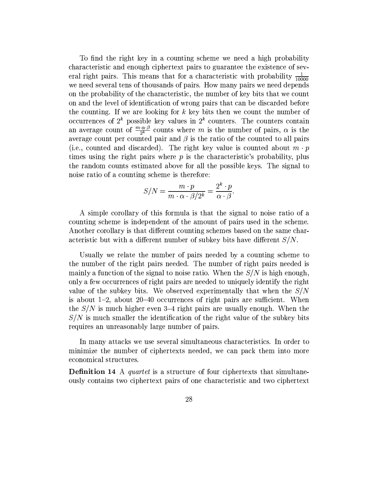C>T MF: Q4<EB0G4QW@E 01M 5aXITSFMQ01M5 PRX4FEI7AEd3EMFEEI: 54F0G4 [FBRT50K/10Q7 characteristic and enough ciphertext pairs to guarantee the existence of sev- $\frac{1}{2}$  and  $\frac{1}{2}$  define the contract of  $\frac{1}{2}$  and  $\frac{1}{2}$   $\frac{1}{2}$   $\frac{1}{2}$   $\frac{1}{2}$   $\frac{1}{2}$   $\frac{1}{2}$   $\frac{1}{2}$   $\frac{1}{2}$   $\frac{1}{2}$ we need several tens of thousands of pairs. How many pairs we need depends on the probability of the characteristic, the number of key bits that we count on and the level of identification of wrong pairs that can be discarded before  $\blacksquare$  . The first matrix set of the first set of the first set of the first set of the first set of the first set of the first set of the first set of the first set of the first set of the first set of the first set of t  $\mathbf{a}$  is the contract the contract of the contract of the contract of the contract of the contract of the contract of the contract of the contract of the contract of the contract of the contract of the contract of the  $\mathbf{r} = \mathbf{r} \mathbf{r} \mathbf{r} \mathbf{r} \mathbf{r} \mathbf{r} \mathbf{r} \mathbf{r} \mathbf{r} \mathbf{r} \mathbf{r} \mathbf{r} \mathbf{r} \mathbf{r} \mathbf{r} \mathbf{r} \mathbf{r} \mathbf{r} \mathbf{r} \mathbf{r} \mathbf{r} \mathbf{r} \mathbf{r} \mathbf{r} \mathbf{r} \mathbf{r} \mathbf{r} \mathbf{r} \mathbf{r} \mathbf{r} \mathbf{r} \mathbf{r} \mathbf{r} \mathbf{r} \mathbf{r} \mathbf$ 5¦@EIB5DEUXITSFMQ[\*EIBDXIT@SFMQEI:a[65@0KBD5@MF: 0KP Q4FEUB58Q0KT T@V>Q4FEUXIT@SFMQEI:QTA5@/K/ [65801BP (i.e., counted and discarded). The right key value is counted about  $m \cdot p$ times using the right pairs where  $p$  is the characteristic's probability, plus  $\blacksquare$  , the state of the state  $\blacksquare$  and the state of the state  $\blacksquare$ noise ratio of a counting scheme is therefore:

$$
S/N = \frac{m \cdot p}{m \cdot \alpha \cdot \beta/2^k} = \frac{2^k \cdot p}{\alpha \cdot \beta}.
$$

 $\mathcal{A}$  Profile the set of the set of the set of the set of the set of the set of the set of the set of the set of the set of the set of the set of the set of the set of the set of the set of the set of the set of the se counting scheme is independent of the amount of pairs used in the scheme.  $\mathcal{A}$  , the contract  $\mathcal{A}$  is the contract of  $\mathcal{A}$  . The contract of  $\mathcal{A}$  is the contract of  $\mathcal{A}$ 58XQEB0KPRQ0KX S<QH]0KQ4`5':<0 EIBEMQ^M\SF7 EBT8V,PRS@E 0KQPD465¦E :F0 EIBREIMQ 

 PS65@/K/GpEBE/ 58QEAQ4FEM\SF7 EIB!T@V][65@0KBP MFEIE:FEI: 5aXITSFMQ01M5 PRX4FEI7AEbQT the number of the right pairs needed. The number of right pairs needed is mainly a function of the signal to noise ratio. When the  $S/N$  is high enough, only a few occurrences of right pairs are needed to uniquely identify the right ¦85@/KSFEbT8V Q4FEbPS8E} 0KQP aGETPEIB+¦E: E6®?[EB017AEIMQ5@/1/3 Q4658QY]4FEIM Q4FE  is about  $1-2$ , about  $20-40$  occurrences of right pairs are sufficient. When Q4FE  0KP7SFX4 4F0G4FEIBE}¦@EIM BR0o4Q[65@0KBP5@BE SFPRS65@/1/3EIMFT@S541 G4FEMQ4<E  $S/N$  is much smaller the identification of the right value of the subkey bits  $\blacksquare$  between the state  $\blacksquare$  and the state  $\blacksquare$ 

In many attacks we use several simultaneous characteristics. In order to minimize the number of ciphertexts needed, we can pack them into more  $\mathcal{L}^{\mathcal{L}}(\mathcal{L}^{\mathcal{L}})$  and  $\mathcal{L}^{\mathcal{L}}(\mathcal{L}^{\mathcal{L}})$  and  $\mathcal{L}^{\mathcal{L}}(\mathcal{L}^{\mathcal{L}})$  and  $\mathcal{L}^{\mathcal{L}}(\mathcal{L}^{\mathcal{L}})$  and  $\mathcal{L}^{\mathcal{L}}(\mathcal{L}^{\mathcal{L}})$  and  $\mathcal{L}^{\mathcal{L}}(\mathcal{L}^{\mathcal{L}})$  and  $\mathcal{L}^{\mathcal{L}}(\mathcal$ 

 $\blacksquare$  . Our definition of the set of the set of the set of the set of the set of the set of the set of the set of the set of the set of the set of the set of the set of the set of the set of the set of the set of the set ously contains two ciphertext pairs of one characteristic and two ciphertext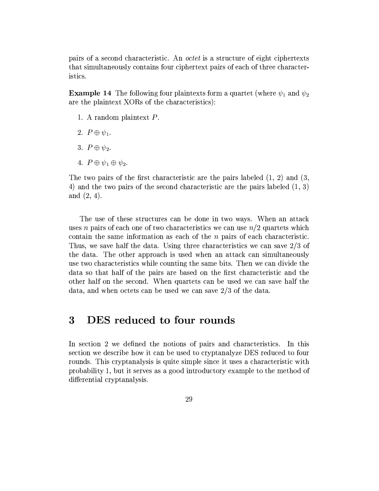$\blacksquare$  . The internal periodic set of  $\blacksquare$  and  $\blacksquare$  and  $\blacksquare$  . The internal periodic set of  $\blacksquare$  . The internal periodic set of  $\blacksquare$  . The internal periodic set of  $\blacksquare$  . The internal periodic set of  $\blacksquare$  .  $\blacksquare$ istics.

**Example 14** The following four plaintexts form a quartet (where  $\psi_1$  and  $\psi_2$ are the plaintext XORs of the characteristics):

- 1. A random plaintext  $P$ .
- 2.  $P \oplus \psi_1$ .
- 3.  $P \oplus \psi_2$ .
- $\sim$  9 $\sim$  3 $\sim$  30 $\sim$  30 $\sim$  30 $\sim$  30 $\sim$  30 $\sim$  30 $\sim$  30 $\sim$  30 $\sim$  30 $\sim$  30 $\sim$  30 $\sim$  30 $\sim$  30 $\sim$  30 $\sim$  30 $\sim$  30 $\sim$  300 $\sim$  300 $\sim$  300 $\sim$  300 $\sim$  300 $\sim$  300 $\sim$  300 $\sim$  300 $\sim$  300 $\sim$  300 $\sim$  300 $\sim$  300

<del>co</del>ntrol to a state of the state of the state of the state of the state of the state of the state of the state of the state of the state of the state of the state of the state of the state of the state of the state of th 4) and the two pairs of the second characteristic are the pairs labeled  $(1, 3)$ 58MF:¹±
K¯ ·6

CD4FEbSFPELT@V Q4<EIPEbPRQBRSFXQSFBEP <sup>X</sup> 58M EA:FTM<Eb01M Q73T 5mP `G4FEIM 58M 58QRQ 5@X uses n pairs of each one of two characteristics we can use  $n/2$  quartets which XTMQ 5@0KMQ4FELP5@7AEb01M?VTB7L58Q0KTM 5@P <sup>E</sup> 5@X4 T@VQ4<Ei [65@01BRP!T8VDE 5@X4 X465@B58XQEB0KPRQ0KX" CD4\SFP}¯EP5¦E 4F5@/KVWQ4FE :65cQ 5Q ^P0KM5bQ4FBEE X465@B5@XQEIB0KPRQ01XIP3EX 5@M P5
¦@E AT@V the data. The other approach is used when an attack can simultaneously use two characteristics while counting the same bits. Then we can divide the  $\cdot$  . The state for the state for the state  $\alpha$  and  $\alpha$  and  $\alpha$  and  $\alpha$ Table February , the contract of the contract of the contract of the contract of the contract of the contract of the contract of the contract of the contract of the contract of the contract of the contract of the contract  $\blacksquare$  : F58  $\blacksquare$  . The following the following the following the following the following the following the following the following the following the following the following the following the following the following the

### - >%> P "u RJ'

NOM PEXQ0KTM ¹<sup>E</sup> :FEMFEI: Q4FE MFT@Q01TMFPT@V[65@0KBP`5@MF: X465@B5@XQEIB0KPRQ01XIP} NOM Q4F01P section we describe how it can be used to cryptanalyze DES reduced to four BRTSFMF:<P CD4F01P]XIB+m[<Q 5@MF5@/GmP0KP]01P(<\SF0KQEUP017A[F/KEZP0KMFXIEU0KQ]S<PEIP^5'X465@B58XQEB0KPRQ0KXb]0KQ4 [<BT501/K0KQ7 <sup>À</sup> ¯ S<Q30KQ PEBj¦@EIP]5@P35-TmT?:A01MQBRT?:<SFXQTBjAE®<5@7A[F/KEQT!Q4<E;7AEQ4<T?:LT@V  $\ldots$  . The contract of  $\mathcal{D}$  is a set of  $\mathcal{D}$  such that  $\mathcal{D}$  is a set of  $\mathcal{D}$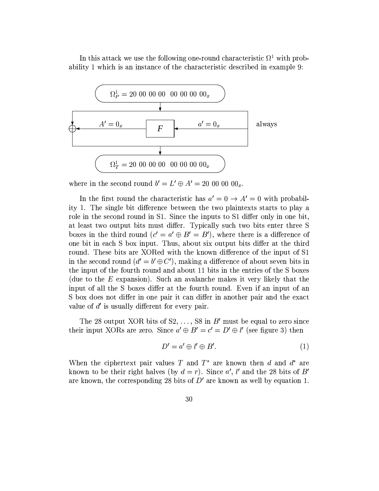In this attack we use the following one-round characteristic  $\Omega^1$  with probability 1 which is an instance of the characteristic described in example 9:



where in the second round  $b' = L' \oplus A' = 20000000_x$ .

In the first round the characteristic has  $a' = 0 \rightarrow A' = 0$  with probability 1. The single bit difference between the two plaintexts starts to play a role in the second round in S1. Since the inputs to S1 differ only in one bit, at least two output bits must differ. Typically such two bits enter three S boxes in the third round  $(c' = a' \oplus B' = B')$ , where there is a difference of one bit in each S box input. Thus, about six output bits differ at the third round. These bits are XORed with the known difference of the input of S1 in the second round  $(d' = b' \oplus C')$ , making a difference of about seven bits in the input of the fourth round and about 11 bits in the entries of the S boxes (due to the  $E$  expansion). Such an avalanche makes it very likely that the input of all the S boxes differ at the fourth round. Even if an input of an S box does not differ in one pair it can differ in another pair and the exact value of  $d'$  is usually different for every pair.

The 28 output XOR bits of S2, ..., S8 in  $B'$  must be equal to zero since their input XORs are zero. Since  $a' \oplus B' = c' = D' \oplus l'$  (see figure 3) then

$$
D' = a' \oplus l' \oplus B'.\tag{1}
$$

When the ciphertext pair values T and  $T^*$  are known then d and  $d^*$  are known to be their right halves (by  $d = r$ ). Since a', l' and the 28 bits of B' are known, the corresponding 28 bits of  $D'$  are known as well by equation 1.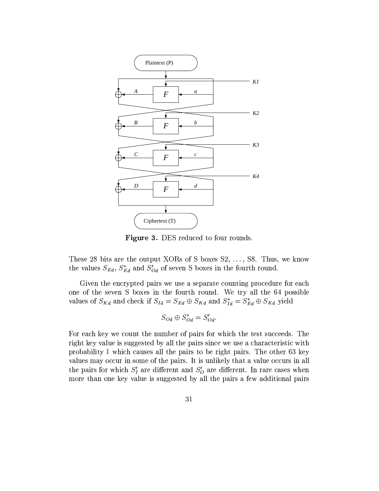

**Figure 3.** DES reduced to four rounds.

These 28 bits are the output XORs of S boxes S2, ..., S8. Thus, we know the values  $S_{Ed}$ ,  $S_{Ed}^*$  and  $S_{Od}$  of seven S boxes in the fourth round.

Given the encrypted pairs we use a separate counting procedure for each one of the seven S boxes in the fourth round. We try all the 64 possible values of  $S_{Kd}$  and check if  $S_{Id} = S_{Ed} \oplus S_{Kd}$  and  $S_{Id}^* = S_{Ed}^* \oplus S_{Kd}$  yield

$$
S_{Od} \oplus S_{Od}^* = S_{Od}'
$$

For each key we count the number of pairs for which the test succeeds. The right key value is suggested by all the pairs since we use a characteristic with probability 1 which causes all the pairs to be right pairs. The other 63 key values may occur in some of the pairs. It is unlikely that a value occurs in all the pairs for which  $S'_I$  are different and  $S'_O$  are different. In rare cases when more than one key value is suggested by all the pairs a few additional pairs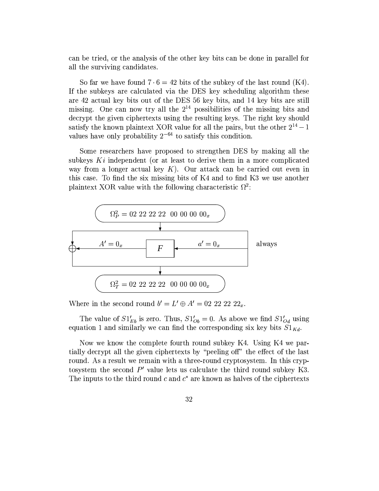can be tried, or the analysis of the other key bits can be done in parallel for all the surviving candidates.

So far we have found  $7 \cdot 6 = 42$  bits of the subkey of the last round (K4). If the subkeys are calculated via the DES key scheduling algorithm these are 42 actual key bits out of the DES 56 key bits, and 14 key bits are still missing. One can now try all the  $2^{14}$  possibilities of the missing bits and decrypt the given ciphertexts using the resulting keys. The right key should satisfy the known plaintext XOR value for all the pairs, but the other  $2^{14} - 1$ values have only probability  $2^{-64}$  to satisfy this condition.

Some researchers have proposed to strengthen DES by making all the subkeys  $Ki$  independent (or at least to derive them in a more complicated way from a longer actual key  $K$ ). Our attack can be carried out even in this case. To find the six missing bits of K4 and to find K3 we use another plaintext XOR value with the following characteristic  $\Omega^2$ :



Where in the second round  $b' = L' \oplus A' = 02222222_x$ .

The value of  $S1'_{Eb}$  is zero. Thus,  $S1'_{Ob} = 0$ . As above we find  $S1'_{Od}$  using equation 1 and similarly we can find the corresponding six key bits  $S1_{Kd}$ .

Now we know the complete fourth round subkey K4. Using K4 we partially decrypt all the given ciphertexts by "peeling off" the effect of the last round. As a result we remain with a three-round cryptosystem. In this cryptosystem the second  $P'$  value lets us calculate the third round subkey K3. The inputs to the third round c and  $c^*$  are known as halves of the ciphertexts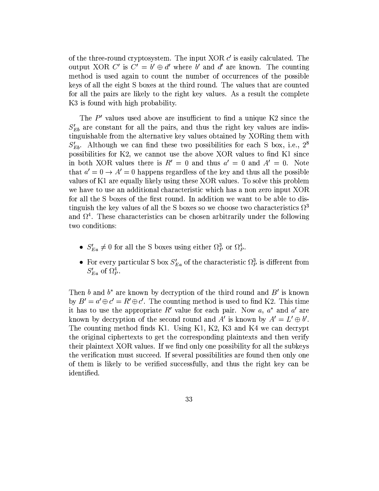of the three-round cryptosystem. The input XOR  $c'$  is easily calculated. The output XOR C' is  $C' = b' \oplus d'$  where b' and d' are known. The counting method is used again to count the number of occurrences of the possible keys of all the eight S boxes at the third round. The values that are counted for all the pairs are likely to the right key values. As a result the complete K3 is found with high probability.

The  $P'$  values used above are insufficient to find a unique K2 since the  $S'_{Eh}$  are constant for all the pairs, and thus the right key values are indistinguishable from the alternative key values obtained by XORing them with  $S'_{Eb}$ . Although we can find these two possibilities for each S box, i.e.,  $2^8$ possibilities for K2, we cannot use the above XOR values to find K1 since in both XOR values there is  $R' = 0$  and thus  $a' = 0$  and  $A' = 0$ . Note that  $a' = 0 \rightarrow A' = 0$  happens regardless of the key and thus all the possible values of K1 are equally likely using these XOR values. To solve this problem we have to use an additional characteristic which has a non zero input XOR for all the S boxes of the first round. In addition we want to be able to distinguish the key values of all the S boxes so we choose two characteristics  $\Omega^3$ and  $\Omega^4$ . These characteristics can be chosen arbitrarily under the following two conditions:

- $S'_{Ea} \neq 0$  for all the S boxes using either  $\Omega_P^3$  or  $\Omega_P^4$ .
- For every particular S box  $S'_{E_a}$  of the characteristic  $\Omega_p^3$  is different from  $S'_{Ea}$  of  $\Omega_P^4$ .

Then b and  $b^*$  are known by decryption of the third round and B' is known by  $B' = a' \oplus c' = R' \oplus c'$ . The counting method is used to find K2. This time it has to use the appropriate R' value for each pair. Now a,  $a^*$  and  $a'$  are known by decryption of the second round and A' is known by  $A' = L' \oplus b'$ . The counting method finds K1. Using K1, K2, K3 and K4 we can decrypt the original ciphertexts to get the corresponding plaintexts and then verify their plaintext XOR values. If we find only one possibility for all the subkeys the verification must succeed. If several possibilities are found then only one of them is likely to be verified successfully, and thus the right key can be identified.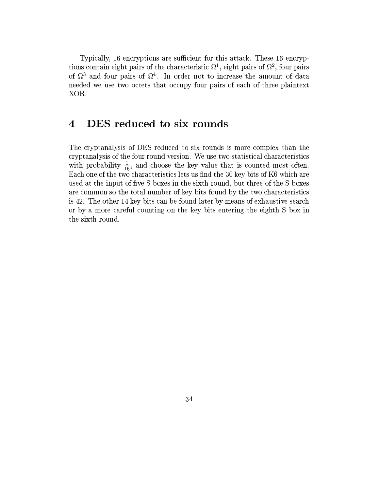Typically, 16 encryptions are sufficient for this attack. These 16 encryptions contain eight pairs of the characteristic  $\Omega^1$ , eight pairs of  $\Omega^2$ , four pairs of  $\Omega^3$  and four pairs of  $\Omega^4$ . In order not to increase the amount of data needed we use two octets that occupy four pairs of each of three plaintext XOR.

#### DES reduced to six rounds  $\overline{\mathbf{4}}$

The cryptanalysis of DES reduced to six rounds is more complex than the cryptanalysis of the four round version. We use two statistical characteristics with probability  $\frac{1}{16}$ , and choose the key value that is counted most often. Each one of the two characteristics lets us find the 30 key bits of K6 which are used at the input of five S boxes in the sixth round, but three of the S boxes are common so the total number of key bits found by the two characteristics is 42. The other 14 key bits can be found later by means of exhaustive search or by a more careful counting on the key bits entering the eighth S box in the sixth round.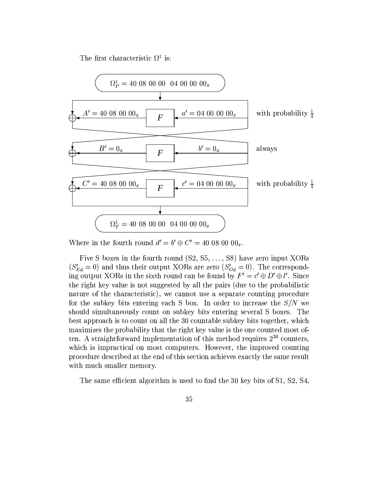CD4FE BRPRQX465@B5@XQEIB0KPRQ01X 0KP=



G4<EIBE 01MQ4FEHVTSFBQ4`BTSFM<: ) # ) <sup>²</sup> ) # !:

!,03¦E <sup>=</sup> T
®?EPD01MQ4<EZVTSFBRQ4BTSFM<: <sup>±</sup> <sup>=</sup> K¯ <sup>=</sup> ¯} ¯\*= ·3465¦EUJIEBT'01M<[FS<Q³aµ>¶]P  $(S<sup>t</sup> = 0)$  and thus their output XORs are zero  $(S<sup>t</sup> = 0)$ . The correspond-0KM5T@S<Q[FS?Qk³aµ>¶P 01MAQ4FE^P03®mQ4BTS<MF:X 58M EVTSFMF: 81) # -)}² ) ² )« =?0KMFXIE the right key value is not suggested by all the pairs (due to the probabilistic · and a felx of the state of the state of the state of the state of the state of the state of the state of the state of the state of the state of the state of the state of the state of the state of the state of the state for the subkey bits entering each S box. In order to increase the  $S/N$  we PR4FTSF/K: P0K7SF/Q 5@MFETSFPR/G XIT@SFMQTM PRS@E 0QP!EIMQEB01MQ PE¦EIB5@/]= T®?EIP CD4<E  $\blacksquare$  . The set of the set of the set of the set of the set of the set of the set of the set of the set of the set of the set of the set of the set of the set of the set of the set of the set of the set of the set of the 7L5n®?017A01JEIP Q4FE3[FBRT501/10Q7;Q4658Q,Q4FE B0o@4\Q@EY¦85@/KSFE01P+Q4FE TMFE XITS<M\QEI:7ATPRQ T@V.° QEIM1
9 PRQB5@0o@4\QRVTBj35@BR:017A[F/1E7LEMQ 58Q01TM'T@V Q4F01P 7LE(Q4FTm:BE<\SF01BREIP XTSFMQEBP}¯  $\overline{a}$  and  $\overline{a}$  and  $\overline{a}$  and  $\overline{a}$  and  $\overline{a}$  and  $\overline{a}$  and  $\overline{a}$  and  $\overline{a}$  and  $\overline{a}$  and  $\overline{a}$  and  $\overline{a}$  and  $\overline{a}$  and  $\overline{a}$  and  $\overline{a}$  and  $\overline{a}$  and  $\overline{a}$  and  $\overline{a}$  and  $\mathbf{F} = \mathbf{F} \mathbf{F} \mathbf{F} \mathbf{F} \mathbf{F} \mathbf{F} \mathbf{F} \mathbf{F} \mathbf{F} \mathbf{F} \mathbf{F} \mathbf{F} \mathbf{F} \mathbf{F} \mathbf{F} \mathbf{F} \mathbf{F} \mathbf{F} \mathbf{F} \mathbf{F} \mathbf{F} \mathbf{F} \mathbf{F} \mathbf{F} \mathbf{F} \mathbf{F} \mathbf{F} \mathbf{F} \mathbf{F} \mathbf{F} \mathbf{F} \mathbf{F} \mathbf{F} \mathbf{F} \mathbf{F} \mathbf$ with much smaller memory.

CD4FEHP5@7AEZEXI0KEIMQ5@/GTB0Q4F7%01P SFPREI:QT MF:Q4FE @E 0QP T@V <sup>=</sup> <sup>À</sup> ¯6= \*¯<sup>=</sup> ¯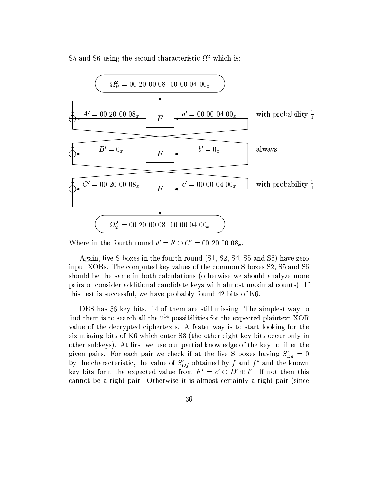S5 and S6 using the second characteristic  $\Omega^2$  which is:



Where in the fourth round  $d' = b' \oplus C' = 00 20 00 08_x$ .

Again, five S boxes in the fourth round (S1, S2, S4, S5 and S6) have zero input XORs. The computed key values of the common S boxes S2, S5 and S6 should be the same in both calculations (otherwise we should analyze more pairs or consider additional candidate keys with almost maximal counts). If this test is successful, we have probably found 42 bits of K6.

DES has 56 key bits. 14 of them are still missing. The simplest way to find them is to search all the  $2^{14}$  possibilities for the expected plaintext XOR value of the decrypted ciphertexts. A faster way is to start looking for the six missing bits of K6 which enter S3 (the other eight key bits occur only in other subkeys). At first we use our partial knowledge of the key to filter the given pairs. For each pair we check if at the five S boxes having  $S'_{Ed} = 0$ by the characteristic, the value of  $S'_{Of}$  obtained by f and  $f^*$  and the known key bits form the expected value from  $F' = c' \oplus D' \oplus l'$ . If not then this cannot be a right pair. Otherwise it is almost certainly a right pair (since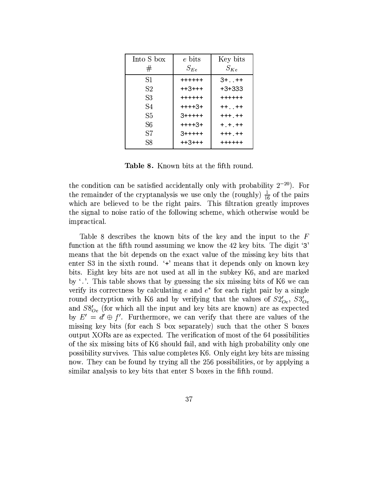| Into S box     | e bits        | Key bits          |
|----------------|---------------|-------------------|
| #              | $S_{Ee}$      | $S_{Ke}$          |
| S <sub>1</sub> | $+ + + + + +$ | $3+ +$            |
| S <sub>2</sub> | $++3+++$      | $+3+333$          |
| S3             | $+ + + + + +$ | ++++++            |
| S4             | $++++3+$      | $++$ $++$         |
| S5             | $3 + + + + +$ | $+++$ , $++$      |
| S6             | $++++3+$      | $+$ , $+$ , $+$ + |
| S7             | $3 + + + + +$ | $+++$ . $++$      |
| S8             | $++3+++$      | ++++++            |

**Table 8.** Known bits at the fifth round.

the condition can be satisfied accidentally only with probability  $2^{-20}$ ). For the remainder of the cryptanalysis we use only the (roughly)  $\frac{1}{16}$  of the pairs which are believed to be the right pairs. This filtration greatly improves the signal to noise ratio of the following scheme, which otherwise would be impractical.

Table 8 describes the known bits of the key and the input to the  $F$ function at the fifth round assuming we know the 42 key bits. The digit '3' means that the bit depends on the exact value of the missing key bits that enter S3 in the sixth round. '+' means that it depends only on known key bits. Eight key bits are not used at all in the subkey K6, and are marked by '.'. This table shows that by guessing the six missing bits of K6 we can verify its correctness by calculating  $e$  and  $e^*$  for each right pair by a single round decryption with K6 and by verifying that the values of  $S2'_{Oe}$ ,  $S3'_{Oe}$ and  $S8'_{Oe}$  (for which all the input and key bits are known) are as expected by  $E' = d' \oplus f'$ . Furthermore, we can verify that there are values of the missing key bits (for each S box separately) such that the other S boxes output XORs are as expected. The verification of most of the 64 possibilities of the six missing bits of K6 should fail, and with high probability only one possibility survives. This value completes K6. Only eight key bits are missing now. They can be found by trying all the 256 possibilities, or by applying a similar analysis to key bits that enter S boxes in the fifth round.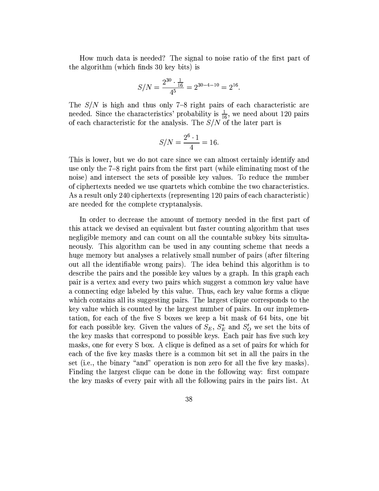How much data is needed? The signal to noise ratio of the first part of the algorithm (which finds 30 key bits) is

$$
S/N = \frac{2^{30} \cdot \frac{1}{16}}{4^5} = 2^{30-4-10} = 2^{16}.
$$

The  $S/N$  is high and thus only 7-8 right pairs of each characteristic are needed. Since the characteristics' probability is  $\frac{1}{16}$ , we need about 120 pairs of each characteristic for the analysis. The  $S/N$  of the later part is

$$
S/N = \frac{2^6 \cdot 1}{4} = 16.
$$

This is lower, but we do not care since we can almost certainly identify and use only the 7-8 right pairs from the first part (while eliminating most of the noise) and intersect the sets of possible key values. To reduce the number of ciphertexts needed we use quartets which combine the two characteristics. As a result only 240 ciphertexts (representing 120 pairs of each characteristic) are needed for the complete cryptanalysis.

In order to decrease the amount of memory needed in the first part of this attack we devised an equivalent but faster counting algorithm that uses negligible memory and can count on all the countable subkey bits simultaneously. This algorithm can be used in any counting scheme that needs a huge memory but analyses a relatively small number of pairs (after filtering out all the identifiable wrong pairs). The idea behind this algorithm is to describe the pairs and the possible key values by a graph. In this graph each pair is a vertex and every two pairs which suggest a common key value have a connecting edge labeled by this value. Thus, each key value forms a clique which contains all its suggesting pairs. The largest clique corresponds to the key value which is counted by the largest number of pairs. In our implementation, for each of the five S boxes we keep a bit mask of 64 bits, one bit for each possible key. Given the values of  $S_E$ ,  $S_E^*$  and  $S_O'$  we set the bits of the key masks that correspond to possible keys. Each pair has five such key masks, one for every S box. A clique is defined as a set of pairs for which for each of the five key masks there is a common bit set in all the pairs in the set (i.e., the binary "and" operation is non zero for all the five key masks). Finding the largest clique can be done in the following way: first compare the key masks of every pair with all the following pairs in the pairs list. At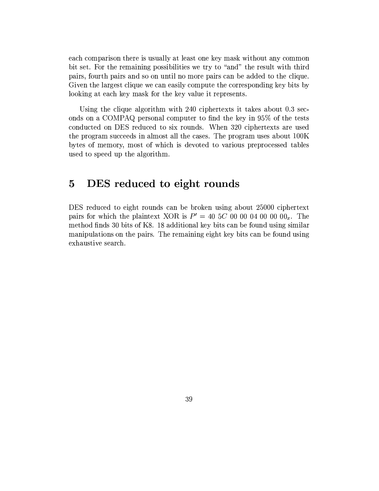each comparison there is usually at least one key mask without any common bit set. For the remaining possibilities we try to "and" the result with third  $\overline{a}$  and  $\overline{a}$  and  $\overline{a}$  and  $\overline{a}$  and  $\overline{a}$  and  $\overline{a}$  and  $\overline{a}$ Given the largest clique we can easily compute the corresponding key bits by  $\ldots$  . The state of the state  $\alpha$  state  $\alpha$  at the state of the state  $\alpha$  expected by  $\alpha$ 

POINT IN THE SERVICE IN THE SERVICE IN THE SERVICE IN THE SERVICE IN THE SERVICE IN THE SERVICE IN THE SERVICE IN THE SERVICE IN THE SERVICE IN THE SERVICE IN THE SERVICE IN THE SERVICE IN THE SERVICE IN THE SERVICE IN THE T@MF:FPZTM 5 /Outdoorlength 5 /Outdoorlength 5 /Outdoorlength methods in the control of the control of the control of the control of the control of the control of the control of the control of the control of the control of  $X$  is the property of the state  $\mathcal{S}_1$  and  $\mathcal{S}_2$  are the state  $\mathcal{S}_3$  of the state  $\mathcal{S}_4$  and  $\mathcal{S}_5$ Q4FEZ[FBRT:B5@7 PSFXXIEIE:FP]01Mb5@/17ATPRQ35@/K/ Q4FEZXI5@PEP CD4FEZ[FBRT:B5@7 SFPEP]5 T@S<Q À bytes of memory, most of which is devoted to various preprocessed tables used to speed up the algorithm.

# - >%> P b-C RJ'

YH.= BREI:FSFXEI: QT E0o4QBRTSFMF:<PX 5@M <sup>E</sup> BRT:@EM SFPR01M5 5 T@S<Q XI0K[F4FEBRQE6®mQ [F5@01BRP;VTBb]4F0KX4 Q4FE[F/ 5801MQE6®?Q>³aµ>¶%0KP %1)# ! CD4<E 7AEQ4FTm: MF:FP6 0KQP T8V <sup>À</sup> 58:F:F0KQ01TMF5@/Q8E} 0KQP
X 5@M E]VT@SFMF:ASFP0KM5!PR017A01/15@B 7L5@MF0K[FSF/158Q0KTMFP,T@MAQ4FE^[F5@01BRP WCD4FEBE7b5801MF0KM5HEI0G4Q?8E} 0QPX 5@M EVTS<MF:LS<P01MQ exhaustive search.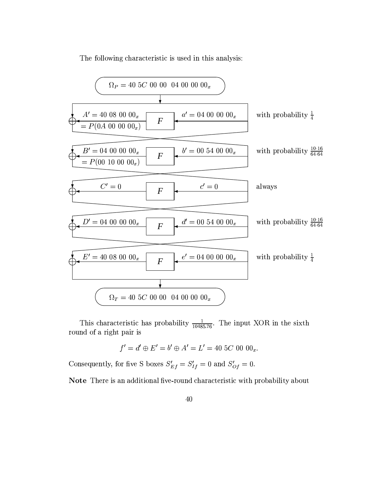The following characteristic is used in this analysis:



CD4F0KPZX465@B5@XQEIBR01PRQ01X 4F5@PZ[FBRT50K/10Q7  $\frac{1}{10485.76}$ . The  $\blacksquare$  and  $\blacksquare$  . The contract of the contract of  $\blacksquare$  $\blacksquare$  . The contract of the contract of the contract of the contract of the contract of the contract of the contract of the contract of the contract of the contract of the contract of the contract of the contract of the

$$
f' = d' \oplus E' = b' \oplus A' = L' = 40 \ 5C \ 00 \ 00_x.
$$

Consequently, for five S boxes  $S'_{\text{ref}} = S'_{\text{ref}} = 0$  and  $S'_{\text{ref}} = 0$ .

Note There is an additional five-round characteristic with probability about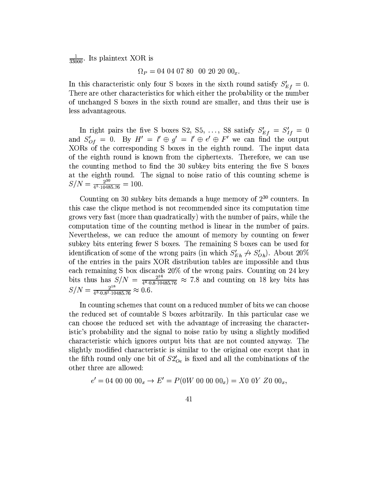$\frac{1}{33000}$ . Its plaintext XOR is

$$
\Omega_P = 04\ 04\ 07\ 80\ 00\ 20\ 20\ 00_x.
$$

In this characteristic only four  $S$  hoves in the sixth round satisfy  $S' = 0$ CD4<EIBE 5@BE T8Q4FEB,X465@B5@XQEIBR01PRQ01XP,VTB]4<01X4 E0KQ4<EIB,Q4FE3[FBRT501/10Q7UTB Q4FE3M\SF7 EB  $\mathbb{R}$  specifies are the set of the set of the set of the set of the set of the set of the set of the set of the set of the set of the set of the set of the set of the set of the set of the set of the set of the set of less advantageous.

In right pairs the five S boxes S2, S5, ..., S8 satisfy  $S'_{Ef} = S'_{If} = 0$ <br>and  $S' = 0$ . By  $H' = I' \oplus g' = I' \oplus g' \oplus F'$  we can find the output XORs of the corresponding S boxes in the eighth round. The input data  $\overline{\phantom{a}}$  and  $\overline{\phantom{a}}$  and  $\overline{\phantom{a}}$  and  $\overline{\phantom{a}}$  and  $\overline{\phantom{a}}$ Q4FE`XITSFMQ01M5 7LE(Q4FTm: QT MF: Q4FE PRS@E 0QP'EIMQEIB0KM5Q4FE ¦E <sup>=</sup> T
®?EP at the eighth round. The signal to noise ratio of this counting scheme is  #  $\frac{2}{45.10485\,76} = 100$ # À

 $\sim$  3TS  $\sim$  3TS  $\sim$  3TS  $\sim$  7.5  $\sim$  7A  $\sim$  7M  $\sim$  7A  $\sim$  7M  $\sim$  7A  $\sim$  7M  $\sim$  7A  $\sim$  7M  $\sim$  7A  $\sim$  7M  $\sim$  7A  $\sim$  7A  $\sim$  7A  $\sim$  7A  $\sim$  7A  $\sim$  7A  $\sim$  7A  $\sim$  7A  $\sim$  7A  $\sim$  7A  $\sim$  7A  $\sim$  7A  $\sim$  7A  $\mathcal{A}$  for a constant  $\mathcal{A}$  and  $\mathcal{A}$  are interesting to the constant  $\mathcal{A}$  . The constant  $\mathcal{A}$  $\overline{\phantom{a}}$  ,  $\overline{\phantom{a}}$  ,  $\overline{\phantom{a}}$  ,  $\overline{\phantom{a}}$  ,  $\overline{\phantom{a}}$  ,  $\overline{\phantom{a}}$  ,  $\overline{\phantom{a}}$  ,  $\overline{\phantom{a}}$  ,  $\overline{\phantom{a}}$  ,  $\overline{\phantom{a}}$  ,  $\overline{\phantom{a}}$  ,  $\overline{\phantom{a}}$  ,  $\overline{\phantom{a}}$  ,  $\overline{\phantom{a}}$  ,  $\overline{\phantom{a}}$  ,  $\overline{\phantom{a}}$  $\mathcal{F}(\mathcal{F})$  and  $\mathcal{F}(\mathcal{F})$  are only as a contract model of  $\mathcal{F}(\mathcal{F})$  and  $\mathcal{F}(\mathcal{F})$  $\blacksquare$ subkey bits entering fewer S boxes. The remaining S boxes can be used for 0K:FEIMQ0XI58Q0KTMT@V+PRT7LEHT8V Q4FEb]BRTM5[65@0KBP\± 01Md]4F0KX4) ) ·
9 TS<Q  $\blacksquare$  , and the contract of the state of the state of the state of the state of the state of the state of the state of the state of the state of the state of the state of the state of the state of the state of the state EI5@X4 BREI7L5@01MF0KM5A= T®a:F01PRX 5@BR:FP T@V,Q4FE\]BTM5L[65@0KBP (/3TSFMQ0KM5bTM @E} each remaining 5 box discards 20% of the wrong parties thus has  $S/N = \frac{2^{24}}{44.08 \cdot 10485.76} \approx 7.8$  and cournel  $\blacksquare$  . The state of the state of the state of the state of the state of the state of the state of the state of the state of the state of the state of the state of the state of the state of the state of the state of the  # <sup>5</sup>  $\frac{2^{18}}{4^3 \cdot 0.8^2 \cdot 10485.76} \approx 0.6.$ 

In counting schemes that count on a reduced number of bits we can choose the reduced set of countable S boxes arbitrarily. In this particular case we  $\mathbb{R}^n$  and  $\mathbb{R}^n$  are interesting to the contract of the contract section of the contract section of the contract of the contract of the contract of the contract of the contract of the contract of the contract of 0KPRQ01X PH[FBRT50K/10Q758MF: Q4FE'P0GM65@/ QTMFT0KPE'B5cQ01T SFP0KM5`5PR/10G4Q/Ga7AT?:F0EI: characteristic which ignores output bits that are not counted anyway. The slightly modified characteristic is similar to the original one except that in  $\blacksquare$ T8Q4FEB]Q4FBEE 5@BE 5@/K/1T
3E:!

$$
e' = 04\ 00\ 00\ 00_x \rightarrow E' = P(0W\ 00\ 00\ 00_x) = X0\ 0Y\ Z0\ 00_x,
$$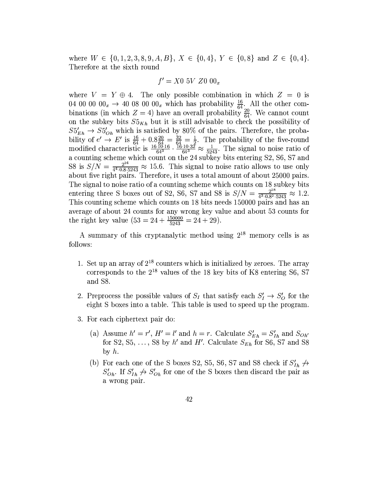where  $W \in \{0, 1, 2, 3, 8, 9, A, B\}, X \in \{0, 4\}, Y \in \{0, 8\}$  and  $Z \in \{0, 4\}.$ Therefore at the sixth round

$$
f' = X0 \ 5V \ Z0 \ 00_x
$$

where  $V = Y \oplus 4$ . The only possible combination in which  $Z = 0$  is 04 00 00  $00_x \rightarrow 40$  08 00  $00_x$  which has probability  $\frac{16}{64}$ . All the other combinations (in which  $Z = 4$ ) have an overall probability  $\frac{20}{64}$ . We cannot count on the subkey bits  $S5_{Kh}$  but it is still advisable to check the possibility of  $S5'_{Eh} \rightarrow S5'_{Oh}$  which is satisfied by 80% of the pairs. Therefore, the probability of  $e' \rightarrow E'$  is  $\frac{16}{64} + 0.8\frac{20}{64} = \frac{32}{64} = \frac{1}{2}$ . The probability of the five-round modified characteristic is  $\frac{16 \cdot 10 \cdot 1$ S8 is  $S/N = \frac{2^{24}}{44.0.8 \cdot 5243} \approx 15.6$ . This signal to noise ratio allows to use only about five right pairs. Therefore, it uses a total amount of about 25000 pairs. The signal to noise ratio of a counting scheme which counts on 18 subkey bits entering three S boxes out of S2, S6, S7 and S8 is  $S/N = \frac{2^{18}}{4^3 \cdot 0.8^2 \cdot 5243} \approx 1.2$ .<br>This counting scheme which counts on 18 bits needs 150000 pairs and has an average of about 24 counts for any wrong key value and about 53 counts for the right key value  $(53 = 24 + \frac{150000}{5243} = 24 + 29)$ .

A summary of this cryptanalytic method using  $2^{18}$  memory cells is as follows:

- 1. Set up an array of  $2^{18}$  counters which is initialized by zeroes. The array corresponds to the  $2^{18}$  values of the 18 key bits of K8 entering S6, S7 and S8.
- 2. Preprocess the possible values of  $S_I$  that satisfy each  $S_I' \rightarrow S_O'$  for the eight S boxes into a table. This table is used to speed up the program.
- 3. For each ciphertext pair do:
	- (a) Assume  $h' = r'$ ,  $H' = l'$  and  $h = r$ . Calculate  $S'_{Eh} = S'_{Ih}$  and  $S_{Oh'}$ for S2, S5, ..., S8 by h' and H'. Calculate  $S_{Eh}$  for S6, S7 and S8 by  $h$ .
	- (b) For each one of the S boxes S2, S5, S6, S7 and S8 check if  $S'_{1h} \nrightarrow$  $S'_{Oh}$ . If  $S'_{lh} \nightharpoonup S'_{Oh}$  for one of the S boxes then discard the pair as a wrong pair.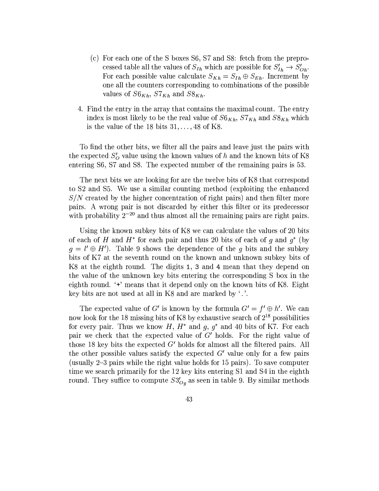- (c) For each one of the S boxes S6, S7 and S8: fetch from the preprocessed table all the values of  $S_{Ih}$  which are possible for  $S'_{Ih} \to S'_{Oh}$ . For each possible value calculate  $S_{Kh} = S_{Ih} \oplus S_{Eh}$ . Increment by one all the counters corresponding to combinations of the possible values of  $S6_{Kh}$ ,  $S7_{Kh}$  and  $S8_{Kh}$ .
- 4. Find the entry in the array that contains the maximal count. The entry index is most likely to be the real value of  $S6_{Kh}$ ,  $S7_{Kh}$  and  $S8_{Kh}$  which is the value of the 18 bits  $31, \ldots, 48$  of K8.

To find the other bits, we filter all the pairs and leave just the pairs with the expected  $S'_{O}$  value using the known values of h and the known bits of K8 entering S6, S7 and S8. The expected number of the remaining pairs is 53.

The next bits we are looking for are the twelve bits of K8 that correspond to S2 and S5. We use a similar counting method (exploiting the enhanced  $S/N$  created by the higher concentration of right pairs) and then filter more pairs. A wrong pair is not discarded by either this filter or its predecessor with probability  $2^{-20}$  and thus almost all the remaining pairs are right pairs.

Using the known subkey bits of K8 we can calculate the values of 20 bits of each of H and  $H^*$  for each pair and thus 20 bits of each of g and  $g^*$  (by  $g = l' \oplus H'$ . Table 9 shows the dependence of the g bits and the subkey bits of K7 at the seventh round on the known and unknown subkey bits of K8 at the eighth round. The digits 1, 3 and 4 mean that they depend on the value of the unknown key bits entering the corresponding S box in the eighth round. '+' means that it depend only on the known bits of K8. Eight key bits are not used at all in K8 and are marked by '.'.

The expected value of G' is known by the formula  $G' = f' \oplus h'$ . We can now look for the 18 missing bits of K8 by exhaustive search of  $2^{18}$  possibilities for every pair. Thus we know  $H$ ,  $H^*$  and  $g$ ,  $g^*$  and 40 bits of K7. For each pair we check that the expected value of  $G'$  holds. For the right value of those 18 key bits the expected  $G'$  holds for almost all the filtered pairs. All the other possible values satisfy the expected  $G'$  value only for a few pairs (usually 2-3 pairs while the right value holds for 15 pairs). To save computer time we search primarily for the 12 key kits entering S1 and S4 in the eighth round. They suffice to compute  $S3'_{Og}$  as seen in table 9. By similar methods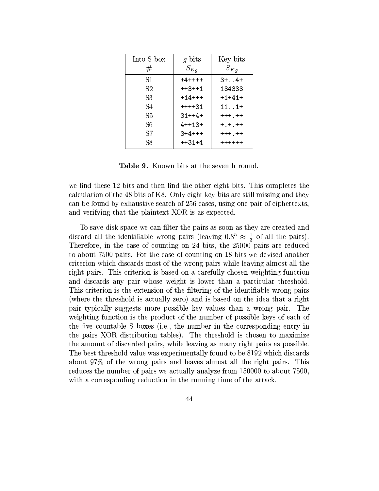| Into S box | g bits     | Key bits     |
|------------|------------|--------------|
| #          | $S_{Eq}$   | $S_{Kq}$     |
| S1         | $+4+++$    | $3 + 4 +$    |
| S2         | $++3++1$   | 134333       |
| S3         | $+14++$    | $+1+41+$     |
| S4         | $***31$    | $111+$       |
| S5         | $31 + 4 +$ | $+++$ , $++$ |
| S6         | $4 + 13 +$ | $+ + + +$    |
| S7         | $3+4++$    | $+++$ , $++$ |
| S8         | $++31+4$   | ++++++       |

**Table 9.** Known bits at the seventh round.

we find these 12 bits and then find the other eight bits. This completes the calculation of the 48 bits of K8. Only eight key bits are still missing and they can be found by exhaustive search of 256 cases, using one pair of ciphertexts, and verifying that the plaintext XOR is as expected.

To save disk space we can filter the pairs as soon as they are created and discard all the identifiable wrong pairs (leaving  $0.8^5 \approx \frac{1}{3}$  of all the pairs). Therefore, in the case of counting on 24 bits, the 25000 pairs are reduced to about 7500 pairs. For the case of counting on 18 bits we devised another criterion which discards most of the wrong pairs while leaving almost all the right pairs. This criterion is based on a carefully chosen weighting function and discards any pair whose weight is lower than a particular threshold. This criterion is the extension of the filtering of the identifiable wrong pairs (where the threshold is actually zero) and is based on the idea that a right pair typically suggests more possible key values than a wrong pair. The weighting function is the product of the number of possible keys of each of the five countable S boxes (i.e., the number in the corresponding entry in the pairs XOR distribution tables). The threshold is chosen to maximize the amount of discarded pairs, while leaving as many right pairs as possible. The best threshold value was experimentally found to be 8192 which discards about 97% of the wrong pairs and leaves almost all the right pairs. This reduces the number of pairs we actually analyze from 150000 to about 7500, with a corresponding reduction in the running time of the attack.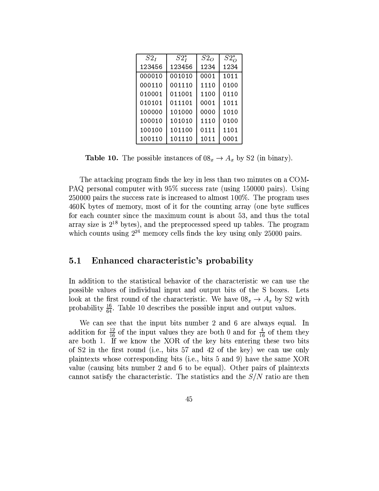| $S2_I$ | $S2^*_I$ | $S2_O$ | $S2_{\Omega}^*$ |
|--------|----------|--------|-----------------|
| 123456 | 123456   | 1234   | 1234            |
| 000010 | 001010   | 0001   | 1011            |
| 000110 | 001110   | 1110   | 0100            |
| 010001 | 011001   | 1100   | 0110            |
| 010101 | 011101   | 0001   | 1011            |
| 100000 | 101000   | 0000   | 1010            |
| 100010 | 101010   | 1110   | 0100            |
| 100100 | 101100   | 0111   | 1101            |
| 100110 | 101110   | 1011   | 0001            |

**Table 10.** The possible instances of  $08_x \rightarrow A_x$  by S2 (in binary).

The attacking program finds the key in less than two minutes on a COM-PAQ personal computer with 95% success rate (using 150000 pairs). Using  $250000$  pairs the success rate is increased to almost  $100\%$ . The program uses 460K bytes of memory, most of it for the counting array (one byte suffices for each counter since the maximum count is about 53, and thus the total array size is  $2^{18}$  bytes), and the preprocessed speed up tables. The program which counts using  $2^{24}$  memory cells finds the key using only 25000 pairs.

### $5.1$ Enhanced characteristic's probability

In addition to the statistical behavior of the characteristic we can use the possible values of individual input and output bits of the S boxes. Lets look at the first round of the characteristic. We have  $08_x \rightarrow A_x$  by S2 with probability  $\frac{16}{64}$ . Table 10 describes the possible input and output values.

We can see that the input bits number 2 and 6 are always equal. In addition for  $\frac{12}{16}$  of the input values they are both 0 and for  $\frac{4}{16}$  of them they are both 1. If we know the XOR of the key bits entering these two bits of S2 in the first round (i.e., bits 57 and 42 of the key) we can use only plaintexts whose corresponding bits (i.e., bits 5 and 9) have the same XOR value (causing bits number 2 and 6 to be equal). Other pairs of plaintexts cannot satisfy the characteristic. The statistics and the  $S/N$  ratio are then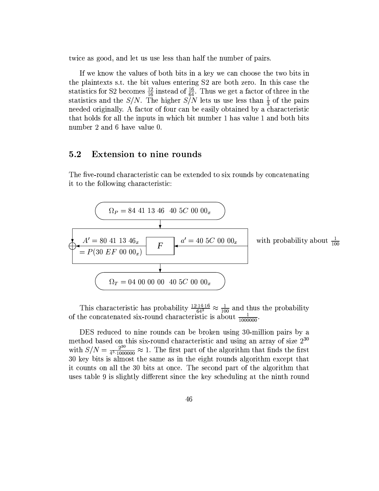twice as good, and let us use less than half the number of pairs.

If we know the values of both bits in a key we can choose the two bits in the plaintexts s.t. the bit values entering S2 are both zero. In this case the statistics for S2 becomes  $\frac{12}{16}$  instead of  $\frac{16}{64}$ . Thus we get a factor of three in the statistics and the *S/N*. The higher *S/N* lets us use less than  $\frac{1}{3}$  of the pairs needed originally. A factor of four can be easily obtained by a characteristic that holds for all the inputs in which bit number 1 has value 1 and both bits number 2 and 6 have value 0.

### $5.2$ **Extension to nine rounds**

The five-round characteristic can be extended to six rounds by concatenating it to the following characteristic:



This characteristic has probability  $\frac{12 \cdot 14 \cdot 16}{64^3} \approx \frac{1}{100}$  and thus the probability of the concatenated six-round characteristic is about  $\frac{1}{1000000}$ .

DES reduced to nine rounds can be broken using 30-million pairs by a method based on this six-round characteristic and using an array of size  $2^{30}$ with  $S/N = \frac{2^{30}}{4^5 \cdot 1000000} \approx 1$ . The first part of the algorithm that finds the first<br>30 key bits is almost the same as in the eight rounds algorithm except that it counts on all the 30 bits at once. The second part of the algorithm that uses table 9 is slightly different since the key scheduling at the ninth round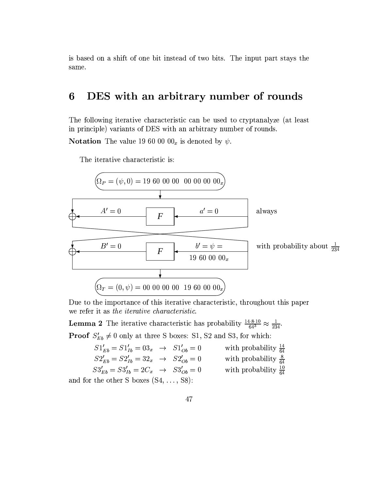0KP 5@PREI: TM 5P4F0VQUT@V TMFE 0QH01M<PRQEI5@: T@VQ73T 0QP !CD4FE'01MF[<S<QH[65@BQUPRQ5
mPHQ4<E same.

# - } X --}RX -> RJ'

The following iterative characteristic can be used to cryptanalyze (at least 0KM[FB0KMFXI0K[F/1E·<¦85@B015@MQPDT@V,YH.=d]0Q4a5@M`5@B0KQB5@BjbM\SF7 EIB]T@V BTSFM<:FP

.+ +-)/.( CD4FE\¦@58/1SFE À!!0KPD:FEIM<T@QE:

CD4FE 0KQEIB58Q03¦EHX465@B5@XQEIBR01PRQ01XH0KP=



 $\blacksquare$  . The contract of the contract of the contract of the contract of the contract of the contract of the contract of the contract of the contract of the contract of the contract of the contract of the contract of the we refer it as the iterative characteristic.

 $\frac{1}{2}$  CD5  $\frac{1}{2}$   $\frac{1}{2}$   $\frac{1}{2}$  $\frac{4 \cdot 8 \cdot 10}{643} \approx \frac{1}{224}$ . **Droof**  $S' \neq 0$  only at three S hoves:  $S_1$   $S_2$  and  $S_3$  for which:

| $S1'_{Fh} = S1'_{Ih} = 03_x \rightarrow S1'_{Oh} = 0$ |  | with probability $\frac{14}{64}$ |
|-------------------------------------------------------|--|----------------------------------|
| $S2'_{E} = S2'_{I} = 32_x \rightarrow S2'_{O} = 0$    |  | with probability $\frac{8}{64}$  |
| $S3'_{Eb} = S3'_{Ib} = 2C_x \rightarrow S3'_{Ob} = 0$ |  | with probability $\frac{10}{64}$ |

58MF:`VT@B Q4FEUT@Q4FEIB= T®?EIP-<sup>±</sup> <sup>=</sup> ¯1 } ¯= ·2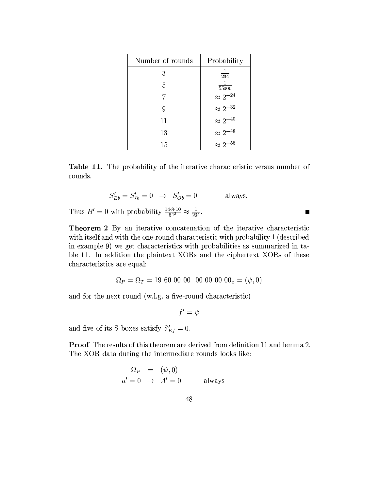| Number of rounds | Probability       |
|------------------|-------------------|
| 3                | $\frac{1}{234}$   |
| 5                | 55000             |
| 7                | $\approx 2^{-24}$ |
| 9                | $\approx 2^{-32}$ |
| 11               | $\approx 2^{-40}$ |
| 13               | $\approx 2^{-48}$ |
| 15               | $\approx 2^{-56}$ |

-  CD4FE'[FBRT501/10Q7T@VQ4FE0QEB58Q0G¦EX465@B58XQEB0KPRQ0KXX¦EBPS<P M\SF7 EBHT@V BRTSFMF:<P

$$
S'_{Eb} = S'_{Ib} = 0 \rightarrow S'_{Ob} = 0
$$
 always.  
Thus  $B' = 0$  with probability  $\frac{14 \cdot 8 \cdot 10}{ } \approx \frac{1}{}$ 

 $\frac{401}{643}$  $\overline{234}$ 

.,4 III  $\sim$  50. The set of the set of the set of the set of the set of the set of the set of the set of the set of the set of the set of the set of the set of the set of the set of the set of the set of the set of the s  $\overline{a}$  , and the state of the state of the state  $\overline{a}$  and  $\overline{b}$  and  $\overline{c}$   $\overline{c}$   $\overline{c}$   $\overline{c}$   $\overline{c}$   $\overline{c}$   $\overline{c}$   $\overline{c}$   $\overline{c}$   $\overline{c}$   $\overline{c}$   $\overline{c}$   $\overline{c}$   $\overline{c}$   $\overline{c}$   $\overline{c}$  0KME®<5@7A[F/1E ·kEY@EQ]X465@B5@XQEIBR01PRQ01XPH]0Q4`[FBT50K/10KQ01EP 5@P]PS<7L7L5@B0KJIE:`0KMQ 5n° /1E À:À NOM 5@:F:<0KQ0KTM Q4FEL[F/ 5@0KMQE®mQ(³aµ>¶P5@MF: Q4FEbX01[F4FEBRQE®mQ-³aµ>¶]PT@V Q4FEIPRE  $\mathbb{R}^n$  . The set of the set of the set of the set of the set of the set of the set of the set of the set of the set of the set of the set of the set of the set of the set of the set of the set of the set of the set of

п

$$
\Omega_P = \Omega_T = 19\ 60\ 00\ 00\ 00\ 00\ 00_x = (\psi, 0)
$$

58MF:`VT@B Q4FEUMFE6®?QBRTSFMF: ±\ /¥ 565 ¦@E°OBRTSFMF:aX465@B5@XQEIB0KPRQ01X
·

 $f' = \psi$ 

and five of its  $S_{\text{hoyes}}$  satisfy  $S' = 0$ 

;-. . CD4<E BREIPRSF/KQP T@V?Q4F01PQ4FETBE7 5@BRE
:FEIBR0G¦E: VBRT7 :FEM<0KQ0KTM À:À 5@M<: /KEI7A7b50K The XOR data during the intermediate rounds looks like:

$$
\begin{array}{rcl}\n\Omega_P & = & (\psi, 0) \\
a' = 0 & \rightarrow & A' = 0\n\end{array}\n\qquad \text{always}
$$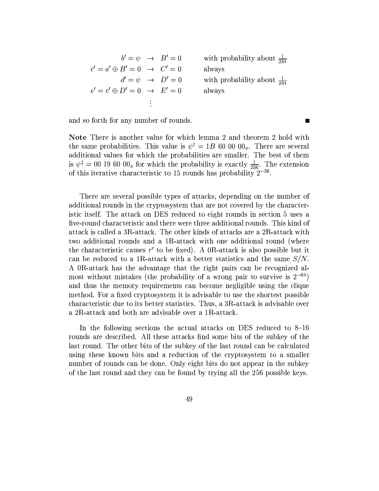$$
b' = \psi \rightarrow B' = 0 \qquad \text{with probability about } \frac{1}{234}
$$
  

$$
c' = a' \oplus B' = 0 \rightarrow C' = 0 \qquad \text{always}
$$
  

$$
d' = \psi \rightarrow D' = 0 \qquad \text{with probability about } \frac{1}{234}
$$
  

$$
e' = c' \oplus D' = 0 \rightarrow E' = 0 \qquad \text{always}
$$
  

$$
\vdots
$$

58MF:aPRTVTBRQ4`VTB]58MMmS<7 EB]T@V,BRTSFMF:<P

Note There is another value for which lemma 2 and theorem 2 hold with Q4FE P5@7LE![FBT50K/10KQ01EP CD4F01Pc¦85@/KSFE0KP # <sup>À</sup> <sup>8</sup>!:HCD4<EIBE 5@BE PRE}¦@EIB58/  $5.81\pm 1.4$   $1.4$   $1.4$   $1.4$   $1.4$   $1.4$   $1.4$   $1.4$   $1.4$   $1.4$   $1.4$   $1.4$   $1.4$   $1.4$   $1.4$   $1.4$   $1.4$   $1.4$   $1.4$   $1.4$   $1.4$   $1.4$   $1.4$   $1.4$   $1.4$   $1.4$   $1.4$   $1.4$   $1.4$   $1.4$   $1.4$   $1.4$   $1.4$   $1.4$   $1.4$   $1.4$ is  $\psi^{\dagger} = 00$  19 60  $00_x$  for which the probability is exactly  $\frac{1}{256}$ . The 3CD4FE!E®mQEMFP0KTM Table  $\alpha$  and  $\alpha$  and  $\alpha$  and  $\alpha$  are positive  $\alpha$  and  $\alpha$  is the problem of  $\alpha$  is the problem of  $\alpha$ 

CD4FEBE58BE PE}¦@EIB5@/W[\*TPPR0/KEUQ7m[\*EIPZT8V58QQ5@X\P ¯:FEI[\*EIMF:<01M5T@MaQ4<EM\SF7 EIB^T@V 58:F:F0KQ01TMF5@/<BRTSFMF:FP 01M'Q4<EXBjm[<QTPjmPRQEI7 Q465cQ358BE]MFT@Q XIT
¦@EIBE: Q4FE]X465@B5@XQEIB° 0KPRQ01X 0QPE/KV!CD4FEb5cQQ 58XTMYH.= BREI:FS<XIEI: QTEI0G4QHBT@SFMF:FPU01M PREIXQ01TM SFPREIP!5 ¦E° BTS<MF:X465@B5@XQEIB0KPRQ01X 5@MF:Q4FEIBRE?EIBE Q4FBREIE 58:F:F0KQ01TMF5@/ BTS<MF:FP CD4F01P\01MF:!T@V  $5.5c$  50  $5.7c$  500  $5.7c$  500  $5.7c$  500  $5.7c$   $\sim$  500  $5.7c$   $\sim$  500  $5.7c$ Q7T 5@:<:F0KQ01TM658/DBTSFM<:FP5@M<: <sup>5</sup> <sup>À</sup> ¶° 5cQQ 58X¹]0KQ4 TMFE5@:F:F0Q01T@M65@/DBT@SFMF: ±«]4FEIBRE  $\mathcal{L}=\mathcal{L}=\mathcal{L}=\mathcal{L}=\mathcal{L}=\mathcal{L}=\mathcal{L}=\mathcal{L}=\mathcal{L}=\mathcal{L}=\mathcal{L}=\mathcal{L}=\mathcal{L}=\mathcal{L}=\mathcal{L}=\mathcal{L}=\mathcal{L}=\mathcal{L}=\mathcal{L}=\mathcal{L}=\mathcal{L}=\mathcal{L}=\mathcal{L}=\mathcal{L}=\mathcal{L}=\mathcal{L}=\mathcal{L}=\mathcal{L}=\mathcal{L}=\mathcal{L}=\mathcal{L}=\mathcal{L}=\mathcal{L}=\mathcal{L}=\mathcal{L}=\mathcal{L}=\mathcal{$  $\mathcal{N}$  . The state of the state of the state of  $\mathcal{N}$  and  $\mathcal{N}$  are the state of the state of the state of the state of the state of the state of the state of the state of the state of the state of the state of th 9 ¶° 5cQQ 58X 465@P'Q4FE`5@:K¦@58M\Q5"EQ4F58Q'Q4FE`B0G4Q'[65@01BRP'X 5@M E`BEXIT:@MF01JEI: 5@/3° 7ATPQY]0Q4FTS?Q7A01PQ 5"8EIPi± Q4<Eb[FBRT50K/10Q7 T@V]5]BTMQ [65@0KBUQTPRSFBj¦m0G¦@E01P@ \*y}·  $58.8\pm0.1$  MF:  $\sim$   $50.8\pm0.1$  and  $\sim$   $50.8\pm0.1$  and  $\sim$   $50.8\pm0.1$ method. For a fixed cryptosystem it is advisable to use the shortest possible X4F5@B5@X(QEB01PQ0KX:<SFEQT!0QP EQQEIBPRQ58Q0KPRQ01XIP}WCD4\SFP ¯?5 :¶O°O58QQ5@X 0KP 58:Q¦m01P5/1E]T
¦EB 5"¶° 5cQQ 58X5@MF: T@Q4`5@BRE!58:Q¦m01P5/1EHT
¦EB;5 <sup>À</sup> ¶° 5cQQ 58X

NOM Q4FEVT@/1/1T
]0KM5 PEIX(Q0KTMFPQ4FE 5@X(QS658/!5cQQ 58XmPTM YH.= BREI:FSFXEI: QT À rounds are described. All these attacks find some bits of the subkey of the last round. The other bits of the subkey of the last round can be calculated using these known bits and a reduction of the cryptosystem to a smaller M\SF7 EBDT@V,BRTSFMF:<PXI5@M EH:<TMFE"?µZMF/3EI0G4Q 0QPD:FT'MFT@Q58[F[EI5@BD01MQ4FEHPS@E  $\blacksquare$  Table to the set of the set of the set of the set of the set of the set of the set of the set of the set of the set of the set of the set of the set of the set of the set of the set of the set of the set of the set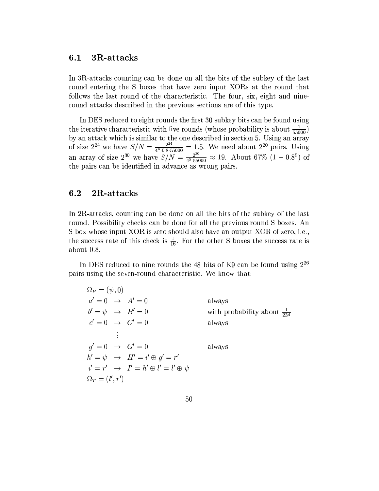## -

NOM :¶°58QRQ 5@X\PXITSFMQ01M5LX 5@M <sup>E</sup> :FTMFE!TM 58/1/ Q4FE 0QP]T@VWQ4FE PS8E}T@V,Q4FE/15@PRQ  $\mathbf{F} = \mathbf{F} \mathbf{F} \mathbf{F} \mathbf{F}$ follows the last round of the characteristic. The four, six, eight and nine- $\mathbf{F}=\mathbf{F}=\mathbf{F}+\mathbf{F}$  and  $\mathbf{F}=\mathbf{F}=\mathbf{F}$  and  $\mathbf{F}=\mathbf{F}=\mathbf{F}+\mathbf{F}$ 

NOMYH.=UBE:FSFXIE: QTEI0G4Q,BRTSFMF:FP+Q4<E BRPRQ; PRS8E} 0KQP XI5@M <sup>E</sup> VT@SFMF:S<P01MQ  $\frac{1}{2}$  and  $\frac{1}{2}$  is a second of the second of the second of the second of the second second in the second of the second of  $\frac{1}{5000}$ )  $\mathbf{S}=\mathbf{S}=\mathbf{S}=\mathbf{S}=\mathbf{S}=\mathbf{S}=\mathbf{S}=\mathbf{S}=\mathbf{S}=\mathbf{S}=\mathbf{S}=\mathbf{S}=\mathbf{S}=\mathbf{S}=\mathbf{S}=\mathbf{S}=\mathbf{S}=\mathbf{S}=\mathbf{S}=\mathbf{S}=\mathbf{S}=\mathbf{S}=\mathbf{S}=\mathbf{S}=\mathbf{S}=\mathbf{S}=\mathbf{S}=\mathbf{S}=\mathbf{S}=\mathbf{S}=\mathbf{S}=\mathbf{S}=\mathbf{S}=\mathbf{S}=\mathbf{S}=\mathbf{S}=\mathbf{$  $\frac{1}{2}$   $\frac{1}{2}$   $\frac{1}{2}$   $\frac{1}{2}$   $\frac{1}{2}$   $\frac{1}{2}$   $\frac{1}{2}$   $\frac{1}{2}$   $\frac{1}{2}$   $\frac{1}{2}$   $\frac{1}{2}$   $\frac{1}{2}$   $\frac{1}{2}$   $\frac{1}{2}$   $\frac{1}{2}$   $\frac{1}{2}$   $\frac{1}{2}$   $\frac{1}{2}$   $\frac{1}{2}$   $\frac{1}{2}$   $\frac{1}{2}$   $\frac{1}{2}$   $\frac{2^{24}}{4^{4} \cdot 0.855000} = 1.5$ . We need about  $2^{20}$  pairs. Using  $\frac{1}{8}$  Photo Photo 2000 +  $\frac{1}{8}$   $\frac{1}{8}$   $\frac{1}{10}$   $\frac{1}{10}$   $\frac{30}{10}$  +  $\frac{30}{10}$  +  $\frac{30}{10}$  +  $\frac{30}{10}$  +  $\frac{30}{10}$  +  $\frac{30}{10}$  +  $\frac{30}{10}$  +  $\frac{30}{10}$  +  $\frac{30}{10}$  +  $\frac{30}{10}$  +  $\frac{30}{10}$  $\frac{2^{30}}{45,5500} \approx 19$ . About 67 <sup>À</sup> !9 T@S<Q <sup>½</sup> <sup>±</sup> <sup>À</sup> <sup>x</sup> ·T@V  $\bullet$  and the state of the state  $\bullet$  means  $\bullet$  . The state  $\bullet$  of the state  $\bullet$  of the state  $\bullet$ 

# -

NOM "¶°5cQQ 58XmP}¯6XITS<M\Q01M5'XI5@M EH:FT@MFEUTM`5@/1/\*Q4FE 0QP T@V>Q4<E PRS8E}T@V>Q4FEU/15@PRQ rtsform in the second second second second second second second second second second second second second second second second second second second second second second second second second second second second second seco  ${\rm S}$  box whose input XOR is zero should also have an output XOR of zero, i.e., the success rate of this check is  $\frac{1}{16}$ . For . At a few state  $\mathbf{F}=\mathbf{F}$  , then  $\mathbf{F}=\mathbf{F}$ about  $0.8$ .

NOMYH.=BE:FSFXEI:aQTLM<01MFEUBT@SFMF:FP]Q4FE 0QP]T@V <sup>X</sup> 58M EHVTSFMF:aSFP0KM5 <sup>y</sup> pairs using the seven-round characteristic. We know that:

| $\Omega_P = (\psi, 0)$                                   |                                        |
|----------------------------------------------------------|----------------------------------------|
| $a'=0 \rightarrow A'=0$                                  | always                                 |
| $b' = \psi \rightarrow B' = 0$                           | with probability about $\frac{1}{234}$ |
| $c'=0 \rightarrow C'=0$                                  | always                                 |
|                                                          |                                        |
| $q' = 0 \rightarrow G' = 0$                              | always                                 |
| $h' = \psi \rightarrow H' = i' \oplus q' = r'$           |                                        |
| $i' = r' \rightarrow I' = h' \oplus l' = l' \oplus \psi$ |                                        |
| $\Omega_T = (l', r')$                                    |                                        |
|                                                          |                                        |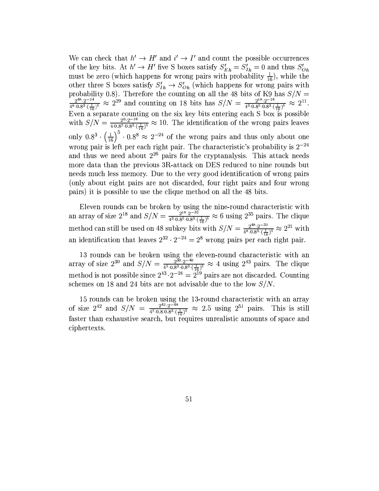, and the state of the state of the state of the state of the state of the state of the state of the state of the state of the state of the state of the state of the state of the state of the state of the state of the stat of the key bits. At  $h' \to H'$  five S boxes satisfy  $S'_{B'} = S'_{D} = 0$  and thus  $S'_{C}$ must be zero (which happens for wrong pairs with probability  $\frac{1}{16}$ ), whi  $E_n$ <sup>4</sup> $F_n$ <sup>3</sup> $F_n$ <sup>4</sup> $F_n$ <sup>4</sup> $F_n$ ·¯\*]4F01/KE^Q4<E other three S boxes satisfy  $S'_L \rightarrow S'_{\alpha L}$  (which happens for wrong pairs with the state of the state of the state of the state of the state of the state of the state of the state of the state of the state of the state of the state of the state of the state of the state of the state of the state of t  $648$   $-24$ propability 0.8). Therefore<br> $\frac{2^{48} \cdot 2^{-24}}{4^8 \cdot 0.8^3 \cdot (\frac{1}{16})^5} \approx 2^{29}$  and coun  $\frac{50}{18} = 24$ tts of K9 flas  $S/Y = \frac{2^{18} \cdot 2^{-24}}{4^3 \cdot 0.8^5 \cdot 0.8^3 \cdot (\frac{1}{16})^5} \approx 2^{11}$ .  $\sim$  11.  $\sim$  10.  $\sim$  10.  $\blacksquare$  . P=1 . P=1 . P=1 . P=2 . P=2 . P=2 . The set of  $\lhd$  . The set of  $\lhd$  is a set of  $\lhd$  . The set of  $\lhd$  is a set of  $\lhd$  . The set of  $\lhd$  is a set of  $\lhd$  . The set of  $\lhd$  is a set of  $\lhd$  is a set of Even a separate counting on the six key b<br>with  $S/N = \frac{2^{6} \cdot 2^{-24}}{4 \cdot 0.8^{7} \cdot 0.8^{3} \cdot (\frac{1}{16})^{5}} \approx 10$ . The ident À CD4FE!01:FEM\Q0XI58Q0KTMT@V Q4FE\]BTMQL[65801BP]/KE 5¦EP only  $0.8^3 \cdot \left(\frac{1}{10}\right)^5 \cdot 0.8^8$  $\frac{16}{5}$  and  $\frac{16}{5}$  $5.8<sup>9</sup>$   $-2<sup>9</sup>$   $-6<sup>9</sup>$ wrong pair is left per each right pair. The characteristic's probability is  $2^{-24}$  $54.5$ 58MF:Q4mS<PYELMFEEI: 5 TS?Q <sup>y</sup> [65@0KBPHVTBHQ4FELXIB+?[?Q 5@M658/GmP0KP CD4F0KP5cQQ 58X MFEIE:FP  $\overline{r}$  , and the state of the state  $\overline{r}$  and  $\overline{r}$  and  $\overline{r}$  and  $\overline{r}$  and  $\overline{r}$  and  $\overline{r}$ needs much less memory. Due to the very good identification of wrong pairs  $\tau$  to the state  $\tau$  state  $\sigma$  is a contract of  $\sigma$  $\blacksquare$ 

.
/1E¦EM`BRTSFMF:<PDX 5@M <sup>E</sup> BRT:@EM bSFP0KM5 Q4FE;MF01MFE6°OBRTSFMF:X4F5@B5@X(QEB01PQ0KXc]0KQ4  $\frac{2131 \text{ cm}}{18 \text{ s}} = \frac{18}{218 \text{ s}} = \frac{213 \text{ cm}}{18 \text{ s}} = \frac{32}{218}$ The US using the filme-round channel  $\frac{2^{18} \cdot 2^{-32}}{4^3 \cdot 0.8^5 \cdot 0.8^3 \cdot (\frac{1}{16})^5} \approx 6$  using  $2^{35}$  pa SFP0KM5 <sup>x</sup> [65@0KBP ,CD4FE;X/10<\SFE method can still be used on 48 subkey bits with  $S/N = \frac{2^{48} \cdot 2^{-32}}{4^8 \cdot 0.8^3 \cdot (\frac{1}{16})^5} \approx 2^{21}$  with ]0KQ4 58M`0K:FEIMQ0XI58Q0KTMQ465cQ^/KE 5¦EP  $56.560 \pm 0.45$   $\pm 0.6000$ 

<sup>À</sup> BRTSFMF:<PX 5@M <sup>E</sup> BT"@EIM SFPR01M5 Q4FEEI/KE}¦EMK°OBRTSFMF: X4658B5@X(QEIBR01PQ01Xu]0KQ4 58M  $\frac{1}{8}$   $\frac{1}{20}$   $\frac{1}{20}$   $\frac{1}{20}$   $\frac{1}{20}$   $\frac{1}{20}$   $\frac{1}{20}$   $\frac{30}{240}$ using the eleven-round character  $\frac{2^{30} \cdot 2^{-40}}{4^5 \cdot 0.8^3 \cdot 0.8^3 \cdot (\frac{1}{16})^5} \approx 4$  using  $2^{43}$  p  $S_{\rm eff}$  , and  $S_{\rm eff}$  and  $S_{\rm eff}$  are the set of  $S_{\rm eff}$  $7.4$  MFT MFT  $\frac{12}{3}$   $\frac{24}{3}$   $\frac{94}{40}$   $\frac{10}{31}$ PRX4FEI7AEIPTM A 50 MF: 0KD A 50 MF: Quarter and Quarter and Quarter and Quarter and Quarter and Quarter and Q

À BRTSFMF:FP]XI5@M <sup>E</sup> BRT:@EMaSFPR01M5Q4FE <sup>À</sup> n° BTSFM<:`X4F5@B5@X(QEB01PQ0KXb]0KQ4`5@M`5@BRB5  $\frac{1}{2}$   $\frac{1}{2}$   $\frac{1}{2}$   $\frac{1}{2}$   $\frac{1}{2}$   $\frac{1}{2}$   $\frac{1}{2}$   $\frac{1}{2}$   $\frac{1}{2}$   $\frac{1}{2}$   $\frac{1}{2}$   $\frac{1}{2}$   $\frac{1}{2}$   $\frac{1}{2}$   $\frac{1}{2}$   $\frac{1}{2}$   $\frac{1}{2}$   $\frac{1}{2}$   $\frac{1}{2}$   $\frac{1}{2}$   $\frac{1}{2}$   $\frac{1}{2}$  en using the 15-round character  $\frac{2^{42} \cdot 2^{-48}}{4^7 \cdot 0.8 \cdot 0.8^3 \cdot (\frac{1}{16})^5} \approx 2.5$  using  $2^{51}$ : SFPR01M57 <sup>x</sup> [65@0KBP}jCD4F01P01PPQ0K/1/ faster than exhaustive search, but requires unrealistic amounts of space and ciphertexts.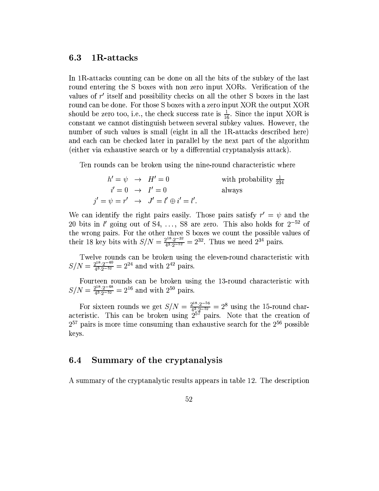# -

NOM <sup>À</sup> ¶°58QRQ 5@X\PXITSFMQ01M5LX 5@M <sup>E</sup> :FTMFE!TM 58/1/ Q4FE 0QP]T@VWQ4FE PS8E}T@V,Q4FE/15@PRQ ery is the set of the set of the set of the set of the set of the set of the set of the set of the set of the set of the set of the set of the set of the set of the set of the set of the set of the set of the set of the se values of  $r'$  itself and possibility checks on all the other S boxes in the last round can be done. For those S boxes with a zero input XOR the output XOR should be zero too, i.e., the check success rate is  $\frac{1}{16}$ . Sinc =?01M<XIE;Q4FEH01MF[<S<QO³aµ>¶ 01P  $\mathbf{F} = \mathbf{F} \mathbf{F} \mathbf{F} \mathbf{F}$  , and the set of the set of the set of the set of the set of the set of the set of the set of the set of the set of the set of the set of the set of the set of the set of the set of the s  $M\subset\mathbb{R}$  is a set of  $M$  is a  $M$  . Then  $\mathbb{R}$  is  $\mathbb{R}$  and  $\mathbb{R}$  $58.8\pm 0.01$  and  $58.8\pm 0.01$  and  $58.8\pm 0.01$  and  $58.8\pm 0.01$  and  $58.8\pm 0.01$  $(either via exhaustive search or by a differential cryptanalysis attack).$ 

C>EIMaBTSFM<:FP]X 5@M <sup>E</sup> BRT:@EMaS<P01MQAQ4FEUMF01MFE6°OBRTSFMF:X465@B5@XQEIBR01PRQ01Xb]4FEBE

-) # ) # 0 with probability  $\frac{1}{2a}$  $\mathcal{A}$  and  $\mathcal{A}$  and  $\mathcal{A}$ always  $j' = \psi = r' \rightarrow J' = l' \oplus i' = l'.$ 

GEXI5@M 01:FEMQ0KV« Q4FEBR0o4Q [F5@01BRPE 58P01/3:aCD4FTPE[F5@01BRPP5cQ01PV« ) # 58MF: Q4<E 0KQP01M )R@T01M5TS<QT@V^= ¯O } ¯3= 5@BEbJIEIBRT5 CD4F01P 5@/1PRT 4FT/1:<P!VTB \*x <sup>5</sup> T@V Q4FEb]BT@M5[65@0KBP !T@B3Q4FE;T@Q4FEB Q4FBREIE <sup>=</sup> T®<EPO3EHXTSFMQDQ4FEH[\*TPRP0/1Ea¦85@/KSFEIP3T@V  $\frac{1}{2}$   $\frac{1}{2}$   $\frac{1}{2}$   $\frac{1}{2}$   $\frac{1}{2}$   $\frac{1}{2}$   $\frac{1}{2}$   $\frac{1}{2}$   $\frac{1}{2}$   $\frac{1}{2}$   $\frac{1}{2}$   $\frac{1}{2}$   $\frac{1}{2}$   $\frac{1}{2}$   $\frac{1}{2}$   $\frac{1}{2}$   $\frac{1}{2}$   $\frac{1}{2}$   $\frac{1}{2}$   $\frac{1}{2}$   $\frac{1}{2}$   $\frac{1}{2}$   $\frac{2^{18} \cdot 2^{-32}}{4^3 \cdot 2^{-52}} = 2^{32}$ . Thus we need  $2^{34}$  pairs.

 $\mathbf{r}$  and the state box 5. A state box 5. A state box 5. A state box 5. A state box 5. A state box 6. A state box 6. A state box 5. A state box 5. A state box 5. A state box 5. A state box 5. A state box 5. A state box  $\alpha$   $t = \frac{18}{218} - \frac{40}{216} = 0.4$  $\frac{2^{18} \cdot 2^{-40}}{43 \cdot 2^{-52}} = 2^{24}$  and with  $2^{42}$  pairs.

. After the state  $\mathbf{F}$  is the state of  $\mathbf{F}$  in the state  $\mathbf{F}$  and  $\mathbf{F}$  $\approx 1.5$   $\frac{180-48}{16}$  $\frac{2^{18} \cdot 2^{-48}}{4^3 \cdot 2^{-52}} = 2^{16}$  and with  $2^{50}$  pairs.

!6TB^P03®mQEIEIM BRTSFMF:FPa3EWE(Q  # <sup>5</sup> <sup>7</sup> <sup>5</sup> - For sixteen rounds we get  $S/N = \frac{2^{10} \cdot 2^{-60} \cdot 2^{-60}}{4^3 \cdot 2^{-52}} = 2^8$  using the 15-round char- $2^{57}$  pairs is more time consuming than exhaustive search for the  $2^{56}$  possible  $\frac{1}{\sqrt{5}}$ 8E}mP

# 6.4 Summary of the cryptanalysis

 $\overline{a}$  and  $\overline{a}$  and  $\overline{a}$  such a set of  $\overline{a}$  is the set of  $\overline{a}$  and  $\overline{a}$  is the set of  $\overline{a}$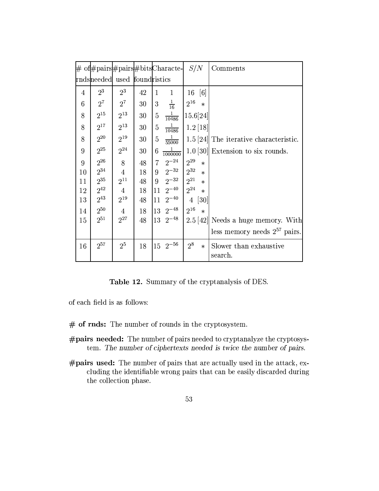|    | # of #pairs #pairs #bits Characte- |                |    |                 |                     | S/N            |                   | Comments                                 |
|----|------------------------------------|----------------|----|-----------------|---------------------|----------------|-------------------|------------------------------------------|
|    | rndsneeded used foundristics       |                |    |                 |                     |                |                   |                                          |
| 4  | $2^3$                              | $2^3$          | 42 | $\mathbf{1}$    | $\mathbf{1}$        | 16             | $\lceil 6 \rceil$ |                                          |
| 6  | $2^7$                              | $2^7$          | 30 | 3               | $\frac{1}{16}$      | $2^{16}$       | $\ast$            |                                          |
| 8  | $2^{15}$                           | $2^{13}$       | 30 | $\overline{5}$  | $\frac{1}{10486}$   | 15.6[24]       |                   |                                          |
| 8  | $2^{17}$                           | $2^{13}$       | 30 | 5               | $\frac{1}{10486}$   |                | $1.2 \, [18]$     |                                          |
| 8  | $2^{20}$                           | $2^{19}$       | 30 | 5               | $\frac{1}{55000}$   |                |                   | $1.5$ [24] The iterative characteristic. |
| 9  | $2^{25}$                           | $2^{24}$       | 30 | 6               | $\frac{1}{1000000}$ |                |                   | $1.0$ [30] Extension to six rounds.      |
| 9  | $2^{26}$                           | 8              | 48 | $\overline{7}$  | $2^{-24}$           | $2^{29}$       | $\ast$            |                                          |
| 10 | $2^{34}$                           | $\overline{4}$ | 18 | 9               | $2^{-32}$           | $2^{32}$       | $\ast$            |                                          |
| 11 | $2^{35}$                           | $2^{11}$       | 48 |                 | $9 \t2^{-32}$       | $2^{21}$       | $\ast$            |                                          |
| 12 | $2^{42}$                           | $\overline{4}$ | 18 | 11 <sup>1</sup> | $2^{-40}$           | $2^{24}$       | $\ast$            |                                          |
| 13 | $2^{43}$                           | $2^{19}$       | 48 | 11              | $2^{-40}$           | $\overline{4}$ | $\left[30\right]$ |                                          |
| 14 | $2^{50}$                           | $\overline{4}$ | 18 |                 | $13 \t2^{-48}$      | $2^{16}$       | $\ast$            |                                          |
| 15 | $2^{51}$                           | $2^{27}$       | 48 |                 | $13 \t2^{-48}$      |                |                   | 2.5 [42] Needs a huge memory. With       |
|    |                                    |                |    |                 |                     |                |                   | less memory needs $2^{57}$ pairs.        |
| 16 | $2^{57}$                           | 2 <sup>5</sup> | 18 |                 | $15 \t2^{-56}$      | 2 <sup>8</sup> | $\ast$            | Slower than exhaustive                   |
|    |                                    |                |    |                 |                     |                |                   | search.                                  |

Table 12. Summary of the cryptanalysis of DES.

of each field is as follows:

- $#$  of rnds: The number of rounds in the cryptosystem.
- #pairs needed: The number of pairs needed to cryptanalyze the cryptosystem. The number of ciphertexts needed is twice the number of pairs.
- $#pairs$  used: The number of pairs that are actually used in the attack, excluding the identifiable wrong pairs that can be easily discarded during the collection phase.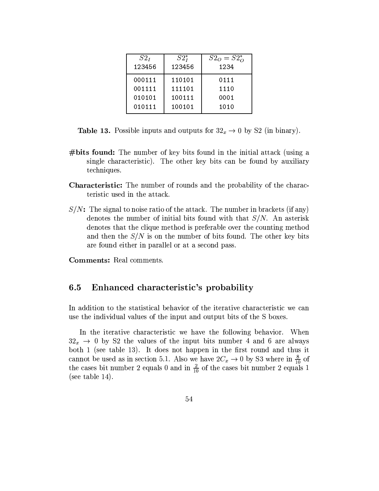| $S2_I$<br>123456 | $S2^*$<br>123456 | $S2_O = S2_O^*$<br>1234 |
|------------------|------------------|-------------------------|
| 000111           | 110101           | 0111                    |
| 001111           | 111101           | 1110                    |
| 010101           | 100111           | 0001                    |
| 010111           | 100101           | 1010                    |
|                  |                  |                         |

**Table 13.** Possible inputs and outputs for  $32_x \rightarrow 0$  by S2 (in binary).

- $\# \text{bits found:}$  The number of key bits found in the initial attack (using a single characteristic). The other key bits can be found by auxiliary techniques.
- **Characteristic:** The number of rounds and the probability of the characteristic used in the attack.
- $S/N$ : The signal to noise ratio of the attack. The number in brackets (if any) denotes the number of initial bits found with that  $S/N$ . An asterisk denotes that the clique method is preferable over the counting method and then the  $S/N$  is on the number of bits found. The other key bits are found either in parallel or at a second pass.

**Comments:** Real comments.

### 6.5 Enhanced characteristic's probability

In addition to the statistical behavior of the iterative characteristic we can use the individual values of the input and output bits of the S boxes.

In the iterative characteristic we have the following behavior. When  $32_x \rightarrow 0$  by S2 the values of the input bits number 4 and 6 are always both 1 (see table 13). It does not happen in the first round and thus it cannot be used as in section 5.1. Also we have  $2C_x \to 0$  by S3 where in  $\frac{8}{10}$  of the cases bit number 2 equals 0 and in  $\frac{2}{10}$  of the cases bit number 2 equals 1 (see table  $14$ ).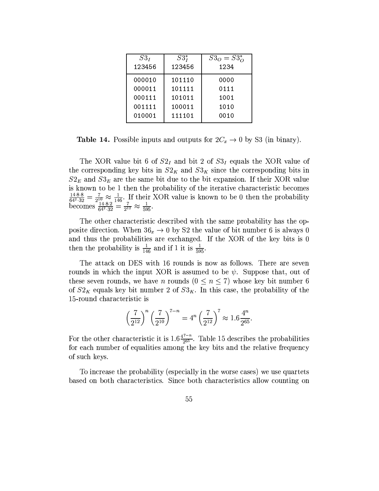| $S3_I$ | $S3^*$ | $S3_O = S3_O^*$ |
|--------|--------|-----------------|
| 123456 | 123456 | 1234            |
| 000010 | 101110 | 0000            |
| 000011 | 101111 | 0111            |
| 000111 | 101011 | 1001            |
| 001111 | 100011 | 1010            |
| 010001 | 111101 | 0010            |
|        |        |                 |

**Table 14.** Possible inputs and outputs for  $2C_x \rightarrow 0$  by S3 (in binary).

The XOR value bit 6 of  $S2_I$  and bit 2 of  $S3_I$  equals the XOR value of the corresponding key bits in  $S2_K$  and  $S3_K$  since the corresponding bits in  $S2_E$  and  $S3_E$  are the same bit due to the bit expansion. If their XOR value is known to be 1 then the probability of the iterative characteristic becomes  $\frac{14 \cdot 8 \cdot 8}{64^2 \cdot 32} = \frac{7}{2^{10}} \approx \frac{1}{146}$ . If their XOR value is known to be 0 then the probability becomes  $\frac{14 \cdot 8 \cdot 2}{64^2 \cdot 32} = \frac{7}{2^{12}} \approx \frac{1}{595}$ .

The other characteristic described with the same probability has the opposite direction. When  $36_x \rightarrow 0$  by S2 the value of bit number 6 is always 0 and thus the probabilities are exchanged. If the XOR of the key bits is 0 then the probability is  $\frac{1}{146}$  and if 1 it is  $\frac{1}{595}$ .

The attack on DES with 16 rounds is now as follows. There are seven rounds in which the input XOR is assumed to be  $\psi$ . Suppose that, out of these seven rounds, we have *n* rounds  $(0 \le n \le 7)$  whose key bit number 6 of  $S2_K$  equals key bit number 2 of  $S3_K$ . In this case, the probability of the 15-round characteristic is

$$
\left(\frac{7}{2^{12}}\right)^n \left(\frac{7}{2^{10}}\right)^{7-n} = 4^n \left(\frac{7}{2^{12}}\right)^7 \approx 1.6 \frac{4^n}{2^{65}}.
$$

For the other characteristic it is  $1.6\frac{4^{7-n}}{2^{65}}$ . Table 15 describes the probabilities for each number of equalities among the key bits and the relative frequency of such keys.

To increase the probability (especially in the worse cases) we use quartets based on both characteristics. Since both characteristics allow counting on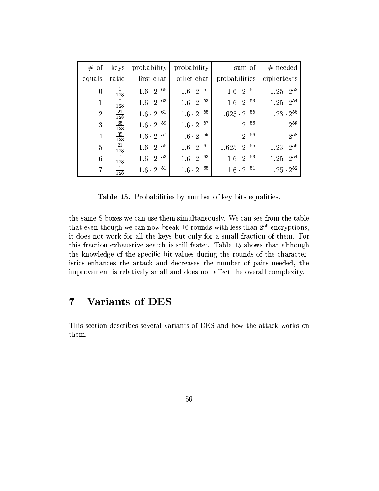| # of           | keys             | probability         | probability         | sum of                | $#$ needed          |
|----------------|------------------|---------------------|---------------------|-----------------------|---------------------|
| equals         | ratio            | first char          | other char          | probabilities         | ciphertexts         |
| $\theta$       | $\frac{1}{128}$  | $1.6 \cdot 2^{-65}$ | $1.6 \cdot 2^{-51}$ | $1.6 \cdot 2^{-51}$   | $1.25 \cdot 2^{52}$ |
| 1              | $\frac{7}{128}$  | $1.6 \cdot 2^{-63}$ | $1.6 \cdot 2^{-53}$ | $1.6 \cdot 2^{-53}$   | $1.25\cdot2^{54}$   |
| $\overline{2}$ | $\frac{21}{128}$ | $1.6 \cdot 2^{-61}$ | $1.6\cdot2^{-55}$   | $1.625 \cdot 2^{-55}$ | $1.23\cdot2^{56}$   |
| 3              | $\frac{35}{128}$ | $1.6 \cdot 2^{-59}$ | $1.6\cdot2^{-57}$   | $2^{-56}$             | $2^{58}$            |
| $\overline{4}$ | $\frac{35}{128}$ | $1.6 \cdot 2^{-57}$ | $1.6 \cdot 2^{-59}$ | $2^{-56}$             | $2^{58}$            |
| 5              | $\frac{21}{128}$ | $1.6\cdot2^{-55}$   | $1.6 \cdot 2^{-61}$ | $1.625 \cdot 2^{-55}$ | $1.23\cdot2^{56}$   |
| 6              | $\frac{7}{128}$  | $1.6 \cdot 2^{-53}$ | $1.6\cdot2^{-63}$   | $1.6 \cdot 2^{-53}$   | $1.25\cdot2^{54}$   |
|                | $\frac{1}{128}$  | $1.6 \cdot 2^{-51}$ | $1.6 \cdot 2^{-65}$ | $1.6 \cdot 2^{-51}$   | $1.25\cdot2^{52}$   |

Table 15. Probabilities by number of key bits equalities.

the same S boxes we can use them simultaneously. We can see from the table that even though we can now break 16 rounds with less than  $2^{56}$  encryptions, it does not work for all the keys but only for a small fraction of them. For this fraction exhaustive search is still faster. Table 15 shows that although the knowledge of the specific bit values during the rounds of the characteristics enhances the attack and decreases the number of pairs needed, the improvement is relatively small and does not affect the overall complexity.

### $\overline{7}$ **Variants of DES**

This section describes several variants of DES and how the attack works on them.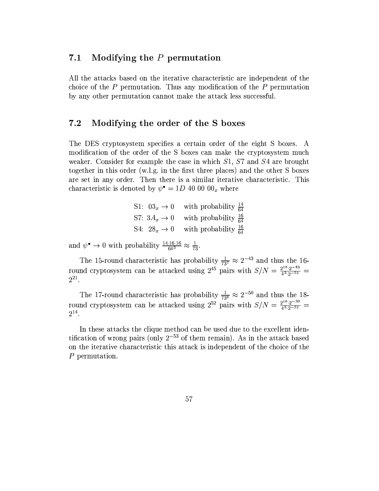### $7.1$ Modifying the  $P$  permutation

All the attacks based on the iterative characteristic are independent of the choice of the  $P$  permutation. Thus any modification of the  $P$  permutation by any other permutation cannot make the attack less successful.

### Modifying the order of the S boxes  $7.2$

The DES cryptosystem specifies a certain order of the eight S boxes. A modification of the order of the S boxes can make the cryptosystem much weaker. Consider for example the case in which  $S1$ ,  $S7$  and  $S4$  are brought together in this order (w.l.g. in the first three places) and the other S boxes are set in any order. Then there is a similar iterative characteristic. This characteristic is denoted by  $\psi^{\bullet} = 1D\ 40\ 00\ 00_x$  where

|  | S1: $03_x \rightarrow 0$ with probability $\frac{14}{64}$ |  |
|--|-----------------------------------------------------------|--|
|  | S7: $3A_x \rightarrow 0$ with probability $\frac{16}{64}$ |  |
|  | S4: $28_x \rightarrow 0$ with probability $\frac{16}{64}$ |  |

and  $\psi^{\bullet} \to 0$  with probability  $\frac{14 \cdot 16 \cdot 16}{64^3} \approx \frac{1}{73}$ 

The 15-round characteristic has probability  $\frac{1}{73^7} \approx 2^{-43}$  and thus the 16round cryptosystem can be attacked using  $2^{45}$  pairs with  $S/N = \frac{2^{18} \cdot 2^{-43}}{4^3 \cdot 2^{-52}}$  $2^{21}.$ 

The 17-round characteristic has probability  $\frac{1}{73^8} \approx 2^{-50}$  and thus the 18round cryptosystem can be attacked using  $2^{52}$  pairs with  $S/N = \frac{2^{18} \cdot 2^{-50}}{4^{3} \cdot 2^{-52}}$  $2^{14}$ .

In these attacks the clique method can be used due to the excellent identification of wrong pairs (only  $2^{-53}$  of them remain). As in the attack based on the iterative characteristic this attack is independent of the choice of the P permutation.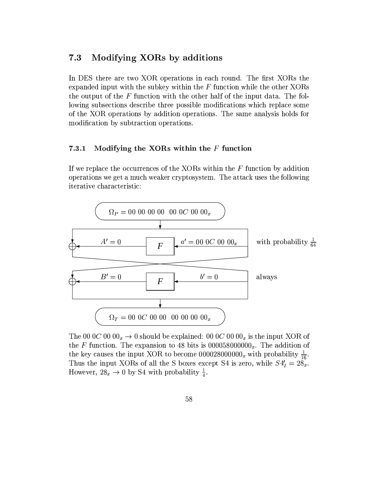# \$ \*(- -- %-\* )\$

NOM YH.= Q4FEIBREb5@BREAQ7T ³aµ>¶ T[\*EIB58Q0KTMFPU01M EI5@X4 BT@SFMF:1LCD4FE BPRQ(³aµ>¶PUQ4<E expanded input with the subkey within the  $F$  function while the other XORs  $\blacksquare$ lowing subsections describe three possible modifications which replace some  $\mathbb{Z}$  to the state of the state of the state of the state of the state of the state of the state of the state of the state of the state of the state of the state of the state of the state of the state of the state of t  $7.7\pm 0.7$  AT m:F0XI58  $7.7\pm 0.7$  and  $7.7\pm 0.7$  and  $7.7\pm 0.7$  and  $7.7\pm 0.7$ 

## . -) 
)(+ 9 )/+\*)( + \*(+-)/.(

If we replace the occurrences of the XORs within the  $F$  function by addition operations we get a much weaker cryptosystem. The attack uses the following iterative characteristic:



CD4<E ! P4<TSF/1: <sup>E</sup> E®?[F/15@01MFE:! !301P+Q4FE 01MF[FS?Q/³aµ>¶ T@V the F function. The expansion to 48 bits is  $000058000000_x$ . The addition of the key causes the input XOR to become  $000028000000_x$  with probability  $\frac{1}{46}$ . Thus the input XORs of all the S boxes except S4 is zero, while  $S4'_I = 28_x$ . T
3E¦EIB}¯!  $\mathbf{r}$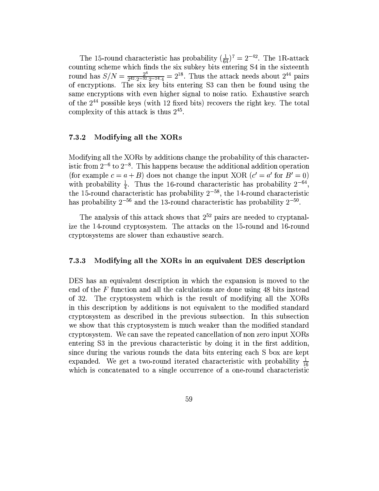The 15-round characteristic has probability  $(\frac{1}{64})^7 = 2^{-42}$ . The 1R-attack counting scheme which finds the six subkey bits entering S4 in the sixteenth round has  $S/N = \frac{2^6}{2^{42} \cdot 2^{-32} \cdot 2^{-24} \cdot 4} = 2^{18}$ . Thus the attack needs about  $2^{44}$  pairs of encryptions. The six key bits entering S3 can then be found using the same encryptions with even higher signal to noise ratio. Exhaustive search of the  $2^{44}$  possible keys (with 12 fixed bits) recovers the right key. The total complexity of this attack is thus  $2^{45}$ .

#### 7.3.2 Modifying all the XORs

Modifying all the XORs by additions change the probability of this characteristic from  $2^{-6}$  to  $2^{-8}$ . This happens because the additional addition operation (for example  $c = a + B$ ) does not change the input XOR ( $c' = a'$  for  $B' = 0$ ) with probability  $\frac{1}{4}$ . Thus the 16-round characteristic has probability  $2^{-64}$ , the 15-round characteristic has probability  $2^{-58}$ , the 14-round characteristic has probability  $2^{-56}$  and the 13-round characteristic has probability  $2^{-50}$ .

The analysis of this attack shows that  $2^{52}$  pairs are needed to cryptanalize the 14-round cryptosystem. The attacks on the 15-round and 16-round cryptosystems are slower than exhaustive search.

#### 7.3.3 Modifying all the XORs in an equivalent DES description

DES has an equivalent description in which the expansion is moved to the end of the F function and all the calculations are done using 48 bits instead of 32. The cryptosystem which is the result of modifying all the XORs in this description by additions is not equivalent to the modified standard cryptosystem as described in the previous subsection. In this subsection we show that this cryptosystem is much weaker than the modified standard cryptosystem. We can save the repeated cancellation of non zero input XORs entering S3 in the previous characteristic by doing it in the first addition, since during the various rounds the data bits entering each S box are kept expanded. We get a two-round iterated characteristic with probability  $\frac{1}{16}$ which is concatenated to a single occurrence of a one-round characteristic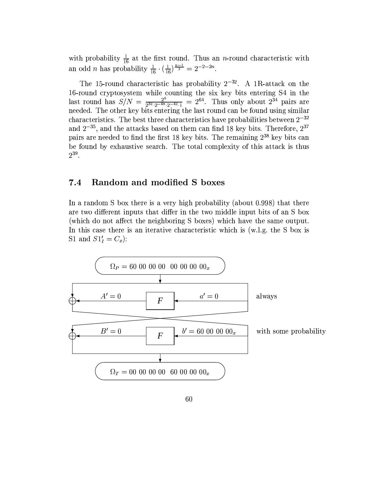with probability  $\frac{1}{16}$  at the first round. Thus an *n*-round characteristic with an odd *n* has probability  $\frac{1}{16} \cdot (\frac{1}{16})^{\frac{n-1}{2}} = 2^{-2-2n}$ .

The 15-round characteristic has probability  $2^{-32}$ . A 1R-attack on the 16-round cryptosystem while counting the six key bits entering S4 in the last round has  $S/N = \frac{2^6}{2^{32} \cdot 2^{-48} \cdot 2^{-42} \cdot 1} = 2^{64}$ . Thus only about  $2^{34}$  pairs are needed. The other key bits entering the last round can be found using similar characteristics. The best three characteristics have probabilities between  $2^{-32}$ and  $2^{-35}$ , and the attacks based on them can find 18 key bits. Therefore,  $2^{37}$ pairs are needed to find the first 18 key bits. The remaining  $2^{38}$  key bits can be found by exhaustive search. The total complexity of this attack is thus  $2^{39}$ .

### $\bf 7.4$ Random and modified S boxes

In a random S box there is a very high probability (about 0.998) that there are two different inputs that differ in the two middle input bits of an S box (which do not affect the neighboring S boxes) which have the same output. In this case there is an iterative characteristic which is (w.l.g. the S box is S1 and  $S1'_{I} = C_{x}$ :

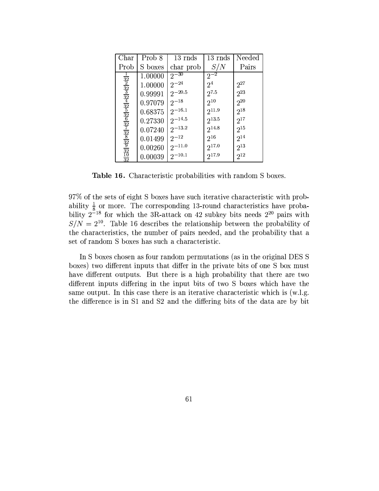| Char                                                                                                                                                                                              | Prob 8  | 13 rnds     | 13 rnds             | Needed   |
|---------------------------------------------------------------------------------------------------------------------------------------------------------------------------------------------------|---------|-------------|---------------------|----------|
| Prob                                                                                                                                                                                              | S boxes | char prob   | S/N                 | Pairs    |
|                                                                                                                                                                                                   | 1.00000 | $2^{-30}$   | $2^{-\overline{2}}$ |          |
|                                                                                                                                                                                                   | 1.00000 | $2^{-24}$   | 2 <sup>4</sup>      | $2^{27}$ |
|                                                                                                                                                                                                   | 0.99991 | $2^{-20.5}$ | $2^{7.5}$           | $2^{23}$ |
|                                                                                                                                                                                                   | 0.97079 | $2^{-18}$   | $2^{10}$            | $2^{20}$ |
|                                                                                                                                                                                                   | 0.68375 | $2^{-16.1}$ | $2^{11.9}$          | $2^{18}$ |
|                                                                                                                                                                                                   | 0.27330 | $2^{-14.5}$ | $2^{13.5}$          | $2^{17}$ |
|                                                                                                                                                                                                   | 0.07240 | $2^{-13.2}$ | $2^{14.8}$          | $2^{15}$ |
|                                                                                                                                                                                                   | 0.01499 | $2^{-12}$   | $2^{16}$            | $2^{14}$ |
|                                                                                                                                                                                                   | 0.00260 | $2^{-11.0}$ | $2^{17.0}$          | $2^{13}$ |
| $\frac{1}{32}$ $\frac{1}{2}$ $\frac{1}{32}$ $\frac{2}{32}$ $\frac{1}{32}$ $\frac{1}{32}$ $\frac{1}{32}$ $\frac{1}{32}$ $\frac{1}{32}$ $\frac{1}{32}$ $\frac{1}{32}$ $\frac{1}{32}$ $\frac{1}{32}$ | 0.00039 | $2^{-10.1}$ | $2^{17.9}$          | $2^{12}$ |

 /3465@B58XQEB0KPRQ0KXH[FBT50K/10KQ01EP?]0KQ4B5@MF:<T7 <sup>=</sup> T®?EIP}

97% of the sets of eight S boxes have such iterative characteristic with prob- $\frac{1}{8}$  or more. The corresponding 13-round characteristics have probability  $\frac{1}{8}$  or more. The corresponding 13-round characteristics have proba- $\overline{\phantom{a}}$  ,  $\overline{\phantom{a}}$  ,  $\overline{\phantom{a}}$  ,  $\overline{\phantom{a}}$  ,  $\overline{\phantom{a}}$  ,  $\overline{\phantom{a}}$  ,  $\overline{\phantom{a}}$  ,  $\overline{\phantom{a}}$  ,  $\overline{\phantom{a}}$  ,  $\overline{\phantom{a}}$  ,  $\overline{\phantom{a}}$  ,  $\overline{\phantom{a}}$  ,  $\overline{\phantom{a}}$  ,  $\overline{\phantom{a}}$  ,  $\overline{\phantom{a}}$  ,  $\overline{\phantom{a}}$ the characteristics, the number of pairs needed, and the probability that a  $\blacksquare$  B5. And  $\blacksquare$  and  $\blacksquare$ 

NOM= T
®?EP3X4FTPREIM5@PVTSFBB5@MF:FT7j[\*EIBR7S<Q58Q0KTMFPa± 5@P 01M'Q4<E^TBR0o0KM65@/6YH.=L= boxes) two different inputs that differ in the private bits of one S box must  $\blacksquare$  . The contract of the contract of the contract of the contract of the contract of the contract of the contract of the contract of the contract of the contract of the contract of the contract of the contract of the different inputs differing in the input bits of two S boxes which have the P5@7AE T@S<Q[FS?Q NOMaQ4<01PDX 58PEUQ4FEBE 01P5@M`0KQEB58Q0G¦@EHX465@B58XQEB0KPRQ0KX>]4F01X4a01P(±\ /¥ 5 Q4FEb:<0 EIBEMFXIEL01P 01M <sup>=</sup> À5@MF: <sup>=</sup> 5@M<: Q4FEL:F0 EIBR01M5 0QP T@V Q4<Eb:658Q55@BRE 0KQ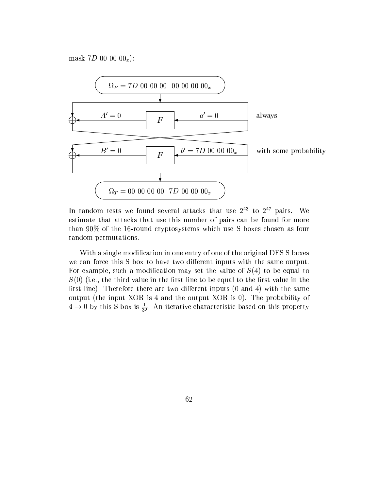mask  $7D\ 00\ 00\ 00_x$ :



In random tests we found several attacks that use  $2^{43}$  to  $2^{47}$  pairs. We estimate that attacks that use this number of pairs can be found for more than 90% of the 16-round cryptosystems which use S boxes chosen as four random permutations.

With a single modification in one entry of one of the original DES S boxes we can force this S box to have two different inputs with the same output. For example, such a modification may set the value of  $S(4)$  to be equal to  $S(0)$  (i.e., the third value in the first line to be equal to the first value in the first line). Therefore there are two different inputs  $(0 \text{ and } 4)$  with the same output (the input XOR is 4 and the output XOR is 0). The probability of  $4 \rightarrow 0$  by this S box is  $\frac{1}{32}$ . An iterative characteristic based on this property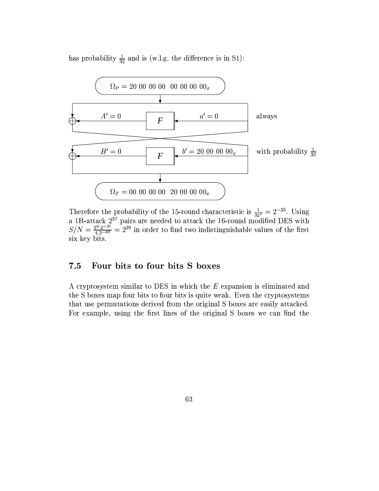has probability  $\frac{1}{32}$  and is (w.l.g. the difference is in S1):



Therefore the probability of the 15-round characteristic is  $\frac{1}{32^7} = 2^{-35}$ . Using a 1R-attack  $2^{37}$  pairs are needed to attack the 16-round modified DES with  $S/N = \frac{2^6 \cdot 2^{-35}}{1 \cdot 2^{-60}} = 2^{29}$  in order to find tw six key bits.

### 7.5 Four bits to four bits S boxes

A cryptosystem similar to DES in which the E expansion is eliminated and the S boxes map four bits to four bits is quite weak. Even the cryptosystems that use permutations derived from the original S boxes are easily attacked. For example, using the first lines of the original S boxes we can find the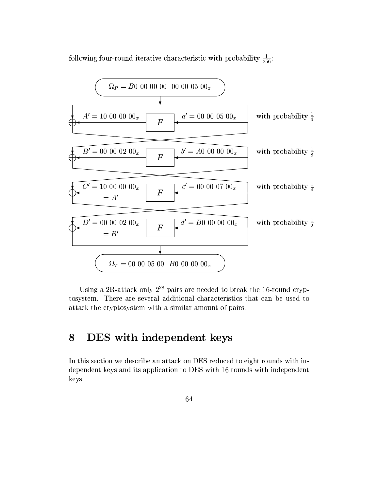

following four-round iterative characteristic with probability  $\frac{1}{256}$ .

Using a 2R-attack only  $2^{28}$  pairs are needed to break the 16-round cryptosystem. There are several additional characteristics that can be used to attack the cryptosystem with a similar amount of pairs.

### DES with independent keys 8

In this section we describe an attack on DES reduced to eight rounds with independent keys and its application to DES with 16 rounds with independent keys.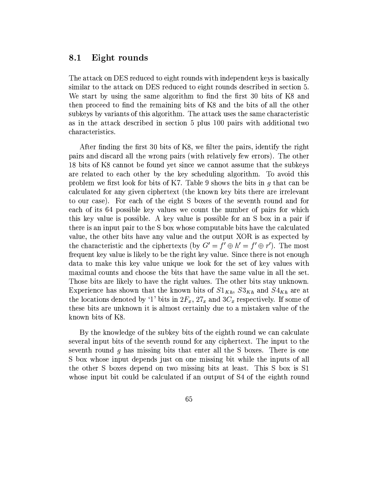### 8.1 Eight rounds

The attack on DES reduced to eight rounds with independent keys is basically similar to the attack on DES reduced to eight rounds described in section 5. We start by using the same algorithm to find the first 30 bits of K8 and then proceed to find the remaining bits of K8 and the bits of all the other subkeys by variants of this algorithm. The attack uses the same characteristic as in the attack described in section 5 plus 100 pairs with additional two characteristics.

After finding the first 30 bits of K8, we filter the pairs, identify the right pairs and discard all the wrong pairs (with relatively few errors). The other 18 bits of K8 cannot be found yet since we cannot assume that the subkeys are related to each other by the key scheduling algorithm. To avoid this problem we first look for bits of K7. Table 9 shows the bits in  $q$  that can be calculated for any given ciphertext (the known key bits there are irrelevant to our case). For each of the eight S boxes of the seventh round and for each of its 64 possible key values we count the number of pairs for which this key value is possible. A key value is possible for an S box in a pair if there is an input pair to the S box whose computable bits have the calculated value, the other bits have any value and the output XOR is as expected by the characteristic and the ciphertexts (by  $G' = f' \oplus h' = f' \oplus r'$ ). The most frequent key value is likely to be the right key value. Since there is not enough data to make this key value unique we look for the set of key values with maximal counts and choose the bits that have the same value in all the set. Those bits are likely to have the right values. The other bits stay unknown. Experience has shown that the known bits of  $S1_{Kh}$ ,  $S3_{Kh}$  and  $S4_{Kh}$  are at the locations denoted by '1' bits in  $2F_x$ ,  $27_x$  and  $3C_x$  respectively. If some of these bits are unknown it is almost certainly due to a mistaken value of the known bits of K8.

By the knowledge of the subkey bits of the eighth round we can calculate several input bits of the seventh round for any ciphertext. The input to the seventh round q has missing bits that enter all the S boxes. There is one S box whose input depends just on one missing bit while the inputs of all the other S boxes depend on two missing bits at least. This S box is S1 whose input bit could be calculated if an output of S4 of the eighth round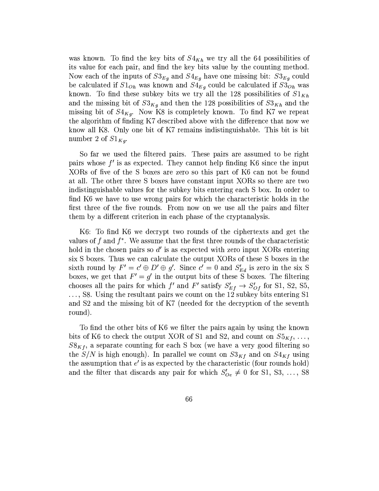35@PX\MFT
]M1aCT MF: Q4FEd@E 0KQP T@V J3EbQBj5@/K/Q4FE [\*TPPR00K/10KQ01EPHT@V 0QPH¦85@/1SFEUVTB^E 5@X4 [F5@01B}¯ 5@M<: MF: Q4FE-8E} 0KQPa¦85@/KSFE `Q4FE!XITS<M\Q01M5L7LE(Q4FTm:1 Now each of the inputs of  $S3_{Eg}$  and  $S4_{Eg}$  have one missing bit:  $S3_{Eg}$  could EXI5@/1XSF/ 5cQEI:0KV <sup>À</sup> Y35@P>\MFT
]M 5@MF: UXTSF/K: <sup>E</sup> <sup>X</sup> 5@/KXISF/158QE:0V : -58P  $\mathbf{M} = \mathbf{M} \cdot \mathbf{M} = \mathbf{M} \cdot \mathbf{M} = \mathbf{M} \cdot \mathbf{M} = \mathbf{M} \cdot \mathbf{M} \cdot \mathbf{M} = \mathbf{M} \cdot \mathbf{M} \cdot \mathbf{M} = \mathbf{M} \cdot \mathbf{M} \cdot \mathbf{M} = \mathbf{M} \cdot \mathbf{M} \cdot \mathbf{M} = \mathbf{M} \cdot \mathbf{M} \cdot \mathbf{M} = \mathbf{M} \cdot \mathbf{M} \cdot \mathbf{M} = \mathbf{M} \cdot \mathbf{M} \cdot \mathbf{M} = \mathbf{M} \$ 58MF: Q4FE7L0KPP0KM5 0KQ^T@V6: 5@MF: Q4FEIM Q4FE <sup>À</sup> [TPRP001/K0KQ0KEIPDT@V6: '58MF:Q4<E missing bit of  $S4_{Kq}$ . Now K8 is completely known. To find K7 we repeat the algorithm of finding K7 described above with the difference that now we know all K8. Only one bit of K7 remains indistinguishable. This bit is bit M\SF7 EB T@V; <sup>À</sup>

 $\sim$  0  $\sim$  30  $\sim$  01  $\sim$  000  $\sim$  000  $\sim$  000  $\sim$  000  $\sim$  000  $\sim$  000  $\sim$  000  $\sim$  000  $\sim$  000  $\sim$  000  $\sim$  000  $\sim$  000  $\sim$  000  $\sim$  000  $\sim$  000  $\sim$  000  $\sim$  000  $\sim$  000  $\sim$  000  $\sim$  000  $\sim$  000  $\sim$  000 [F5@01BRP]4FT@PE ) 01P^5@PZE6®<[\*EIX(QE:1ZCD4FEXI5@MFMFT@Q;4FEI/K[ MF:<01M5 P01M<XIE!Q4FE0KMF[FS<Q XORs of five of the S boxes are zero so this part of K6 can not be found at all. The other three S boxes have constant input XORs so there are two indistinguishable values for the subkey bits entering each S box. In order to MF: <sup>E</sup> 4F5
¦@E QT'SFPE>]BT@M5L[F5@01BRP VTB]4F01X4Q4<EHX465@B58XQEB0KPRQ0KXU4FT/1:<PD01MQ4<E BPRQQ4FBREIET@VDQ4FE ¦EBT@SFMF:FP} !6BT7 MFT TM ESFPE5@/1/
Q4<E[65@0KBP 58MF: /QEIB  $\bullet$  : F166  $\bullet$  : F166  $\bullet$  : F166  $\bullet$  : F166  $\bullet$  : F166  $\bullet$  : F166  $\bullet$  : F166  $\bullet$  : F166  $\bullet$  : F166  $\bullet$  : F166  $\bullet$  : F166  $\bullet$  : F166  $\bullet$  : F166  $\bullet$  : F166  $\bullet$  : F166  $\bullet$  : F166  $\bullet$  : F166  $\bullet$  : F166  $\bullet$ 

K6: To find K6 we decrypt two rounds of the ciphertexts and get the ¦85@/KSFEIP>T@V 5@MF: & >GE 5@PPRSF7AE Q4F58Q Q4FE BPQ,Q4<BEIE BT@SFMF:FP T@V<Q4FE3X4658B5@X(QEIBR01PQ01X 4<T/1:`01MQ4FE X4FTPREIM [F5@01BRPPRT ) 01P5@PE®?[EXQEI:´]0KQ4aJEIBRTb01M<[FS<QH³aµ>¶P^EIMQEB01MQ six S boxes. Thus we can calculate the output XORs of these S boxes in the sixth round by  $F' = c' \oplus D' \oplus a'$  Since  $c' = 0$  and  $S'_{\sigma}$ , is zero in the six S to the first state of the state of the state of the state of the state of the state of the state of the state of the state of the state of the state of the state of the state of the state of the state of the state of the s chooses all the pairs for which f' and F' satisfy  $S'_-$ ,  $\rightarrow$   $S'_+$ , for S1, S2, S5 } }¯F= : ^PR01M5UQ4FEBEPSF/Q 5@MQ [65@0KBPR3EXIT@SFMQ3TMAQ4FE <sup>À</sup> HPS@E 0QPEIMQEIB0KM5= <sup>À</sup> 58MF: <sup>=</sup> L5@MF:aQ4FE7A01PRP0KM5 0KQT@V(½s±MFEIE:FEI: VT@BQ4FE:FEXIB+?[?Q01T@M T@V,Q4FEPRE}¦@EIMQ4 round).

 $\blacksquare$  matrix to the set of the set of the set of the set of the set of the set of the set of the set of the set of the set of the set of the set of the set of the set of the set of the set of the set of the set of the se bits of K6 to check the output YOR of  $S1$  and  $S9$  and count on  $S5...$  $\mathcal{S}_{2,1}$  a separate counting for each  $\mathcal{S}$  hoy (we have a very good filtering so the  $C/N$  is bigh enough). In parallel we sount on  $C2$  and on  $C4$  using  $\mathbf{F} = \mathbf{F} \mathbf{F} \mathbf{F} \mathbf{F} \mathbf{F} \mathbf{F} \mathbf{F} \mathbf{F} \mathbf{F} \mathbf{F} \mathbf{F} \mathbf{F} \mathbf{F} \mathbf{F} \mathbf{F} \mathbf{F} \mathbf{F} \mathbf{F} \mathbf{F} \mathbf{F} \mathbf{F} \mathbf{F} \mathbf{F} \mathbf{F} \mathbf{F} \mathbf{F} \mathbf{F} \mathbf{F} \mathbf{F} \mathbf{F} \mathbf{F} \mathbf{F} \mathbf{F} \mathbf{F} \mathbf{F} \mathbf$ 58MF:Q4FE /KQEB Q4658Q!:F01PRX 5@BR:FP!5@M[F5@01BHVTB>]4F0KX4 ) # VTB!= <sup>À</sup> ¯
= Q¯< } ¯=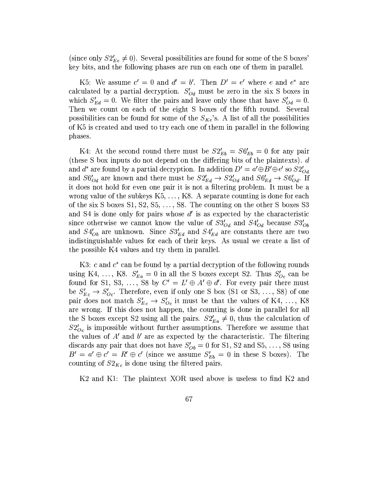(since only  $S2_{Fe}^{\prime} \neq 0$ ). Several possibilities are found for some of the S boxes' key bits, and the following phases are run on each one of them in parallel.

K5: We assume  $c' = 0$  and  $d' = b'$ . Then  $D' = e'$  where e and  $e^*$  are calculated by a partial decryption.  $S'_{Od}$  must be zero in the six S boxes in which  $S'_{Ed} = 0$ . We filter the pairs and leave only those that have  $S'_{Od} = 0$ . Then we count on each of the eight S boxes of the fifth round. Several possibilities can be found for some of the  $S_{K_e}$ 's. A list of all the possibilities of K5 is created and used to try each one of them in parallel in the following phases.

K4: At the second round there must be  $S2'_{Eb} = S6'_{Eb} = 0$  for any pair (these S box inputs do not depend on the differing bits of the plaintexts).  $d$ and  $d^*$  are found by a partial decryption. In addition  $D' = a' \oplus B' \oplus e'$  so  $S2'_{0d}$ and  $S6'_{Od}$  are known and there must be  $S2'_{Ed} \rightarrow S2'_{Od}$  and  $S6'_{Ed} \rightarrow S6'_{Od}$ . If it does not hold for even one pair it is not a filtering problem. It must be a wrong value of the subkeys  $K5, \ldots, K8$ . A separate counting is done for each of the six S boxes  $S_1$ ,  $S_2$ ,  $S_5$ ,  $\ldots$ , S8. The counting on the other S boxes S3 and S4 is done only for pairs whose  $d'$  is as expected by the characteristic since otherwise we cannot know the value of  $S3'_{Od}$  and  $S4'_{Od}$  because  $S3'_{Ob}$ and  $S4'_{Ob}$  are unknown. Since  $S3'_{Ed}$  and  $S4'_{Ed}$  are constants there are two indistinguishable values for each of their keys. As usual we create a list of the possible K4 values and try them in parallel.

K3: c and  $c^*$  can be found by a partial decryption of the following rounds using K4, ..., K8.  $S'_{Ea} = 0$  in all the S boxes except S2. Thus  $S'_{Oc}$  can be found for S1, S3, ..., S8 by  $C' = L' \oplus A' \oplus d'$ . For every pair there must be  $S'_{Ec} \rightarrow S'_{Oc}$ . Therefore, even if only one S box (S1 or S3, ..., S8) of one pair does not match  $S'_{Ec} \rightarrow S'_{Oc}$  it must be that the values of K4, ..., K8 are wrong. If this does not happen, the counting is done in parallel for all the S boxes except S2 using all the pairs.  $S2'_{Ea} \neq 0$ , thus the calculation of  $S2'_{Oc}$  is impossible without further assumptions. Therefore we assume that the values of  $A'$  and  $b'$  are as expected by the characteristic. The filtering discards any pair that does not have  $S'_{Ob} = 0$  for S1, S2 and S5, ..., S8 using  $B' = a' \oplus c' = R' \oplus c'$  (since we assume  $S'_{Eb} = 0$  in these S boxes). The counting of  $S2_{Kc}$  is done using the filtered pairs.

K2 and K1: The plaintext XOR used above is useless to find K2 and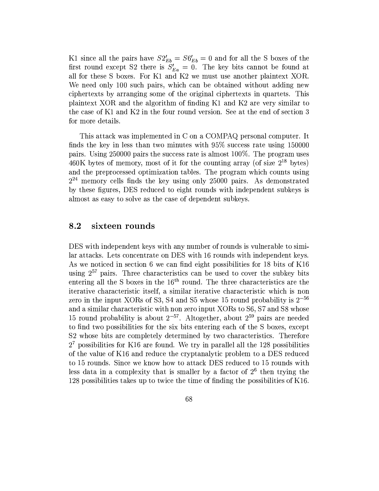K1 since all the pairs have  $S2_{Eb}' = S6_{Eb}' = 0$  and for all the S boxes of the first round except S2 there is  $S'_{E_a} = 0$ . The key bits cannot be found at all for these S boxes. For K1 and K2 we must use another plaintext XOR. We need only 100 such pairs, which can be obtained without adding new ciphertexts by arranging some of the original ciphertexts in quartets. This plaintext XOR and the algorithm of finding K1 and K2 are very similar to the case of K1 and K2 in the four round version. See at the end of section 3 for more details.

This attack was implemented in C on a COMPAQ personal computer. It finds the key in less than two minutes with  $95\%$  success rate using 150000 pairs. Using 250000 pairs the success rate is almost 100%. The program uses 460K bytes of memory, most of it for the counting array (of size  $2^{18}$  bytes) and the preprocessed optimization tables. The program which counts using  $2^{24}$  memory cells finds the key using only 25000 pairs. As demonstrated by these figures, DES reduced to eight rounds with independent subkeys is almost as easy to solve as the case of dependent subkeys.

### 8.2 sixteen rounds

DES with independent keys with any number of rounds is vulnerable to similar attacks. Lets concentrate on DES with 16 rounds with independent keys. As we noticed in section 6 we can find eight possibilities for 18 bits of K16 using  $2^{57}$  pairs. Three characteristics can be used to cover the subkey bits entering all the S boxes in the 16<sup>th</sup> round. The three characteristics are the iterative characteristic itself, a similar iterative characteristic which is non zero in the input XORs of S3, S4 and S5 whose 15 round probability is  $2^{-56}$ and a similar characteristic with non zero input XORs to S6, S7 and S8 whose 15 round probability is about  $2^{-57}$ . Altogether, about  $2^{59}$  pairs are needed to find two possibilities for the six bits entering each of the S boxes, except S2 whose bits are completely determined by two characteristics. Therefore  $2<sup>7</sup>$  possibilities for K16 are found. We try in parallel all the 128 possibilities of the value of K16 and reduce the cryptanalytic problem to a DES reduced to 15 rounds. Since we know how to attack DES reduced to 15 rounds with less data in a complexity that is smaller by a factor of  $2<sup>6</sup>$  then trying the 128 possibilities takes up to twice the time of finding the possibilities of K16.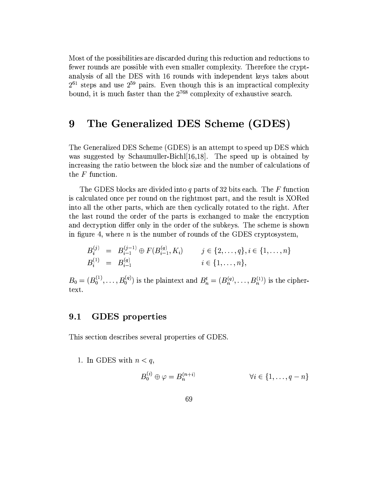Most of the possibilities are discarded during this reduction and reductions to fewer rounds are possible with even smaller complexity. Therefore the cryptanalysis of all the DES with 16 rounds with independent keys takes about  $2^{61}$  steps and use  $2^{59}$  pairs. Even though this is an impractical complexity bound, it is much faster than the  $2^{768}$  complexity of exhaustive search.

### The Generalized DES Scheme (GDES) 9

The Generalized DES Scheme (GDES) is an attempt to speed up DES which was suggested by Schaumuller-Bichl[16,18]. The speed up is obtained by increasing the ratio between the block size and the number of calculations of the  $F$  function.

The GDES blocks are divided into q parts of 32 bits each. The F function is calculated once per round on the rightmost part, and the result is XORed into all the other parts, which are then cyclically rotated to the right. After the last round the order of the parts is exchanged to make the encryption and decryption differ only in the order of the subkeys. The scheme is shown in figure 4, where  $n$  is the number of rounds of the GDES cryptosystem,

$$
B_i^{(j)} = B_{i-1}^{(j-1)} \oplus F(B_{i-1}^{(q)}, K_i) \qquad j \in \{2, \ldots, q\}, i \in \{1, \ldots, n\}
$$
  

$$
B_i^{(1)} = B_{i-1}^{(q)} \qquad i \in \{1, \ldots, n\},
$$

 $B_0 = (B_0^{(1)}, \ldots, B_0^{(q)})$  is the plaintext and  $B_n^t = (B_n^{(q)}, \ldots, B_n^{(1)})$  is the ciphertext.

### 9.1 **GDES** properties

This section describes several properties of GDES.

1. In GDES with 
$$
n < q
$$
.

$$
B_0^{(i)} \oplus \varphi = B_n^{(n+i)} \qquad \qquad \forall i \in \{1, \ldots, q-n\}
$$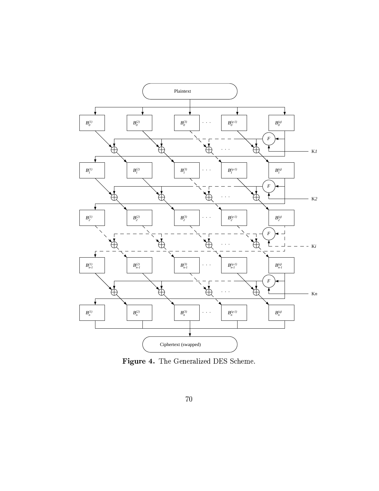

)-; CD4FE UEMFEIB5@/10KJIE:aYH.==?X4FE7LED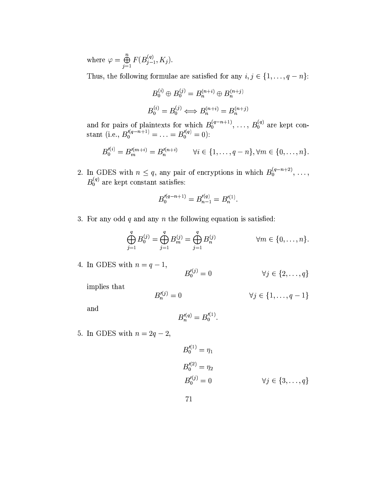where  $\varphi = \bigoplus F(B_{i-1}^{(q)}, K_i)$ .  $F(B_{i-1}^{(q)}, K_i)$ .

Thus, the following formulae are satisfied for any  $i, j \in \{1, \ldots, q - n\}$ :

$$
B_0^{(i)} \oplus B_0^{(j)} = B_n^{(n+i)} \oplus B_n^{(n+j)}
$$
  

$$
B_0^{(i)} = B_0^{(j)} \Longleftrightarrow B_n^{(n+i)} = B_n^{(n+j)}
$$

and for pairs of plaintants for which  $D(q-n+1)$   $D(q)$  are least son  $P^{(q-n+1)} = P^{(q)} - P^{(q)} - 0$ 

$$
B_0^{\prime(i)} = B_m^{\prime(m+i)} = B_n^{\prime(n+i)} \qquad \forall i \in \{1, \ldots, q-n\}, \forall m \in \{0, \ldots, n\}.
$$

In CDFS with  $n \leq a$  env pair of energy tions in which  $D(q-n+2)$  $\mathcal{D}^{(q)}$  are least constant satisfies.

$$
B_0^{\prime (q-n+1)} = B_{n-1}^{\prime (q)} = B_n^{\prime (1)}.
$$

3. For any odd q and any n the following equation is satisfied:

$$
\bigoplus_{j=1}^{q} B_0^{(j)} = \bigoplus_{j=1}^{q} B_m^{(j)} = \bigoplus_{j=1}^{q} B_n^{(j)} \qquad \forall m \in \{0, \dots, n\}.
$$

4. In GDES with 
$$
n = q - 1
$$
,  $\qquad \qquad \qquad -\frac{f(i)}{r}$ 

$$
B_0^{\prime(j)} = 0 \qquad \qquad \forall j \in \{2, \ldots, q\}
$$

017A[F/10KEIP Q4658Q

$$
B_n^{(j)} = 0 \qquad \qquad \forall j \in \{1, \ldots, q-1\}
$$

and

$$
B_n^{\prime(q)} = B_0^{\prime(1)}.
$$

- 5. In GDES with  $n=2q-2$ ,
- $D^{(1)} = n$  $D^{(2)}$   $\infty$  $B_0^{\prime (j)} = 0$  $\forall j \in \{3, \ldots, q\}$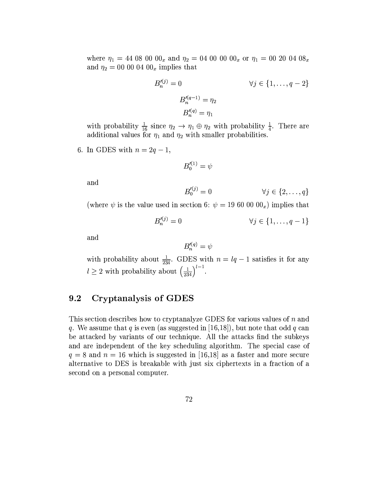. Here is a set of the set of the set of the set of the set of the set of the set of the set of the set of the 5@MF: 50# ! 0K7L[F/K01EP3Q465cQ

$$
B_n'^{(j)} = 0 \qquad \qquad \forall j \in \{1, ..., q - 2\}
$$
  

$$
B_n'^{(q-1)} = \eta_2
$$
  

$$
B_n'^{(q)} = \eta_1
$$

with probability  $\frac{1}{16}$  since  $\eta_2 \to \eta_1 \oplus \eta_2$  with probability  $\frac{1}{4}$ . There 'Contract the contract of the contract of the contract of the contract of the contract of the contract of the contract of the contract of the contract of the contract of the contract of the contract of the contract of the additional values for  $\eta_1$  and  $\eta_2$  with smaller probabilities.

6. In GDES with  $n=2q-1$ ,

$$
B_0^{\prime(1)}=\psi
$$

and

$$
B_0^{\prime(j)} = 0 \qquad \qquad \forall j \in \{2, \ldots, q\}
$$

±]4FEBE 01PQ4FEa¦@58/1SFESFPE:01MPREIX(Q01T@M # À !n·0K7L[</101EP
Q4658Q

$$
B_n^{(j)} = 0 \qquad \qquad \forall j \in \{1, \ldots, q-1\}
$$

and

$$
B'^{(q)}_n = \psi
$$

with probability about  $\frac{1}{204}$ . GDH UYH.=]0KQ4´9# <sup>À</sup> P5cQ01PEIP;0KQVTBZ5@M  $l > 2$  with probability about  $\left(\frac{1}{2l}\right)^{l-1}$ .  $l-1$ 

## $9.2$  Cryptanalysis of GDES

This section describes how to cryptanalyze GDES for various values of  $n$  and \* GED5@PRPSF7AE3Q4658Q ^01P E}¦EM <sup>±</sup> 5@PWPRS5:EPRQEI:'01Md¼ À ¯ À¿«·6¯ S<Q
M<T@QE Q4658QWT?:F: ^XI5@M be attacked by variants of our technique. All the attacks find the subkeys 58MF: 5@BE0KMF:FE[EMF:FEIMQAT@V]Q4<EC@E} PX4FE:FSF/10KM5 5@/o@TB0Q4F7 CD4FEP[\*EIX0 5@/3X 5@PRET@V # 5@MF:># À ]4F0KX4 01PZPRS5:EPRQEI: 01M <sup>¼</sup> À ¯ À¿
5@PH5bVh58PRQEBH5@MF: 7ATBREPEXISFBRE alternative to DES is breakable with just six ciphertexts in a fraction of a PREIXTMF:T@Ma5'[\*EIBPRTM65@/ XT7A[FS<QEB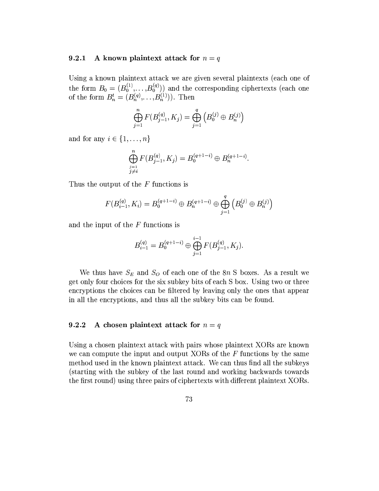#### 9.2.1 A known plaintext attack for  $n = q$

Using a known plaintext attack we are given several plaintexts (each one of the form  $B_0 = (B_0^{(1)}, \ldots, B_0^{(q)})$  and the corresponding ciphertexts (each one of the form  $B_n^t = (B_n^{(q)}, \ldots, B_n^{(1)})$ ). Then

$$
\bigoplus_{j=1}^{n} F(B_{j-1}^{(q)}, K_j) = \bigoplus_{j=1}^{q} \left( B_0^{(j)} \oplus B_n^{(j)} \right)
$$

and for any  $i \in \{1, \ldots, n\}$ 

$$
\bigoplus_{\substack{j=1\\j\neq i}}^{n} F(B_{j-1}^{(q)}, K_j) = B_0^{(q+1-i)} \oplus B_n^{(q+1-i)}.
$$

Thus the output of the  $F$  functions is

$$
F(B_{i-1}^{(q)}, K_i) = B_0^{(q+1-i)} \oplus B_n^{(q+1-i)} \oplus \bigoplus_{j=1}^q \left( B_0^{(j)} \oplus B_n^{(j)} \right)
$$

and the input of the  $F$  functions is

$$
B_{i-1}^{(q)} = B_0^{(q+1-i)} \oplus \bigoplus_{j=1}^{i-1} F(B_{j-1}^{(q)}, K_j).
$$

We thus have  $S_E$  and  $S_O$  of each one of the 8n S boxes. As a result we get only four choices for the six subkey bits of each S box. Using two or three encryptions the choices can be filtered by leaving only the ones that appear in all the encryptions, and thus all the subkey bits can be found.

#### 9.2.2 A chosen plaintext attack for  $n = q$

Using a chosen plaintext attack with pairs whose plaintext XORs are known we can compute the input and output XORs of the  $F$  functions by the same method used in the known plaintext attack. We can thus find all the subkeys (starting with the subkey of the last round and working backwards towards) the first round) using three pairs of ciphertexts with different plaintext XORs.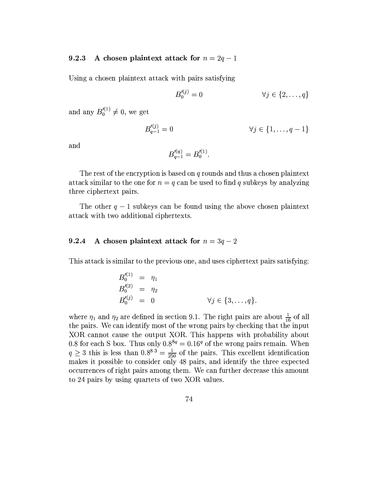### .( 5)(0+ 2+ ++< .; # <sup>À</sup>

P0KM5A5'X4<TPEM [F/ 5801MQE6®?QD58QQ5@Xd]0KQ4`[F5@01BRPDP58Q01PRV«m0KM5

$$
B_0^{\prime(j)} = 0 \qquad \qquad \forall j \in \{2, \ldots, q\}
$$

and any  $D^{(1)}$  (0  $\mu$  cm set

$$
B_{q-1}^{\prime(j)} = 0 \qquad \qquad \forall j \in \{1, \ldots, q-1\}
$$

and

$$
B'^{(q)}_{q-1}=B'^{(1)}_{0}.
$$

CD4FEBREIPRQ>T@VmQ4<E EMFXIB+m[<Q0KTMU01P 5@PREI: TM BT@SFMF:FP>5@MF:HQ4mS<P,5DX4FTPREIM [F/ 5801MQE6®?Q  $5.5c$  5. A  $\sim$  5. A  $\sim$  5. A  $\sim$  5. A  $\sim$  5. A  $\sim$  5. A  $\sim$  3. Joinnalism in the set of the set of the set of the set of the set of the set of the set of the set of the set of the set of the set of the set of the s  $\mathbf{F}_{\mathbf{F}}$  and  $\mathbf{F}_{\mathbf{F}}$  and  $\mathbf{F}_{\mathbf{F}}$  and  $\mathbf{F}_{\mathbf{F}}$  and  $\mathbf{F}_{\mathbf{F}}$ 

; in the set of the set of the set of the set of the set of the set of the set of the set of the set of the set of the set of the set of the set of the set of the set of the set of the set of the set of the set of the set 5cQQ 58Xi]0KQ4Q7TL5@:F:F0Q01T@M65@/ X01[F4<EIBRQE®mQP}

### .( 5)(0+ 2+ ++< .; #

This attack is similar to the previous one, and uses ciphertext pairs satisfying:

$$
B_0^{\prime(1)} = \eta_1 \n B_0^{\prime(2)} = \eta_2 \n B_0^{\prime(j)} = 0 \qquad \forall j \in \{3, ..., q\}.
$$

where  $\eta_1$  and  $\eta_2$  are defined in section 9.1. The right pairs are about  $\frac{1}{16}$  of all Q4FE [65801BP}>GE XI5@M01:FEMQ0KV« 7ATPRQ,T@V6Q4<Ek]BTMQH[65@01BRP !X4FEIX\01MQUQ4658Q Q4FE 0KMF[FS<Q ³aµ>¶jX 58MFMFT@QX 5@SFPREbQ4<ELTS?Q[FS<QY³aµ>¶(>CD4F01P 465@[<[EMFP-]0KQ4 [FBRT501/10Q7 5 TS<Q  $\overline{0}$  and  $\overline{3}$   $\overline{3}$  and  $\overline{3}$  and  $\overline{3}$  and  $\overline{3}$  and  $\overline{3}$  and  $\overline{3}$  $q \geq 3$  this is less than  $0.8^{8.3} = \frac{1}{250}$  of the pairs. This excellent identification  $7.5$  B  $7.5$   $8.8$   $8.8$   $8.8$   $8.9$   $8.8$   $8.8$   $8.9$   $8.9$   $8.9$   $8.9$   $8.9$   $8.9$   $8.9$   $8.9$   $8.9$   $8.9$   $8.9$   $8.9$   $8.9$   $8.9$   $8.9$   $8.9$   $8.9$   $8.9$   $8.9$   $8.9$   $8.9$   $8.9$   $8.9$   $8.9$   $8.9$   $8.9$   $8.9$   $8.9$   $8.$ The  $\mathbf{A}$  state  $\mathbf{A}$  is the set of  $\mathbf{A}$  is the set of  $\mathbf{A}$  is the set of  $\mathbf{A}$ QT [65@01BRP SFP0KM5<mSF5@BRQEQPT@V>Q73T-³aµ>¶ ¦85@/1SFEP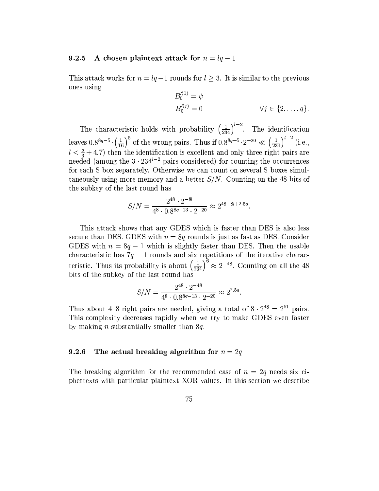#### 9.2.5 A chosen plaintext attack for  $n = lq - 1$

This attack works for  $n = lq-1$  rounds for  $l \geq 3$ . It is similar to the previous ones using

$$
B_0^{\prime(1)} = \psi B_0^{\prime(j)} = 0 \qquad \forall j \in \{2, ..., q\}.
$$

The characteristic holds with probability  $\left(\frac{1}{234}\right)^{l-2}$ . The identification leaves  $0.8^{8q-5} \cdot \left(\frac{1}{16}\right)^5$  of the wrong pairs. Thus if  $0.8^{8q-5} \cdot 2^{-20} \ll \left(\frac{1}{234}\right)^{l-2}$  (i.e.,  $l < \frac{q}{3} + 4.7$ ) then the identification is excellent and only three right pairs are needed (among the  $3 \cdot 234$ for each S box separately. Otherwise we can count on several S boxes simultaneously using more memory and a better  $S/N$ . Counting on the 48 bits of the subkey of the last round has

$$
S/N = \frac{2^{48} \cdot 2^{-8l}}{4^8 \cdot 0.8^{8q-13} \cdot 2^{-20}} \approx 2^{48 - 8l + 2.5q}.
$$

This attack shows that any GDES which is faster than DES is also less secure than DES. GDES with  $n = 8q$  rounds is just as fast as DES. Consider GDES with  $n = 8q - 1$  which is slightly faster than DES. Then the usable characteristic has  $7q - 1$  rounds and six repetitions of the iterative characteristic. Thus its probability is about  $\left(\frac{1}{234}\right)^6 \approx 2^{-48}$ . Counting on all the 48 bits of the subkey of the last round has

$$
S/N = \frac{2^{48} \cdot 2^{-48}}{4^8 \cdot 0.8^{8q-13} \cdot 2^{-20}} \approx 2^{2.5q}.
$$

Thus about 4-8 right pairs are needed, giving a total of  $8 \cdot 2^{48} = 2^{51}$  pairs. This complexity decreases rapidly when we try to make GDES even faster by making *n* substantially smaller than  $8q$ .

#### 9.2.6 The actual breaking algorithm for  $n=2q$

The breaking algorithm for the recommended case of  $n = 2q$  needs six ciphertexts with particular plaintext XOR values. In this section we describe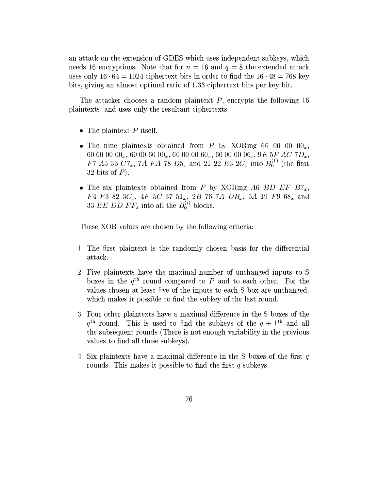an attack on the extension of GDES which uses independent subkeys, which needs 16 encryptions. Note that for  $n = 16$  and  $q = 8$  the extended attack uses only  $16 \cdot 64 = 1024$  ciphertext bits in order to find the  $16 \cdot 48 = 768$  key bits, giving an almost optimal ratio of 1.33 ciphertext bits per key bit.

The attacker chooses a random plaintext  $P$ , encrypts the following 16 plaintexts, and uses only the resultant ciphertexts.

- The plaintext  $P$  itself.
- The nine plaintexts obtained from P by XORing 66 00 00  $00_x$ , 60 60 00  $00_x$ , 60 00 60  $00_x$ , 60 00 00  $60_x$ , 60 00 00  $06_x$ , 9E 5F AC 7D<sub>x</sub>, F7 A5 35  $C7_x$ , 7A FA 78  $D5_x$  and 21 22 E3  $2C_x$  into  $B_0^{(1)}$  (the first 32 bits of  $P$ ).
- The six plaintexts obtained from P by XORing A6 BD EF  $B7_x$ ,  $F4$   $F3$   $82$   $3C_x$ ,  $4F$   $5C$   $37$   $51_x$ ,  $2B$   $76$   $7A$   $DB_x$ ,  $5A$  19  $F9$   $68_x$  and 33  $EE$   $DD$   $FF_x$  into all the  $B_0^{(i)}$  blocks.

These XOR values are chosen by the following criteria:

- 1. The first plaintext is the randomly chosen basis for the differential attack.
- 2. Five plaintexts have the maximal number of unchanged inputs to S boxes in the  $q^{\text{th}}$  round compared to P and to each other. For the values chosen at least five of the inputs to each S box are unchanged, which makes it possible to find the subkey of the last round.
- 3. Four other plaintexts have a maximal difference in the S boxes of the  $q^{\text{th}}$  round. This is used to find the subkeys of the  $q+1^{\text{th}}$  and all the subsequent rounds (There is not enough variability in the previous values to find all those subkeys).
- 4. Six plaintexts have a maximal difference in the S boxes of the first  $q$ rounds. This makes it possible to find the first  $q$  subkeys.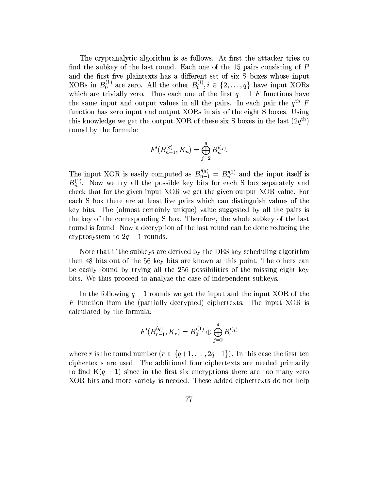CD4FELXIB+?[?Q 5@M658/G\Q0KXb5@/GTBR0KQ4<7 01P 5@PUVT/K/1T
]P 9Q BRPRQQ4FEL58QQ5@X@EB!QBR01EP QT MF: Q4FE PRS8E} T@V
Q4FE/ 5@PQZBRTSFMF:1!.5@X4 TMFE T8V Q4FE À [F5@01BRP;XIT@MFP0KPRQ0KM5T@V %  $5$  and  $\alpha$  is the set of the distribution of  $\alpha$  is a set of the  $\alpha$  is a total form  $\alpha$ XORs in  $B_0^{(1)}$  are zero. All the other  $B_0^{(i)}$ ,  $i \in \{2, ..., q\}$  have input XORs  $\sim$  . The set of the set of the set of the set of the set of the set of the set of the set of the set of the set of the set of the set of the set of the set of the set of the set of the set of the set of the set of the s  $\Omega$  is a point of the set of  $\Omega$  and  $\Omega$  and  $\Omega$  . The set of  $\Omega$ this knowledge we get the output XOR of these six S boxes in the last  $(2q^{th})$ BRTSFMF: Q4<EUVT@B7SF/15

$$
F'(B_{n-1}^{(q)}, K_n) = \bigoplus_{j=2}^{q} B_n'^{(j)}.
$$

The input XOR is easily computed as  $B''^{(q)}_{n-1} = B''^{(1)}_{n-1}$  and the input itself is  $R^{(1)}$  Now we try all the nossible key bits for each S boy senarately and check that for the given input XOR we get the given output XOR value. For EI5@X4 <sup>=</sup> T
® Q4FEIBREb58BEA58Q /1EI5@PRQ ¦@EL[65801BP>]4F0KX4XI5@M :<01PRQ01M5@SF01PR4p¦85@/KSFEIPUT@V Q4<E 8E} 0QP bCD4FE´±h5@/17ATPQUXIEIBQ 5@0KMF/G SFMF0<\SFE·>¦85@/KSFEAPS5:@EIPRQEI: 5@/K/WQ4FEA[65@0KBPU01P the key of the corresponding S box. Therefore, the whole subkey of the last round is found. Now a decryption of the last round can be done reducing the  $\mathbb{R}^n$  and  $\mathbb{R}^n$  are the set of  $\mathbb{R}^n$  and  $\mathbb{R}^n$  are the set of  $\mathbb{R}^n$  and  $\mathbb{R}^n$  are the set of  $\mathbb{R}^n$ 

T@QE Q4658Q
0V\*Q4FEDPS@E?P 5@BRED:FEIBR0G¦E: Q4FE]YH.=-@EPX4<EI:FSF/K01M5 5@/GTBR0KQ4<7  $\mathcal{M} = \mathcal{M}$  and  $\mathcal{M} = \mathcal{M}$  and  $\mathcal{M} = \mathcal{M}$  . The observed of  $\mathcal{M}$  EE 58P01/3VT@SFMF: QB+m01M5 5@/K/ Q4FE [\*TPPR00K/10Q01EP!T8VQ4FE7A01PPR01M5EI0o@4\QX@E} bits. We thus proceed to analyze the case of independent subkeys.

NOMQ4<E;VT/1/KT
]01M5 <sup>À</sup> BRTSFMF:<Pk3E>@EQ Q4FEH01MF[<S<QD5@M<:Q4FEZ0KMF[FS<Qk³aµ\¶ T@V Q4<E F function from the (partially decrypted) ciphertexts. The input XOR is XI5@/1XSF/ 5cQEI: Q4FEHVTB7S</ <sup>5</sup>

$$
F'(B_{r-1}^{(q)},K_r) = B_0'^{(1)} \oplus \bigoplus_{j=2}^q B_r'^{(j)}
$$

where r is the round number  $(r \in \{q+1,\ldots, 2q-1\})$ . In this case the first ten ciphertexts are used. The additional four ciphertexts are needed primarily QT MF: u± <sup>À</sup> · P0KMFXIEL01M Q4FE BPRQP0@® EMFXIB+m[<Q0KTMFPQ4FEIBRE5@BEAQTmT7L5@M JIEIBRT XOR bits and more variety is needed. These added ciphertexts do not help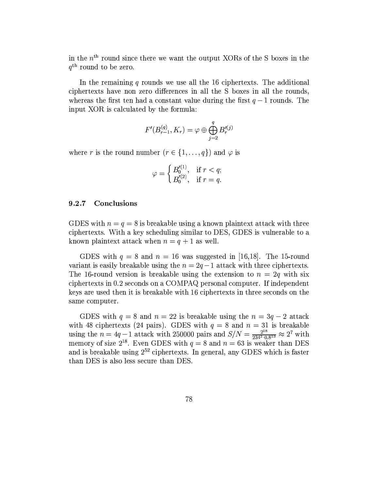in the  $n^{\text{th}}$  round since there we want the output XORs of the S boxes in the  $q^{\text{th}}$  round to be zero.

In the remaining  $q$  rounds we use all the 16 ciphertexts. The additional ciphertexts have non zero differences in all the S boxes in all the rounds, whereas the first ten had a constant value during the first  $q-1$  rounds. The input XOR is calculated by the formula:

$$
F'(B_{r-1}^{(q)}, K_r) = \varphi \oplus \bigoplus_{j=2}^q B_r'^{(j)}
$$

where r is the round number  $(r \in \{1, ..., q\})$  and  $\varphi$  is

$$
\varphi = \begin{cases} B_0^{\prime(1)}, & \text{if } r < q; \\ B_0^{\prime(2)}, & \text{if } r = q. \end{cases}
$$

#### 9.2.7 Conclusions

GDES with  $n = q = 8$  is breakable using a known plaintext attack with three ciphertexts. With a key scheduling similar to DES, GDES is vulnerable to a known plaintext attack when  $n = q + 1$  as well.

GDES with  $q = 8$  and  $n = 16$  was suggested in [16,18]. The 15-round variant is easily breakable using the  $n = 2q - 1$  attack with three ciphertexts. The 16-round version is breakable using the extension to  $n = 2q$  with six ciphertexts in 0.2 seconds on a COMPAQ personal computer. If independent keys are used then it is breakable with 16 ciphertexts in three seconds on the same computer.

GDES with  $q = 8$  and  $n = 22$  is breakable using the  $n = 3q - 2$  attack with 48 ciphertexts (24 pairs). GDES with  $q = 8$  and  $n = 31$  is breakable<br>using the  $n = 4q - 1$  attack with 250000 pairs and  $S/N = \frac{2^{18}}{234^2 \cdot 0.8^{13}} \approx 2^7$  with<br>memory of size 2<sup>18</sup>. Even GDES with  $q = 8$  and  $n = 63$  and is breakable using  $2^{52}$  ciphertexts. In general, any GDES which is faster than DES is also less secure than DES.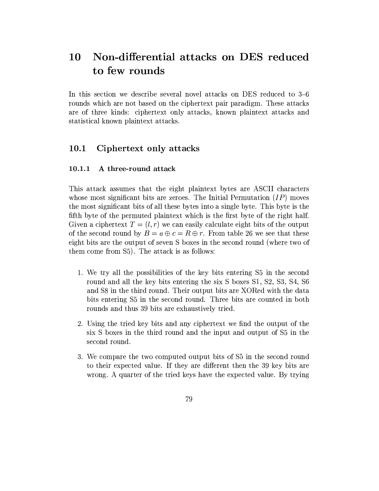## Non-differential attacks on DES reduced **10** to few rounds

In this section we describe several novel attacks on DES reduced to 3–6 rounds which are not based on the ciphertext pair paradigm. These attacks are of three kinds: ciphertext only attacks, known plaintext attacks and statistical known plaintext attacks.

#### 10.1 Ciphertext only attacks

#### 10.1.1 A three-round attack

This attack assumes that the eight plaintext bytes are ASCII characters whose most significant bits are zeroes. The Initial Permutation  $(IP)$  moves the most significant bits of all these bytes into a single byte. This byte is the fifth byte of the permuted plaintext which is the first byte of the right half. Given a ciphertext  $T = (l, r)$  we can easily calculate eight bits of the output of the second round by  $B = a \oplus c = R \oplus r$ . From table 26 we see that these eight bits are the output of seven S boxes in the second round (where two of them come from S5). The attack is as follows:

- 1. We try all the possibilities of the key bits entering S5 in the second round and all the key bits entering the six S boxes S1, S2, S3, S4, S6 and S8 in the third round. Their output bits are XORed with the data bits entering S5 in the second round. Three bits are counted in both rounds and thus 39 bits are exhaustively tried.
- 2. Using the tried key bits and any ciphertext we find the output of the six S boxes in the third round and the input and output of S5 in the second round.
- 3. We compare the two computed output bits of S5 in the second round to their expected value. If they are different then the 39 key bits are wrong. A quarter of the tried keys have the expected value. By trying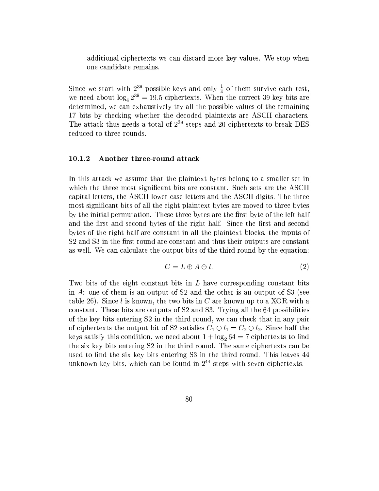additional ciphertexts we can discard more key values. We stop when one candidate remains.

Since we start with  $2^{39}$  possible keys and only  $\frac{1}{4}$  of them survive each test, we need about  $\log_4 2^{39} = 19.5$  ciphertexts. When the correct 39 key bits are determined, we can exhaustively try all the possible values of the remaining 17 bits by checking whether the decoded plaintexts are ASCII characters. The attack thus needs a total of  $2^{39}$  steps and 20 ciphertexts to break DES reduced to three rounds.

#### 10.1.2 Another three-round attack

In this attack we assume that the plaintext bytes belong to a smaller set in which the three most significant bits are constant. Such sets are the ASCII capital letters, the ASCII lower case letters and the ASCII digits. The three most significant bits of all the eight plaintext bytes are moved to three bytes by the initial permutation. These three bytes are the first byte of the left half and the first and second bytes of the right half. Since the first and second bytes of the right half are constant in all the plaintext blocks, the inputs of S2 and S3 in the first round are constant and thus their outputs are constant as well. We can calculate the output bits of the third round by the equation:

$$
C = L \oplus A \oplus l. \tag{2}
$$

Two bits of the eight constant bits in  $L$  have corresponding constant bits in A: one of them is an output of  $S2$  and the other is an output of S3 (see table 26). Since l is known, the two bits in C are known up to a XOR with a constant. These bits are outputs of S2 and S3. Trying all the 64 possibilities of the key bits entering S2 in the third round, we can check that in any pair of ciphertexts the output bit of S2 satisfies  $C_1 \oplus l_1 = C_2 \oplus l_2$ . Since half the keys satisfy this condition, we need about  $1 + \log_2 64 = 7$  ciphertexts to find the six key bits entering S2 in the third round. The same ciphertexts can be used to find the six key bits entering S3 in the third round. This leaves 44 unknown key bits, which can be found in  $2^{44}$  steps with seven ciphertexts.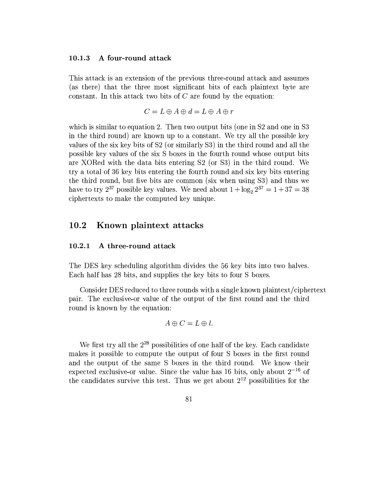#### 10.1.3 A four-round attack

This attack is an extension of the previous three-round attack and assumes (as there) that the three most significant bits of each plaintext byte are constant. In this attack two bits of  $C$  are found by the equation:

$$
C = L \oplus A \oplus d = L \oplus A \oplus r
$$

which is similar to equation 2. Then two output bits (one in S2 and one in S3 in the third round) are known up to a constant. We try all the possible key values of the six key bits of S2 (or similarly S3) in the third round and all the possible key values of the six S boxes in the fourth round whose output bits are XORed with the data bits entering S2 (or S3) in the third round. We try a total of 36 key bits entering the fourth round and six key bits entering the third round, but five bits are common (six when using S3) and thus we have to try  $2^{37}$  possible key values. We need about  $1 + \log_2 2^{37} = 1 + 37 = 38$ ciphertexts to make the computed key unique.

#### 10.2 Known plaintext attacks

#### 10.2.1 A three-round attack

The DES key scheduling algorithm divides the 56 key bits into two halves. Each half has 28 bits, and supplies the key bits to four S boxes.

Consider DES reduced to three rounds with a single known plaintext/ciphertext pair. The exclusive-or value of the output of the first round and the third round is known by the equation:

$$
A \oplus C = L \oplus l.
$$

We first try all the  $2^{28}$  possibilities of one half of the key. Each candidate makes it possible to compute the output of four S boxes in the first round and the output of the same S boxes in the third round. We know their expected exclusive-or value. Since the value has 16 bits, only about  $2^{-16}$  of the candidates survive this test. Thus we get about  $2^{12}$  possibilities for the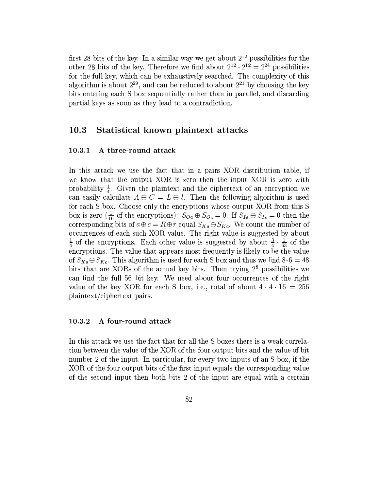$\mathcal{B}$   $\mathcal{B}$   $\mathcal{B}$   $\mathcal{B}$   $\mathcal{B}$   $\mathcal{B}$   $\mathcal{B}$   $\mathcal{B}$   $\mathcal{B}$   $\mathcal{B}$   $\mathcal{B}$   $\mathcal{B}$   $\mathcal{B}$   $\mathcal{B}$   $\mathcal{B}$   $\mathcal{B}$   $\mathcal{B}$   $\mathcal{B}$   $\mathcal{B}$   $\mathcal{B}$   $\mathcal{B}$   $\mathcal{B}$   $\mathcal{B}$   $\mathcal{B}$   $\mathcal{$  $T$  =  $\frac{1}{2}$   $\frac{1}{2}$   $\frac{1}{2}$   $\frac{1}{2}$   $\frac{1}{2}$   $\frac{1}{2}$   $\frac{1}{2}$   $\frac{1}{2}$   $\frac{1}{2}$   $\frac{1}{2}$   $\frac{1}{2}$   $\frac{1}{2}$   $\frac{1}{2}$   $\frac{1}{2}$   $\frac{1}{2}$   $\frac{1}{2}$   $\frac{1}{2}$   $\frac{1}{2}$   $\frac{1}{2}$   $\frac{1}{2}$   $\frac{1}{2}$   $\frac{1$ &5  $\Omega$  and  $\Omega$  is the state of the state  $\Omega$  and  $\Omega$ 58/oTBR0KQ4F7 01P35 TS<Q ¯F5@MF:bX 5@M EZBE:FSFXEI:QT5 TS?Q LX4FT?T@P01MQQ4FEc@E} 5# <sup>5</sup> bits entering each S box sequentially rather than in parallel, and discarding  $\mathbf{F}_5$  , and the proposition of the proposition of the proposition of the proposition of the proposition of the proposition of the proposition of the proposition of the proposition of the proposition of the proposition

## $10.3$   $\,$  Statistical known plaintext attacks  $\,$

#### 10.3.1 +;;-.\*(- ++ <

NOM Q4F01P5cQQ 58XeE S<PE Q4<E Vh5@XQQ4658Q0KM <sup>5</sup> [65@01BRPi³aµ>¶ :F0KPRQBR0S?Q01T@M <sup>Q</sup> 5/1ED¯^0V we know that the output XOR is zero then the input XOR is zero with H0G¦@EIMQ4FEb[</ 5@0KM\QE®mQ5@MF:Q4FEbX01[F4<EIBRQE®mQ T8V]5@M EMFXIB+m[<Q0KTM <sup>E</sup> XI5@M EI5@P0K/G <sup>X</sup> 58/1XIS</ 58QE <sup>²</sup> # <sup>²</sup> 7`CD4FEIM Q4FEbVT/K/1T
]01M5`5@/GTBR0KQ4<7 01P!SFPE:  $\Omega$  . The form  $\Omega$  is the set of  $\Omega$  -set of  $\Omega$  . The set of  $\Omega$ TO THE STATE OF STATE OF THE STATE OF THE STATE OF THE STATE OF THE STATE OF THE STATE OF THE STATE OF THE STA  $\frac{1}{2\pi}$  of the encryptions):  $S_{Oa} \oplus S_{Oc} = 0$ . If  $S_{Ia} \oplus S_{Ic} = 0$  then the  $\mathbf{F}$  is the set of  $\mathbf{F}$  of  $\mathbf{F}$  of  $\mathbf{F}$  and  $\mathbf{F}$  is the set of  $\mathbf{F}$  is the set of  $\mathbf{F}$ occurrences of each such XOR value. The right value is suggested by about  $\frac{1}{2}$  of the encryptions. Each other value is suggested by about  $\frac{3}{2} \cdot \frac{1}{20}$  of  $\frac{1}{c^2}$  of the  $\blacksquare$  . The set of the set of the set of the set of the set of the set of the set of the set of the set of the set of the set of the set of the set of the set of the set of the set of the set of the set of the set of the  $\begin{array}{ccc} \textbf{0} & \textbf{0} & \textbf{0} & \textbf{0} & \textbf{0} & \textbf{0} & \textbf{0} & \textbf{0} & \textbf{0} & \textbf{0} & \textbf{0} & \textbf{0} & \textbf{0} & \textbf{0} & \textbf{0} & \textbf{0} & \textbf{0} & \textbf{0} & \textbf{0} & \textbf{0} & \textbf{0} & \textbf{0} & \textbf{0} & \textbf{0} & \textbf{0} & \textbf{0} & \textbf{0} & \textbf{0} & \textbf{0} & \textbf{0} & \textbf$ te die besitzte die besitzte die besitzte die besitzte die besitzte die besitzte die besitzte die besitzte die XI5@M MF: Q4FEVSF/K/ 0QW@E: GEMFEIE: 5 TS<Q VT@SFBT?XXISFBRBEMFXIEPLT@VQ4<E`BR0o4Q  $\blacksquare$  and  $\blacksquare$  . The set of  $\blacksquare$  . The set of  $\blacksquare$ [</ 5@0KM\QE®mQ21cXI01[<4FEIBQE®mQ][65801BP}

#### - .;;-.(- ++<

 $N=1$  and  $N=2$  and  $N=3$  and  $N=3$  and  $N=3$  and  $N=3$  . Then  $N=3$  is the same  $N=3$  and  $N=3$  and  $N=3$  and  $N=3$  . The  $N=3$  and  $N=3$  and  $N=3$  and  $N=3$  and  $N=3$  and  $N=3$  and  $N=3$  and  $N=3$  and  $N=3$  and  $N=3$  an  $\blacksquare$  . The state  $\blacksquare$  the state  $\blacksquare$  the state  $\blacksquare$  the state  $\blacksquare$  . The state  $\blacksquare$  $\blacksquare$  . The set of the set of the set of the set of the set of the set of the set of the set of the set of the set of the set of the set of the set of the set of the set of the set of the set of the set of the set of the XOR of the four output bits of the first input equals the corresponding value Take  $\theta$  , and the contract of the contract of  $\theta$  of  $\theta$  and  $\theta$  and  $\theta$  is a set of  $\theta$  same  $\theta$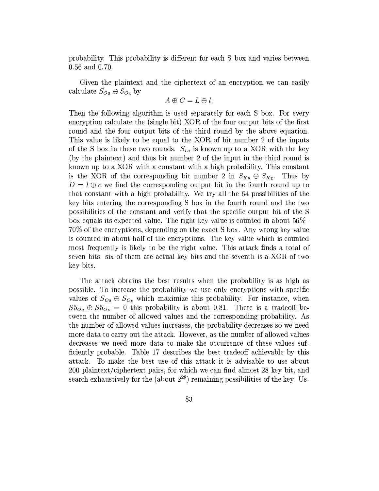probability. This probability is different for each S box and varies between  $0.56$  and  $0.70$ .

Given the plaintext and the ciphertext of an encryption we can easily calculate  $S_{Oa} \oplus S_{Oc}$  by

$$
A \oplus C = L \oplus l.
$$

Then the following algorithm is used separately for each S box. For every encryption calculate the (single bit) XOR of the four output bits of the first round and the four output bits of the third round by the above equation. This value is likely to be equal to the XOR of bit number 2 of the inputs of the S box in these two rounds.  $S_{Ia}$  is known up to a XOR with the key (by the plaintext) and thus bit number 2 of the input in the third round is known up to a XOR with a constant with a high probability. This constant is the XOR of the corresponding bit number 2 in  $S_{Ka} \oplus S_{Kc}$ . Thus by  $D = l \oplus c$  we find the corresponding output bit in the fourth round up to that constant with a high probability. We try all the 64 possibilities of the key bits entering the corresponding S box in the fourth round and the two possibilities of the constant and verify that the specific output bit of the S box equals its expected value. The right key value is counted in about 56%– 70% of the encryptions, depending on the exact S box. Any wrong key value is counted in about half of the encryptions. The key value which is counted most frequently is likely to be the right value. This attack finds a total of seven bits: six of them are actual key bits and the seventh is a XOR of two key bits.

The attack obtains the best results when the probability is as high as possible. To increase the probability we use only encryptions with specific values of  $S_{Oa} \oplus S_{Oc}$  which maximize this probability. For instance, when  $S5_{Oa} \oplus S5_{Oc} = 0$  this probability is about 0.81. There is a tradeoff between the number of allowed values and the corresponding probability. As the number of allowed values increases, the probability decreases so we need more data to carry out the attack. However, as the number of allowed values decreases we need more data to make the occurrence of these values sufficiently probable. Table 17 describes the best tradeoff achievable by this attack. To make the best use of this attack it is advisable to use about 200 plaintext/ciphertext pairs, for which we can find almost 28 key bit, and search exhaustively for the (about  $2^{28}$ ) remaining possibilities of the key. Us-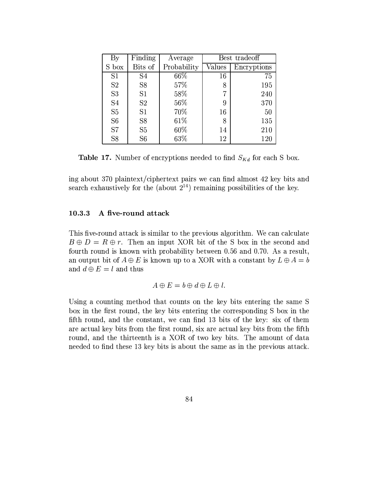| By             | Finding        | Average     |        | Best tradeoff |
|----------------|----------------|-------------|--------|---------------|
| S box          | Bits of        | Probability | Values | Encryptions   |
| S <sub>1</sub> | S4             | 66%         | 16     | 75            |
| S <sub>2</sub> | S <sub>8</sub> | 57%         | 8      | 195           |
| S <sub>3</sub> | S <sub>1</sub> | 58%         |        | 240           |
| S <sub>4</sub> | S <sub>2</sub> | 56%         | 9      | 370           |
| S <sub>5</sub> | S <sub>1</sub> | 70%         | 16     | 50            |
| S <sub>6</sub> | S <sub>8</sub> | 61\%        | 8      | 135           |
| S7             | S <sub>5</sub> | 60%         | 14     | 210           |
| S <sub>8</sub> | S <sub>6</sub> | 63%         | 12     | 120           |

Table 17. Number of encryptions needed to find  $S_{Kd}$  for each S box.

ing about 370 plaintext/ciphertext pairs we can find almost 42 key bits and search exhaustively for the (about  $2^{14}$ ) remaining possibilities of the key.

#### 10.3.3 A five-round attack

This five-round attack is similar to the previous algorithm. We can calculate  $B \oplus D = R \oplus r$ . Then an input XOR bit of the S box in the second and fourth round is known with probability between 0.56 and 0.70. As a result, an output bit of  $A \oplus E$  is known up to a XOR with a constant by  $L \oplus A = b$ and  $d \oplus E = l$  and thus

$$
A \oplus E = b \oplus d \oplus L \oplus l.
$$

Using a counting method that counts on the key bits entering the same S box in the first round, the key bits entering the corresponding S box in the fifth round, and the constant, we can find 13 bits of the key: six of them are actual key bits from the first round, six are actual key bits from the fifth round, and the thirteenth is a XOR of two key bits. The amount of data needed to find these 13 key bits is about the same as in the previous attack.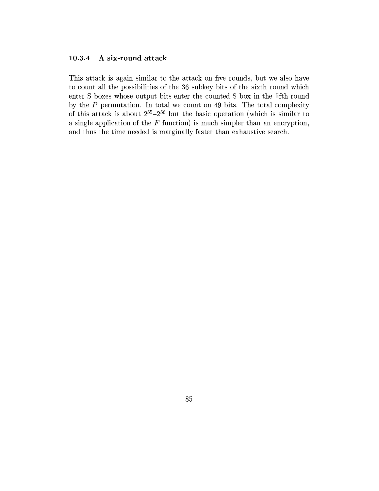#### 10.3.4  $\overline{a}$ ,  $\overline{a}$ ,  $\overline{a}$ ,  $\overline{a}$ ,  $\overline{a}$ ,  $\overline{a}$ ,  $\overline{a}$ ,  $\overline{a}$ ,  $\overline{a}$ ,  $\overline{a}$ ,  $\overline{a}$ ,  $\overline{a}$ ,  $\overline{a}$ ,  $\overline{a}$ ,  $\overline{a}$ ,  $\overline{a}$ ,  $\overline{a}$ ,  $\overline{a}$ ,  $\overline{a}$ ,  $\overline{a}$ ,  $\overline{a}$ ,  $\overline{a}$ ,

CD4<01P 58QQ5@X 01P 5"5@01M P0K7L0K/ 5@BQTQ4FEA58QRQ 5@X T@M ¦@EbBRTSFMF:FP}¯ S<QYEL5@/1PRT`4F5
¦@E  $\mathbf{S}$  , and  $\mathbf{S}$  are the set of the set of the set of the set of the set of the set of the set of the set of the set of the set of the set of the set of the set of the set of the set of the set of the set of the se  $\mathbb{R}^n$  and the set of the set of the set of the set of the set of the set of the set of the set of the set of the set of the set of the set of the set of the set of the set of the set of the set of the set of the set  $\mathbf{r} = \mathbf{r} = \mathbf{r} = \mathbf{r} = \mathbf{r} = \mathbf{r} = \mathbf{r} = \mathbf{r} = \mathbf{r} = \mathbf{r} = \mathbf{r} = \mathbf{r} = \mathbf{r} = \mathbf{r} = \mathbf{r} = \mathbf{r} = \mathbf{r} = \mathbf{r} = \mathbf{r} = \mathbf{r} = \mathbf{r} = \mathbf{r} = \mathbf{r} = \mathbf{r} = \mathbf{r} = \mathbf{r} = \mathbf{r} = \mathbf{r} = \mathbf{r} = \mathbf{r} = \mathbf{r} = \mathbf$  $\blacksquare$  Table  $\blacksquare$  . The state of the state  $\blacksquare$  set  $\blacksquare$  . The state of the state of the state of the state of the state of the state of the state of the state of the state of the state of the state of the state of a single application of the  $F$  function) is much simpler than an encryption,  $58.8\pm 0.06$  MF:  $\sim$  0 Message  $\sim$  0 Message  $\sim$  0 Message  $\sim$  0 Message  $\sim$  0 Message  $\sim$  0.1 Message  $\sim$  0.1 Message  $\sim$  0.1 Message  $\sim$  0.1 Message  $\sim$  0.1 Message  $\sim$  0.1 Message  $\sim$  0.1 Message  $\sim$  0.1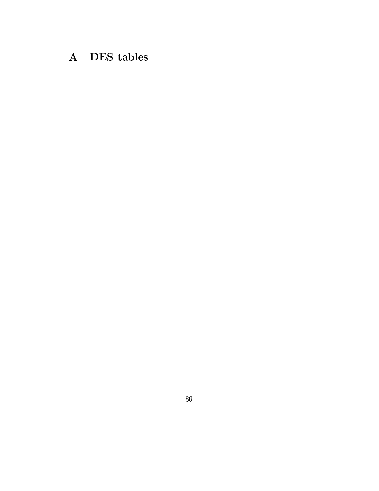# A DES tables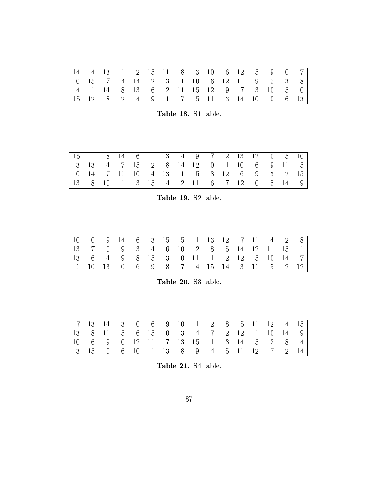| 14  4  13  1  2  15  11  8  3  10  6  12  5  9  0 |  |  |  |  |  |                  |       |  |
|---------------------------------------------------|--|--|--|--|--|------------------|-------|--|
| 0 15 7 4 14 2 13 1 10 6 12 11                     |  |  |  |  |  |                  | 9 5 3 |  |
| 4 1 14 8 13 6 2 11 15 12 9 7                      |  |  |  |  |  | 3 <sup>3</sup>   | 10 5  |  |
| 15 12 8 2 4 9                                     |  |  |  |  |  | 1 7 5 11 3 14 10 | - 0 - |  |

 <sup>=</sup> <sup>À</sup> Q5/1ED

|  |  |  |  |  |  | $\begin{array}{ccccccc} \n\begin{array}{ccccccc} 15 & 1 & 8 & 14 & 6 & 11 & 3 & 4 & 9 & 7 & 2 & 13 & 12 & 0 & 5 & 10 \n\end{array} \n\end{array}$                                                                                                                                                                                                                                                                                                                                                                                   |        |  |
|--|--|--|--|--|--|-------------------------------------------------------------------------------------------------------------------------------------------------------------------------------------------------------------------------------------------------------------------------------------------------------------------------------------------------------------------------------------------------------------------------------------------------------------------------------------------------------------------------------------|--------|--|
|  |  |  |  |  |  | 3 13 4 7 15 2 8 14 12 0 1 10 6 9                                                                                                                                                                                                                                                                                                                                                                                                                                                                                                    | - 11 - |  |
|  |  |  |  |  |  | 0 14 7 11 10 4 13 1 5 8 12 6 9 3 2 15                                                                                                                                                                                                                                                                                                                                                                                                                                                                                               |        |  |
|  |  |  |  |  |  | $\begin{array}{cccccccc} \n\begin{array}{ccccccccccc} \n\begin{array}{ccccccccccc} \n\end{array} & \n\begin{array}{ccccccccccc} \n\end{array} & \n\begin{array}{ccccccc} \n\end{array} & \n\begin{array}{ccccccc} \n\end{array} & \n\begin{array}{ccccccc} \n\end{array} & \n\begin{array}{ccccccc} \n\end{array} & \n\begin{array}{ccccccc} \n\end{array} & \n\begin{array}{ccccccc} \n\end{array} & \n\begin{array}{ccccccc} \n\end{array} & \n\begin{array}{ccccccc} \n\end{array} & \n\begin{array}{ccccccc} \n\end{array} & \$ |        |  |

|  | Table 19. S2 table. |  |  |  |
|--|---------------------|--|--|--|
|--|---------------------|--|--|--|

|  | 10 0 9 14 6 3 15 5 1 13 12 7 11                                                                     |  |  |  |  |       | 4 2    |  |
|--|-----------------------------------------------------------------------------------------------------|--|--|--|--|-------|--------|--|
|  |                                                                                                     |  |  |  |  | -11 - | - 15   |  |
|  | $\begin{array}{ccccccccc}\n13 & 6 & 4 & 9 & 8 & 15 & 3 & 0 & 11 & 1 & 2 & 12 & 5 & 10\n\end{array}$ |  |  |  |  |       | - 14   |  |
|  | 1 10 13 0 6 9 8 7 4 15 14 3 11                                                                      |  |  |  |  |       | 5 2 12 |  |

<sup>=</sup> Q5/1ED

|  |                                     |  |  |  |  | $\mathbf{1}$ | - 10 -         | -14 |  |
|--|-------------------------------------|--|--|--|--|--------------|----------------|-----|--|
|  | 10 6 9 0 12 11 7 13 15 1 3 14 5 2 8 |  |  |  |  |              |                |     |  |
|  | 3 15 0 6 10 1 13 8 9 4 5 11         |  |  |  |  | 12           | $\overline{7}$ |     |  |

 <sup>=</sup> Q5/1ED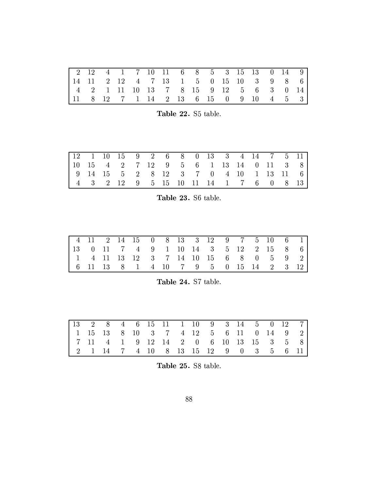|                                                                                             |  |  |                                  |  |  |      |    | - 14 |  |
|---------------------------------------------------------------------------------------------|--|--|----------------------------------|--|--|------|----|------|--|
| 14 11 2 12 4 7 13 1 5 0 15 10                                                               |  |  |                                  |  |  |      | 39 |      |  |
|                                                                                             |  |  | 4 2 1 11 10 13 7 8 15 9 12 5 6 3 |  |  |      |    |      |  |
| $\begin{array}{ccccccccc}\n11 & 8 & 12 & 7 & 1 & 14 & 2 & 13 & 6 & 15 & 0 & 9\n\end{array}$ |  |  |                                  |  |  | 10 I |    | 45   |  |

<sup>=</sup> Q5/1ED

|  | 9 14 15 5 2 8 12 3 7 0 4 10 1 13 11 |  |  |  |  |  |  |
|--|-------------------------------------|--|--|--|--|--|--|
|  | 4 3 2 12 9 5 15 10 11 14 1 7 6 0 8  |  |  |  |  |  |  |

| Table 23. S6 table. |  |
|---------------------|--|
|---------------------|--|

|  |  |                                |  |  |  |  | 4 11 2 14 15 0 8 13 3 12 9 7 5 10 6 1                                                                                                       |     |  |
|--|--|--------------------------------|--|--|--|--|---------------------------------------------------------------------------------------------------------------------------------------------|-----|--|
|  |  |                                |  |  |  |  | $\begin{array}{ccccccc} \n\begin{array}{ccccccc}\n1 & 3 & 0 & 11 & 7 & 4 & 9 & 1 & 10 & 14 & 3 & 5 & 12 & 2 & 15\n\end{array}\n\end{array}$ | - 8 |  |
|  |  |                                |  |  |  |  | $\begin{array}{ccccccccc}\n1 & 4 & 11 & 13 & 12 & 3 & 7 & 14 & 10 & 15 & 6 & 8 & 0 & 5 & 9\n\end{array}$                                    |     |  |
|  |  | 6 11 13 8 1 4 10 7 9 5 0 15 14 |  |  |  |  | 2 3                                                                                                                                         |     |  |

=5½Q5/1ED

|  | $\begin{array}{ccccccccc}\n13 & 2 & 8 & 4 & 6 & 15 & 11 & 1 & 10 & 9 & 3 & 14 & 5 & 0 & 12\n\end{array}$ |  |  |  |  |                 |            |                |  |
|--|----------------------------------------------------------------------------------------------------------|--|--|--|--|-----------------|------------|----------------|--|
|  | 1 15 13 8 10 3 7 4 12 5 6 11                                                                             |  |  |  |  | $\vert 0 \vert$ | -14 -      | - 9            |  |
|  | 7 11 4 1 9 12 14 2 0 6 10 13 15 3 5                                                                      |  |  |  |  |                 |            |                |  |
|  | 2 1 14 7 4 10 8 13 15 12 9 0                                                                             |  |  |  |  |                 | $3\quad 5$ | 6 <sup>6</sup> |  |

<sup>=</sup> Q5/1ED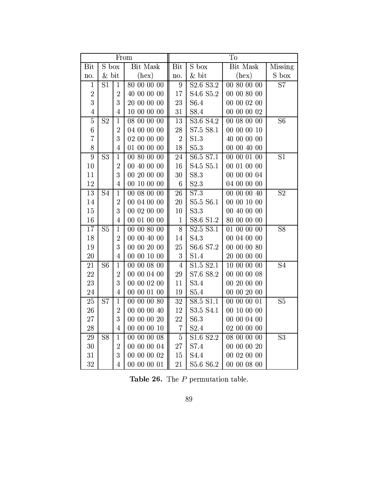|                  |                          |                | From        |                  |                                   | To          |                          |
|------------------|--------------------------|----------------|-------------|------------------|-----------------------------------|-------------|--------------------------|
| Bit              | S box                    |                | Bit Mask    | Bit              | S box                             | Bit Mask    | Missing                  |
| no.              | & bit                    |                | (hex)       | no.              | $&\mathrm{bit}$                   | (hex)       | $\mathbf S$ box          |
| $\mathbf{1}$     | S <sub>1</sub>           | $\mathbf{1}$   | 80 00 00 00 | $\boldsymbol{9}$ | S <sub>2.6</sub> S <sub>3.2</sub> | 00 80 00 00 | $\overline{S7}$          |
| $\overline{2}$   |                          | $\overline{2}$ | 40 00 00 00 | 17               | S <sub>4.6</sub> S <sub>5.2</sub> | 00 00 80 00 |                          |
| 3                |                          | 3              | 20 00 00 00 | 23               | S6.4                              | 00 00 02 00 |                          |
| $\overline{4}$   |                          | $\overline{4}$ | 10 00 00 00 | 31               | S8.4                              | 00 00 00 02 |                          |
| $\overline{5}$   | S <sub>2</sub>           | $\mathbf 1$    | 08 00 00 00 | 13               | S3.6 S4.2                         | 00 08 00 00 | S <sub>6</sub>           |
| $\boldsymbol{6}$ |                          | $\overline{2}$ | 04 00 00 00 | 28               | S7.5 S8.1                         | 00 00 00 10 |                          |
| $\overline{7}$   |                          | 3              | 02 00 00 00 | $\overline{2}$   | S1.3                              | 40 00 00 00 |                          |
| 8                |                          | 4              | 01 00 00 00 | 18               | S5.3                              | 00 00 40 00 |                          |
| $\overline{9}$   | $\overline{S3}$          | $\mathbf{1}$   | 00 80 00 00 | 24               | S6.5 S7.1                         | 00 00 01 00 | $\overline{S1}$          |
| 10               |                          | $\overline{2}$ | 00 40 00 00 | 16               | S4.5 S5.1                         | 00 01 00 00 |                          |
| 11               |                          | 3              | 00 20 00 00 | $30\,$           | S8.3                              | 00 00 00 04 |                          |
| 12               |                          | $\overline{4}$ | 00 10 00 00 | 6                | S <sub>2.3</sub>                  | 04 00 00 00 |                          |
| 13               | S <sub>4</sub>           | $\mathbf{1}$   | 00 08 00 00 | 26               | S7.3                              | 00 00 00 40 | $\overline{S2}$          |
| 14               |                          | $\overline{2}$ | 00 04 00 00 | 20               | S5.5 S6.1                         | 00 00 10 00 |                          |
| 15               |                          | 3              | 00 02 00 00 | 10               | S3.3                              | 00 40 00 00 |                          |
| 16               |                          | $\overline{4}$ | 00 01 00 00 | $\mathbf{1}$     | S8.6 S1.2                         | 80 00 00 00 |                          |
| 17               | $\overline{\mathrm{S5}}$ | $\mathbf{1}$   | 00 00 80 00 | 8                | S2.5 S3.1                         | 01 00 00 00 | S <sub>8</sub>           |
| 18               |                          | $\overline{2}$ | 00 00 40 00 | 14               | S4.3                              | 00 04 00 00 |                          |
| 19               |                          | 3              | 00 00 20 00 | 25               | S6.6 S7.2                         | 00 00 00 80 |                          |
| 20               |                          | $\overline{4}$ | 00 00 10 00 | 3                | S1.4                              | 20 00 00 00 |                          |
| $21\,$           | S <sub>6</sub>           | 1              | 00 00 08 00 | $\overline{4}$   | S1.5 S2.1                         | 10 00 00 00 | $\overline{S4}$          |
| 22               |                          | $\overline{2}$ | 00 00 04 00 | 29               | S7.6 S8.2                         | 00 00 00 08 |                          |
| 23               |                          | 3              | 00 00 02 00 | 11               | S3.4                              | 00 20 00 00 |                          |
| 24               |                          | $\overline{4}$ | 00 00 01 00 | 19               | S5.4                              | 00 00 20 00 |                          |
| $25\,$           | $\overline{S}$           | $\mathbf{1}$   | 00 00 00 80 | 32               | S8.5 S1.1                         | 00 00 00 01 | $\overline{\mathrm{S}5}$ |
| 26               |                          | $\overline{2}$ | 00 00 00 40 | 12               | S3.5 S4.1                         | 00 10 00 00 |                          |
| 27               |                          | 3              | 00 00 00 20 | 22               | S6.3                              | 00 00 04 00 |                          |
| 28               |                          | $\overline{4}$ | 00 00 00 10 | $\overline{7}$   | S <sub>2.4</sub>                  | 02 00 00 00 |                          |
| 29               | $\overline{\text{S8}}$   | $\mathbf{1}$   | 00 00 00 08 | $\overline{5}$   | S1.6 S2.2                         | 08 00 00 00 | $\overline{\mathrm{S3}}$ |
| 30               |                          | $\overline{2}$ | 00 00 00 04 | 27               | S7.4                              | 00 00 00 20 |                          |
| $31\,$           |                          | 3              | 00 00 00 02 | 15               | S4.4                              | 00 02 00 00 |                          |
| 32               |                          | $\overline{4}$ | 00 00 00 01 | 21               | S5.6 S6.2                         | 00 00 08 00 |                          |

Table 26. The  $P$  permutation table.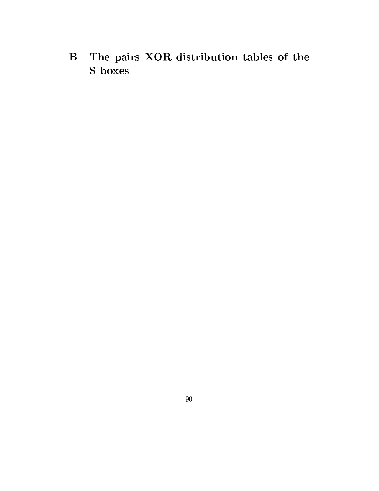$\, {\bf B}$ The pairs XOR distribution tables of the S boxes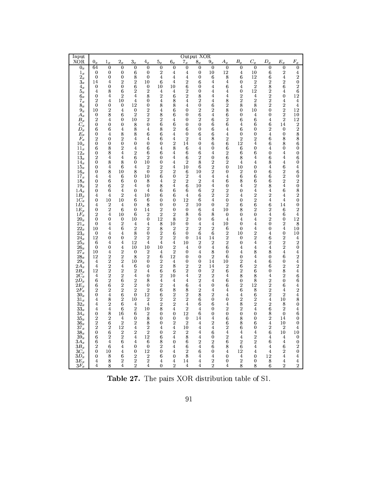| Input                   |                                    |                                            |                                                 |                                       |                                             |                      |                                    |                                    | Output XOR                            |                                      |                                        |                                               |                                           |                                                 |                                                 |                                    |  |
|-------------------------|------------------------------------|--------------------------------------------|-------------------------------------------------|---------------------------------------|---------------------------------------------|----------------------|------------------------------------|------------------------------------|---------------------------------------|--------------------------------------|----------------------------------------|-----------------------------------------------|-------------------------------------------|-------------------------------------------------|-------------------------------------------------|------------------------------------|--|
| XOR                     | $0_x$                              | $_{1x}$                                    | $_{2x}$                                         | $3_x$                                 | $4_x$                                       | $5_x$                | $6_x\,$                            | $7_x\,$                            | $8_x$                                 | $9_x\,$                              | $A_x$                                  | $B_x$                                         | $C_x$                                     | $D_x$                                           | $E_x$                                           | $F_x$                              |  |
| $0_x$                   | 64<br>$\mathbf 0$                  | $\overline{0}$<br>$\mathbf 0$              | $\overline{0}$<br>$\mathbf 0$                   | $\overline{0}$<br>$\,6$               | $\overline{0}$<br>$\bf{0}$                  | 0                    | $\overline{0}$<br>$\overline{4}$   | $\bf{0}$<br>$\overline{4}$         | 0<br>$\mathbf 0$                      | $\bf{0}$<br>10                       | $\overline{0}$                         | $\overline{0}$<br>$\overline{\mathbf{4}}$     | $\overline{0}$<br>10                      | $\overline{0}$<br>$\,$ 6                        | $\overline{0}$<br>$\,2$                         | $\overline{0}$<br>$\overline{4}$   |  |
| $1_x$<br>$2_x$          | $\bf{0}$                           | $\mathbf 0$                                |                                                 |                                       | $\bf{0}$                                    | $_4^2$               | 4                                  | $\overline{4}$                     | $\bf{0}$                              | $\,6$                                | $\begin{array}{c} 12 \\ 8 \end{array}$ | 6                                             | $\overline{12}$                           | $\,$ 6                                          | $\overline{4}$                                  | $\overline{\mathbf{c}}$            |  |
| $\bar{3}_x$             | 14                                 | 4                                          | $\frac{0}{2}$                                   | $\frac{8}{2}$                         | 10                                          | 6                    | $\overline{4}$                     | $\boldsymbol{2}$                   | 6                                     | $\overline{4}$                       | $\overline{4}$                         | 0                                             | $\boldsymbol{2}$                          |                                                 | $\overline{2}$                                  | 0                                  |  |
| $\mathbf{4}_x$<br>$5_x$ | 0<br>$\overline{4}$                | $\overline{0}$<br>8                        | $\overline{0}$<br>6                             | 6<br>$\overline{2}$                   | $\bf{0}$<br>$\tilde{2}$                     | 10<br>$\overline{4}$ | 10<br>4                            | 6<br>$\overline{\mathbf{c}}$       | 0<br>$\mathbf 0$                      | $\overline{4}$<br>$\overline{4}$     | 6<br>4                                 | $\overline{4}$<br>$\mathbf 0$                 | $\overline{2}$<br>12                      |                                                 | 6<br>4                                          | $\overline{2}$<br>6                |  |
| $6_x$                   | $\mathbf 0$                        | $\overline{4}$                             | $\overline{2}$                                  | $\overline{4}$                        | 8                                           | $\,2$                | 6                                  | $\,2$                              | 8                                     | $\overline{4}$                       | $\overline{4}$                         |                                               | $\overline{4}$                            |                                                 | $\bf{0}$                                        | 12                                 |  |
| $7_x$                   | $\overline{2}$                     | $\overline{4}$                             | 10                                              | $\overline{4}$                        | $\mathbf 0$                                 | $\overline{4}$       | 8                                  | $\overline{4}$                     | $\overline{2}$                        | $\overline{4}$                       | $\,$ 8 $\,$                            | $\frac{2}{8}$                                 | $\,2$                                     |                                                 | $\overline{4}$                                  | $\overline{4}$                     |  |
| $8_x$<br>$9_x$          | 0<br>10                            | $\mathbf 0$<br>$\overline{\mathbf{c}}$     | $\overline{0}$<br>$\overline{4}$                | 12<br>$\overline{0}$                  | 0                                           | 8<br>$\overline{4}$  | 8<br>6                             | 4<br>0                             | $\bf{0}$                              | 6<br>$\,2$                           | $\,2$<br>8                             | $\overline{0}$                                | 8<br>10                                   | $28222$<br>$220$                                | $\frac{2}{2}$                                   | $\overline{4}$<br>12               |  |
| $A_x$                   | 0                                  | 8                                          | 6                                               | $\,2$                                 | $\frac{2}{2}$                               | 8                    | 6                                  | $\Omega$                           | $^2_6$                                | $\overline{4}$                       | 6                                      | 0                                             | $\overline{4}$                            | $\mathbf 0$                                     |                                                 | 10                                 |  |
| $B_x$                   | $\overline{2}$<br>$\mathbf 0$      | $\overline{4}$<br>$\mathbf 0$              | $\overline{0}$<br>$\mathbf 0$                   | 10                                    | $\overline{2}$<br>0                         | $\overline{2}$       | $\overline{4}$                     | $\bf{0}$                           | $\overline{2}$<br>0                   | 6                                    | $\boldsymbol{2}$<br>6                  | 6<br>$\overline{4}$                           | 6<br>6                                    | $\overline{4}$                                  | $\sqrt{2}$                                      | $12\,$                             |  |
| $C_x$<br>$D_{\it x}$    | 6                                  | 6                                          | $\overline{4}$                                  | 8                                     | $\overline{4}$                              | 6<br>8               | 6<br>$\overline{2}$                | 0<br>6                             | 0                                     | 6<br>6                               | $\overline{4}$                         | 6                                             | $\mathbf 0$                               | 6<br>$\overline{\mathbf{c}}$                    | 14<br>0                                         | $\frac{2}{8}$                      |  |
| $E_x$<br>$F_x$          | $\mathbf 0$                        | 4                                          | $\bar{8}$                                       | $\begin{array}{c} 8 \\ 8 \end{array}$ | 6                                           | 6                    | 4                                  | $\bf{0}$                           | 6                                     | 6                                    | $\overline{4}$                         | $\mathbf 0$                                   | 0                                         | $\overline{4}$                                  | 0                                               |                                    |  |
| $10_x\,$                | $\overline{2}$<br>$\bf{0}$         | $\overline{0}$<br>$\mathbf 0$              | $\frac{2}{0}$                                   | $\overline{4}$<br>$\mathbf 0$         | $\overline{4}$<br>0                         | 6<br>0               | $\overline{4}$                     | $\overline{2}$<br>14               | $\overline{4}$<br>$\mathbf 0$         | $\begin{matrix} 8 \\ 6 \end{matrix}$ | $\boldsymbol{2}$<br>$\overline{6}$     | $\overline{2}$<br>12                          | $\overline{2}$<br>4                       | $\,$ 6<br>6                                     | 8<br>8                                          | $^8_6$                             |  |
| $11_x$                  | 6                                  | 8                                          | $\frac{2}{4}$                                   | $\overline{4}$                        | 6                                           | 4                    | $\frac{2}{8}$                      | 6                                  | $\overline{4}$                        | $\mathbf 0$                          | 6                                      | 6                                             | $\overline{0}$                            | $\overline{4}$                                  | $\overline{0}$                                  | $\mathbf 0$                        |  |
| $12_x$                  | 0<br>$\overline{2}$                | $\bar{8}$<br>$\overline{4}$                | $\overline{4}$                                  | $\overline{2}$<br>6                   | 6<br>$\overline{2}$                         | 6<br>0               | $\overline{4}$<br>$\overline{4}$   | $\,6$<br>6                         | $\,$ 6<br>$\overline{2}$              | $\overline{4}$<br>$\mathbf 0$        | $\,2$<br>$\,6$                         | 6                                             | 6<br>4                                    | $\mathbf 0$<br>6                                | 4<br>4                                          | 0<br>6                             |  |
| $13_x$<br>$14_x$        | $\mathbf 0$                        | 8                                          | 8                                               | 0                                     | 10                                          | $\mathbf 0$          | 4                                  | $\overline{2}$                     | $\overline{8}$                        |                                      | $\,2$                                  | 8<br>$\overline{4}$                           | 4                                         | 8                                               | 4                                               | 0                                  |  |
| $15_x$                  | $\bf{0}$                           | $\overline{4}$                             | 6                                               | $\overline{4}$                        | $\overline{2}$                              | $\boldsymbol{2}$     | 4                                  | 10                                 | $\,6$                                 | $\frac{2}{2}$                        | $\overline{0}$                         | 10                                            | 0                                         | $\overline{4}$                                  | 6                                               | $\overline{4}$                     |  |
| $16_x$<br>$17_x$        | $\mathbf 0$<br>4                   | 8<br>$\overline{4}$                        | 10<br>$\,6$                                     | 8<br>0                                | $\bf{0}$<br>10                              | $^2_6$               | $\overline{2}$<br>0                | $\,6$<br>$\boldsymbol{2}$          | 10<br>4                               | $_4^2$                               | $\mathbf 0$<br>$\overline{4}$          | $\boldsymbol{2}$<br>$\boldsymbol{6}$          | $\mathbf 0$<br>6                          | $\,$ 6<br>$\,$ 6                                | $\begin{smallmatrix}2\2\2\2\4\end{smallmatrix}$ | 6<br>$\mathbf 0$                   |  |
| $18_x$                  | 0                                  | 6                                          | 6                                               | 0                                     | 8                                           | 4                    | $\overline{2}$                     | $\,2$                              | $\overline{2}$                        | $\overline{4}$                       | 6                                      | 8                                             | 6                                         | 6                                               |                                                 | $\overline{2}$                     |  |
| $19_x$<br>$1A_x$        | $\overline{2}$<br>$\mathbf 0$      | 6<br>6                                     | $\overline{2}$<br>$\overline{4}$                | $\overline{4}$<br>0                   | $\mathbf 0$<br>$\overline{4}$               | 8<br>6               | $\overline{4}$<br>6                | $\,6\,$<br>6                       | 10<br>6                               | $\overline{4}$<br>$\overline{2}$     | $\bf{0}$<br>$\overline{2}$             | $\overline{4}$<br>$\mathbf 0$                 | $\overline{\mathbf{c}}$<br>$\overline{4}$ | 8<br>4                                          | 6                                               | 0<br>8                             |  |
| $1B_x$                  | 4                                  | $\overline{4}$                             | $\overline{2}$                                  | 4                                     | 10                                          | 6                    | 6                                  | $\sqrt{4}$                         | 6                                     | $\overline{2}$                       | $\,2$                                  | 4                                             | $\boldsymbol{2}$                          | $\overline{\mathbf{c}}$                         | 4                                               | $\overline{2}$                     |  |
| $1C_x$                  | 0                                  | 10                                         | 10                                              | 6                                     | $\,6$                                       | 0                    | $\mathbf 0$                        | 12                                 | $\,6$                                 | $\overline{4}$                       | $\mathbf 0$                            | 0                                             | $^2_{\rm 6}$                              | $\overline{\mathbf{4}}$                         | $\overline{4}$                                  | 0                                  |  |
| $1D_x$<br>$1E_x$        | $\overline{4}$<br>$\bf{0}$         | $\overline{2}$<br>$\overline{2}$           | 4<br>6                                          | 0<br>$\mathbf 0$                      | $\,$ 8 $\,$<br>14                           | 0                    | $\bf{0}$<br>$\mathbf 0$            | $\overline{2}$<br>$\bf{0}$         | 10<br>6                               | 0<br>$\overline{4}$                  | $\boldsymbol{2}$<br>10                 | 6<br>8                                        | $\overline{2}$                            | $\sqrt{6}$<br>$\overline{2}$                    | 14<br>6                                         | 0<br>$\overline{2}$                |  |
| $1F_x$                  | $\overline{2}$                     | $\overline{4}$                             | 10                                              | 6                                     | $\overline{2}$                              | $\frac{2}{2}$        | $\overline{2}$                     | 8                                  | 6                                     | 8                                    | $\mathbf 0$                            | $\mathbf 0$                                   | $\overline{0}$                            | $\overline{4}$                                  | 6                                               | $\overline{4}$                     |  |
| $20_x$<br>$21_x$        | 0<br>$\mathbf 0$                   | $\mathbf 0$<br>4                           | $\mathbf 0$                                     | 10<br>$\overline{4}$                  | $\bf{0}$<br>$\overline{4}$                  | $\frac{1}{8}$        | 8<br>10                            | $\boldsymbol{2}$<br>$\bf{0}$       | $\bf{0}$<br>$\overline{4}$            | 6<br>$\overline{4}$                  | $\overline{4}$<br>10                   | 4<br>0                                        | $\overline{4}$<br>$\overline{4}$          | $\overline{2}$<br>$\bf{0}$                      | $\mathbf 0$<br>$\overline{2}$                   | 12<br>8                            |  |
|                         | 10                                 | $\overline{4}$                             | $\frac{2}{6}$                                   | $\overline{2}$                        | $\overline{2}$                              | 8                    | $\boldsymbol{2}$                   | $\overline{2}$                     | $\overline{2}$                        | $\overline{2}$                       | $\,6$                                  | 0                                             | 4                                         | $\mathbf 0$                                     | $\overline{4}$                                  | 10                                 |  |
| $\frac{22}{23x}$        | 0                                  | 4                                          | 4                                               | 8                                     | $\overline{0}$                              | $\frac{2}{2}$        | 6                                  | $\bf{0}$                           | $\,6$                                 | $\,$ 6                               | $\frac{2}{2}$                          | 10                                            | $\frac{2}{2}$                             | 4                                               | $\bf{0}$                                        | 10                                 |  |
| $24_x$<br>$25_x\,$      | 12<br>6                            | $\mathbf 0$<br>4                           | $\overline{0}$<br>$\overline{\mathbf{4}}$       | $\overline{2}$<br>12                  | $\boldsymbol{2}$<br>$\overline{4}$          | $\overline{4}$       | $\boldsymbol{2}$<br>$\overline{4}$ | $\bf{0}$<br>10                     | 14<br>$\overline{2}$                  | 14<br>$\overline{2}$                 | $\overline{2}$                         | $\mathbf 0$<br>$\bf{0}$                       | $\overline{4}$                            | 6<br>$\overline{2}$                             | $\boldsymbol{2}$<br>$\overline{2}$              | $\overline{4}$<br>$\overline{2}$   |  |
| $26_x$                  | $\mathbf 0$                        | $\overline{0}$                             | $\overline{4}$                                  | 10                                    | 10                                          | 10                   | $\frac{2}{2}$                      | 4                                  | $\mathbf 0$                           | $\overline{4}$                       | 6                                      | 4                                             | $\overline{4}$                            | $\overline{4}$                                  | $\overline{2}$                                  | 0                                  |  |
| $27^\circ_x$<br>$28_x$  | 10<br>12                           | 4                                          | $\frac{2}{2}$                                   | $\mathbf 0$<br>8                      | $\boldsymbol{2}$<br>$\overline{\mathbf{c}}$ | $\overline{4}$       | 12                                 | 0<br>$\bf{0}$                      | 4<br>$\mathbf 0$                      | 8<br>$\overline{2}$                  | 0<br>6                                 | 4<br>$\mathbf 0$                              | 8<br>$\overline{4}$                       | 8<br>$\overline{0}$                             | $\overline{\mathbf{4}}$<br>6                    | $\overline{4}$<br>$\boldsymbol{2}$ |  |
| $29_x\,$                | $\overline{4}$                     | $\frac{2}{2}$ $\frac{2}{2}$ $\frac{2}{2}$  |                                                 | 10                                    | $\mathbf 0$                                 | $\frac{6}{2}$        | $\overline{4}$                     | 0                                  | 0                                     | 14                                   | 10                                     | $\boldsymbol{2}$                              | 4                                         | 6                                               | 0                                               | $\overline{4}$                     |  |
| $2A_x$                  | $\overline{4}$<br>12               |                                            | $\begin{smallmatrix} 4\2\2\6 \end{smallmatrix}$ | 6<br>$\overline{2}$                   | $\mathbf 0$<br>4                            | 6                    | 8<br>6                             | $\overline{2}$<br>$\boldsymbol{2}$ | $\overline{c}$<br>$\mathbf 0$         | 14                                   | $\boldsymbol{2}$<br>6                  | $\sqrt{6}$                                    | $\overline{2}$<br>6                       | $\,$ 6<br>$\mathbf 0$                           | $\overline{\mathbf{c}}$<br>8                    | $\overline{2}$<br>$\overline{4}$   |  |
| $2B_x$<br>$2C_x$        | $\overline{4}$                     |                                            |                                                 | $\overline{4}$                        | $\overline{0}$                              | $\frac{2}{4}$        | 10                                 | $\overline{4}$                     |                                       | $\frac{2}{2}$                        | 4                                      | $\frac{2}{8}$                                 | 8                                         | $\overline{4}$                                  | $\overline{2}$                                  | 6                                  |  |
| $2D_x$                  | 6                                  |                                            |                                                 | $\overline{2}$                        | 8                                           |                      | $\overline{4}$                     | $\overline{4}$                     | $\frac{2}{2}$                         | $\overline{4}$                       | 6                                      | $\mathbf 0$                                   | 8                                         | $\,2$                                           | 0                                               | 6                                  |  |
| $2\sqrt{E_x}$<br>$2F_x$ | $\,$ 6<br>$\overline{2}$           | $\bar{6\over 2}$                           | $\frac{2}{2}$                                   | $\frac{2}{2}$                         | $\mathbf 0$<br>$\boldsymbol{2}$             | $\overline{c}$<br>6  | $\overline{4}$<br>8                | $\,$ 6<br>8                        | $\overline{4}$<br>$\overline{2}$      | $\mathbf 0$<br>$\overline{4}$        | $\,6$<br>$\overline{4}$                | $^2_6$                                        | $12\,$<br>8                               |                                                 | $\overline{6}$<br>$\overline{4}$                | 4<br>$\boldsymbol{2}$              |  |
| $30_x\,$                | $\bf{0}$                           | $\overline{4}$                             | $\boldsymbol{6}$                                | $\bf{0}$                              | 12                                          | 6                    | $\overline{2}$                     | $\overline{2}$                     | $\begin{array}{c} 8 \\ 6 \end{array}$ | $\overline{2}$                       | $\overline{4}$                         | $\overline{4}$                                | $\sqrt{6}$                                | $\begin{smallmatrix}2\2\2\2\4\end{smallmatrix}$ | $\overline{2}$                                  | $\overline{4}$                     |  |
| $31_x$<br>$32_x$        | $\overline{4}$<br>$\overline{4}$   | 8                                          | $\frac{2}{6}$                                   | 10<br>$\overline{4}$                  | $\boldsymbol{2}$<br>$\overline{4}$          | $\frac{2}{2}$        | $\overline{2}$<br>$\overline{2}$   | $\overline{2}$<br>$\bf{4}$         | $\,$ 6                                | $\mathbf 0$<br>6                     | $\mathbf 0$<br>$\overline{4}$          | $\begin{smallmatrix}2\8\0\0\end{smallmatrix}$ | $\overline{2}$                            | $\overline{2}$                                  | 10<br>8                                         | 8<br>0                             |  |
| $33_x$                  | $\overline{4}$                     | $\frac{2}{4}$                              | $\boldsymbol{6}$                                | $\overline{c}$                        | 10                                          | 8                    | $\overline{4}$                     | $\overline{2}$                     | $\overline{4}$                        | $\mathbf 0$                          | $\,2\,$                                |                                               | $_4^2$                                    | $\overline{6}$                                  | $\overline{2}$                                  | 4                                  |  |
| $34_x$                  | 0                                  |                                            | 16                                              | $\,$ 6                                | $\overline{2}$                              | 0                    | $\mathbf 0$                        | 12                                 | 6                                     | 0                                    | $\boldsymbol{0}$                       |                                               | 0                                         |                                                 | $\boldsymbol{0}$                                | 6                                  |  |
| $35_x$<br>$36_x$        | $\overline{2}$<br>$\boldsymbol{2}$ | $\begin{array}{c} 8 \\ 2 \\ 6 \end{array}$ | $\overline{4}$<br>$\overline{2}$                | $\mathbf 0$<br>$\overline{2}$         | 8<br>8                                      | 0<br>0               | $\mathbf 0$<br>$\overline{2}$      | $\bf{0}$<br>$\boldsymbol{2}$       | 14<br>4                               | $\overline{4}$<br>$\boldsymbol{2}$   | 6<br>6                                 | 8<br>8                                        | $\mathbf 0$<br>6                          | $\frac{8}{2}$                                   | 14<br>10                                        | 0<br>0                             |  |
| $37_x$                  | $\overline{2}$                     | $\frac{2}{6}$                              | 12                                              | $\overline{4}$                        | $\frac{2}{2}$                               | $\overline{4}$       | $\overline{4}$                     | 10                                 | $\overline{4}$                        | $\overline{4}$                       | $\boldsymbol{2}$                       | 6                                             | $\overline{0}$                            | $^2_{\rm 6}$                                    | $\frac{2}{10}$                                  | 4                                  |  |
| $38_x$<br>$39_x$        | 0<br>6                             | $\overline{2}$                             | $\boldsymbol{2}$                                | $\overline{2}$<br>$\overline{4}$      | 12                                          | 0<br>6               | $\overline{2}$<br>$\overline{4}$   | $\boldsymbol{2}$<br>8              | 4<br>$\overline{4}$                   | $\sqrt{6}$<br>0                      | $\overline{4}$<br>$\overline{2}$       | 4<br>4                                        | 4                                         | 4                                               | $\overline{4}$                                  | 10<br>0                            |  |
| $3A_x$                  | 6                                  | $\overline{4}$                             | $\frac{2}{6}$                                   | $\overline{4}$                        | 6                                           | 8                    | 0                                  | 6                                  | $\overline{2}$                        | $\overline{2}$                       | $\,6\,$                                | $\overline{2}$                                | $\frac{2}{2}$                             | 6                                               | $\overline{4}$                                  | 0                                  |  |
| $3B_x$                  | $\overline{2}$                     | 6                                          | $\overline{4}$                                  | 0                                     | $\bf{0}$                                    | $\overline{2}$       | 4                                  | 6                                  | $\overline{4}$                        | $\,$ 6                               | 8                                      | $\,$ 6                                        | $\overline{4}$                            | 4                                               | 6                                               | $\overline{2}$                     |  |
| $3C_x$<br>$3D_x$        | 0<br>$\bf{0}$                      | 10<br>8                                    | $\overline{4}$<br>6                             | 0<br>$\boldsymbol{2}$                 | 12<br>$\overline{2}$                        | 0<br>6               | 4<br>0                             | $\boldsymbol{2}$<br>8              | 6<br>4                                | $\mathbf 0$<br>4                     | $\overline{4}$<br>$\mathbf 0$          | 12<br>$\overline{4}$                          | 4<br>0                                    | 4<br>$12\,$                                     | $\boldsymbol{2}$<br>$\overline{4}$              | 0<br>$\overline{4}$                |  |
| $3E_x$                  | 4                                  | $\check{8}$                                | $\overline{2}$                                  | $\bar{2}$                             | $\overline{2}$                              | 4                    | 4                                  | 14                                 | $\overline{4}$                        | $\overline{2}$                       | $\mathbf 0$                            | $\overline{2}$                                | 0                                         | $\,$ 8 $\,$                                     | $\overline{4}$                                  | $\overline{4}$                     |  |
| $3F_x$                  | $\overline{\mathbf{4}}$            | 8                                          | $\overline{4}$                                  | $\overline{2}$                        | $\overline{\mathbf{4}}$                     | 0                    | 2                                  | $\overline{4}$                     | $\overline{4}$                        | $\overline{2}$                       | 4                                      | 8                                             | 8                                         | $\,6$                                           | $\,2$                                           | $\overline{2}$                     |  |

CD4FE![F5@01BRP³aµ\¶ :<01PRQB0S<Q0KTMbQ5/1EHT8V
= <sup>À</sup>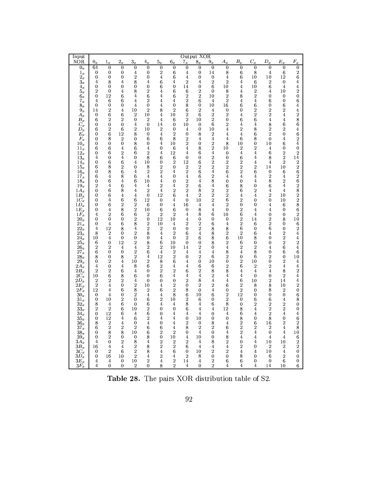| Input                              |                                  |                                  |                                       |                                            |                                    |                                               |                            |                                  | Output XOR                                        |                                                 |                                     |                                                    |                                      |                                               |                                                    |                                        |  |
|------------------------------------|----------------------------------|----------------------------------|---------------------------------------|--------------------------------------------|------------------------------------|-----------------------------------------------|----------------------------|----------------------------------|---------------------------------------------------|-------------------------------------------------|-------------------------------------|----------------------------------------------------|--------------------------------------|-----------------------------------------------|----------------------------------------------------|----------------------------------------|--|
| XOR                                | $0_x$                            | $_{1x}$                          | $2\,\underline{x}$                    | $3_x$                                      | $4_x$                              | $5_x\,$                                       | $6_x\,$                    | $7_x$                            | $\mathbf{8}_x$                                    | $9_x\,$                                         | $A_x$                               | $B_x$                                              | $C_{\underline{x}}$                  | $D_{\underline{x}}$                           | $E_x$                                              | $F_x$                                  |  |
| $0_x$                              | 64<br>$\mathbf 0$                | $\overline{0}$<br>$\mathbf 0$    | $\overline{0}$<br>$\mathbf 0$         | $\mathbf 0$<br>$\overline{4}$              | $\overline{0}$<br>$\mathbf 0$      | $\overline{0}$                                | $\overline{0}$<br>6        | $\bf{0}$<br>$\overline{4}$       | 0<br>0                                            | $\overline{0}$<br>14                            | $\bf{0}$<br>8                       | $\overline{0}$<br>6                                | $\mathbf 0$<br>8                     | $\overline{0}$<br>$\overline{4}$              | $\bf{0}$<br>6                                      | $\bf{0}$<br>$\overline{2}$             |  |
| $1_x$<br>$_{2x}$                   | $\mathbf 0$                      | $\overline{0}$                   | $\overline{0}$                        |                                            | $\mathbf 0$                        | $_4^2$                                        | 6                          | $\overline{4}$                   | 0                                                 | $\bf{0}$                                        | $\overline{4}$                      | $\,$ 6                                             | 10                                   | $10\,$                                        | $12\,$                                             | $\,$ 6                                 |  |
| $3_x^{\sim}$                       | $\overline{4}$                   | 8                                | 4                                     | $\frac{2}{8}$                              | $\overline{4}$                     | 6                                             | 4                          | $\boldsymbol{2}$                 | $\overline{4}$                                    | $\boldsymbol{2}$                                | $\,2$                               | $\overline{4}$                                     | $\,6$                                | $\boldsymbol{2}$                              | $\mathbf 0$                                        | $\overline{4}$                         |  |
| $4_x$                              | $\mathbf 0$                      | $\overline{0}$                   | $\overline{0}$                        | $\overline{0}$                             | $\overline{0}$                     | 6                                             | $\mathbf 0$                | 14                               | 0                                                 | 6                                               | 10                                  | $\overline{4}$                                     | 10                                   | 6                                             | 4                                                  | $\overline{4}$                         |  |
| $5_x\,$<br>6 <sub>x</sub>          | $\overline{2}$<br>$\mathbf 0$    | 0<br>12                          | 4<br>6                                | 8<br>$\overline{4}$                        | $\overline{2}$<br>6                | 4<br>$\overline{4}$                           | 6<br>6                     | 6                                | $\bar{2}$<br>$\overline{2}$                       | 0<br>10                                         | 8<br>$\overline{2}$                 | 4<br>8                                             | $\boldsymbol{2}$<br>$\boldsymbol{2}$ | 4<br>$\mathbf 0$                              | 10<br>$\mathbf 0$                                  | $\boldsymbol{2}$<br>0                  |  |
| $7_x$                              | $\overline{4}$                   | 6                                | 6                                     | $\overline{4}$                             | $\overline{2}$                     | 4                                             | 4                          | $\frac{2}{2}$                    | 6                                                 | 4                                               | $\,2\,$                             | 4                                                  | $\overline{4}$                       | 6                                             | $\bf{0}$                                           | 6                                      |  |
| $8_x$                              | $\mathbf 0$                      | $\mathbf 0$                      | $\overline{0}$                        | 4                                          | $\mathbf 0$                        | 4                                             | $\mathbf 0$                | 8                                | $\mathbf 0$                                       | 10                                              | 16                                  | 6                                                  | 6                                    | $\mathbf 0$                                   | 6                                                  | 4                                      |  |
| $9_x$<br>$A_x$                     | 14<br>$\mathbf 0$                | $\overline{c}$<br>6              | $\overline{4}$<br>6                   | 10<br>$\boldsymbol{2}$                     | $\overline{2}$<br>10               | 8<br>$\overline{4}$                           | $\overline{2}$<br>10       | 6<br>$\boldsymbol{2}$            | $\overline{2}$<br>$\,$ 6                          | 4<br>$\overline{2}$                             | $\mathbf 0$<br>$\boldsymbol{2}$     | $\mathbf 0$<br>4                                   | $\frac{2}{2}$                        | $\frac{2}{2}$                                 | $\overline{2}$<br>$\overline{4}$                   | 4<br>$\boldsymbol{2}$                  |  |
| $B_x$                              | 6                                | $\overline{2}$                   | $\overline{2}$                        | $\mathbf 0$                                | $\boldsymbol{2}$                   | $\overline{4}$                                | 6                          | $\overline{2}$                   | 10                                                | $\overline{2}$                                  | $\boldsymbol{0}$                    | 6                                                  | $\,$ 6                               | $\overline{4}$                                | 4                                                  | 8                                      |  |
| $C_x$                              | $\mathbf 0$                      | $\mathbf 0$                      | $\overline{0}$                        | $\overline{4}$                             | $\mathbf 0$                        | 14                                            | $\bf{0}$                   | 10                               | 0                                                 | $\,$ 6                                          | $\boldsymbol{2}$                    | $\overline{4}$                                     | $\overline{4}$                       | 8                                             | 6                                                  | 6                                      |  |
| $\mathcal{D}_x$                    | 6<br>$\mathbf 0$                 | $\overline{2}$<br>6              | $\,$ 6<br>12                          | $\overline{2}$<br>8                        | 10<br>$\bf{0}$                     | $\overline{2}$<br>$\overline{4}$              | 0<br>$\overline{2}$        | $\overline{4}$<br>$\bf{0}$       | $\bf{0}$<br>8                                     | 10<br>$\overline{2}$                            | $\overline{4}$<br>$\overline{4}$    | $\overline{2}$<br>$\overline{4}$                   | 8<br>$\,$ 6                          | $\overline{2}$<br>$\overline{\mathbf{c}}$     | $\overline{2}$<br>$\mathbf 0$                      | 4<br>6                                 |  |
| $E_{r}^{\tilde{}}_{F_{x}}$         | $\mathbf 0$                      | 8                                | $\overline{2}$                        | $\overline{0}$                             | 6                                  | 6                                             | 8                          | $\boldsymbol{2}$                 | $\overline{4}$                                    | $\overline{4}$                                  | $\overline{4}$                      | $\,$ 6                                             | 8                                    | $\overline{0}$                                | 4                                                  | $\,2$                                  |  |
| 10 <sub>x</sub>                    | $\mathbf 0$                      | $\mathbf 0$                      | $\mathbf 0$                           | 8                                          | $\mathbf 0$                        | $\overline{4}$                                | 10                         | $\boldsymbol{2}$                 | $\mathbf 0$                                       |                                                 | 8                                   | 10                                                 | $\mathbf 0$                          | 10                                            | 6                                                  | $\overline{4}$                         |  |
| $11_x$<br>$12_x$                   | 6<br>$\mathbf 0$                 | 6<br>6                           | 4<br>$\overline{\mathbf{c}}$          | 6<br>6                                     | 4<br>$\boldsymbol{2}$              | $\mathbf 0$<br>4                              | 6<br>12                    | $\overline{4}$<br>$\overline{4}$ | 8<br>6                                            | $\frac{2}{2}$                                   | 10<br>$\mathbf 0$                   | $_4^2$                                             | $\frac{2}{4}$                        | $\overline{4}$<br>$\boldsymbol{6}$            | $\mathbf 0$<br>$\boldsymbol{2}$                    | $\mathbf 0$<br>$\overline{2}$          |  |
| $13_x$                             | $\overline{4}$                   | $\mathbf 0$                      | $\overline{\mathbf{4}}$               | 0                                          | 8                                  | 6                                             | 6                          | $\boldsymbol{0}$                 | 0                                                 | $\,2$                                           | $\boldsymbol{0}$                    | 6                                                  | $\overline{4}$                       | 8                                             | $\overline{2}$                                     | 14                                     |  |
| $14_x$                             | $\mathbf 0$                      | 6                                | $\boldsymbol{6}$                      | $\overline{4}$                             | 10                                 | $\mathbf 0$                                   | $\overline{2}$             | 12                               | 6                                                 | $\frac{5}{2}$                                   | $\overline{2}$                      |                                                    | $\overline{4}$                       | $\overline{4}$                                | $\overline{\mathbf{c}}$                            | $\frac{2}{2}$                          |  |
| $15_x$<br>$16_x$                   | 6<br>0                           | 8<br>8                           | $\overline{2}$                        | $\mathbf 0$<br>$\overline{4}$              | 8<br>$\overline{2}$                | $\boldsymbol{2}$                              | 0<br>4                     | $\boldsymbol{2}$                 | $\overline{2}$<br>6                               |                                                 | $\,2$<br>$6\phantom{.}6$            | $\begin{smallmatrix}2\2\2\2\4\end{smallmatrix}$    | $\boldsymbol{2}$<br>$\sqrt{6}$       | 14<br>$\bf{0}$                                | 10<br>6                                            | $\,$ 6 $\,$                            |  |
| $17_x$                             | 6                                | $\overline{4}$                   | $\frac{6}{8}$                         | 6                                          | $\overline{4}$                     | $\frac{2}{4}$                                 | 0                          | $_4^2$                           | 6                                                 |                                                 | 4                                   |                                                    | 4                                    | $\begin{smallmatrix}2\\8\end{smallmatrix}$    | $\overline{4}$                                     | $\boldsymbol{2}$                       |  |
| $18_x$                             | $\mathbf 0$<br>$\overline{2}$    | 6                                | $\overline{4}$<br>6                   | 6<br>$\overline{4}$                        | 10<br>4                            | $\overline{4}$<br>$\overline{2}$              | $\mathbf 0$<br>4           | $\frac{2}{2}$                    | $\overline{4}$<br>6                               | $\begin{array}{c} 4 \\ 2 \\ 8 \\ 4 \end{array}$ | $\overline{0}$<br>6                 | $\mathbf 0$                                        | $\overline{4}$<br>0                  | $\check{6}$                                   | $\overline{c}$<br>$\overline{4}$                   | $\,$ 6<br>$\tilde{2}$                  |  |
| 19 <sub>x</sub><br>$1A_x$          | $\mathbf 0$                      | 4<br>6                           | 8                                     | $\overline{4}$                             | $\overline{2}$                     | $\overline{4}$                                | $\overline{2}$             | $\overline{2}$                   |                                                   |                                                 | $\boldsymbol{2}$                    | 8<br>6                                             | $\overline{2}$                       | $\overline{4}$                                | $\overline{4}$                                     | 8                                      |  |
| $1B_x$                             | 0                                | 6                                | 4                                     | 4                                          | $\bf{0}$                           | 12                                            | 6                          | $\overline{4}$                   | $\begin{matrix} 8 \\ 2 \end{matrix}$              | $\frac{2}{2}$                                   | $\,2$                               | 4                                                  | 4                                    | $\boldsymbol{2}$                              | 10                                                 | $\boldsymbol{2}$                       |  |
| $1C_x$                             | 0<br>$\bf{0}$                    | $\overline{4}$<br>6              | 6<br>$\overline{2}$                   | 6                                          | 12<br>6                            | $\bf{0}$<br>$\bf{0}$                          | $\overline{4}$<br>4        | $\bf{0}$<br>16                   | 10<br>4                                           | $\overline{4}$                                  | $6\phantom{.}6$<br>$\boldsymbol{2}$ | $\overline{2}$                                     | $\overline{0}$<br>0                  | $\overline{0}$<br>4                           | 10<br>6                                            | $\overline{2}$                         |  |
| $1D_x$<br>$1E_x$                   | 0                                | $\overline{4}$                   |                                       | $\begin{array}{c} 2 \\ 2 \\ 6 \end{array}$ | 10                                 | 6                                             | 6                          | $\bf{0}$                         |                                                   | $\overline{4}$                                  | $\overline{0}$                      | 0                                                  | $\overline{4}$                       | $\overline{4}$                                | $\mathbf 0$                                        | 8<br>6                                 |  |
| $1F_x$                             | $\overline{4}$                   | $\overline{2}$                   | $\begin{array}{c} 8 \\ 6 \end{array}$ |                                            | $\boldsymbol{2}$                   | $\overline{2}$                                | $\overline{2}$             | $\overline{4}$                   | $\begin{smallmatrix} 8 \ 8 \ 8 \end{smallmatrix}$ | 6                                               | 10                                  | $\frac{2}{6}$                                      | $\overline{4}$                       | $\bf{0}$                                      | $\mathbf 0$                                        | $\,2$                                  |  |
| $20_x$<br>$21_x$                   | $\overline{0}$<br>$\overline{0}$ | $\overline{0}$<br>$\overline{4}$ | $\overline{0}$<br>$\overline{6}$      | $\frac{2}{8}$                              | $\bf{0}$<br>$\tilde{2}$            | 12<br>$10\,$                                  | 10<br>4                    | $\overline{4}$<br>$\,2$          | $\bf{0}$<br>$\tilde{2}$                           | $\overline{0}$<br>6                             | $\bf{0}$<br>$\overline{4}$          | $\frac{2}{2}$                                      | 14<br>6                              | $\frac{2}{2}$                                 | 8<br>$\mathbf 0$                                   | $\begin{array}{c} 10 \\ 6 \end{array}$ |  |
|                                    | $\overline{4}$                   | 12                               | 8                                     | $\overline{4}$                             | $\overline{2}$                     |                                               | $\mathbf 0$                | 0                                |                                                   | 8                                               | 8                                   | $\,$ 6                                             | 0                                    | 6                                             | 0                                                  | $\overline{2}$                         |  |
| $\bar{2}2^x_{3x}$                  | 8                                | $\overline{2}$                   | $\mathbf 0$                           | $\overline{2}$                             | $\overline{8}$                     | $_4^2$                                        | $\overline{2}$             | 6                                | $\frac{2}{4}$                                     | $\check{8}$                                     | $\frac{6}{2}$                       | $\overline{2}$                                     | 6                                    | 4                                             | $\overline{2}$                                     | $\overline{4}$                         |  |
| $24_x$<br>$25_x$                   | 10<br>$\boldsymbol{6}$           | $\overline{4}$<br>$\overline{0}$ | $\mathbf 0$<br>12                     | $\mathbf 0$                                | $\mathbf 0$                        | $\overline{4}$<br>$\overline{6}$              | $\mathbf 0$<br>10          | $\overline{2}$<br>$\bf{0}$       | 6<br>0                                            | 8<br>8                                          | $\,6$                               | 10<br>6                                            | 8<br>$\bf{0}$                        | $\mathbf 0$<br>$\mathbf 0$                    | $\frac{2}{2}$                                      | $\overline{4}$<br>$\overline{2}$       |  |
| $26_x$                             | $\overline{2}$                   | $\overline{2}$                   | $\overline{4}$                        | $\frac{2}{4}$                              | $\frac{8}{2}$                      | $\overline{2}$                                | 10                         | 14                               | $\overline{2}$                                    | $\mathbf 0$                                     | $\frac{2}{4}$                       | $\overline{2}$                                     | $\boldsymbol{2}$                     | $\overline{4}$                                |                                                    | $\overline{4}$                         |  |
| $27_x$                             | $\boldsymbol{6}$                 | $\mathbf 0$                      | $\mathbf 0$                           | $\overline{2}$                             | $\overline{6}$                     | $\overline{4}$                                | $\boldsymbol{2}$           | $\overline{4}$                   | $\overline{4}$                                    | $\overline{4}$                                  | $\,$ 8 $\,$                         | $\overline{4}$                                     | $\begin{matrix} 8 \\ 6 \end{matrix}$ | $\bf{0}$                                      | 6                                                  | 6                                      |  |
| 28 <sub>x</sub><br>$29_x$          | 8<br>$\bf{0}$                    | $\mathbf 0$<br>$\overline{2}$    | 8<br>$\overline{4}$                   | $\overline{2}$<br>10                       | $\overline{4}$<br>$\overline{2}$   | 12<br>8                                       | $\boldsymbol{2}$<br>$\,$ 6 | $\bf{0}$<br>$\overline{4}$       | $\overline{c}$<br>$\bf{0}$                        | 6<br>10                                         | $\,2$<br>$\boldsymbol{0}$           | $\mathbf 0$<br>$\overline{2}$                      | 10                                   | $\,2$<br>$\bf{0}$                             | $\mathbf 0$<br>$\overline{2}$                      | 10<br>$\overline{4}$                   |  |
| $2A_x$                             | $\overline{4}$                   | $\mathbf 0$                      | $\overline{4}$                        | 8                                          | 6                                  | $\overline{2}$                                | 4                          | $\overline{4}$                   | $\overline{6}$                                    | 6                                               | $\sqrt{2}$                          | $\,$ 6                                             | $\boldsymbol{2}$                     | $\overline{\mathbf{c}}$                       | $\overline{4}$                                     | $\overline{4}$                         |  |
| $\overset{2}{2}\overset{B_x}{C_x}$ | $\overline{2}$                   | $\overline{2}$<br>$\overline{6}$ | 6                                     | $\overline{4}$                             | $\mathbf 0$                        | $\frac{2}{6}$                                 | $\overline{2}$             | 6                                | $\overline{c}$                                    | 8                                               | $\,$ 8 $\,$                         | 4                                                  | $\overline{4}$                       | $\bf{4}$<br>$\overline{0}$                    | 8                                                  | $\overline{2}$                         |  |
| $2D_x$                             | 10<br>$\overline{2}$             | $\overline{2}$                   | 8<br>$\overline{2}$                   | 6<br>4                                     | 0<br>$\mathbf 0$                   | 0                                             | $\overline{4}$<br>0        | $\overline{4}$<br>$\overline{2}$ | $\overline{4}$<br>8                               | $\overline{2}$<br>$\overline{4}$                | $\overline{4}$<br>$\overline{4}$    | 4<br>6                                             | $\bf{0}$<br>10                       | $\overline{2}$                                | $\overline{2}$<br>14                               | $\overline{4}$<br>$\overline{4}$       |  |
| $2E_x$                             | $\overline{2}$                   | 4                                | $\mathbf 0$                           | $\overline{\mathbf{c}}$                    | 10                                 | 4                                             | $\overline{2}$             | $\bf{0}$                         | $\overline{2}$                                    | $\overline{\mathbf{c}}$                         | 6                                   | $\frac{2}{2}$                                      | 8                                    | 8                                             | 10                                                 | $\overline{2}$                         |  |
| $2\tilde{F_x}$                     | 12<br>$\mathbf 0$                | $\overline{4}$                   | 6<br>$\mathbf 0$                      | $\frac{8}{2}$                              | $\overline{2}$<br>$\overline{4}$   | 6                                             | $\overline{2}$<br>8        | 8<br>6                           | $\mathbf 0$<br>10                                 | $\overline{4}$<br>6                             | $\boldsymbol{0}$<br>$\overline{2}$  | 12                                                 | 0<br>$\mathbf 0$                     | $_{0}^{8}$                                    | $\overline{2}$<br>$\mathbf 0$                      | 0<br>6                                 |  |
| $30_x$<br>$31_x$                   | $\mathbf 0$                      | $\overline{4}$<br>10             | $\overline{2}$                        | $\mathbf 0$                                | 6                                  | $\overline{\mathbf{4}}$<br>$\,2$              | 10                         | $\,2$                            | 6                                                 | $\mathbf 0$                                     | $\boldsymbol{2}$                    | 0                                                  | 6                                    | 6                                             | $\overline{4}$                                     | 8                                      |  |
| $32_x$                             | 8                                | $\overline{4}$                   | $\bar{6}$ 6                           | $\mathbf 0$                                | 6                                  | $\overline{4}$                                | 4                          | $\overline{8}$                   | $\overline{4}$                                    | 6                                               | $\,$ 8 $\,$                         | 0                                                  | $\overline{\mathbf{c}}$              |                                               | $\frac{2}{2}$                                      | 0                                      |  |
| $\tilde{3}\tilde{3x}$              | $\boldsymbol{2}$<br>$\bf{0}$     | $\boldsymbol{2}$<br>12           | 6                                     | 10<br>$\overline{4}$                       | $\boldsymbol{2}$<br>$\overline{6}$ | 0<br>$\mathbf 0$                              | $\mathbf 0$<br>4           | 6<br>$\overline{4}$              | $\overline{4}$<br>$\overline{4}$                  | 4<br>$\mathbf 0$                                | 12<br>$\overline{4}$                | 8<br>$\overline{6}$                                | $\overline{4}$<br>$\overline{4}$     | $\begin{smallmatrix}2\2\2\3\end{smallmatrix}$ | $\overline{4}$                                     | 0<br>4                                 |  |
| $34_x$<br>$35_x$                   | 0                                | 12                               | 4                                     | 6                                          | $\overline{2}$                     | 4                                             | 4                          | 0                                | 10                                                | 0                                               | $\Omega$                            | 8                                                  | 0                                    |                                               | $\mathbf 0$                                        | 6                                      |  |
| $36_x$                             | 8                                | $\frac{2}{2}$                    | $\overline{4}$                        | $\mathbf 0$                                | $\overline{4}$                     | $\mathbf 0$                                   | $\overline{4}$             | $\overline{2}$                   | $\mathbf 0$                                       | 8                                               | $\overline{4}$                      |                                                    | 6                                    | 16                                            | $\overline{2}$                                     | $\overline{2}$                         |  |
| $37_x$<br>$38_x\,$                 | 6<br>$\mathbf 0$                 | 8                                | $\frac{2}{8}$                         | $\overline{2}$<br>10                       | $\boldsymbol{6}$<br>6              | $\overline{6}$                                | 4<br>$\overline{2}$        | $\overline{8}$<br>$\bf{0}$       | $\overline{2}$<br>4                               | $\tilde{2}$<br>$\mathbf 0$                      | 6<br>$\overline{4}$                 | $\begin{smallmatrix}2\2\2\2\4\end{smallmatrix}$    | $\boldsymbol{2}$<br>$\overline{4}$   | $\overline{2}$<br>$\bf{0}$                    | $\overline{4}$<br>$\overline{4}$                   | 8<br>10                                |  |
| $39_x$                             | 0                                | $\overline{2}$                   | $\overline{0}$                        | $\bf{0}$                                   | 8                                  | $\begin{smallmatrix} 2 \ 0 \end{smallmatrix}$ | 10                         | $\overline{4}$                   | 10                                                | $\mathbf 0$                                     | $\,$ 8 $\,$                         |                                                    | $\overline{4}$                       | $\overline{4}$                                | 4                                                  | $\,$ 6                                 |  |
| $3A_x$                             | $\overline{4}$                   | $\mathbf 0$                      | $\boldsymbol{2}$                      | 8                                          | $\overline{4}$                     | $\boldsymbol{2}$                              | $\boldsymbol{2}$           | $\overline{2}$                   | 4                                                 | 8                                               | $\boldsymbol{2}$                    | $\mathbf 0$                                        | $\overline{4}$                       | 10                                            | 10                                                 | $\boldsymbol{2}$                       |  |
| $3B_x$<br>$3C_x$                   | 16<br>$\mathbf 0$                | $\overline{4}$<br>$\overline{2}$ | $\bf{4}$<br>6                         | $\overline{2}$                             | 8<br>8                             | $\overline{2}$<br>$\overline{\mathbf{4}}$     | $\overline{c}$<br>6        | 6<br>$\bf{0}$                    | 4<br>10                                           | $\overline{4}$<br>$\overline{2}$                | $\bf{4}$<br>$\overline{2}$          | $\overline{\mathbf{c}}$<br>$\overline{\mathbf{4}}$ | 0<br>4                               | $\overline{\mathbf{c}}$<br>10                 | $\overline{\mathbf{c}}$<br>$\overline{\mathbf{4}}$ | $\overline{2}$<br>0                    |  |
| $3D_x$                             | $\bf{0}$                         | $1\bar{6}$                       | 10                                    | $\frac{2}{2}$                              | 4                                  | $\overline{\mathbf{c}}$                       | 4                          | $\sqrt{2}$                       | 8                                                 | $\overline{0}$                                  | $\boldsymbol{0}$                    | 8                                                  | 0                                    | 6                                             | $\overline{\mathbf{c}}$                            | 0                                      |  |
| $3E_x$                             | $\overline{4}$                   | 4                                | 0                                     | 10                                         | $\overline{2}$                     | $\overline{4}$                                | $\overline{2}$             | 14                               | $\overline{4}$                                    | $\overline{2}$                                  | 6                                   | 6                                                  | $\mathbf 0$                          | $\bf{0}$                                      | $\,6$                                              | 0                                      |  |
| $3F_x$                             | 4                                | $\mathbf 0$                      | $\mathbf 0$                           | $\overline{2}$                             | 0                                  | 8                                             | $\overline{2}$             | $\overline{4}$                   | 0                                                 | $\overline{2}$                                  | 4                                   | 4                                                  | 4                                    | 14                                            | 10                                                 | 6                                      |  |

- CD4FE![F5@01BRP³aµ\¶ :<01PRQB0S<Q0KTMbQ5/1EHT8V
= \*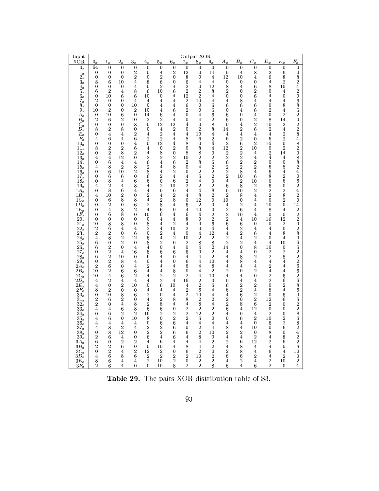| Input                         |                                  |                                                   |                                                |                          |                                    |                                           |                                  |                                           | Output XOR                                |                                                 |                                      |                                                   |                                                    |                                           |                                                  |                                             |  |
|-------------------------------|----------------------------------|---------------------------------------------------|------------------------------------------------|--------------------------|------------------------------------|-------------------------------------------|----------------------------------|-------------------------------------------|-------------------------------------------|-------------------------------------------------|--------------------------------------|---------------------------------------------------|----------------------------------------------------|-------------------------------------------|--------------------------------------------------|---------------------------------------------|--|
| XOR                           | $0_x$                            | $_{1x}$                                           | $2\,\underline{x}$                             | $3_x$                    | $4_x$                              | $5_x$                                     | $6_x\,$                          | $7_x$                                     | $8_x$                                     | $9_x\,$                                         | $A_x$                                | $B_x$                                             | $C_x$                                              | $D_x$                                     | $E_x$                                            | ${F}_x$                                     |  |
| $0_x$                         | 64<br>$\mathbf 0$                | $\overline{0}$<br>$\mathbf 0$                     | $\overline{0}$<br>$\mathbf 0$                  | $\mathbf 0$              | $\overline{0}$<br>$\mathbf 0$      | $\overline{0}$<br>$\overline{\mathbf{4}}$ | $\overline{0}$<br>$\overline{2}$ | $\bf{0}$<br>12                            | 0<br>$\mathbf 0$                          | $\bf{0}$<br>14                                  | $\overline{0}$<br>$\boldsymbol{0}$   | $\overline{0}$<br>$\overline{4}$                  | $\overline{0}$<br>8                                | $\bf{0}$                                  | $\overline{0}$<br>6                              | $\bf{0}$<br>10                              |  |
| 1 <sub>x</sub><br>$2_x$       | $\boldsymbol{0}$                 | $\mathbf 0$                                       | $\mathbf 0$                                    | $\frac{2}{4}$            | $\bf{0}$                           |                                           | $\mathbf 0$                      | 8                                         | $\bf{0}$                                  | $\overline{4}$                                  | $12 \overline{)}$                    | $10\,$                                            | $\overline{4}$                                     | $^2_6$                                    | 8                                                |                                             |  |
| $3_x^{\circ}$                 | 8                                | 6                                                 | 10                                             |                          | 8                                  | $^2_6$                                    | $\mathbf 0$                      | 6                                         | $\overline{4}$                            | $\overline{4}$                                  | $\bf{0}$                             | $\mathbf 0$                                       | 0                                                  | $\overline{4}$                            | $\overline{2}$                                   | $\begin{array}{c} 8 \\ 2 \end{array}$       |  |
| $4_x$<br>$5_x$                | 0<br>6                           | $\overline{0}$<br>$\overline{2}$                  | $\overline{0}$<br>$\overline{4}$               | $\overline{4}$<br>8      | $\overline{0}$<br>6                | $\overline{2}$<br>10                      | 4<br>6                           | $\overline{2}$<br>$\overline{2}$          | $\overline{0}$<br>$\overline{2}$          | 12<br>8                                         | 8<br>$\tilde{2}$                     | $\overline{4}$<br>0                               | 6<br>$\overline{2}$                                | 8<br>$\mathbf 0$                          | 10<br>$\overline{4}$                             | $\overline{4}$<br>$\,2$                     |  |
| $6_x$                         | $\mathbf 0$                      | 10                                                | 6                                              | 6                        | 10                                 | $\bf{0}$                                  | $\overline{4}$                   | 12                                        | $\,2$                                     | $\overline{4}$                                  | $\overline{0}$                       | $\mathbf 0$                                       | $\,6$                                              | $\overline{4}$                            | $\bf{0}$                                         | 0                                           |  |
| $7_x$                         | $\overline{2}$                   | 0                                                 | $\mathbf 0$                                    | $\overline{4}$           | $\overline{4}$                     | 4                                         | 4                                | $\frac{5}{6}$                             | 10                                        | $\overline{4}$                                  | $\overline{4}$                       | 8                                                 | 4                                                  | 4                                         | 4                                                | 6                                           |  |
| $8_x$<br>$9_x$                | 0<br>10                          | 0<br>$\overline{2}$                               | $\mathbf 0$<br>$\mathbf 0$                     | $10\,$<br>$\overline{2}$ | 0<br>10                            | 4<br>4                                    | 4<br>6                           | $\overline{2}$                            | 0<br>$\mathbf 0$                          | 6<br>6                                          | 6<br>$\mathbf 0$                     | 6<br>4                                            | 6<br>6                                             | 0<br>$\overline{\mathbf{c}}$              | 8<br>4                                           | 8<br>6                                      |  |
| $A_x$                         | 0                                | 10                                                | $\,$ 6                                         | 0                        | 14                                 | 6                                         | $\overline{4}$                   | 0                                         | 4                                         | $\,$ 6                                          | 6                                    | 0                                                 | 4                                                  | $\mathbf 0$                               | $\overline{\mathbf{c}}$                          | $\overline{2}$                              |  |
| $B_x$                         | $\overline{2}$<br>$\bf{0}$       | 6<br>$\mathbf 0$                                  | $\boldsymbol{2}$<br>$\mathbf 0$                | 10<br>8                  | $\overline{2}$<br>$\bf{0}$         | $\overline{2}$<br>12                      | $\overline{4}$                   | $\bf{0}$<br>$\overline{4}$                | $\overline{4}$<br>$\bf{0}$                | $\overline{\mathbf{c}}$<br>8                    | 6<br>0                               | $\mathbf 0$<br>4                                  | $\boldsymbol{2}$<br>$\overline{2}$                 | 8<br>10                                   | $\begin{array}{c} 14 \\ 2 \\ 4 \\ 2 \end{array}$ | $\bf{0}$<br>$\overline{2}$                  |  |
| $C_x$<br>$D_{\it x}$          | 8                                | $\overline{2}$                                    | 8                                              | $\mathbf 0$              | $\mathbf 0$                        |                                           | 12<br>$\overline{2}$             | $\bf{0}$                                  | $\overline{2}$                            | 8                                               | 14                                   | $\overline{\mathbf{c}}$                           | 6                                                  | $\sqrt{2}$                                |                                                  |                                             |  |
| $E_x$<br>$F_x$                | $\mathbf 0$                      | $\overline{4}$                                    | $\overline{4}$                                 | $\overline{2}$           | $\overline{4}$                     | $\frac{4}{2}$                             | 4                                | $\overline{4}$                            | 10                                        | $\overline{4}$                                  | $\overline{4}$                       | $\overline{\mathbf{4}}$                           | 4                                                  | $\overline{4}$                            |                                                  | $\begin{smallmatrix}2\2\8\end{smallmatrix}$ |  |
| $10_x$                        | 4<br>$\mathbf 0$                 | 6<br>$\mathbf 0$                                  | $\overline{4}$<br>$\overline{0}$               | 6<br>$\overline{4}$      | $\overline{2}$<br>0                | $\overline{2}$<br>12                      | $\overline{4}$<br>$\overline{4}$ | 8<br>8                                    | 6<br>$\mathbf 0$                          | $\overline{2}$<br>$\overline{4}$                | 6<br>$\,2$                           | $^2_6$                                            | $\mathbf 0$<br>$\boldsymbol{2}$                    | 6<br>14                                   | $\overline{\mathbf{c}}$<br>0                     | $\overline{4}$<br>8                         |  |
| $11_x$                        | 8                                |                                                   | $\overline{2}$                                 | 6                        | 4                                  | $\mathbf 0$                               | $\overline{2}$                   | $\bf{0}$                                  | 8                                         | $\overline{4}$                                  | $\frac{1\overline{2}}{2}$            |                                                   | 10                                                 | $\bf{0}$                                  | $\overline{2}$                                   | $\overline{2}$                              |  |
| 12 <sub>x</sub>               | $\mathbf 0$<br>$\overline{4}$    | $\frac{2}{4}$                                     | $\overline{8}$<br>12                           | $\overline{2}$<br>0      | $\overline{4}$<br>$\overline{2}$   | $\bar{8}$                                 | $\mathbf 0$<br>$\overline{2}$    | 8<br>10                                   | $\check{8}$                               | 0                                               | $\boldsymbol{2}$                     |                                                   | 4<br>4                                             | $\overline{2}$<br>$\overline{4}$          | 14<br>$\overline{4}$                             | $\bar{0}$<br>8                              |  |
| $13_x$<br>$14_x$              | $\mathbf 0$                      | 6                                                 | 4                                              | 4                        | $\overline{6}$                     | $\boldsymbol{2}$<br>$\overline{4}$        | $\overline{6}$                   | $\overline{2}$                            | $\frac{2}{8}$                             | $\boldsymbol{2}$<br>$\overline{6}$              | $\,6$                                | $\begin{smallmatrix}2\2\2\2\2\end{smallmatrix}$   | $\overline{\mathbf{c}}$                            | $\bf{0}$                                  | $\mathbf 0$                                      | 8                                           |  |
| $15_x$                        | $\overline{4}$                   | 8                                                 | $\overline{2}$                                 | 8                        | $\overline{\mathbf{c}}$            | 4                                         | 8                                | $\bf{0}$                                  | $\overline{4}$                            | $\tilde{2}$                                     | $\,2$                                |                                                   | $\overline{2}$                                     | $\,6$                                     | 8                                                | $\boldsymbol{2}$                            |  |
| 16 <sub>x</sub><br>$17_x$     | $\mathbf 0$<br>$\mathbf 0$       | 6<br>6                                            | 10<br>$\,6$                                    | $\overline{2}$<br>0      | 8<br>6                             | $\overline{4}$<br>$\overline{2}$          | $\frac{2}{4}$                    | $\bf{0}$<br>$\overline{4}$                | $\begin{array}{c} 2 \\ 6 \end{array}$     | $\frac{2}{2}$                                   | $\frac{2}{2}$                        | 8<br>10                                           | $\overline{4}$<br>6                                | $\boldsymbol{6}$<br>$\,$ 8 $\,$           | $\overline{4}$<br>$\overline{2}$                 | $\overline{4}$<br>$\mathbf 0$               |  |
| $18_x$                        | 0                                | 8                                                 | $\overline{4}$                                 | 6                        | 6                                  | 0                                         | 6                                | $\overline{2}$                            | $\overline{4}$                            | $\bf{0}$                                        | $\overline{4}$                       | $\overline{2}$                                    | 10                                                 | $\bf{0}$                                  | 6                                                | 6                                           |  |
| $19_x$<br>$1\cal{A}_x$        | $\overline{4}$<br>$\mathbf 0$    | $\overline{2}$                                    | $\overline{4}$<br>6                            | 8<br>4                   | 4<br>$\overline{4}$                | $\overline{\mathbf{2}}$<br>0              | 10<br>6                          | $\overline{\mathbf{c}}$<br>$\overline{4}$ | $\overline{\mathbf{c}}$<br>$\overline{4}$ | $\overline{\mathbf{c}}$                         | 6<br>$\boldsymbol{0}$                | 8<br>10                                           | $\overline{\mathbf{c}}$<br>$\,2$                   | $\,$ 6<br>$\,2$                           | $\overline{0}$<br>$\overline{2}$                 | $\boldsymbol{2}$<br>$\overline{4}$          |  |
| $1B_x$                        | 4                                | $\begin{array}{c} 8 \\ 10 \end{array}$            | $\frac{2}{8}$                                  | 0                        | $\overline{2}$                     | $\overline{\mathbf{4}}$                   | $\overline{2}$                   | $\overline{4}$                            | $\,$ 8 $\,$                               | $\begin{array}{c} 8 \\ 2 \end{array}$           | $\,2$                                | 8                                                 | $\overline{4}$                                     | $\overline{2}$                            | 8                                                | $\,2$                                       |  |
| $1C_x$                        | $\mathbf 0$                      | 6                                                 |                                                | 8                        | $\overline{4}$                     | $\overline{2}$                            | 8                                | $\bf{0}$                                  | 12                                        | $\mathbf 0$                                     | 10                                   | $\bf{0}$                                          | $\overline{4}$                                     | $\bf{0}$                                  | $\overline{2}$                                   | 0                                           |  |
| $1D_x$<br>$1E_x$              | 0<br>$\bf{0}$                    | $\overline{2}$<br>$\overline{4}$                  | $\overline{0}$                                 | 6<br>$\overline{2}$      | $\overline{2}$<br>$\overline{4}$   | $\bar{8}$<br>6                            | 4<br>$\mathbf 0$                 | $\,6$<br>$\overline{4}$                   | $\boldsymbol{2}$<br>10                    | 0<br>$\bf{0}$                                   | $\overline{4}$                       | $\boldsymbol{2}$<br>6                             | 4<br>4                                             | $10\,$<br>8                               | $\bf{0}$<br>$\overline{4}$                       | 14                                          |  |
| $1F_x$                        | 0                                | 6                                                 | $\begin{smallmatrix} 8 \\ 8 \end{smallmatrix}$ | 0                        | 10                                 | 6                                         | 4                                | 6                                         | 4                                         | $\overline{2}$                                  | $\frac{2}{2}$                        | 10                                                | $\overline{4}$                                     | $\bf{0}$                                  | $\bf{0}$                                         | $\frac{2}{2}$                               |  |
| $20_x$<br>$21_x$              | $\mathbf 0$<br>10                | $\mathbf 0$<br>$\bar{8}$                          | $\mathbf 0$<br>8                               | 0<br>$\mathbf 0$         | $\bf{0}$<br>8                      | 4<br>$\overline{4}$                       | $\overline{4}$<br>$\overline{2}$ | 8<br>$\overline{4}$                       | 0<br>$\mathbf 0$                          | $^2_{\rm 6}$                                    | $\,2$<br>$\,6\,$                     | $\overline{4}$<br>6                               | 10<br>0                                            | 16<br>0                                   | 12                                               | $\overline{2}$<br>$\bf{0}$                  |  |
|                               | 12                               | $\,$ 6                                            | $\overline{4}$                                 | 4                        | $\boldsymbol{2}$                   | 4                                         | 10                               | $\boldsymbol{2}$                          | $\mathbf 0$                               | $\overline{4}$                                  | $\overline{4}$                       | $\overline{2}$                                    | $\overline{4}$                                     | $\overline{4}$                            | $\frac{5}{0}$                                    | $\boldsymbol{2}$                            |  |
| $\frac{22}{23x}$              | $_4^2$                           | $\frac{2}{8}$                                     | $\mathbf 0$                                    | 6                        | $\bf{0}$                           | $\frac{2}{4}$                             | $\overline{4}$                   | $\bf{0}$                                  | 4                                         | 12                                              | $\overline{4}$                       | $\frac{2}{4}$                                     | 6                                                  | $\overline{4}$                            | 8                                                | 8                                           |  |
| $24_x$<br>$25_x\,$            | 6                                | $\mathbf 0$                                       | $\frac{2}{2}$                                  | 12<br>0                  | 6                                  | $\overline{2}$                            | $\overline{2}$<br>$\mathbf 0$    | 10<br>$\boldsymbol{2}$                    | $\boldsymbol{2}$                          | $\boldsymbol{2}$                                | $\boldsymbol{2}$<br>$\boldsymbol{2}$ | $\overline{2}$                                    | $\boldsymbol{2}$<br>$\overline{4}$                 | $\mathbf 0$<br>4                          | 4<br>10                                          | $\mathbf 0$<br>6                            |  |
| $26_x$                        | 6                                |                                                   | $\overline{0}$                                 | $\overline{4}$           | $\frac{8}{4}$                      | 0                                         | 4                                | $\bf{0}$                                  | $\frac{8}{4}$                             | $\begin{smallmatrix} 8\\2\\2 \end{smallmatrix}$ | 14                                   | $\mathbf 0$                                       | 8                                                  | 10                                        | $\tilde{0}$                                      | 6                                           |  |
| $27^\circ_x$<br>$28_x$        | $\bf{0}$<br>6                    | $\begin{smallmatrix}2\2\2\2\3\6\end{smallmatrix}$ | $\overline{4}$<br>10                           | 16<br>$\mathbf 0$        | 8<br>6                             | 6<br>4                                    | 6<br>$\mathbf 0$                 | $\,6$<br>$\overline{4}$                   | $\mathbf 0$<br>$\overline{4}$             | $\overline{2}$                                  | $\overline{4}$<br>$\overline{4}$     | $\overline{\mathbf{4}}$<br>8                      | 0<br>$\overline{\mathbf{c}}$                       | $\boldsymbol{2}$                          | $\overline{2}$<br>8                              | $\boldsymbol{2}$                            |  |
| $29_x\,$                      | $\mathbf 0$                      |                                                   | 8                                              | $\overline{4}$           | $\mathbf 0$                        | 4                                         | $\mathbf 0$                      | 6                                         | 4                                         | 10                                              | $\overline{4}$                       | 8                                                 | $\overline{4}$                                     | $_4^2$                                    | $\overline{4}$                                   | $\frac{2}{2}$                               |  |
| $2A_x$                        | $\overline{2}$                   |                                                   | $\overline{0}$                                 | $\overline{4}$           | $\overline{2}$                     | $\overline{4}$                            | $\overline{4}$                   | 6                                         | $\overline{4}$                            | $\frac{8}{2}$                                   | $\overline{4}$                       | $\overline{4}$                                    | $\overline{4}$                                     | $\overline{\mathbf{c}}$                   | $\overline{4}$                                   | $\,$ 6                                      |  |
| $2B_x$<br>$2\overline{C}_x^*$ | 10<br>10                         | $\overline{2}$<br>$\overline{4}$                  | 6<br>6                                         | 6<br>$\overline{2}$      | $\overline{4}$<br>$\overline{4}$   | $\overline{4}$                            | 8<br>$\overline{2}$              | $\bf{0}$<br>$\overline{2}$                | $\overline{4}$<br>$\overline{4}$          | 10                                              | $\boldsymbol{2}$<br>$\overline{4}$   | $\mathbf 0$<br>4                                  | $\boldsymbol{2}$<br>$\overline{0}$                 | $\overline{4}$<br>$\boldsymbol{2}$        | $\overline{4}$<br>6                              | 6<br>$\overline{2}$                         |  |
| $2D_x$                        | $\overline{4}$                   | $\overline{2}$                                    | 4                                              | $\overline{4}$           | $\overline{4}$                     | $\frac{2}{2}$                             | $\overline{4}$                   | 16                                        | $\boldsymbol{2}$                          | $\mathbf 0$                                     | $\mathbf 0$                          | 4                                                 | 4                                                  | $\overline{2}$                            | 6                                                | 6                                           |  |
| $2\sqrt{E_x}$<br>$2F_x$       | $\bf{4}$<br>8                    | $\overline{0}$<br>$\overline{2}$                  | $\overline{c}$<br>$\mathbf 0$                  | 10<br>$\mathbf 0$        | $\mathbf 0$<br>$\overline{4}$      | 6<br>4                                    | 10<br>$\overline{4}$             | $\bf{4}$<br>$\boldsymbol{2}$              | $\overline{\mathbf{c}}$<br>$\,6$          | 6<br>$\overline{4}$                             | $\,6$<br>6                           | $\frac{2}{2}$                                     | $\overline{\mathbf{c}}$<br>$\overline{\mathbf{4}}$ | $\mathbf 0$<br>8                          | $\overline{\mathbf{c}}$<br>4                     | 8<br>6                                      |  |
| $30_x\,$                      | $\mathbf 0$                      | 10                                                |                                                | $\boldsymbol{6}$         | $\overline{2}$                     | 0                                         | 4                                | $\overline{2}$                            | 10                                        | $\overline{4}$                                  | $\overline{4}$                       | $\sqrt{6}$                                        | $\overline{2}$                                     | $\bf{0}$                                  | 6                                                | 0                                           |  |
| $31_x$                        | $\overline{2}$                   | 6                                                 | $\begin{array}{c} 8 \\ 2 \\ 4 \end{array}$     | $\mathbf 0$              | $\overline{4}$                     | $\frac{2}{8}$                             | 8                                | 8                                         | $^2_8$                                    | $\boldsymbol{2}$                                | $\,2$                                | 0                                                 | $\frac{5}{6}$                                      | $12\,$                                    | 6                                                | 6                                           |  |
| $32_x$<br>$33_x$              | $\overline{2}$<br>$\overline{4}$ | $\mathbf 0$<br>$\overline{4}$                     | $\overline{6}$                                 | 8<br>8                   | $\overline{2}$<br>6                | $\overline{6}$                            | 4<br>$\bf{0}$                    | $\bf{4}$                                  | $\overline{2}$                            | $\overline{4}$                                  | $\,2$<br>$\,6$                       | 8<br>$\overline{4}$                               | 12                                                 | $\sqrt{2}$<br>$\bf{0}$                    | 0<br>0                                           | $\boldsymbol{2}$<br>$\overline{\mathbf{c}}$ |  |
| $34_x$                        | 0                                | $\,$ 6                                            | $\overline{2}$                                 | $\overline{2}$           | 16                                 | $\overline{c}$                            | $\frac{2}{2}$                    | $\frac{2}{2}$                             | 12                                        | $\frac{2}{2}$                                   | $\overline{4}$                       | $\mathbf 0$                                       | $\overline{4}$                                     | $\boldsymbol{2}$                          | $\bf{0}$                                         | 8                                           |  |
| $35_x$                        | 4<br>$\overline{4}$              | 6<br>4                                            | $\overline{0}$<br>$\overline{4}$               | 10<br>4                  | 8<br>0                             | $\overline{0}$<br>6                       | $\,$ 6                           | $\overline{4}$                            | $\,$ 6<br>$\bf{4}$                        | $\overline{0}$<br>$\overline{4}$                | $\mathbf 0$<br>$\overline{4}$        | 6<br>$\overline{4}$                               | $\overline{2}$<br>$\bf{0}$                         | 10<br>6                                   | $\boldsymbol{2}$<br>$\overline{2}$               | $\,$ 6<br>8                                 |  |
| $36_x$<br>$37_x$              | $\overline{4}$                   | 8                                                 | $\overline{2}$                                 | $\overline{4}$           |                                    |                                           | 6                                | $\mathbf 0$                               |                                           | $\overline{4}$                                  | 8                                    | $\overline{4}$                                    | 10                                                 | $\bf{0}$                                  | $\,$ 6                                           | $\overline{2}$                              |  |
| $38_x$                        | 0                                | $\check{8}$                                       | 12                                             | 0                        | $\frac{2}{2}$                      | $\frac{2}{2}$                             | 6                                | $\,6$                                     | $\frac{2}{2}$                             | 10                                              | $\tilde{2}$                          | $\boldsymbol{2}$                                  | 0                                                  | $\bar{8}$                                 | $\bf{0}$                                         | $\overline{4}$                              |  |
| $39_x\,$<br>$3A_x$            | $\overline{2}$<br>$\sqrt{6}$     | 6<br>$\mathbf 0$                                  | $\overline{4}$<br>$\overline{2}$               | 0<br>$\overline{2}$      | 6<br>$\overline{4}$                | $\overline{4}$<br>6                       | 6<br>4                           | $\overline{4}$<br>$\overline{4}$          | 8<br>$\frac{1}{4}$                        | 0<br>$\overline{2}$                             | $\overline{4}$<br>$\,2$              | $\overline{\mathbf{4}}$<br>6                      | $\overline{2}$<br>$12\,$                           | $\overline{4}$<br>$\overline{\mathbf{c}}$ | 8<br>6                                           | $\overline{2}$<br>$\bar{2}$                 |  |
| $3B_x$                        | $\overline{2}$                   | $\overline{2}$                                    | 6                                              | 0                        | $\mathbf 0$                        | 10                                        | 4                                | 8                                         | $\overline{4}$                            | $\,2$                                           | $\overline{4}$                       |                                                   | $\overline{4}$                                     | $\overline{4}$                            | $\mathbf 0$                                      | 6                                           |  |
| $3C_x$                        | 0                                | $\overline{2}$                                    | $\overline{4}$                                 | $\overline{2}$           | 12                                 | $\boldsymbol{2}$                          | 0                                | $\check{6}$                               | $\boldsymbol{2}$                          | $\bar{0}$                                       | $\,2\,$                              | $\begin{smallmatrix} 8 \ 8 \ 8 \end{smallmatrix}$ | $\overline{4}$                                     | 6                                         | 4                                                | 10                                          |  |
| $3D_x$<br>$3E_x$              | $\overline{4}$<br>8              | 6<br>6                                            | 8<br>4                                         | 6<br>4                   | $\boldsymbol{2}$<br>$\overline{2}$ | $\boldsymbol{2}$<br>$10\,$                | $\frac{2}{2}$                    | $\overline{2}$<br>$\bf{0}$                | 10<br>$\,2$                               | $\boldsymbol{2}$<br>$\bar{2}$                   | 6<br>4                               | $\,$ 6<br>$\overline{2}$                          | $\boldsymbol{2}$<br>$\overline{4}$                 | $\overline{4}$<br>$\overline{2}$          | $\boldsymbol{2}$<br>10                           | 0<br>$\sqrt{2}$                             |  |
| $3F_x$                        | $\overline{2}$                   | 6                                                 | $\overline{4}$                                 | 0                        | 0                                  | 10                                        | 8                                | $\overline{2}$                            | $\overline{2}$                            | 8                                               | 6                                    | $\overline{4}$                                    | 6                                                  | $\,2$                                     | 0                                                | $\overline{4}$                              |  |

CD4FE![F5@01BRP³aµ\¶ :<01PRQB0S<Q0KTMbQ5/1EHT8V
= K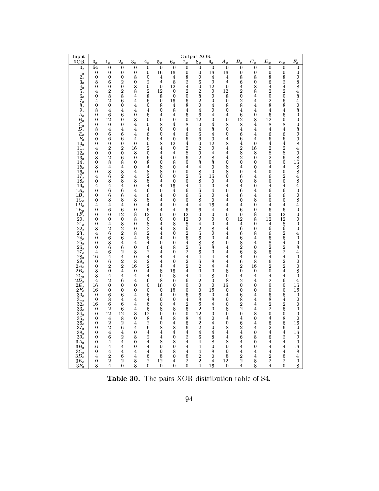| $_{\mathrm{Input}}$                                                     |                                      |                                             |                                                          |                                  |                                                           |                                                   |                                               |                                                                 | Output XOR                                                    |                                                             |                                        |                                                    |                                                     |                                                    |                                                               |                                                                 |
|-------------------------------------------------------------------------|--------------------------------------|---------------------------------------------|----------------------------------------------------------|----------------------------------|-----------------------------------------------------------|---------------------------------------------------|-----------------------------------------------|-----------------------------------------------------------------|---------------------------------------------------------------|-------------------------------------------------------------|----------------------------------------|----------------------------------------------------|-----------------------------------------------------|----------------------------------------------------|---------------------------------------------------------------|-----------------------------------------------------------------|
| XÒR                                                                     | $0_x$                                | $_{1x}$                                     | $2_x$                                                    | $3_x$                            | $\frac{4x}{x}$                                            | $5_x$                                             | $6_x$                                         | $7_x$                                                           | $8_x$                                                         | $9_x$                                                       | $A_x$                                  | $B_x$                                              | $C_x$                                               | $D_x$                                              | $E_x$                                                         | $F_x$                                                           |
| $\overline{0_x}$<br>$\overline{1_x}$                                    | 64                                   | $\overline{0}$                              | $\overline{0}$                                           | $\overline{0}$                   | $\overline{0}$                                            | $\overline{0}$                                    | $\overline{0}$                                | $\overline{0}$                                                  | $\overline{0}$                                                | $\overline{0}$                                              | $\overline{0}$                         | $\overline{0}$                                     | $\overline{0}$                                      | $\overline{0}$                                     | $\overline{0}$                                                | $\overline{0}$                                                  |
| $2_x$                                                                   | $\begin{matrix} 0 \\ 0 \end{matrix}$ | $_0^0$                                      | $_{0}^{0}$                                               | $_{8}^{\rm 0}$                   | $\begin{matrix} 0 \\ 0 \end{matrix}$                      | $\begin{array}{c} 16 \\ 4 \end{array}$            | $\begin{array}{c}\n16 \\ 4 \\ 8\n\end{array}$ | $\begin{smallmatrix} 0 & 8 \\ 8 & 2 \\ 4 & 1 \end{smallmatrix}$ | $\begin{matrix} 0 \\ 0 \end{matrix}$                          | $\begin{array}{c} 16 \\ 4 \end{array}$                      | $\begin{array}{c} 16 \\ 4 \end{array}$ | $_{8}^{0}$                                         | $\begin{smallmatrix} 0\ 8\ 0 \end{smallmatrix}$     | $\begin{smallmatrix} 0\ 8\ 6 \end{smallmatrix}$    | $\begin{smallmatrix} 0 & 8 \ 8 & 2 \ 4 & 4 \end{smallmatrix}$ |                                                                 |
| $3_x^{\circ}$                                                           | 8                                    | $\,$ 6                                      | $\overline{2}$                                           | $\bf{0}$                         |                                                           | $\overline{4}$                                    |                                               |                                                                 | 6                                                             | $\bf{0}$                                                    | $\overline{4}$                         | 6                                                  |                                                     |                                                    |                                                               |                                                                 |
| $\scriptstyle 4_x$<br>$5_x\,$                                           | $\overline{0}$<br>$\overline{4}$     | $\mathbf 0$                                 | $\begin{smallmatrix} 0 \ 2 \end{smallmatrix}$            | 8<br>8                           |                                                           | $\bf{0}$<br>12                                    | $1\overline{2}$<br>$\bf{0}$                   | $\overline{c}$                                                  |                                                               | $\begin{smallmatrix}\n 1 & 2 \\  0 & 0\n \end{smallmatrix}$ | $\overline{0}$<br>12                   | $\overline{4}$<br>$\overline{c}$                   | $\begin{array}{c} 8 \\ 8 \\ 4 \end{array}$          | $\overline{4}$<br>$\overline{c}$                   | $\overline{2}$                                                |                                                                 |
| $6_x$                                                                   | $\bf{0}$                             | $\begin{smallmatrix}2\8\0\end{smallmatrix}$ | $^8_6$                                                   | $\overline{4}$                   | $\begin{smallmatrix} 2 \ 0 \ 2 \ 8 \ 6 \end{smallmatrix}$ | $_{0}^{8}$                                        | $\overline{0}$                                | $_{6}^{0}$                                                      |                                                               | 0                                                           | $\substack{8\\0}$                      | $\bf{0}$                                           |                                                     | 0                                                  | 0                                                             |                                                                 |
| $7_x^{\degree}$                                                         | 4<br>$\bf{0}$                        | $\mathbf 0$                                 | $\overline{0}$                                           | $\overline{4}$<br>$\overline{4}$ | $\overline{0}$                                            |                                                   | 16<br>$\overline{4}$                          |                                                                 | $\begin{smallmatrix} 0 & 2 \ 2 & 8 \ 2 & 0 \end{smallmatrix}$ | $\bf{0}$<br>$\overline{4}$                                  | 8                                      | $\overline{2}$<br>8                                | $\overline{4}$<br>$\overline{4}$                    | $\frac{1}{2}$<br>8                                 | 6<br>8                                                        | 00884840                                                        |
| $8_x$<br>$9_x$                                                          | 8                                    | $\overline{4}$                              | $\overline{4}$                                           | $\overline{4}$                   | 4                                                         | $_{0}^{8}$                                        | 8                                             | $_4^8$                                                          | $\overline{4}$                                                | 0                                                           | $\overline{0}$                         | $\overline{4}$                                     | $\overline{4}$                                      | $\overline{4}$                                     | $\overline{4}$                                                | 8                                                               |
|                                                                         | $\mathbf 0$                          | $\,$ 6                                      | 6                                                        | 0                                | 6                                                         | $\overline{4}$                                    | $\overline{4}$                                | 6                                                               | $\,$ 6                                                        | $\overline{4}$                                              | $\overline{4}$                         | 6                                                  | 0                                                   | 6                                                  | 6                                                             | 0                                                               |
|                                                                         | $\bf{0}$<br>$\bf{0}$                 | 12<br>$\boldsymbol{0}$                      | 0<br>0                                                   | 8<br>$\overline{4}$              | 0<br>0                                                    | 0<br>8                                            | $\overline{0}$<br>4                           | 0<br>8                                                          | $1\overline{2}$<br>$\bf{0}$                                   | 0<br>$\overline{4}$                                         | $\overline{0}$<br>8                    | 12<br>8                                            | 8<br>$\overline{4}$                                 | $\overline{12}$<br>8                               | 0<br>8                                                        | $\bf{0}$<br>$\bf{0}$                                            |
|                                                                         | 8                                    | $\overline{4}$                              | 4                                                        | $\overline{4}$                   | 4                                                         | 0                                                 | $\overline{0}$                                | $\overline{4}$                                                  | $\overline{4}$                                                | 8                                                           | 0                                      | $\overline{4}$                                     | $\overline{4}$                                      | $\overline{4}$                                     | 4                                                             | 8                                                               |
| $\begin{array}{c} A_x \ B_x \ C_x \ D_x \ E_x \ F_x \end{array}$        | $\mathbf 0$<br>$\bf{0}$              | $\,$ 6                                      | 6                                                        | $\overline{4}$<br>$\overline{4}$ | 6                                                         | 0                                                 | $\overline{4}$<br>$\overline{0}$              | 6                                                               | 6                                                             | $\overline{4}$                                              | $\mathbf 0$                            | $\,$ 6                                             | $\overline{4}$<br>$\overline{4}$                    | 6                                                  | 6<br>6                                                        | $\bf{0}$                                                        |
|                                                                         | $\bf{0}$                             | $\boldsymbol{6}$<br>$\bf{0}$                | 6<br>0                                                   | $\bf{0}$                         | 6<br>0                                                    | $\begin{array}{c} 4 \\ 8 \\ 4 \end{array}$        | 12                                            | 6<br>$\overline{4}$                                             | 6<br>$\bf{0}$                                                 | $\begin{smallmatrix} 0\\12\\0\\4 \end{smallmatrix}$         | $\overline{4}$<br>8                    | $^6_4$                                             | 0                                                   | 6<br>$\overline{4}$                                | $\overline{4}$                                                | $\frac{0}{8}$                                                   |
| $\begin{array}{c}\n10_x \\ 11_x\n\end{array}$                           | 4                                    | $^2_{\rm 0}$                                | $\frac{2}{0}$                                            | 16                               | $\frac{2}{0}$                                             |                                                   | $\overline{0}$                                | $\frac{2}{8}$                                                   | $\frac{2}{0}$                                                 |                                                             | $\overline{4}$                         | $\frac{2}{8}$                                      | $\begin{smallmatrix} 16 \ 8 \ 0 \end{smallmatrix}$  | $\frac{2}{8}$                                      | $\overline{2}$                                                | $\overline{4}$                                                  |
| $\frac{1}{12}$<br>$\frac{1}{3}$<br>$\frac{1}{4}$<br>$\frac{1}{4}$       | $\mathbf 0$                          |                                             | 6                                                        | 8<br>$\bf{0}$                    | 6                                                         | $\overline{4}$<br>$\overline{4}$                  | $\overline{4}$<br>0                           | 6                                                               |                                                               |                                                             | 4<br>$\overline{4}$                    | $\overline{2}$                                     |                                                     | $\overline{c}$                                     | $\bar{8}$<br>6                                                | $\overline{0}$                                                  |
|                                                                         | $_{0}^{8}$                           | $\begin{smallmatrix}2\0\8\end{smallmatrix}$ | 8                                                        | 0                                | 8                                                         | 0                                                 | 8                                             | 0                                                               |                                                               | $\begin{smallmatrix} 8 \\ 8 \\ 0 \end{smallmatrix}$         | $\overline{0}$                         | $\overline{0}$                                     | 0                                                   | $\overline{0}$                                     | 0                                                             |                                                                 |
| $15_x\,$                                                                | $\bar{8}$<br>$\overline{0}$          | $\overline{\mathbf{4}}$                     | $\overline{4}$                                           | $\bf{0}$<br>$\overline{4}$       | $\overline{4}$                                            |                                                   | $\mathbf 0$<br>0                              | $\overline{4}$                                                  |                                                               |                                                             | 8<br>8                                 | $\overline{4}$<br>$\mathbf 0$                      | 0<br>$\overline{4}$                                 | $\overline{4}$<br>$\mathbf 0$                      | $\overline{4}$<br>0                                           |                                                                 |
| $16_x$<br>$17_x\,$                                                      | $\overline{4}$                       | $^8_6$                                      |                                                          | $\overline{4}$                   |                                                           | $\begin{smallmatrix} 8 \ 8 \ 0 \end{smallmatrix}$ | 0                                             | $\mathbf{0}$<br>$\overline{c}$                                  | $\frac{2}{8}\frac{8}{6}$                                      | $\begin{smallmatrix} 0 \\ 16 \end{smallmatrix}$             | $\mathbf 0$                            | 6                                                  | $\overline{4}$                                      | 6                                                  | $\overline{2}$                                                |                                                                 |
| $\frac{18}{19}$                                                         | $\mathbf 0$<br>$\overline{4}$        | 8<br>$\overline{4}$                         | $\begin{smallmatrix}8&2\0&8\4&5\end{smallmatrix}$        | 8<br>$\mathbf 0$                 | $\frac{8}{28}$                                            | $\overline{4}$<br>$\overline{4}$                  | $\bf{0}$                                      | 0<br>$\frac{1}{4}$                                              | $_4^8$                                                        | 0<br>$\tilde{0}$                                            | $\overline{4}$<br>$\overline{4}$       | $\bf{0}$<br>$\overline{4}$                         | 8<br>$\bar{0}$                                      | 0<br>$\overline{4}$                                | 0<br>$\overline{4}$                                           | $\begin{array}{c} 8 \\ 16 \\ 8 \\ 8 \\ 4 \\ 8 \\ 4 \end{array}$ |
| $1A_x$                                                                  | $\overline{0}$                       | 6                                           | 6                                                        | 4                                | 6                                                         | 0                                                 | 16<br>$\overline{4}$                          | 6                                                               | 6                                                             | $\overline{4}$                                              | 0                                      | 6                                                  | $\overline{4}$                                      | 6                                                  | 6                                                             | $\mathbf 0$                                                     |
| $\overline{\begin{array}{c} 1B_x\\ 1C_x \end{array}}$                   | 0                                    | $\boldsymbol{6}$                            | 6                                                        | 4                                | 6                                                         | $\overline{4}$                                    | $\bf{0}$                                      | 6                                                               | $\ddot{6}$                                                    | 0                                                           | 4                                      | 6                                                  | $\overline{4}$                                      | 6                                                  | 6                                                             | $\bf{0}$                                                        |
| $\tilde{1}\tilde{D}_x$                                                  | 0<br>$\overline{4}$                  | 8<br>$\overline{4}$                         | 8<br>$\overline{4}$                                      | 8<br>$\mathbf 0$                 | 8<br>$\overline{4}$                                       | $\overline{4}$<br>$\overline{4}$                  | $\mathbf 0$<br>0                              | 0<br>$\overline{4}$                                             | 8<br>$\overline{4}$                                           | $\bf{0}$<br>$1\overset{\circ}{6}$                           | $\overline{4}$<br>$\overline{4}$       | $\mathbf 0$<br>4                                   | 8<br>$\bf{0}$                                       | 0<br>4                                             | 0<br>4                                                        | 8<br>$\overline{4}$                                             |
| $\frac{1}{1}E_x$                                                        | $\bf{0}$                             | $\,$ 6                                      | 6                                                        | 0                                | 6                                                         | 4                                                 | $\overline{4}$                                | 6                                                               | 6                                                             | $\overline{4}$                                              | 4                                      | 6                                                  | $\bf{0}$                                            | 6                                                  | 6                                                             | $\bf{0}$                                                        |
|                                                                         | $\mathbf 0$<br>0                     | $\bf{0}$<br>0                               | $\begin{smallmatrix} 12\cr 0\cr 8\cr 2\end{smallmatrix}$ | 8<br>8                           | $\overline{12}$                                           | 0<br>0                                            | $\mathbf 0$<br>0                              | $\begin{array}{c} 12 \\ 12 \\ 8 \\ 6 \end{array}$               | 0<br>0                                                        | $\bf{0}$<br>0                                               | $\mathbf 0$<br>$\mathbf 0$             | 0<br>12                                            | $\begin{smallmatrix} 8 \\ 8 \\ 0 \end{smallmatrix}$ | $\bf{0}$<br>12                                     | $\begin{smallmatrix} 12\ 12\ 8\ 6 \end{smallmatrix}$          | $\bf{0}$<br>0                                                   |
| $\frac{20}{21}$                                                         | $\overline{0}$                       | $\overline{4}$                              |                                                          | $\bf{0}$                         | $\frac{0}{8}$ $\frac{8}{2}$ $\frac{2}{6}$                 | $\overline{4}$                                    | $\frac{8}{8}$                                 |                                                                 | $\overline{4}$                                                | 0                                                           | $\overline{4}$                         | $\overline{4}$                                     |                                                     | $\overline{4}$                                     |                                                               | $\begin{matrix} 0 \\ 0 \end{matrix}$                            |
| $\frac{2}{2}2^{x}_{x}$<br>$\frac{23}{24}x$                              | 8<br>$\overline{4}$                  | $\overline{2}$<br>6                         |                                                          | $\overline{0}$<br>8              |                                                           | $\overline{4}$<br>$\overline{4}$                  |                                               |                                                                 | $\overline{2}$                                                | $\check{8}$                                                 | $\overline{4}$<br>$\overline{4}$       | $\boldsymbol{6}$                                   | 0                                                   | $\overline{6}$                                     |                                                               | $\overline{4}$                                                  |
|                                                                         | $\mathbf 0$                          | $\,$ 6 $\,$                                 | $^2_6$                                                   | $\overline{4}$                   |                                                           | $\overline{4}$                                    | $\mathbf{0}$<br>0                             | $\frac{2}{6}$                                                   | 6<br>6                                                        | 0<br>ŏ                                                      | 4                                      | 6<br>6                                             | $_4^8$                                              | 6<br>6                                             | $\overline{2}$<br>$\overline{6}$                              | $\bf{0}$                                                        |
| $25^\circ_x$                                                            | 0                                    | 8                                           | $\overline{4}$                                           | 4                                | $\overline{4}$                                            | 0                                                 | $\mathbf 0$                                   | $\overline{4}$                                                  |                                                               |                                                             | $\overline{0}$                         |                                                    | $\overline{4}$                                      | 8                                                  | $\overline{4}$                                                | $\bf{0}$                                                        |
| $\frac{26}{26x}$                                                        | $\bf{0}$<br>$\overline{4}$           | $\frac{6}{6}$                               | $^6_2$                                                   | $\mathbf 0$<br>8                 | 6<br>$\overline{2}$                                       | 4<br>$\overline{4}$                               | 8<br>$\mathbf 0$                              | $\frac{2}{2}$                                                   | $\begin{smallmatrix}8\6\6\end{smallmatrix}$                   | $\begin{smallmatrix} 8 \ 8 \ 0 \end{smallmatrix}$           | 4<br>$\overline{4}$                    | $\begin{smallmatrix}8\0\2\6\end{smallmatrix}$      | $\bf{0}$<br>8                                       | $\overline{2}$<br>6                                | $\frac{2}{2}$                                                 | 8<br>$\overline{\mathbf{4}}$                                    |
| $28_{x}$                                                                | 16                                   | $\overline{4}$                              | $\overline{4}$                                           | $\overline{0}$                   | $\overline{4}$                                            | $\overline{4}$                                    | $\overline{4}$                                | $\overline{4}$                                                  | $\overline{4}$                                                | $\overline{4}$                                              | $\overline{4}$                         | $\overline{4}$                                     | $\overline{0}$                                      | 4                                                  | $\overline{4}$                                                | $\overline{0}$                                                  |
| $29_x$<br>$2A_x$                                                        | $\mathbf{0}$<br>$\mathbf 0$          | 6<br>$\overline{2}$                         | $\frac{2}{2}$                                            | 8<br>16                          | $\overline{2}$                                            | $\overline{4}$<br>$\overline{4}$                  | $\bf{0}$<br>$\overline{4}$                    | $\overline{2}$                                                  | 6                                                             | $\bar{8}$<br>$\overline{4}$                                 | $\overline{4}$<br>$\overline{4}$       | $\boldsymbol{6}$<br>$\overline{2}$                 | $\check{8}$                                         | 6                                                  | $\overline{2}$                                                | 0<br>$\mathbf 0$                                                |
|                                                                         | 8                                    | $\overline{0}$                              |                                                          | $\mathbf 0$                      | $\frac{2}{4}$                                             | $\bar{8}$                                         | 16                                            | $\frac{2}{4}$                                                   | $^2_{0}$                                                      | $\bar{0}$                                                   | 8                                      | $\overline{0}$                                     | $\frac{16}{0}$                                      | $^2_{0}$                                           | $\frac{2}{4}$                                                 | $\bar{8}$                                                       |
| $\begin{array}{c} 2Hx\ 2B_x\ 2C_x\ 2D_x\ 2E_x\ 2F_x\ 2F_x\ \end{array}$ | 8<br>$\overline{4}$                  | $\overline{4}$                              | $\overline{4}$                                           | $\overline{4}$                   | $\overline{4}$                                            | $\mathbf 0$                                       | $\begin{smallmatrix}8\0\end{smallmatrix}$     | $\overline{4}$                                                  | $\overline{4}$                                                | $_{\rm 0}^{\rm 8}$                                          | $\overline{0}$                         | $\overline{4}$                                     | $\overline{4}$                                      | $\overline{4}$                                     | $\overline{4}$                                                | $\mathbf 0$                                                     |
|                                                                         | 16                                   | $\overline{2}$<br>$\bf{0}$                  | 6<br>$\overline{0}$                                      | $\overline{4}$<br>0              | 6<br>$\overline{0}$                                       | 8<br>16                                           | $\overline{0}$                                | 6<br>0                                                          | $\overline{2}$<br>0                                           |                                                             | 8<br>16                                | $\,2$<br>$\mathbf 0$                               | 4<br>0                                              | $\overline{2}$<br>0                                | 6<br>0                                                        | $\overline{4}$                                                  |
|                                                                         | 16                                   | $\bf{0}$                                    | 0                                                        | $\mathbf 0$                      | 0                                                         | 0                                                 | 16                                            | 0                                                               | $\bf{0}$                                                      | $\frac{0}{16}$                                              | $\mathbf 0$                            | $\bf{0}$                                           | 0                                                   | 0                                                  | 0                                                             | $\begin{array}{c} 16 \\ 16 \end{array}$                         |
| $30_x$<br>$31_x$                                                        | 0<br>$\overline{0}$                  | 6                                           | 6<br>$\overline{4}$                                      | 4<br>4                           | 6<br>4                                                    | 4<br>0                                            | $\mathbf 0$<br>$\bf{0}$                       | 6<br>$\overline{4}$                                             | 6                                                             | 0                                                           | $\overline{4}$<br>$\bf{0}$             | 6                                                  | $\overline{4}$<br>4                                 | 6                                                  | 6<br>4                                                        | $\bf{0}$<br>$\bf{0}$                                            |
| $\frac{32}{33}$                                                         | 16                                   | $^8_6$                                      | 6                                                        | $\overline{4}$                   | 6                                                         | 0                                                 | $\overline{4}$                                | $\overline{2}$                                                  | $\begin{array}{c} 8 \\ 6 \end{array}$                         | $_{4}^{8}$                                                  | $\mathbf 0$                            |                                                    | $\overline{4}$                                      |                                                    | $\overline{2}$                                                | $\mathbf 0$                                                     |
|                                                                         | $\overline{0}$<br>$\mathbf 0$        | $\frac{2}{12}$                              | 6<br>$1\overset{\circ}{2}$                               | $\overline{4}$<br>8              | 6<br>$1\overset{\circ}{2}$                                | $_{0}^{8}$                                        | $\begin{matrix} 8 \\ 0 \end{matrix}$          | $^6_0$                                                          | $\frac{2}{12}$                                                | $\overline{0}$<br>ŏ                                         | 8<br>0                                 | $\begin{smallmatrix} 8\ 2\ 2\ 0 \end{smallmatrix}$ | $\overline{4}$                                      | $\begin{smallmatrix} 8\ 2\ 2\ 0 \end{smallmatrix}$ | 6<br>$\tilde{0}$                                              | $\mathbf 0$<br>$\check{\mathbf{0}}$                             |
| $34_x$<br>$35^\circ_x$                                                  | $\overline{0}$                       | $\overline{4}$                              |                                                          | $\overline{0}$                   |                                                           | $\overline{4}$                                    |                                               |                                                                 | $\overline{4}$                                                | 0                                                           | $\overline{4}$                         | $\overline{4}$                                     | $_{0}^{8}$                                          | $\overline{4}$                                     | 8                                                             | 0                                                               |
| $36_x$                                                                  | $\mathbf 0$                          |                                             | $\begin{array}{c} 8 \\ 2 \\ 6 \end{array}$               | 4                                | $\begin{array}{c} 8 \\ 2 \\ 6 \end{array}$                | 0                                                 | $_4^8$                                        | $^8_6$                                                          |                                                               | $\overline{4}$                                              | 0                                      | 6                                                  | 4                                                   | 6                                                  | 6                                                             | 16                                                              |
| $37^\circ_x$<br>$38^\circ_x$                                            | 0<br>$\mathbf 0$                     | $\frac{2}{4}$                               | $\overline{4}$                                           | $\overline{4}$<br>$\mathbf 0$    | $\overline{4}$                                            | 8<br>$\overline{4}$                               | 8<br>$\overline{4}$                           | 6<br>$\overline{4}$                                             | $\frac{2}{4}$                                                 | 0<br>$\overline{4}$                                         | 8<br>$\overline{4}$                    | $\overline{2}$<br>$\overline{4}$                   | $\overline{4}$<br>0                                 | $\overline{2}$<br>$\overline{4}$                   | 6<br>$\overline{4}$                                           | $\bf{0}$                                                        |
| $39_x$                                                                  | $\bf{0}$                             | $\overline{6}$                              | $\overline{2}$                                           | 8                                | $\overline{2}$                                            | $\overline{4}$                                    | $\mathbf 0$                                   | $\overline{2}$                                                  | 6                                                             |                                                             | $\overline{4}$                         | $\,$ 6                                             | 8                                                   | 6                                                  | $\overline{2}$                                                | $\frac{16}{0}$                                                  |
| $3A_x$<br>$3B_x^*$                                                      | $\mathbf 0$<br>16                    | $\overline{4}$<br>$\overline{\mathbf{4}}$   | $\overline{4}$<br>$\overline{4}$                         | $\mathbf 0$<br>$\mathbf 0$       | $\overline{4}$<br>$\overline{4}$                          | $_{0}^{8}$                                        | $^8_0$                                        | $\overline{4}$<br>$\overline{4}$                                | $\overline{4}$<br>$\overline{4}$                              | $\begin{smallmatrix} 8 \\ 8 \\ 0 \end{smallmatrix}$         | $^8_0$                                 | $\overline{4}$<br>$\overline{4}$                   | 0<br>0                                              | $\overline{4}$<br>$\overline{4}$                   | $\overline{4}$<br>4                                           | 0<br>16                                                         |
| $3C_x$                                                                  | $\mathbf 0$                          | $\overline{4}$                              | $\overline{4}$                                           | $\overline{4}$                   | $\overline{4}$                                            | $^{\rm 0}_{\rm 8}$                                | $^8_0$                                        | $\overline{4}$                                                  | $\overline{4}$                                                | $_{\rm 0}^{\rm 8}$                                          | $\overline{0}$                         | $\overline{4}$                                     | 4                                                   | $\overline{4}$                                     | $\overline{4}$                                                | $\begin{array}{c} 8 \\ 4 \end{array}$                           |
| $3D_x$                                                                  | $\overline{4}$                       | $\overline{\mathbf{2}}$                     | 6                                                        | $\overline{4}$                   | 6                                                         |                                                   |                                               | 6                                                               | $\overline{2}$                                                | $\overline{4}$                                              | 8                                      | $\overline{2}$                                     | $\overline{4}$                                      | $\overline{c}$                                     | 6                                                             |                                                                 |
| $3E_x$<br>$3 F_x$                                                       | $\mathbf 0$<br>8                     | $\overline{2}$<br>$\overline{4}$            | $\overline{2}$<br>0                                      | 8<br>8                           | $\overline{2}$<br>0                                       | $1\overline{2}$<br>0                              | $\overline{4}$<br>0                           | $\overline{2}$<br>0                                             | $\overline{2}$<br>$\overline{4}$                              | 16                                                          | 12<br>0                                | $\overline{2}$<br>$\overline{4}$                   | 8<br>8                                              | $\overline{2}$<br>$\overline{4}$                   | $\overline{2}$<br>0                                           | $\bf{0}$<br>8                                                   |
|                                                                         |                                      |                                             |                                                          |                                  |                                                           |                                                   |                                               |                                                                 |                                                               |                                                             |                                        |                                                    |                                                     |                                                    |                                                               |                                                                 |

Table 30. The pairs XOR distribution table of S4.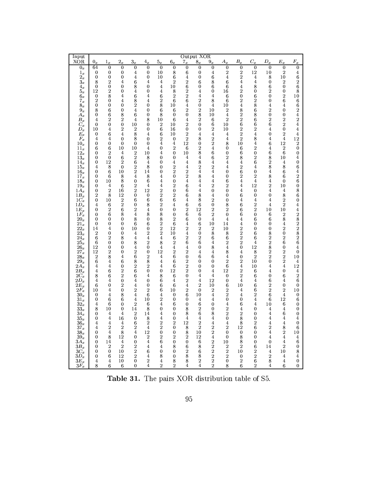| Input                       |                                  |                                  |                                      |                                          |                                  |                                                    |                               |                                                | Output XOR                             |                                  |                                    |                                                   |                                    |                                                        |                                            |                                  |  |
|-----------------------------|----------------------------------|----------------------------------|--------------------------------------|------------------------------------------|----------------------------------|----------------------------------------------------|-------------------------------|------------------------------------------------|----------------------------------------|----------------------------------|------------------------------------|---------------------------------------------------|------------------------------------|--------------------------------------------------------|--------------------------------------------|----------------------------------|--|
| XOR                         | $0_x$                            | $_{1x}$                          | $2\,\underline{x}$                   | $3_x$                                    | $4_x$                            | $5_x$                                              | $6_x\,$                       | $7_x$                                          | $8_x$                                  | $9_x$                            | $A_x$                              | $B_x$                                             | $C_x$                              | $D_x$                                                  | $E_x$                                      | $F_x$                            |  |
| $0_x$                       | 64<br>$\mathbf 0$                | $\overline{0}$<br>$\mathbf 0$    | $\overline{0}$<br>$\mathbf 0$        | $\overline{0}$<br>$\overline{4}$         | $\overline{0}$<br>0              | $\overline{0}$<br>10                               | $\overline{0}$<br>8           | $\bf{0}$<br>$\,6$                              | 0<br>$\bf{0}$                          | $\overline{0}$<br>$\overline{4}$ | $\overline{0}$<br>$\boldsymbol{2}$ | $\overline{0}$                                    | $\overline{0}$<br>12               | $\overline{0}$<br>10                                   | $\bf{0}$<br>$\overline{2}$                 | $\overline{0}$<br>$\overline{4}$ |  |
| 1 <sub>x</sub><br>$2_x$     | $\mathbf 0$                      | $\overline{0}$                   | $\overline{0}$                       | $\overline{4}$                           | $\bf{0}$                         | 10                                                 | $\,$ 6                        | $\overline{4}$                                 | $\bf{0}$                               | 6                                | $\bf{4}$                           | $\frac{2}{2}$                                     | $\overline{4}$                     | $\begin{matrix} 8 \\ 0 \end{matrix}$                   | $\frac{1\bar{0}}{2}$                       | 6                                |  |
| $\bar{\mathfrak{z}}_x$      | 8                                | $\overline{2}$<br>$\overline{0}$ | 4                                    | 6                                        | 4                                | $\overline{4}$<br>$\overline{4}$                   | $\overline{2}$                | $\boldsymbol{2}$                               | 6                                      | 8                                | 6                                  |                                                   | $\overline{4}$                     |                                                        | $\overline{0}$                             | $\overline{2}$                   |  |
| $\scriptstyle 4_x$<br>$5_x$ | $\overline{0}$<br>12             | $\overline{2}$                   | $\overline{0}$<br>$\mathbf 0$        | 8<br>$\overline{4}$                      | $\overline{0}$<br>0              | $\overline{\mathbf{4}}$                            | 10<br>8                       | $6\phantom{.}6$<br>$\overline{\mathbf{c}}$     | $\overline{0}$<br>$\overline{4}$       | 6<br>$\mathbf 0$                 | 6<br>16                            | $\overline{4}$<br>$\overline{c}$                  | 8<br>0                             | $6\phantom{.}6$<br>$\overline{2}$                      | $\bf{0}$                                   | 6<br>8                           |  |
| $6_x$                       | $\bf{0}$                         | 8                                | $\overline{4}$                       | 6                                        | $\overline{4}$                   | 6                                                  | $\overline{2}$                | $\overline{2}$                                 | $\overline{\mathbf{4}}$                | $\overline{4}$                   | 6                                  | $\boldsymbol{0}$                                  | $\,6$                              | $\bf{0}$                                               | $\,2$                                      | 10                               |  |
| $7_x$<br>$8_x$              | $\overline{2}$<br>$\mathbf 0$    | $\overline{0}$<br>$\mathbf 0$    | 4<br>0                               | 8<br>$\overline{2}$                      | 4<br>0                           | $\overline{\mathbf{c}}$<br>8                       | 6<br>10                       | $\sqrt{6}$<br>$\overline{\mathbf{4}}$          | $\overline{2}$<br>$\bf{0}$             | 8<br>4                           | 6<br>10                            | $\overline{\mathbf{c}}$<br>$\overline{4}$         | $\overline{2}$<br>8                | $\bf{0}$<br>$\overline{\mathbf{4}}$                    | $\sqrt{6}$<br>$\overline{4}$               | $\,$ 6<br>$\,6$                  |  |
| $9_x$                       | 8                                | 6                                | $\mathbf 0$                          | $\overline{4}$                           | $\mathbf 0$                      | 6                                                  | 6                             | $\,2$                                          | $\frac{2}{8}$                          | 10                               | $\boldsymbol{2}$                   | $^8_2$                                            | 6                                  | $^2_{\rm 0}$                                           | $\mathbf 0$                                | $\overline{2}$                   |  |
| $A_x$<br>$B_x$              | 0<br>$\overline{4}$              | 6<br>$\overline{2}$              | 8<br>$\overline{c}$                  | 6<br>$\overline{4}$                      | 0<br>8                           | 8<br>10                                            | 0<br>6                        | $\bf{0}$<br>$\overline{4}$                     | $\overline{2}$                         | 10<br>6                          | $\overline{4}$<br>$\boldsymbol{2}$ | $\overline{\mathbf{c}}$                           | 8<br>$\,$ 6                        | $\,2$                                                  | 0<br>$\,2$                                 | $\overline{4}$<br>$\overline{2}$ |  |
| $C_x$                       | $\mathbf 0$                      | $\mathbf 0$                      | $\overline{0}$                       | 10                                       | 0                                | $\boldsymbol{2}$                                   | 10                            | $\boldsymbol{2}$                               | 0                                      | 6                                | 10 <sup>°</sup>                    | $\,$ 6 $\,$                                       | 6                                  | $\,$ 6                                                 | $\overline{2}$                             | $\overline{4}$                   |  |
| $\tilde{D_x}$               | 10<br>$\mathbf 0$                | $\overline{4}$<br>6              | $\overline{2}$<br>$\overline{4}$     | $\overline{2}$<br>$\overline{8}$         | $\mathbf 0$<br>$\overline{4}$    | $\sqrt{6}$<br>$\ddot{6}$                           | 16<br>10                      | $\bf{0}$<br>$\sqrt{2}$                         | $\mathbf 0$<br>$\overline{\mathbf{4}}$ | $\overline{2}$<br>$\overline{4}$ | 10<br>$\overline{4}$               | $\begin{smallmatrix}2\2\2\end{smallmatrix}$       | $\,2$<br>$\overline{\mathbf{4}}$   | $\overline{4}$<br>$\bf{0}$                             | $\overline{0}$<br>$\overline{2}$           | $\overline{4}$<br>$\overline{4}$ |  |
| $\tilde{E_x}$<br>$F_x$      | $\overline{4}$                   | $\overline{4}$                   | $\overline{0}$                       | 8                                        | $\overline{0}$                   | $\overline{\mathbf{c}}$                            | $\overline{0}$                | $\overline{2}$                                 | 8                                      | $\overline{2}$                   | $\overline{4}$                     |                                                   | 8                                  | $\overline{4}$                                         | $\overline{4}$                             | 12                               |  |
| $10_x$                      | $\mathbf 0$                      | $\mathbf 0$                      | $\mathbf 0$                          | $\mathbf 0$                              | 0                                | 4                                                  | $\overline{4}$                | 12                                             | 0                                      | $_4^2$                           | 8                                  | 10                                                | 4                                  | $\boldsymbol{6}$                                       | 12                                         | $\boldsymbol{2}$                 |  |
| $11_x$<br>$12_x$            | 6<br>0                           | 6<br>$\boldsymbol{2}$            | 10<br>4                              | 10<br>$\tilde{2}$                        | $\overline{4}$<br>10             | $\overline{0}$<br>4                                | $\overline{2}$<br>$\mathbf 0$ | 6<br>10                                        | $\overline{2}$<br>$\overline{8}$       | 6                                | $\mathbf 0$<br>$\mathbf 0$         | 6<br>6                                            | $^2_{\rm 0}$                       | $\overline{4}$<br>$\,$ 6                               | $\frac{2}{6}$                              | $\overline{0}$<br>$\mathbf 0$    |  |
| $13_x$                      | $\bf{0}$                         | $\bf{0}$                         | $\boldsymbol{6}$                     |                                          | 8                                | 0                                                  | $\mathbf 0$                   | $\overline{4}$                                 | $\overline{4}$                         | $\,$ 6                           | $\boldsymbol{2}$                   | 8                                                 | $\overline{2}$                     |                                                        | 10                                         | $\overline{4}$                   |  |
| $14_x$<br>$15_x$            | $\bf{0}$<br>$\overline{4}$       | 12<br>8                          | $\sqrt{2}$<br>$\mathbf 0$            | $\begin{array}{c} 2 \ 6 \ 2 \end{array}$ | $\overline{4}$<br>8              | 0<br>0                                             | 4<br>$\boldsymbol{2}$         | $\overline{4}$<br>$\overline{\mathbf{4}}$      | $\frac{8}{2}$                          | $\overline{4}$<br>$\overline{2}$ | $\overline{4}$<br>$\overline{4}$   | $\overline{4}$<br>$\boldsymbol{2}$                | $\overline{6}$<br>$\overline{4}$   | $\begin{smallmatrix} 8 \\ 2 \\ 8 \end{smallmatrix}$    | $\overline{4}$<br>8                        | 0<br>6                           |  |
| $16_x$                      | $\mathbf 0$                      | 6                                | 10                                   | $\frac{2}{4}$                            | 14                               | 0                                                  | $\overline{2}$                | $\frac{2}{2}$                                  | $\overline{4}$                         | $\overline{4}$                   | $\mathbf 0$                        | $\,$ 6 $\,$                                       | $\overline{0}$                     | $\overline{4}$                                         | 6                                          | 4                                |  |
| $17_x$<br>$18_x$            | $\mathbf 0$<br>0                 | 6<br>10                          | 8<br>8                               | 0                                        | 8<br>6                           | $\overline{\mathbf{4}}$<br>$\overline{\mathbf{4}}$ | $\bf{0}$<br>$\mathbf 0$       | $\overline{4}$                                 | 8<br>$\overline{\mathbf{4}}$           | $\overline{4}$<br>$\overline{4}$ | $\mathbf 0$<br>6                   | $\frac{2}{4}$                                     | $\boldsymbol{2}$<br>$\overline{4}$ | 8<br>$\overline{\mathbf{4}}$                           | 6<br>0                                     | $\boldsymbol{2}$<br>6            |  |
| $19_x$                      | $\mathbf 0$                      | $\overline{4}$                   | $\boldsymbol{6}$                     | $\overline{2}$                           | $\overline{4}$                   | 4                                                  | $\overline{c}$                | $\,$ 6                                         | $\overline{4}$                         | $\overline{2}$                   | $\boldsymbol{2}$                   | $\overline{4}$                                    | 12                                 | $\overline{\mathbf{c}}$                                | 10                                         | 0                                |  |
| $1A_x$<br>$1B_x$            | $\bf{0}$<br>$\overline{2}$       | $\overline{2}$<br>8              | 16<br>12                             | $\overline{2}$<br>$\overline{0}$         | 12<br>0                          | $\frac{2}{2}$                                      | $\mathbf 0$<br>$\overline{2}$ | 6<br>6                                         | 4<br>8                                 | $\mathbf 0$<br>$\overline{4}$    | 0<br>$\Omega$                      | 4<br>6                                            | 0<br>0                             | $\overline{4}$<br>$\bf{0}$                             | 4<br>8                                     | 8<br>6                           |  |
| $1C_x$                      | 0                                | 10                               | $\overline{2}$                       | 6                                        | 6                                | 6                                                  | 6                             | $\overline{4}$                                 | 8                                      | $\overline{2}$                   | $\mathbf 0$                        | 4                                                 | 4                                  | 4                                                      | $\overline{2}$                             | 0                                |  |
| $1D_x$<br>$1E_x$            | $\overline{4}$<br>$\mathbf 0$    | 6<br>$\overline{2}$              | $\bar{2}$<br>6                       | 0<br>$\overline{2}$                      | 8<br>$\overline{4}$              | $\overline{2}$<br>0                                | 4<br>$\mathbf 0$              | 6<br>$\overline{2}$                            | $\sqrt{6}$<br>12                       | $\bf{0}$<br>$\overline{2}$       | $\,$ 8 $\,$<br>$\boldsymbol{2}$    | 6<br>6                                            | $\overline{2}$<br>$\overline{2}$   | $\overline{4}$<br>10                                   | $\overline{2}$<br>10                       | $\overline{4}$<br>$\overline{4}$ |  |
| $1F_x$                      | 0                                | 6                                | 8                                    | $\overline{4}$                           | 8                                |                                                    | $\mathbf 0$                   | $\,$ 6                                         | 6                                      | $\bar{2}$                        | $\bf{0}$                           | 6                                                 | $\overline{0}$                     | $\,6$                                                  |                                            | $\boldsymbol{2}$                 |  |
| $20_x$                      | $\mathbf 0$<br>$\mathbf 0$       | $\mathbf 0$<br>$\mathbf 0$       | $\overline{0}$<br>$\overline{0}$     | 8<br>6                                   | 0<br>6                           | 88222                                              | $\overline{2}$<br>6           | 6<br>$\overline{4}$                            | $\bf{0}$                               | $\overline{4}$<br>10             | $\overline{4}$<br>14               | 4<br>$\overline{4}$                               | 6<br>0                             | $\,6$<br>$\mathbf 0$                                   | $\begin{array}{c} 2 \\ 8 \\ 4 \end{array}$ | 8                                |  |
| $21_x$                      | 14                               | 4                                | $\mathbf 0$                          | 10                                       | 0                                |                                                    | 12                            | $\,2$                                          | $\frac{6}{2}$                          | $\boldsymbol{2}$                 | 10                                 |                                                   | 0                                  | $\mathbf 0$                                            | $\overline{2}$                             | $\frac{2}{2}$                    |  |
| $\frac{22}{23x}$            | $\overline{2}$                   | $\mathbf 0$                      | $\mathbf 0$                          | 4                                        | $_4^2$                           |                                                    | 10                            | $\overline{4}$                                 | $\mathbf 0$                            | 8                                | 8                                  | $\begin{smallmatrix}2\2\2\2\end{smallmatrix}$     | 6                                  | 8                                                      | $\mathbf 0$                                | 8                                |  |
| $24_x$<br>$25_x$            | 6<br>6                           | $\boldsymbol{2}$<br>$\mathbf 0$  | 8<br>$\mathbf 0$                     | $\overline{4}$                           | $\overline{2}$                   |                                                    | 6<br>$\boldsymbol{2}$         | $\boldsymbol{2}$<br>6                          | $\overline{\mathbf{c}}$<br>$\,$ 6      | 6<br>4                           | 6<br>$\boldsymbol{2}$              |                                                   | 6<br>$\overline{4}$                | $\begin{smallmatrix}2&&2\2&8\2&2\0&2\end{smallmatrix}$ | $\overline{\mathbf{c}}$<br>6               | $\overline{\mathbf{c}}$<br>6     |  |
| $26_x$                      | 12                               | $\overline{0}$                   | $\overline{0}$                       | $_4^8$                                   | $\bf{0}$                         | $^8_4$                                             | $\overline{4}$                | $\overline{4}$                                 | $\overline{0}$                         | 8                                | $\overline{4}$                     | $\overline{0}$                                    | 12                                 |                                                        | $\bf{0}$                                   | $\overline{4}$                   |  |
| $27^\circ_x$<br>$28_x$      | 12                               | $\boldsymbol{2}$<br>8            | $\mathbf 0$<br>$\overline{4}$        | $\overline{2}$<br>6                      | 0                                | 12<br>$\overline{4}$                               | $\boldsymbol{2}$<br>6         | $\boldsymbol{2}$<br>$\mathbf 0$                | $\overline{4}$<br>6                    | $\overline{4}$<br>6              | 8<br>$\overline{4}$                | 4<br>$\bf{0}$                                     | 8<br>$\overline{2}$                |                                                        | $\frac{2}{2}$                              | 0<br>10                          |  |
| $29_x\,$                    | $^2_6$                           | 4                                | 6                                    | $\bar{8}$                                | $\frac{2}{8}$                    | $\overline{4}$                                     | 6                             | $\overline{2}$                                 | $\mathbf 0$                            | $\mathbf 0$                      | $\boldsymbol{2}$                   | $\boldsymbol{2}$                                  | 10                                 |                                                        |                                            | 4                                |  |
| $2A_x$<br>$2B_x$            | $\overline{4}$<br>$\overline{4}$ | $\overline{4}$<br>6              | $\overline{0}$<br>$\overline{2}$     | $\overline{2}$<br>6                      | $\overline{2}$<br>0              | 4<br>$\mathbf 0$                                   | 6<br>12                       | $\frac{5}{2}$                                  | $\mathbf 0$<br>$\mathbf 0$             | $\overline{0}$<br>$\overline{4}$ | 6<br>12                            | $\overline{4}$                                    | 10<br>6                            | $\overline{4}$<br>$\overline{4}$                       | $\overline{4}$<br>0                        | 12<br>$\overline{4}$             |  |
| $2C_x^*$                    | 8                                | 6                                | $\begin{matrix} 2 \\ 0 \end{matrix}$ | 6                                        | 4                                | 8                                                  | 6                             | $\overline{0}$                                 | $\overline{4}$                         | 4                                | $\overline{0}$                     | $\frac{2}{2}$                                     | 6                                  | $\bf{0}$                                               | 6                                          | $\overline{2}$                   |  |
| $2D_x$<br>$2\sqrt{E_x}$     | $\overline{4}$<br>6              | $\overline{4}$<br>$\mathbf 0$    |                                      | 4<br>$\overline{4}$                      | 0<br>$\bf{0}$                    | 6<br>6                                             | $\overline{4}$                | $\,2$<br>$\bf{4}$                              | 4<br>$\overline{2}$                    | 12<br>10                         | $\boldsymbol{0}$<br>$\,6$          | $\overline{4}$<br>10                              | 4<br>$\,$ 6                        | 6                                                      | $\overline{4}$<br>$\bf{0}$                 | 6                                |  |
| $2F_x$                      | 10                               | 4                                | $\begin{matrix} 2 \\ 0 \end{matrix}$ | $\overline{2}$                           | $\overline{2}$                   | 6                                                  | 6<br>10                       | $\boldsymbol{2}$                               | $\bf{0}$                               | $\boldsymbol{2}$                 | $\boldsymbol{2}$                   | $\overline{4}$                                    | 6                                  | $\frac{2}{2}$                                          | $\overline{2}$                             | 0<br>10                          |  |
| $30_x\,$                    | 0                                | $\overline{4}$                   | $\begin{matrix} 8 \\ 6 \end{matrix}$ | $\overline{4}$                           | $\boldsymbol{6}$                 | $\overline{4}$                                     | 0                             | $\,6$                                          | 10                                     | $\overline{4}$                   | $\sqrt{2}$                         | 4                                                 | $\overline{2}$                     | $\boldsymbol{6}$                                       | $\bf{4}$                                   | $\bf{0}$                         |  |
| $31_x$<br>$32_x$            | $\mathbf 0$<br>$\overline{4}$    | 6<br>$\,$ 6                      | $\overline{0}$                       | $\overline{4}$<br>$\overline{2}$         | 10<br>6                          | $\overline{\mathbf{c}}$<br>$\overline{4}$          | $\mathbf 0$<br>6              | $\mathbf 0$<br>$\bf{0}$                        | 4<br>$\,6$                             | $\overline{4}$<br>$\mathbf 0$    | $\boldsymbol{0}$<br>$\bf{4}$       | $\mathbf 0$<br>6                                  | $\overline{4}$<br>4                | $\,$ 6<br>10                                           | 12<br>$\,$ 6                               | 6<br>0                           |  |
| $33_x$                      | 8                                | 10                               | $\mathbf 0$                          | $1\overline{4}$                          | 8                                | 0                                                  | $\mathbf 0$                   | 8                                              | $\boldsymbol{2}$                       | $\mathbf 0$                      | $\,2\,$                            | $\overline{4}$                                    | $\mathbf 0$                        | 4                                                      | $\overline{4}$                             | 0                                |  |
| $34_x$<br>$35_x$            | $\mathbf 0$<br>0                 | 4<br>$\overline{4}$              | $\overline{4}$<br>16                 | $\overline{2}$<br>$\mathbf 0$            | 14<br>8                          | 4<br>$\overline{4}$                                | 0<br>0                        | 8<br>$\overline{4}$                            | $\,$ 6<br>$\overline{4}$               | 8<br>$\overline{4}$              | $\,2$<br>$\overline{0}$            | $\overline{2}$                                    | 0<br>$\mathbf 0$                   | $\overline{4}$<br>4                                    | $\,$ 6<br>4                                | 0<br>4                           |  |
| $36_x$                      | 4                                | $\overline{4}$                   | $\overline{4}$                       | 6                                        | $\boldsymbol{2}$                 | $\boldsymbol{2}$                                   | $\boldsymbol{2}$              | 12                                             | $\boldsymbol{2}$                       | $\overline{4}$                   | $\overline{4}$                     | $\begin{smallmatrix}8\8\8\end{smallmatrix}$       | $\boldsymbol{2}$                   | 4                                                      | 4                                          | 0                                |  |
| $37_x$<br>$38_x$            | $\overline{4}$<br>0              | $\overline{2}$<br>$\overline{4}$ | $\frac{2}{8}$                        | $\frac{2}{4}$                            | $\overline{4}$<br>12             | $\frac{2}{0}$                                      | $\overline{0}$<br>0           | $\begin{smallmatrix} 8 \\ 8 \end{smallmatrix}$ | $\overline{2}$<br>10                   | $\frac{2}{2}$                    | $\boldsymbol{2}$<br>$\mathbf 0$    | 12<br>0                                           | $\,$ 6<br>0                        | $_4^2$                                                 | $\begin{matrix} 8 \\ 2 \end{matrix}$       | 6<br>10                          |  |
| $39_x$                      | $\mathbf 0$                      | 8                                | 12                                   | $\mathbf 0$                              | $\overline{2}$                   | $\frac{2}{6}$                                      | $\overline{2}$                | $\overline{2}$                                 | 12                                     | $\overline{4}$                   | $\mathbf 0$                        | $\begin{smallmatrix} 8 \ 8 \ 8 \end{smallmatrix}$ | $\mathbf 0$                        | $\overline{4}$                                         | $\overline{\mathbf{4}}$                    | $\overline{4}$                   |  |
| $3A_x$                      | 0                                | 14<br>$\overline{2}$             | $\overline{4}$                       | 0<br>$\overline{2}$                      | $\overline{4}$<br>$\overline{4}$ | 4                                                  | $\overline{0}$                | $\bf{0}$                                       | $\boldsymbol{6}$                       | $\overline{\mathbf{c}}$          | 10<br>$\boldsymbol{2}$             | $\overline{2}$                                    | 0                                  | $\bf{0}$                                               | $\overline{4}$                             | 6                                |  |
| $3B_x$<br>$3C_x$            | 0<br>0                           | 0                                | $\sqrt{2}$<br>10                     | $\bar{2}$                                | 6                                | 0                                                  | 8<br>$\mathbf 0$              | 6<br>$\overline{2}$                            | $\begin{array}{c} 8 \\ 6 \end{array}$  | $\frac{2}{2}$                    | $\overline{2}$                     | 10                                                | 6<br>$\boldsymbol{2}$              | 14<br>4                                                | $\boldsymbol{2}$<br>10                     | 0<br>8                           |  |
| $3D_x$                      | $\bf{0}$                         | 6                                | $12\,$                               | $\overline{\mathbf{c}}$                  | 4                                | 8                                                  | 0                             | 8                                              | 8                                      | $\frac{5}{2}$                    | $\overline{2}$                     | 0                                                 | $\boldsymbol{2}$                   | $\boldsymbol{2}$                                       | $\overline{4}$                             | $\overline{4}$                   |  |
| $3E_x$<br>$3F_x$            | 4<br>8                           | 4<br>6                           | 10<br>6                              | $\overline{0}$<br>0                      | $\overline{2}$<br>$\overline{4}$ | $\overline{\mathbf{4}}$<br>$\overline{2}$          | 8<br>$\overline{2}$           | 8<br>$\overline{4}$                            | $\tilde{2}$<br>$\overline{4}$          | $\overline{2}$                   | $\overline{0}$<br>8                | $\overline{2}$<br>6                               | $\sqrt{6}$<br>$\overline{2}$       | $\overline{8}$<br>$\overline{4}$                       | $\overline{4}$<br>6                        | 0<br>0                           |  |
|                             |                                  |                                  |                                      |                                          |                                  |                                                    |                               |                                                |                                        |                                  |                                    |                                                   |                                    |                                                        |                                            |                                  |  |

  CD4FE![F5@01BRP³aµ\¶ :<01PRQB0S<Q0KTMbQ5/1EHT8V
=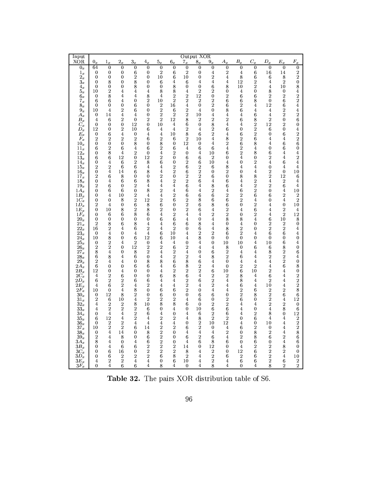| Input                     |                               |                                            |                                  |                                  |                               |                                               |                                        |                                       | Output XOR                                    |                                                    |                                   |                                           |                                             |                                               |                                                    |                                    |  |
|---------------------------|-------------------------------|--------------------------------------------|----------------------------------|----------------------------------|-------------------------------|-----------------------------------------------|----------------------------------------|---------------------------------------|-----------------------------------------------|----------------------------------------------------|-----------------------------------|-------------------------------------------|---------------------------------------------|-----------------------------------------------|----------------------------------------------------|------------------------------------|--|
| XOR                       | $0_x$                         | $_{1x}$                                    | $_{2x}$                          | $3_x$                            | $4\underline{x}$              | $5_x$                                         | $6_x\,$                                | $7_x$                                 | $\mathbf{8}_{x}$                              | $9_x$                                              | $A_x$                             | $B_x$                                     | $C_x$                                       | $D_x$                                         | $E_x$                                              | $F_x$                              |  |
| $0_x$                     | 64<br>$\mathbf 0$             | $\overline{0}$<br>$\mathbf 0$              | $\overline{0}$<br>$\mathbf 0$    | $\mathbf 0$<br>$\,$ 6            | $\overline{0}$<br>$\mathbf 0$ | $\overline{0}$<br>$\overline{2}$              | $\overline{0}$<br>6                    | $\bf{0}$<br>$\overline{2}$            | 0<br>$\mathbf 0$                              | $\overline{0}$<br>$\overline{4}$                   | $\overline{0}$<br>$\,2$           | $\overline{0}$<br>$\overline{4}$          | $\overline{0}$<br>6                         | $\overline{0}$<br>16                          | $\bf{0}$<br>14                                     | $\overline{0}$<br>$\overline{2}$   |  |
| 1 <sub>x</sub><br>$2_x$   | $\bf{0}$                      | $\overline{0}$                             | $\bf{0}$                         |                                  | $\bf{0}$                      | $10\,$                                        | $\,$ 6                                 | 10                                    | $\bf{0}$                                      |                                                    |                                   | 8                                         | $\,6$                                       | $\,$ 6                                        |                                                    | $\overline{\mathbf{c}}$            |  |
| $\bar{3}_x$               | $\mathbf 0$                   | 8                                          | $\mathbf 0$                      | $\frac{2}{8}$                    | 0                             | 6                                             | $\overline{4}$                         | $\,6$                                 | $\overline{4}$                                | $_4^2$                                             | $\frac{4}{4}$                     | 12                                        | $\overline{2}$                              | $\overline{4}$                                | $\begin{array}{c} 8 \\ 2 \end{array}$              | 0                                  |  |
| $\scriptstyle 4_x$        | 0                             | $\overline{0}$                             | $\overline{0}$                   | 8                                | $\mathbf 0$                   | $\overline{0}$                                | 8                                      | 0                                     | $\bf{0}$                                      | 6                                                  | 8                                 | 10                                        | $\overline{2}$                              | $\overline{4}$                                | 10                                                 | 8                                  |  |
| $5_x\,$<br>$6_x$          | 10<br>$\mathbf 0$             | $\overline{2}$<br>8                        | $\overline{4}$<br>$\overline{4}$ | $\overline{4}$<br>$\overline{4}$ | 4                             | 8<br>$\overline{4}$                           | $\frac{8}{2}$                          | $\overline{4}$<br>$\boldsymbol{2}$    | $\overline{2}$<br>12                          | $\overline{2}$<br>$\boldsymbol{0}$                 | $\mathbf 0$<br>$\,2$              | 4<br>6                                    | $\bar{0}$<br>$\,$ 6                         | 8<br>$\overline{2}$                           | $\boldsymbol{0}$<br>$\boldsymbol{2}$               | $\overline{4}$<br>$\boldsymbol{2}$ |  |
| $7_x$                     | $\boldsymbol{6}$              | 6                                          | 4                                | 0                                | $\frac{8}{2}$                 | 10                                            |                                        | $\overline{\mathbf{c}}$               | $\overline{2}$                                | $\overline{\mathbf{c}}$                            | 6                                 | 6                                         | 8                                           | $\bf{0}$                                      | $\bar{6}$ 6                                        | $\overline{2}$                     |  |
| $8_x$                     | 0                             | 0                                          | $\overline{0}$                   | 6                                | $\mathbf 0$                   |                                               | 16                                     | $\overline{\mathbf{4}}$               | $\mathbf 0$                                   | $\overline{2}$                                     | $\,6$                             | $\overline{\mathbf{c}}$                   | $\overline{\mathbf{4}}$                     | 12                                            |                                                    | $\overline{4}$                     |  |
| $9_x$<br>$A_x$            | 10<br>0                       | $\overline{4}$<br>14                       | $\overline{2}$<br>$\overline{4}$ | 6<br>4                           | $\mathbf 0$<br>0              | $\frac{2}{2}$                                 | 6<br>$\overline{2}$                    | $\frac{2}{2}$                         | 4<br>10                                       | $\overline{0}$<br>$\overline{4}$                   | 8<br>$\overline{4}$               | $\overline{6}$<br>$\overline{4}$          | $\overline{4}$<br>6                         | $\overline{4}$<br>$\overline{4}$              | $\frac{2}{2}$                                      | $\overline{4}$<br>2                |  |
| $B_x$                     | $\overline{4}$                | 6                                          | $\overline{c}$                   | $\mathbf 0$                      | $\overline{2}$                | $\overline{2}$                                | 12                                     | 8                                     | $\overline{2}$                                | $\frac{2}{8}$                                      | $\boldsymbol{2}$                  | 6                                         | 8                                           | $\sqrt{2}$                                    | $\bf{0}$                                           | 6                                  |  |
| $C_x$                     | $\mathbf 0$                   | $\mathbf 0$                                | $\bf{0}$                         | 12                               | 0                             | 10                                            | 4                                      | $\,$ 6                                | $\bf{0}$                                      |                                                    | $\overline{4}$                    | 4                                         | $\frac{2}{2}$                               | 12                                            | $\overline{2}$                                     | 0                                  |  |
| $\overline{D}_x$          | 12<br>$\bf{0}$                | $\mathbf 0$<br>6                           | $\overline{2}$<br>4              | 10<br>$\mathbf 0$                | 6<br>$\overline{4}$           | $\overline{\mathbf{4}}$<br>$\overline{4}$     | $\overline{4}$<br>10                   | $\overline{2}$<br>8                   | $\overline{4}$<br>6                           | $\frac{2}{2}$                                      | $6\phantom{.}6$<br>$\overline{4}$ | 0<br>6                                    |                                             | $\,6$<br>$\mathbf 0$                          | $\overline{0}$<br>6                                | $\overline{4}$<br>$\boldsymbol{2}$ |  |
| $E_x$<br>$F_x$            | $\overline{2}$                | $\overline{2}$                             | $\overline{c}$                   | $\overline{2}$                   | 6                             | $\frac{2}{8}$                                 | 6                                      | $\overline{2}$                        | 10                                            | $\overline{4}$                                     | $\,$ 8 $\,$                       | $^2_6$                                    | $\sqrt{6}$                                  | $\overline{4}$                                | $\overline{4}$                                     | $^2_6$                             |  |
| $10_x$                    | $\bf{0}$<br>6                 | $\mathbf 0$                                | $\mathbf 0$<br>6                 | 8<br>$\overline{4}$              | 0<br>6                        |                                               | $\bf{0}$<br>6                          | 12<br>$\overline{4}$                  | 0<br>6                                        | $\overline{4}$<br>6                                | $\,2$<br>$\overline{4}$           |                                           | 8<br>$\overline{4}$                         | $\overline{4}$<br>$\bf{0}$                    | 6<br>6                                             | $\mathbf 0$                        |  |
| $11_x$<br>12 <sub>x</sub> | 0                             | $\begin{array}{c} 2 \\ 8 \\ 6 \end{array}$ | $\overline{4}$                   | $\overline{2}$                   | 0                             | $\frac{2}{4}$                                 | $\overline{2}$                         | $\bf{0}$                              | $\overline{4}$                                | 10                                                 | 6                                 | $\frac{2}{2}$                             | 8                                           | 6                                             | 4                                                  | 4                                  |  |
| $13_x$                    | 6                             |                                            | 12                               | $\mathbf 0$                      | 12                            | $\overline{\mathbf{c}}$                       | 0                                      | 6                                     | 6                                             | $\overline{2}$                                     | $\mathbf 0$                       | $\overline{4}$                            | $\mathbf 0$                                 | $\overline{2}$                                | 4                                                  | $\overline{2}$                     |  |
| $14_x$<br>$15_x$          | $\bf{0}$<br>$\overline{2}$    | $\overline{4}$<br>$\overline{2}$           | 6<br>$\boldsymbol{6}$            | $\overline{2}$<br>$\,$ 6         | 8<br>$\overline{4}$           | 6<br>$\overline{4}$                           | $\mathbf 0$<br>$\overline{\mathbf{c}}$ | $\,2$<br>$\,$ 6                       | $\frac{6}{2}$                                 | 10<br>$\,6$                                        | $\overline{4}$<br>8               | $\mathbf 0$<br>$\overline{4}$             | $\boldsymbol{2}$<br>$\overline{\mathbf{4}}$ | $\overline{4}$<br>$\bf{0}$                    | 6<br>$\overline{4}$                                | $\overline{4}$<br>$\overline{4}$   |  |
| $16_x$                    | $\bf{0}$                      | $\overline{4}$                             | 14                               | 6                                | 8                             | $\overline{4}$                                | $\overline{2}$                         | $\,6$                                 | $\frac{2}{2}$                                 | $\mathbf 0$                                        | $\sqrt{2}$                        | $\mathbf 0$                               | $\overline{4}$                              |                                               | $\bf{0}$                                           | 10                                 |  |
| $17_x$                    | $\overline{\mathbf{c}}$       | $\,$ 6                                     | 8                                | 0                                | $\bf{0}$                      | $\overline{2}$                                | $\bf{0}$                               | $\,2$                                 |                                               | 6                                                  | $\overline{0}$                    | 8                                         | 8                                           | $\begin{smallmatrix}2\2\2\4\end{smallmatrix}$ | 12                                                 | 6                                  |  |
| $18_x$<br>$19_x$          | $\mathbf 0$<br>$\overline{2}$ | 4<br>6                                     | 6<br>$\mathbf 0$                 | 6<br>$\overline{c}$              | 8<br>$\overline{4}$           | $\overline{\mathbf{4}}$<br>4                  | $\overline{2}$<br>$\overline{4}$       | $\,2$<br>$\sqrt{6}$                   | $\,$ 6<br>$\overline{4}$                      | $\overline{4}$<br>8                                | 6<br>6                            | $\overline{4}$<br>4                       | $\frac{2}{2}$                               | $\overline{\mathbf{c}}$                       | $\overline{2}$<br>$\boldsymbol{6}$                 | $\overline{4}$<br>$\overline{4}$   |  |
| $1A_x$                    | 0                             | 6                                          | 6                                | $\mathbf 0$                      | 8                             | $\frac{2}{4}$                                 | 4                                      | 6                                     | $\overline{4}$                                | $\,2$                                              | $\overline{4}$                    | 6                                         | $\frac{2}{6}$                               | $\bf{0}$                                      | $\overline{4}$                                     | 10                                 |  |
| $1B_x$                    | 0<br>$\bf{0}$                 | $\overline{4}$<br>$\mathbf 0$              | 10<br>8                          | $\overline{2}$                   | 4<br>12                       |                                               | $\overline{2}$<br>6                    | 6<br>$\overline{2}$                   | 6<br>8                                        | $\overline{6}$<br>$\,$ 6                           | $\,2$<br>6                        | $\overline{\mathbf{c}}$<br>$\overline{2}$ | $\overline{4}$                              | 6<br>$\overline{0}$                           | $\overline{2}$<br>$\overline{\mathbf{4}}$          | $\boldsymbol{2}$<br>$\overline{2}$ |  |
| $1\tilde{C}_x$<br>$1D_x$  | $\boldsymbol{2}$              | 4                                          | $\overline{0}$                   | $^2_6$                           | 8                             | $^2_6$                                        | $\mathbf 0$                            | $\bar{2}$                             | $\overline{6}$                                | 8                                                  | $\,6$                             | $\bf{0}$                                  | $\boldsymbol{2}$                            | 4                                             | $\bf{0}$                                           | 10                                 |  |
| $1E_x$                    | 0                             | 10                                         | 8                                | $\overline{2}$                   | 8                             | $\overline{2}$                                | 0                                      | $\overline{2}$                        | 6                                             | $\overline{4}$                                     | $\,2$                             | 4                                         | $\,$ 6                                      | $\overline{4}$                                | $\overline{2}$                                     | $\overline{4}$                     |  |
| $1F_x$<br>$20_x$          | $\mathbf 0$<br>$\bf{0}$       | 6<br>$\mathbf 0$                           | $\bar{6}$<br>$\mathbf 0$         | $\bar{8}$<br>0                   | 6<br>$\mathbf 0$              | $\overline{4}$<br>6                           | $\overline{2}$<br>6                    | $\overline{4}$<br>$\overline{4}$      | $\overline{4}$<br>0                           | $\overline{2}$<br>$\overline{4}$                   | $\frac{5}{8}$                     | 0<br>8                                    | $\overline{2}$<br>$\overline{4}$            | $\overline{4}$<br>$\,$ 6                      | $\bar{2}$                                          | 12<br>8                            |  |
| $21_x$                    | $\overline{2}$                | $\frac{8}{2}$                              | $\overline{6}$                   | 8                                | $\overline{4}$                | $\overline{4}$                                | $\overline{6}$                         | 6                                     | $\frac{8}{6}$                                 | $\overline{4}$                                     | $\overline{0}$                    | $\overline{4}$                            | 0                                           | $\frac{2}{2}$                                 | $\frac{1\bar{0}}{2}$                               | $\bf{0}$                           |  |
| $\frac{22}{23x}$          | 16                            | $\overline{4}$                             | $\overline{4}$<br>$\overline{0}$ | 6<br>$\overline{4}$              | $\,2$<br>$\overline{4}$       | 4                                             | $\overline{2}$                         | $\bf{0}$                              |                                               | $\overline{4}$                                     | 8                                 | $\boldsymbol{2}$                          | 0                                           | $\overline{6}$                                |                                                    | $\overline{4}$                     |  |
| $24_x$                    | $\mathbf 0$<br>10             | 8                                          | $\mathbf 0$                      | 6                                | 12                            | 6<br>6                                        | 10<br>10                               | 4<br>$\overline{4}$                   | $\frac{2}{8}$                                 | $\overline{2}$<br>$\overline{0}$                   | 6<br>$\mathbf 0$                  | $\frac{5}{0}$                             | 4<br>$\mathbf 0$                            | $\bf{0}$                                      | $\,6$<br>0                                         | 4<br>$\mathbf 0$                   |  |
| $25_x$                    | $\bf{0}$                      | $\frac{2}{2}$                              | 4                                | $\overline{2}$                   | $\bf{0}$                      | 4                                             | $\overline{4}$                         | $\bf{0}$                              | $\overline{4}$                                | 0                                                  | 10 <sup>°</sup>                   | 10                                        | 4                                           | 10                                            | 6                                                  | 4                                  |  |
| $26_x$<br>$27^\circ_x$    | $\overline{\mathbf{c}}$<br>8  | $\overline{4}$                             | $\overline{0}$<br>$\mathbf 0$    | $1\overline{2}$<br>8             | $\frac{2}{2}$                 | $\overline{2}$<br>$\overline{\mathbf{4}}$     | 6<br>$\overline{c}$                    | $\overline{2}$<br>$\overline{4}$      | $\overline{4}$<br>0                           | 4<br>6                                             | 8<br>$\,2$                        | 0<br>4                                    | 6<br>4                                      | $\,$ 6<br>8                                   | $\begin{smallmatrix} 8\ 2\ 2\ 2 \end{smallmatrix}$ | 0<br>6                             |  |
| $28_x$                    | $\boldsymbol{6}$              | 8                                          | $\overline{4}$                   | $\overline{6}$                   | $\bf{0}$                      | $\overline{4}$                                | $\frac{2}{6}$                          | $\frac{2}{8}$                         | $\overline{4}$                                | 8                                                  | $\overline{2}$                    | 6                                         | $\overline{4}$                              | $\frac{2}{4}$                                 |                                                    | 4                                  |  |
| $29_x$                    | $\overline{2}$                | 4                                          | 4                                | $\mathbf 0$                      | 8                             | 8                                             |                                        |                                       | 6                                             | $\overline{4}$                                     | $\bf{0}$                          | 4                                         | 4                                           |                                               |                                                    | 0                                  |  |
| $2A_x$                    | 6<br>12                       | $\overline{0}$<br>$\mathbf 0$              | $\overline{0}$<br>4              | 6<br>0                           | 6<br>$\mathbf 0$              | $\overline{4}$<br>$\overline{4}$              | 6<br>$\overline{2}$                    | $\begin{array}{c} 8 \\ 2 \end{array}$ | $\overline{2}$<br>$\,2$                       | $\overline{4}$<br>6                                | $\mathbf 0$<br>10                 | $\boldsymbol{2}$<br>6                     | $\overline{2}$<br>10                        | $\overline{4}$<br>$\,2$                       | $\overline{6}$<br>$\overline{4}$                   | 8<br>0                             |  |
| $2B_x$<br>$2C_x$          | $\overline{4}$                | $\overline{2}$                             | 6                                | $\mathbf 0$                      | $\overline{0}$                | 6                                             | 8                                      | $\overline{6}$                        | $\overline{4}$                                | $\overline{2}$                                     | $\boldsymbol{2}$                  | 8                                         | 4                                           | 6                                             | $\overline{4}$                                     | $\overline{2}$                     |  |
| $2D_x$                    | 6                             | $\overline{2}$                             | $\boldsymbol{2}$                 | 6                                | 6                             | 4                                             | 4                                      | $\boldsymbol{2}$                      | 6                                             | $\overline{2}$                                     | $\overline{4}$                    | 8                                         | $\overline{4}$                              | $\boldsymbol{2}$                              | 4                                                  | $\overline{2}$                     |  |
| $2\sqrt{E_x}$<br>$2F_x$   | $\overline{4}$<br>10          | $\overline{6}$<br>$\mathbf 0$              | $\overline{2}$<br>$\overline{4}$ | $\overline{4}$                   | $\overline{2}$<br>0           | $\overline{4}$<br>6                           | $\overline{4}$<br>6                    | $\frac{2}{2}$                         | $\overline{4}$<br>0                           | $\frac{2}{4}$                                      | $\overline{4}$<br>$\overline{4}$  | $\frac{6}{2}$                             | $\overline{4}$<br>6                         | $1\overline{0}$                               | $\overline{4}$<br>$\boldsymbol{2}$                 | $\overline{2}$<br>8                |  |
| $30_x\,$                  | $\mathbf 0$                   | 12                                         | 8                                | $\frac{8}{2}$                    | $\mathbf 0$                   | 6                                             | $\mathbf 0$                            | $\bf{0}$                              | $\boldsymbol{6}$                              | $\,$ 6                                             | $\boldsymbol{0}$                  |                                           | 8                                           | $\frac{2}{2}$                                 | $\sqrt{6}$                                         | $\,$ 6                             |  |
| $31_x$                    | $\overline{2}$<br>$\bf{4}$    | 6<br>$\overline{2}$                        | 10<br>$\overline{2}$             | $\overline{4}$<br>8              | $\overline{2}$<br>10          | $\frac{2}{8}$                                 | $\overline{2}$<br>8                    | $\overline{4}$<br>6                   | 6<br>0                                        | 0<br>$\overline{2}$                                | $\,2$<br>$\sqrt{2}$               | 6<br>4                                    | 0<br>4                                      | $\frac{5}{2}$                                 | $\overline{4}$<br>$\overline{2}$                   | 12<br>$\bf{0}$                     |  |
| $32^\circ_x$<br>$33_x$    | $\overline{4}$                | $\overline{2}$                             | $\overline{2}$                   |                                  | 6                             | $\bar{0}$                                     | $\overline{4}$                         | $\bf{0}$                              | 10                                            | $\,6$                                              | $\overline{6}$                    | 4                                         | $\mathbf 0$                                 | $\sqrt{4}$                                    | 8                                                  | $\,$ 6 $\,$                        |  |
| $34\tilde{x}$             | 0                             | $\overline{4}$                             | $\bf{4}$                         | $\frac{2}{2}$                    | 6                             | $\overline{4}$                                | 0                                      | $\overline{4}$                        | 6                                             | $\boldsymbol{2}$                                   | $\,$ 6                            | 4                                         | $\overline{2}$                              | 8                                             | $\bf{0}$                                           | 12                                 |  |
| $35_x$<br>$36_x$          | 6<br>$\bf{0}$                 | 12<br>$\boldsymbol{2}$                     | $\overline{4}$<br>$\overline{2}$ | $\overline{2}$<br>4              | 4<br>$\overline{4}$           | $\frac{2}{4}$                                 | $\overline{2}$<br>4                    | $\overline{4}$<br>0                   |                                               | $\overline{2}$<br>10                               | $\boldsymbol{2}$<br>12            | $\mathbf 0$<br>4                          | $\sqrt{6}$<br>0                             | $\overline{4}$<br>10                          | $\overline{4}$<br>$\overline{4}$                   | $\sqrt{2}$<br>$\overline{2}$       |  |
| $37_x$                    | 10                            | $\frac{2}{4}$                              | $\overline{2}$                   | 6                                | 14                            | $\frac{2}{2}$                                 | $\overline{2}$                         | 6                                     | $\begin{smallmatrix}8\2\2\4\end{smallmatrix}$ | $\mathbf 0$                                        | $\overline{4}$                    | 6                                         |                                             | $\bf{0}$                                      | $\overline{4}$                                     | $\frac{2}{8}$                      |  |
| $38_x$                    | 0                             |                                            | 14                               | 0                                | 8                             |                                               | 0                                      | $\overline{4}$                        |                                               | 4                                                  | $\overline{2}$                    | 0                                         | $\frac{2}{8}$                               | $\overline{2}$                                | 4                                                  |                                    |  |
| $39_x$<br>$3A_x$          | $\overline{2}$<br>8           | $\overline{4}$<br>$\overline{4}$           | 8<br>$\overline{0}$              | 0<br>4                           | 6<br>6                        |                                               | $\mathbf 0$<br>0                       | 6<br>$\overline{4}$                   | $\,2$<br>$\overline{6}$                       | 6<br>8                                             | $\overline{4}$<br>6               | $\overline{2}$<br>$\bf{0}$                | $\begin{matrix} 8 \\ 6 \end{matrix}$        | $\,6$<br>$\bf{0}$                             | $\,2$<br>$\overline{4}$                            | 6<br>6                             |  |
| $3B_x$                    | 0                             | $\overline{4}$                             | 6                                | 6                                | $\,2$                         | $\begin{smallmatrix}2\2\2\2\end{smallmatrix}$ | $\overline{2}$                         | 14                                    | $\mathbf 0$                                   | 12                                                 | $\mathbf 0$                       | $\overline{4}$                            | $\,2$                                       |                                               | $\begin{smallmatrix}8\\2\end{smallmatrix}$         | $\mathbf 0$                        |  |
| $3C_x$                    | 0<br>$\bf{0}$                 | $\,$ 6<br>6                                | 16                               | 0<br>$\overline{2}$              | $\bar{2}$                     | 6                                             | $\overline{2}$                         | 8                                     | $\overline{4}$<br>$\overline{4}$              | $\overline{\mathbf{c}}$<br>$\overline{\mathbf{c}}$ | $\boldsymbol{0}$<br>6             | 12                                        | $\overline{6}$<br>6                         |                                               | $\overline{4}$                                     | 0<br>10                            |  |
| $3D_x$<br>$3E_x$          | 4                             | $\overline{2}$                             | $\frac{2}{2}$                    | $\overline{4}$                   | $\,2$<br>$\overline{4}$       | 0                                             | 8<br>6                                 | $\,2$<br>10                           | $\overline{4}$                                | $\bar{2}$                                          | 4                                 | $^2_{\phantom{1}6}$                       | 6                                           | $\begin{smallmatrix}2\2\2\2\end{smallmatrix}$ | 6                                                  | $\,2$                              |  |
| $3F_x$                    | 0                             | $\overline{4}$                             | 6                                | 6                                | $\overline{4}$                | 8                                             | $\overline{4}$                         | 0                                     | $\overline{4}$                                | 8                                                  | $\overline{4}$                    | 0                                         | 4                                           | 8                                             | $\,2$                                              | $\boldsymbol{2}$                   |  |

CD4FE![F5@01BRP³aµ\¶ :<01PRQB0S<Q0KTMbQ5/1EHT8V
=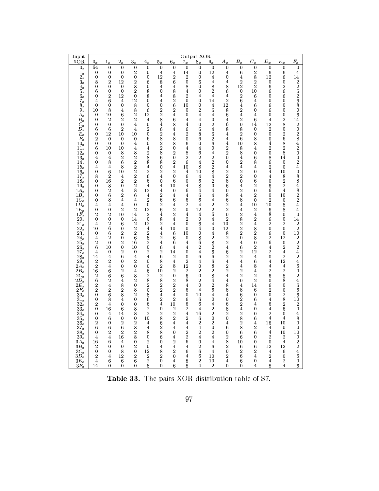| Input                              |                                  |                                    |                                               |                                               |                                               |                                               |                                             |                                  | Output XOR                                |                                    |                                           |                                            |                                    |                                                 |                                    |                                           |  |
|------------------------------------|----------------------------------|------------------------------------|-----------------------------------------------|-----------------------------------------------|-----------------------------------------------|-----------------------------------------------|---------------------------------------------|----------------------------------|-------------------------------------------|------------------------------------|-------------------------------------------|--------------------------------------------|------------------------------------|-------------------------------------------------|------------------------------------|-------------------------------------------|--|
| XOR                                | $0_x$                            | $1_x$                              | $2_x$                                         | $3_x$                                         | $_{4x}$                                       | $5_x\,$                                       | $6_x\,$                                     | $7_{x}$                          | $8_x$                                     | $9_x$                              | $\underline{A_x}$                         | $B_x$                                      | $C_x$                              | $D_x$                                           | $E_x\$                             | $F_x$                                     |  |
| $0_x$                              | 64<br>$\mathbf 0$                | $\overline{0}$<br>$\mathbf 0$      | $\overline{0}$<br>$\mathbf 0$                 | $\overline{0}$                                | $\overline{0}$<br>$\bf{0}$                    | $\overline{0}$<br>$\overline{4}$              | $\mathbf 0$<br>$\overline{4}$               | $\overline{0}$<br>14             | $\overline{0}$<br>$\bf{0}$                | $\overline{0}$<br>12               | $\overline{0}$<br>$\overline{4}$          | $\overline{0}$<br>$\,$ 6                   | $\overline{0}$                     | $\overline{0}$<br>$\,6$                         | $\overline{0}$<br>6                | $\overline{0}$<br>$\overline{4}$          |  |
| $1\,x$<br>$\mathbf{2}_x$           | $\mathbf 0$                      | $\check{\mathbf{0}}$               | $\check{\mathbf{0}}$                          | $^2_{\rm 0}$                                  | $\bar{0}$                                     | 12                                            | $\boldsymbol{2}$                            | $\overline{2}$                   | 0                                         | $\overline{4}$                     | $\bf{0}$                                  | $\overline{4}$                             | $\frac{2}{8}$                      | $12\,$                                          | $\boldsymbol{6}$                   | 14                                        |  |
| $3_x^{\circ}$                      | 8                                | $\overline{2}$                     | 12                                            | $\frac{2}{8}$                                 | 6                                             | 8                                             | 6                                           | 0                                | 6                                         | $\overline{4}$                     | $\overline{4}$                            | $\overline{2}$                             | $\frac{2}{2}$                      | $\mathbf 0$                                     | $\mathbf 0$                        | $\frac{2}{2}$                             |  |
| $4_x$<br>$5_x$                     | $\mathbf 0$<br>6                 | $\overline{0}$<br>$\mathbf 0$      | $\overline{0}$<br>$\mathbf 0$                 | $\overline{2}$                                | 0<br>8                                        | $\overline{4}$<br>0                           | 4<br>8                                      | 8<br>$\overline{4}$              | 0<br>$\mathbf 0$                          | 8<br>$\overline{2}$                | 8<br>6                                    | 12<br>$\bf{0}$                             | 10                                 | $\overline{6}$<br>6                             | $\overline{2}$<br>6                | 6                                         |  |
| $6_x\,$                            | $\mathbf 0$                      | $\overline{2}$                     | 12                                            | $\bf{0}$                                      | $\bar{\text{8}}\over 0$                       | 4                                             |                                             | $\overline{2}$                   | $\overline{4}$                            | $\overline{4}$                     | $\overline{4}$                            | $\overline{2}$                             | 6                                  | $\mathbf 0$                                     | 6                                  | $\overline{2}$                            |  |
| $7_x$                              | $\overline{4}$                   | $\overline{6}$                     | 4                                             | 12                                            |                                               | 4                                             | $\begin{smallmatrix}8\0\0\end{smallmatrix}$ | 0                                | 0                                         | 14                                 | $\overline{2}$                            | 6                                          | $\overline{4}$                     | $\mathbf 0$                                     | $\mathbf 0$                        | $\,6$                                     |  |
| $8\hspace{-0.9pt}x$<br>$9_x$       | $\mathbf 0$<br>10                | $\mathbf 0$<br>8                   | $\mathbf 0$<br>4                              | 8                                             | $\mathbf 0$<br>6                              | 0                                             | $\overline{\mathbf{c}}$                     | 10<br>0                          | 0<br>$\boldsymbol{2}$                     | $\overline{4}$<br>6                | 12<br>8                                   | 4<br>$\boldsymbol{2}$                      | 6<br>$\mathbf 0$                   | 6<br>6                                          | $\mathbf 0$<br>$\mathbf 0$         | 8<br>$\mathbf 0$                          |  |
| $A_x$                              | 0                                | 10                                 | 6                                             | $^8_2$                                        | 12                                            | $\frac{2}{2}$                                 | $\overline{4}$                              | 0                                | $\overline{4}$                            | $\overline{4}$                     | 6                                         | $\overline{4}$                             | $\overline{4}$                     | $\mathbf 0$                                     | 0                                  | 6                                         |  |
| $B_x$<br>$C_x$                     | $\bf{0}$<br>$\mathbf 0$          | $\overline{2}$<br>$\mathbf 0$      | $\overline{2}$<br>$\mathbf 0$                 | $\overline{2}$<br>$\overline{4}$              | $\overline{4}$<br>0                           | 8<br>$\overline{\mathbf{4}}$                  | 6<br>8                                      | $\overline{4}$<br>$\overline{4}$ | $\overline{4}$<br>0                       | $\overline{0}$<br>$\overline{2}$   | $\overline{4}$<br>6                       | $\boldsymbol{2}$<br>$\bf{0}$               | 6<br>14                            | $\overline{4}$<br>12                            | $\overline{2}$<br>8                | 14<br>$\overline{2}$                      |  |
| $D_{\it x}$                        | 6                                | $\boldsymbol{6}$                   | $\tilde{2}$                                   | $\overline{4}$                                | $\overline{2}$                                | 6                                             | 4                                           | $\,$ 6                           | $\,$ 6                                    | $\overline{4}$                     | 8                                         | 8                                          | 0                                  | $\overline{2}$                                  | $\bf{0}$                           | $\bf{0}$                                  |  |
| $E_x$                              | $\mathbf 0$                      | 12                                 | 10                                            | 10                                            | $\bf{0}$                                      | $\begin{smallmatrix}2\0\8\end{smallmatrix}$   | 4                                           | $\overline{2}$                   | 8                                         | 6                                  | $\overline{4}$                            | $\overline{2}$                             | $\bf{0}$                           | $\mathbf 0$                                     | $\boldsymbol{2}$                   | $\overline{2}$                            |  |
| $\overline{F}_x$<br>$10_x$         | $\overline{2}$<br>$\bf{0}$       | 0<br>$\mathbf 0$                   | $\bf{0}$<br>$\overline{0}$                    | 0<br>$\overline{4}$                           | 6<br>$\mathbf 0$                              |                                               | 8<br>8                                      | $\bf{0}$<br>6                    | $\sqrt{6}$<br>$\mathbf 0$                 | $\overline{\mathbf{c}}$<br>$\,$ 6  | $\overline{\mathbf{4}}$<br>$\overline{4}$ | $\overline{6}$<br>10                       | 8<br>8                             | $\overline{0}$<br>$\overline{4}$                | $\overline{6}$<br>8                | 8<br>4                                    |  |
| $11_x$                             | 6                                | 10                                 | 10                                            | 4                                             | $\overline{4}$                                | $\begin{smallmatrix}2\2\8\6\end{smallmatrix}$ | 0                                           | $\overline{4}$                   | $\overline{4}$                            | 0                                  | $\,2$                                     | 8                                          | $\overline{4}$                     | $\begin{matrix} 2 \\ 0 \end{matrix}$            | $\overline{2}$                     | $\boldsymbol{2}$                          |  |
| 12 <sub>x</sub><br>$13_x\,$        | $\mathbf{0}$<br>4                | $\mathbf 0$<br>4                   | $\frac{8}{2}$                                 | 8<br>$\overline{2}$                           | $\overline{c}$                                |                                               | $\overline{2}$<br>0                         | 8<br>$\overline{2}$              | 6<br>$\boldsymbol{2}$                     | $\overline{4}$<br>$\overline{2}$   | $\overline{2}$<br>0                       | 8<br>$\overline{4}$                        | $\mathbf 0$<br>6                   |                                                 | 8<br>14                            | 0<br>0                                    |  |
| $14_x$                             | $\mathbf 0$                      | 8                                  | $\boldsymbol{6}$                              | $\frac{5}{2}$                                 | $\begin{smallmatrix}8\8\end{smallmatrix}$     | 8                                             | $\overline{\mathbf{c}}$                     | 6                                | $\overline{4}$                            | $\frac{5}{2}$                      | $\overline{0}$                            | $\boldsymbol{2}$                           | 8                                  | $\begin{smallmatrix} 8\ 6\ 2 \end{smallmatrix}$ | $\mathbf 0$                        | $\boldsymbol{2}$                          |  |
| $15_x\,$                           | $\overline{4}$<br>$\overline{0}$ | $\overline{4}$                     | 8                                             |                                               | $\overline{4}$                                | 0                                             | $\overline{4}$                              | 10                               | 8                                         |                                    | $\overline{4}$                            | $\overline{\mathbf{4}}$                    | 4                                  | $\overline{4}$                                  | $\bf{0}$                           | 4                                         |  |
| $16_x$<br>$17_x$                   | 8                                | $\overline{6}$<br>$\boldsymbol{2}$ | 10<br>4                                       |                                               | $\overline{c}$<br>6                           | $\frac{2}{4}$                                 | $\overline{2}$<br>0                         | $\overline{4}$<br>6              | 10<br>4                                   | 8<br>$\overline{4}$                | $\frac{2}{8}$                             | $\frac{2}{2}$                              | $\mathbf 0$<br>0                   | $\overline{4}$                                  | 10<br>8                            | $\mathbf 0$<br>8                          |  |
| $18_x$                             | $\bf{0}$                         | 16                                 | $\overline{2}$                                | $\begin{smallmatrix}2\2\2\2\end{smallmatrix}$ | 6                                             | $\overline{0}$                                | 6                                           | $\mathbf 0$                      | 6                                         | $\overline{2}$                     |                                           | $\overline{0}$                             | 6                                  | $\overline{0}$                                  | $\frac{2}{2}$                      | 8                                         |  |
| 19 <sub>x</sub><br>$1\cal{A}_x$    | $\mathbf 0$<br>$\bf{0}$          | 8                                  | $\overline{0}$<br>$\overline{4}$              |                                               | 4<br>12                                       | 4<br>$\overline{4}$                           | 10<br>$\mathbf 0$                           | $\overline{4}$<br>6              | 8<br>$\overline{4}$                       | 0<br>$\overline{4}$                | 6<br>$\overline{0}$                       | 4<br>$\overline{2}$                        | $\boldsymbol{2}$<br>$\overline{0}$ | 6<br>6                                          | $\overline{4}$                     | $\overline{4}$<br>8                       |  |
| $1B_x$                             | $\bf{0}$                         | $\frac{2}{6}$                      | $\overline{2}$                                | $\begin{array}{c} 8 \\ 6 \end{array}$         | $\overline{4}$                                | $\overline{2}$                                | 4                                           | $\overline{4}$                   | 6                                         | $\overline{4}$                     | 8                                         | $\overline{4}$                             | $\overline{2}$                     | $\mathbf 0$                                     | 10                                 | $\boldsymbol{2}$                          |  |
| $1C_x$                             | 0<br>$\overline{4}$              | 8<br>$\overline{4}$                | $\overline{4}$<br>$\overline{4}$              | $\overline{4}$<br>$\bf{0}$                    | $\overline{2}$<br>$\bf{0}$                    | $\sqrt{6}$<br>$\overline{2}$                  | 6<br>4                                      | $\,$ 6<br>$\overline{2}$         | $\,$ 6<br>4                               | $\overline{4}$<br>$\boldsymbol{2}$ | $\,$ 6<br>$\boldsymbol{2}$                | 8<br>$\overline{\mathbf{4}}$               | $\bf{0}$<br>10                     | $\overline{2}$<br>10                            | $\bf{0}$<br>8                      | $\overline{2}$<br>4                       |  |
| $1D_x$<br>$1E_x$                   | $\mathbf 0$                      | $\mathbf 0$                        | $\overline{2}$                                | $\overline{2}$                                | 12                                            | $\sqrt{6}$                                    | $\overline{2}$                              | 0                                | 12                                        | $\overline{2}$                     | $\overline{2}$                            | 4                                          | $\boldsymbol{2}$                   | 6                                               | 8                                  | 4                                         |  |
| $1F_x$                             | $\overline{2}$                   | $\overline{2}$                     | 10                                            | 14                                            | $\boldsymbol{2}$                              | $\overline{4}$                                | $\overline{2}$                              | $\overline{4}$                   | 4                                         | 6                                  | $\overline{0}$                            |                                            | $\overline{4}$                     | 8                                               | $\mathbf 0$                        | $\mathbf 0$                               |  |
| $20_x$<br>$21_x$                   | $\mathbf 0$<br>$\overline{4}$    | $\mathbf 0$                        | $\mathbf 0$<br>6                              | 14                                            | $\boldsymbol{0}$<br>12                        | 8<br>$\overline{\mathbf{c}}$                  | $\overline{4}$<br>$\overline{4}$            | $\overline{2}$<br>0              | 0<br>6                                    | $\overline{4}$<br>$\overline{4}$   | $\overline{2}$<br>$10\,$                  | $\frac{2}{8}$ $\frac{2}{2}$ $\frac{2}{0}$  | $\,2$<br>$\overline{4}$            | 6                                               | $\mathbf 0$<br>$\overline{c}$      | 14                                        |  |
| $22_x$                             | 10                               | $\frac{2}{6}$                      | $\mathbf 0$                                   | $\frac{2}{2}$                                 | 4                                             | $\overline{4}$                                | 10                                          | 0                                | 4                                         | 0                                  | 12                                        |                                            | 8                                  | $\begin{matrix} 2 \\ 0 \end{matrix}$            | 0                                  | $\frac{2}{2}$                             |  |
| $23_x^{\circ}$<br>$24_x$           | $\mathbf 0$<br>$\overline{4}$    | $\boldsymbol{6}$<br>$\overline{2}$ | $\begin{smallmatrix} 2 \ 0 \end{smallmatrix}$ | $\overline{2}$<br>$\,6$                       | $\frac{2}{8}$                                 | $\overline{4}$<br>$\boldsymbol{2}$            | 6<br>6                                      | 10<br>0                          | $\overline{0}$<br>8                       | $\overline{4}$<br>$\boldsymbol{2}$ | $\begin{array}{c} 8 \\ 2 \end{array}$     |                                            | $\frac{2}{8}$                      | $\boldsymbol{6}$<br>$\boldsymbol{2}$            | $\boldsymbol{0}$<br>12             | 10<br>$\boldsymbol{2}$                    |  |
| $25_x\,$                           | $\overline{2}$                   | $\overline{0}$                     | $\begin{smallmatrix} 2 \ 0 \end{smallmatrix}$ | 16                                            | $\begin{smallmatrix} 2 \ 0 \end{smallmatrix}$ | $\overline{4}$                                | 6                                           | $\overline{4}$                   | 6                                         | $^8_2$                             | $_4^2$                                    | $\overline{4}$                             | $\overline{0}$                     | 6                                               | $\overline{0}$                     | $\overline{2}$                            |  |
| $26_x$                             | $\boldsymbol{6}$                 | 10                                 |                                               | 10<br>$\bf{0}$                                |                                               | $\,6$                                         | 4                                           | 4<br>$\mathbf 0$                 | $\overline{2}$                            |                                    |                                           | 6                                          | $\overline{2}$                     | $\overline{4}$                                  | $\overline{2}$                     | $\bar{2}$                                 |  |
| $27^\circ_x$<br>$28\mspace{3mu}x$  | $\overline{4}$<br>14             | 0<br>$\overline{4}$                | $\overline{\mathbf{c}}$<br>$\overline{6}$     | $\overline{4}$                                | $\overline{2}$<br>$\overline{4}$              | $\boldsymbol{2}$<br>$\sqrt{6}$                | 14<br>$\boldsymbol{2}$                      | $\mathbf 0$                      | $\overline{\mathbf{4}}$<br>$\,6$          | $\,$ 6<br>$\,6$                    | $\,$ 6<br>$\overline{\mathbf{c}}$         | $\boldsymbol{2}$<br>$\overline{2}$         | 12<br>$\overline{4}$               | $\overline{2}$<br>$\mathbf 0$                   | $\overline{4}$<br>$\overline{c}$   | $\overline{\mathbf{4}}$<br>$\overline{2}$ |  |
| $29_x\,$                           | $\overline{2}$                   | $\overline{2}$                     | $\mathbf 0$                                   | $\overline{2}$                                | $\mathbf 0$                                   | 8                                             | $\overline{\mathbf{4}}$                     | $\,2$                            | $\overline{\mathbf{4}}$                   | 6                                  | $\overline{4}$                            | $\overline{4}$                             | 6                                  | $\overline{4}$                                  | 12                                 | $\overline{\mathbf{4}}$                   |  |
| $2A_x$                             | $\overline{2}$<br>16             | $\overline{4}$<br>$\,$ 6           | $\mathbf 0$                                   | $\overline{0}$<br>$\overline{4}$              | 0<br>$\,$ 6                                   | $\overline{2}$<br>10                          | 8<br>$\overline{2}$                         | 12<br>$\,2$                      | $\mathbf 0$<br>$\,2$                      | 8<br>$\overline{2}$                | $\overline{2}$<br>$\,2$                   | $\overline{4}$                             | 8<br>$\overline{4}$                | $\overline{4}$                                  | $\frac{4}{2}$                      | $\,$ 6<br>0                               |  |
| $\overset{2}{2}\overset{B_x}{C_x}$ | $\overline{2}$                   | 6                                  | $\frac{2}{6}$                                 | 8                                             | $\overline{2}$                                | $\overline{\mathbf{c}}$                       | 0                                           | $\sqrt{6}$                       | $\overline{0}$                            | 8                                  | $\overline{4}$                            | $\frac{2}{2}$                              | $\frac{2}{2}$                      | $\frac{2}{6}$                                   | 8                                  | $\overline{2}$                            |  |
| $2D_x$                             | 6                                | $\overline{2}$<br>$\overline{4}$   | 4                                             | $\boldsymbol{2}$<br>$\overline{0}$            | 8                                             | 8                                             | $\boldsymbol{2}$                            | 8<br>$\overline{4}$              | $\boldsymbol{2}$                          | $\overline{4}$                     | 4                                         | $\bf{0}$<br>$\overline{4}$                 | 14                                 | $\mathbf 0$                                     | 8                                  | 4                                         |  |
| $2\sqrt{E_x}$<br>$2\tilde{F_x}$    | $\frac{2}{2}$                    | $\overline{2}$                     | $\frac{8}{2}$                                 | 8                                             | $\overline{2}$<br>0                           | $\frac{2}{2}$                                 | $\frac{2}{2}$                               | 6                                | $\mathbf 0$<br>4                          | $\overline{\mathbf{c}}$<br>$\,$ 6  | 8<br>8                                    | 8                                          | 6                                  | $\boldsymbol{6}$<br>$\overline{2}$              | $\bf{0}$<br>0                      | 6<br>6                                    |  |
| $30_x\,$                           | $\overline{0}$                   | 6                                  | 8                                             | $\overline{2}$                                | 8                                             | $\frac{4}{2}$                                 | $\overline{4}$                              | $\overline{0}$                   | 10                                        | $\overline{4}$                     | $\overline{4}$                            | $\overline{6}$                             | $\mathbf 0$                        | $\overline{0}$                                  | $\overline{2}$                     | 6                                         |  |
| $31_x$<br>$32_x$                   | $\mathbf 0$<br>$\overline{2}$    | $\bar{8}$<br>$\overline{4}$        | 4<br>$\overline{0}$                           | $\mathbf 0$<br>$\mathbf 0$                    | 6<br>6                                        | $\overline{4}$                                | $\boldsymbol{2}$<br>10                      | 6<br>6                           | 6<br>6                                    | 0<br>$\overline{4}$                | 0<br>6                                    | $\frac{2}{4}$                              | 6<br>$\overline{4}$                | $\overline{4}$<br>6                             | $\overline{8}$<br>$\overline{2}$   | 10<br>$\overline{2}$                      |  |
| $33_x$                             | $\bf{0}$                         | 16                                 | 6                                             | 8                                             | $\overline{2}$                                | $\bf{0}$                                      | $\overline{\mathbf{c}}$                     | $\overline{2}$                   | $\overline{4}$                            | $\overline{\mathbf{c}}$            | 8                                         |                                            | $\mathbf 0$                        | $\overline{4}$                                  | $\,$ 6 $\,$                        | 0                                         |  |
| $34_x$                             | $\mathbf 0$<br>$\bf{0}$          | $\overline{4}$<br>6                | 14<br>$\bf{0}$                                | 8<br>$\mathbf 0$                              | $\boldsymbol{2}$<br>10                        | $\begin{smallmatrix}2\8\6\end{smallmatrix}$   | $\frac{2}{2}$                               | $\overline{4}$<br>$\overline{2}$ | 16<br>6                                   | $\boldsymbol{2}$<br>$\bf{0}$       | $\boldsymbol{2}$<br>$\overline{0}$        | $\frac{2}{8}$                              | $\mathbf 0$<br>6                   | $\overline{\mathbf{c}}$<br>$\overline{4}$       | $\boldsymbol{0}$<br>$\overline{4}$ | 4<br>8                                    |  |
| $35_x$<br>$36_x$                   | $\overline{2}$                   | $\bf{0}$                           | $\overline{2}$                                | $\overline{2}$                                | $\overline{4}$                                |                                               | $\overline{\mathbf{4}}$                     | $\overline{4}$                   | $\,2$                                     | $\,2$                              | $\overline{4}$                            |                                            | $\overline{4}$                     | 16                                              | 10                                 | 0                                         |  |
| $37_x\,$                           | 6                                | 6                                  | $\boldsymbol{6}$                              | $\begin{array}{c} 8 \\ 2 \end{array}$         | 4                                             | $\frac{2}{8}$                                 | $\overline{4}$                              | $\overline{4}$                   | $\overline{4}$                            | $\overline{0}$                     | 6                                         | $\begin{array}{c} 2 \\ 8 \\ 6 \end{array}$ | $\overline{2}$                     | $\overline{4}$                                  | $\bf{0}$                           | 0                                         |  |
| $38_x$<br>$\check{3}9_x$           | $\overline{0}$<br>$\overline{4}$ | $\overline{2}$<br>$\overline{4}$   | $\overline{2}$<br>16                          | 8                                             | 8<br>0                                        | $\,$ 6                                        | 0<br>4                                      | $\,2$<br>$\overline{2}$          | $\overline{\mathbf{2}}$<br>$\overline{4}$ | $\overline{2}$<br>$\overline{4}$   | $\mathbf 0$<br>$\overline{2}$             | 6                                          | $\,6$<br>$\mathbf 0$               | $\overline{4}$<br>$\overline{2}$                | 10<br>$\overline{2}$               | 10<br>0                                   |  |
| $3A_x$                             | 16                               | $\overline{6}$                     | $\overline{4}$                                | $\bf{0}$                                      | $\overline{2}$                                | $\bf{0}$                                      | $\overline{2}$                              | $\sqrt{6}$                       | $\mathbf 0$                               | $\overline{4}$                     | 8                                         | 10                                         | $\mathbf 0$                        | $\bar{0}$                                       | $\overline{4}$                     | $\overline{2}$                            |  |
| $3B_x$                             | $\overline{2}$<br>$\bf{0}$       | $\mathbf 0$<br>$\mathbf 0$         | $\mathbf 0$<br>8                              | $\overline{2}$<br>$\overline{0}$              | $\overline{0}$<br>12                          | $\overline{4}$<br>8                           | $\overline{4}$<br>$\boldsymbol{2}$          | $\overline{4}$<br>6              | $\overline{2}$<br>$\,$ 6                  | 6<br>4                             | $\overline{2}$<br>$\overline{0}$          | 6<br>$\boldsymbol{2}$                      | 6<br>$\boldsymbol{2}$              | 12<br>$\overline{4}$                            | 12<br>6                            | $\overline{2}$<br>4                       |  |
| $3C_x$<br>$3D_x$                   | $\overline{2}$                   | $\overline{4}$                     | 12                                            | $\overline{2}$                                | $\frac{2}{2}$                                 | $^2_{\rm 0}$                                  | 0                                           | $\overline{4}$                   | 6                                         | 10                                 | $\overline{2}$                            | $\,$ 6                                     | $\overline{4}$                     | $\frac{2}{4}$                                   | 0                                  | 6                                         |  |
| $3E_x$                             | $\overline{4}$                   | 6                                  | $\,6$                                         | $\sqrt{6}$                                    |                                               |                                               | 4                                           | 8                                | $\overline{2}$                            | 10 <sup>°</sup>                    | $\overline{4}$                            | 6                                          | 0                                  |                                                 | $\boldsymbol{2}$                   | 0                                         |  |
| $3F_x$                             | 14                               | 0                                  | $\mathbf 0$                                   | 0                                             | 8                                             | 0                                             | 6                                           | 8                                | $\overline{4}$                            | $\overline{2}$                     | 0                                         | 0                                          | 4                                  | 8                                               | $\overline{\mathbf{4}}$            | 6                                         |  |

Table 33. The pairs XOR distribution table of S7.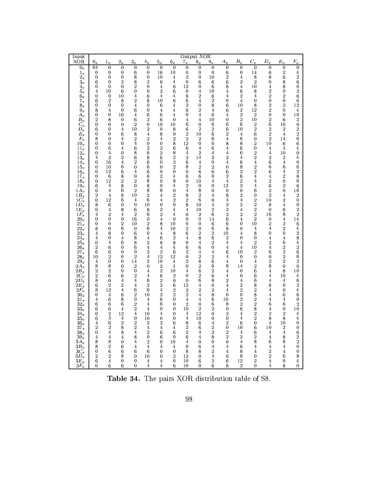| Input                                            |                               |                                  |                                                             |                                                   |                                      |                                                    |                               |                                             | Output XOR                                   |                                    |                                               |                                             |                           |                                               |                                                 |                                    |  |
|--------------------------------------------------|-------------------------------|----------------------------------|-------------------------------------------------------------|---------------------------------------------------|--------------------------------------|----------------------------------------------------|-------------------------------|---------------------------------------------|----------------------------------------------|------------------------------------|-----------------------------------------------|---------------------------------------------|---------------------------|-----------------------------------------------|-------------------------------------------------|------------------------------------|--|
| XOR                                              | $0_x$                         | $1_x$                            | $2_x$                                                       | $3_x$                                             | $4_x$                                | $5_x$                                              | $6_x$                         | $7_x$                                       | $8_x$                                        | $9_x$                              | $A_x$                                         | $B_x$                                       | $\boldsymbol{C}_x$        | $D_x$                                         | $E_x\$                                          | $F_x$                              |  |
| $0_x$                                            | 64<br>$\bf{0}$                | $\overline{0}$<br>$\mathbf 0$    | $\mathbf 0$<br>$\mathbf 0$                                  | $\mathbf 0$<br>$\,6$                              | $\mathbf 0$<br>$\bf{0}$              | $\overline{0}$<br>$16\,$                           | $\mathbf 0$<br>10             | $\bf{0}$<br>$\bf{0}$                        | $\mathbf 0$<br>0                             | $\mathbf 0$<br>$\bf{0}$            | $\bf{0}$<br>6                                 | $\overline{0}$<br>0                         | $\bf{0}$<br>14            | $\bf{0}$<br>$\,6\,$                           | $\mathbf 0$<br>$\overline{2}$                   | $\mathbf 0$<br>$\overline{4}$      |  |
| $1_x$<br>$2_x$                                   | $\bf{0}$                      | $\mathbf 0$                      | $\overline{0}$                                              |                                                   | $\mathbf 0$                          | 10                                                 | $\overline{4}$                | $\overline{2}$                              | $\mathbf 0$                                  | 10                                 |                                               | $\overline{4}$                              | 8                         | 8                                             | 6                                               | $\overline{2}$                     |  |
| $3_x^{\degree}$                                  | 6                             | 0                                | $\overline{2}$                                              | $\begin{smallmatrix} 8 \ 8 \ 8 \end{smallmatrix}$ | $\overline{2}$                       | 6                                                  | 4                             | 0                                           | 6                                            | 6                                  | $^2_{\phantom{1}6}$                           | $\overline{\mathbf{c}}$                     | $\tilde{2}$               | $\overline{0}$                                | 8                                               | $\,6$                              |  |
| $\scriptstyle 4_x$                               | $\mathbf 0$                   | $\mathbf 0$                      | $\overline{0}$                                              | $\overline{2}$                                    | $\mathbf 0$                          | $\overline{4}$                                     | 6                             | 12                                          | $\mathbf 0$                                  | 6                                  | 8                                             | $\overline{4}$                              | 10                        | $\overline{4}$                                | 8                                               | 0                                  |  |
| $5_x\,$<br>$6\hspace{-0.9pt}$ $\hspace{0.9pt} x$ | $\overline{4}$<br>$\mathbf 0$ | 10<br>0                          | 6<br>10                                                     | $\mathbf 0$<br>$\overline{4}$                     | $\mathbf 0$<br>6                     | $\overline{c}$<br>$\overline{4}$                   | 6<br>4                        | $\mathbf 0$<br>8                            | $\overline{4}$<br>$\boldsymbol{2}$           | 10<br>6                            | $\overline{4}$<br>$\overline{4}$              | $\,$ 6<br>$\,2$                             | 8<br>$\overline{4}$       | $\begin{smallmatrix}2\\2\\0\end{smallmatrix}$ | $\bf{0}$<br>$\overline{2}$                      | $\overline{2}$<br>6                |  |
| $7_x\,$                                          | 6                             | $\overline{2}$                   | 8                                                           | $\overline{2}$                                    | 8                                    | 10                                                 | 6                             | 6                                           | $\overline{4}$                               | $\frac{2}{8}$                      | $\mathbf 0$                                   | $\overline{4}$                              | $\bf{0}$                  |                                               | $\bf{0}$                                        | 6                                  |  |
| $8_x$                                            | $\mathbf 0$                   | $\mathbf 0$                      | $\mathbf 0$                                                 | 4                                                 | $\mathbf 0$                          | 6                                                  | 4                             | $\overline{2}$                              | $\mathbf 0$                                  |                                    | 6                                             | 10                                          | 8                         |                                               | $\overline{2}$                                  | 12                                 |  |
| $9_x$                                            | 8<br>0                        | $\overline{4}$<br>$\mathbf 0$    | $\mathbf 0$<br>16                                           | 6<br>$\overline{4}$                               | $\mathbf 0$<br>6                     | $\overline{4}$<br>6                                | 4<br>4                        | 6<br>0                                      | $\overline{2}$<br>$\overline{4}$             | $\overline{4}$<br>6                | 6<br>$\overline{4}$                           | $\frac{2}{2}$                               | 12<br>$\overline{2}$      | $\begin{smallmatrix}2\2\0\end{smallmatrix}$   | $\overline{0}$<br>0                             | $\overline{4}$<br>10               |  |
| $A_x$<br>$_{Bx}$                                 | $\overline{2}$                | 8                                | $\mathbf 0$                                                 | 6                                                 | $\overline{2}$                       | 6                                                  | $\bf{0}$                      | $\overline{4}$                              | $\overline{4}$                               | 10                                 | $\mathbf 0$                                   | $\overline{2}$                              | 10                        |                                               | 6                                               | $\overline{2}$                     |  |
| $C_x$                                            | 0                             | $\mathbf 0$                      | $\mathbf 0$                                                 | $\overline{2}$                                    | $\bf{0}$                             | 10                                                 | 10                            | 6                                           | $\bf{0}$                                     | 6                                  | 6                                             | 6                                           | $\boldsymbol{2}$          | $^2_{\rm 6}$                                  | 10                                              | $\bf{0}$                           |  |
| $D_{\it x}$                                      | 6                             | $\mathbf 0$                      | $\overline{4}$                                              | 10                                                | $\overline{2}$                       | $\mathbf 0$                                        | 8                             | 6                                           | $\overline{2}$                               | $\overline{2}$                     | $6\phantom{.}6$                               | 10                                          | $\overline{\mathbf{2}}$   | $\overline{2}$<br>$\bar{2}$                   | $\overline{2}$                                  | $\,2$                              |  |
| $E_x$<br>$F_x$                                   | $\mathbf 0$<br>8              | $\mathbf 0$<br>$\mathbf 0$       | 6<br>$\overline{4}$                                         | 8<br>$\overline{2}$                               | $\overline{4}$<br>$\overline{2}$     | 8<br>$\overline{4}$                                | 0<br>$\overline{2}$           | $\,2$<br>$\overline{2}$                     | 10<br>$\overline{2}$                         | $\,$ 6<br>6                        | $\,2$                                         | 4<br>6                                      | $\,$ 6<br>$\mathbf 0$     | $\overline{\mathbf{2}}$                       | $\overline{4}$<br>14                            | $\boldsymbol{2}$<br>$\,$ 6         |  |
| $10_x$                                           | $\mathbf 0$                   | 0                                | $\bf{0}$                                                    | $\overline{4}$                                    | 0                                    | $\mathbf 0$                                        | 8                             | 12                                          | $\mathbf 0$                                  | $\mathbf 0$                        | $\begin{smallmatrix} 4\\ 8 \end{smallmatrix}$ | 8                                           | $\boldsymbol{2}$          | 10                                            | 6                                               | 6                                  |  |
| $11_x$                                           | 0                             | 6                                | 4                                                           | 6                                                 | $\boldsymbol{2}$                     | $\frac{2}{2}$                                      | 6                             | $\,6$                                       | $\overline{4}$                               | 6                                  | $\overline{4}$                                | 6                                           | $\overline{0}$            | $\overline{4}$                                | 4                                               | 4                                  |  |
| $12_x$<br>13 <sub>x</sub>                        | 0<br>$\overline{4}$           | 4<br>$\overline{2}$              | $\Omega$<br>$\overline{2}$                                  | 8<br>6                                            | $\boldsymbol{6}$                     | 6                                                  | 8                             | $\overline{4}$<br>$\overline{2}$            | $\overline{2}$<br>14                         | $\overline{4}$<br>$\overline{2}$   | $\overline{4}$<br>$\boldsymbol{2}$            | 6<br>4                                      | $\boldsymbol{2}$<br>$\,2$ | $\overline{4}$<br>$\overline{2}$              | 10<br>$\overline{2}$                            | 0<br>$\overline{4}$                |  |
| $14_x$                                           | 0                             | 16                               | $\overline{4}$                                              | $\overline{c}$                                    | $\begin{matrix} 8 \\ 6 \end{matrix}$ | $\overline{0}$                                     | $\frac{2}{2}$                 | $\overline{6}$                              | 4                                            | $\overline{0}$                     | $\overline{4}$                                | 6                                           | $\overline{4}$            | $\boldsymbol{6}$                              | $\overline{4}$                                  | 0                                  |  |
| 15 <sub>x</sub>                                  | $\bf{0}$                      | 10                               | 6                                                           | $\mathbf 0$                                       | 6                                    | 0                                                  |                               | 8                                           | $\,2$                                        | $\,2$                              | $\boldsymbol{0}$                              | 8                                           | $\,2$                     | $\,6$                                         | 6                                               | 6                                  |  |
| $16_x$<br>$17_x$                                 | 0<br>0                        | 12<br>6                          | $\begin{smallmatrix} 6 & 8 \ 8 & 2 \ 8 & \end{smallmatrix}$ | $\overline{4}$<br>$\mathbf 0$                     | $\,$ 6<br>6                          | $\overline{0}$<br>$\boldsymbol{2}$                 | $\overline{0}$<br>4           | 0<br>6                                      | 8<br>6                                       | 6<br>0                             | 6<br>$\boldsymbol{2}$                         | $\frac{2}{6}$                               | $\frac{2}{4}$             | 6<br>$\overline{4}$                           | 4<br>$\overline{2}$                             | $^2_8$                             |  |
| $18_x$                                           | $\mathbf 0$                   | 12                               |                                                             | $\overline{2}$                                    | 8                                    | $\overline{0}$                                     | 8                             | $\bf{0}$                                    | 10                                           | $\overline{4}$                     | $\overline{4}$                                | $\frac{2}{2}$                               | $\overline{4}$            | $^2_{\rm 6}$                                  | $\bf{0}$                                        | 6                                  |  |
| 19 <sub>x</sub>                                  | 6                             | $\overline{4}$                   | 6                                                           | $\mathbf 0$                                       | 8                                    | $\mathbf 0$                                        | 4                             | $\overline{2}$                              | $\mathbf 0$                                  | $\mathbf 0$                        | 12                                            | $\overline{0}$                              | 4                         |                                               | $\tilde{2}$                                     | 6                                  |  |
| $1A_x$<br>$1B_x$                                 | $\bf{0}$<br>$\overline{2}$    | $\overline{4}$<br>$\overline{4}$ | $\bar{8}$                                                   | $\overline{2}$<br>10                              | 8<br>$\,2$                           | 8<br>$\overline{4}$                                | $\mathbf 0$<br>$\overline{2}$ | $\overline{4}$<br>8                         | $\begin{smallmatrix} 8\\2 \end{smallmatrix}$ | $\mathbf 0$<br>$\overline{4}$      | $\overline{0}$<br>8                           | $\,2$                                       | 6<br>0                    | $\frac{2}{2}$                                 | $\overline{0}$<br>4                             | 16<br>$\boldsymbol{2}$             |  |
| $1C_x$                                           | $\mathbf 0$                   | 12                               | 6                                                           | $\overline{4}$                                    | 6                                    | $\overline{4}$                                     | $\overline{2}$                | $\begin{smallmatrix}2\2\8\end{smallmatrix}$ | 6                                            | $\overline{0}$                     | $\overline{4}$                                | $\overline{4}$                              | $\overline{2}$            | 10                                            | $\overline{2}$                                  | $\mathbf 0$                        |  |
| $1D_x$                                           | 8                             | 6                                | $\mathbf 0$                                                 | $\mathbf 0$                                       | 10                                   | 0                                                  | 0                             |                                             | 10                                           | $\overline{4}$                     |                                               | $\overline{2}$                              |                           | 8                                             | $\overline{4}$                                  | $\bf{0}$                           |  |
| $1E_x$<br>$1F_x$                                 | 0<br>$\overline{4}$           | $\overline{4}$<br>$\overline{2}$ | 8<br>4                                                      | 6<br>$\overline{2}$                               | 8<br>6                               | $\frac{2}{4}$                                      | 4<br>$\overline{4}$           | $\overline{4}$<br>0                         | 10<br>$\boldsymbol{2}$                       | $\overline{2}$<br>6                | $\begin{smallmatrix}2\\2\\2\end{smallmatrix}$ | $\overline{4}$<br>$\overline{2}$            | $\frac{2}{2}$             | $\overline{0}$<br>16                          | 6<br>8                                          | $\overline{2}$<br>$\,2$            |  |
| $20_x$                                           | $\mathbf 0$                   | $\overline{0}$                   | $\overline{0}$                                              | 16                                                | $\mathbf 0$                          |                                                    | $\mathbf 0$                   | $\bf{0}$                                    | $\bf{0}$                                     | 14                                 | $6\phantom{.}6$                               | $\overline{4}$                              | $\overline{2}$            | $\bf{0}$                                      | $\overline{4}$                                  | 14                                 |  |
| $21_x$                                           | 0                             | $\mathbf 0$                      | $\overline{2}$                                              | 10                                                | $\overline{2}$                       | $\bar{8}$                                          | 10                            | $\bf{0}$                                    | $\overline{0}$                               | 6                                  | $\,6\,$                                       | 0                                           | 10                        | $\overline{2}$                                | $\overline{2}$                                  | 6                                  |  |
| $22_{x}$<br>$23_x$                               | 8<br>4                        | $\mathbf 0$<br>8                 | 6<br>$\overline{0}$                                         | $\mathbf 0$<br>6                                  | 6<br>0                               | $\overline{4}$<br>4                                | 10<br>8                       | $\overline{2}$<br>$\sqrt{6}$                | $\mathbf 0$<br>$\overline{2}$                | 6<br>$\overline{2}$                | 8<br>10                                       | 0<br>4                                      | $\overline{4}$<br>8       | $\overline{4}$<br>0                           | $\overline{2}$<br>$\bf{0}$                      | $\overline{4}$<br>$\overline{2}$   |  |
| $24_x$                                           | $\overline{4}$                | $\mathbf 0$                      | 4                                                           | 8                                                 | $\overline{4}$                       | 6                                                  | $\overline{2}$                | $\overline{4}$                              | 8                                            | $\,$ 6                             | $\overline{2}$                                | $\mathbf 0$                                 | $\mathbf 0$               | 4                                             | 4                                               | 8                                  |  |
| $25_x$                                           | 0                             | 4                                | 6                                                           | 8                                                 | $_4^2$                               | 8                                                  | 8                             | $\bf{0}$                                    | $\overline{4}$                               | $\overline{\mathbf{c}}$            | $\bf{4}$                                      | 4                                           | $\overline{2}$            | $\overline{\mathbf{c}}$                       | $\boldsymbol{6}$                                | $\overline{\mathbf{4}}$            |  |
| $26_x$<br>$27_x$                                 | $\overline{2}$<br>6           | 6<br>6                           | $\mathbf 0$<br>$\overline{0}$                               | 6<br>$\mathbf 0$                                  | $\overline{2}$                       | 4<br>$\overline{2}$                                | 4<br>6                        | 6<br>$\overline{2}$                         | $\,$ 6<br>$\overline{4}$                     | $\mathbf 0$<br>$\overline{4}$      | $\overline{4}$<br>$6\phantom{.}6$             | 4<br>10                                     | 10<br>$\overline{2}$      | $\overline{4}$<br>$6\phantom{.}6$             | $\begin{smallmatrix}2\2\2\2\0\end{smallmatrix}$ | $\boldsymbol{2}$<br>6              |  |
| $28_x$                                           | 10                            | $\overline{2}$                   | 6                                                           | $\overline{2}$                                    | $\bf{4}$                             | 12                                                 | 12                            | $\bf{0}$                                    |                                              | $\boldsymbol{2}$                   | $\overline{4}$                                | 0                                           | $\bf{0}$                  | $\bf{0}$                                      |                                                 | 6                                  |  |
| $29_x$                                           | $\overline{4}$                | $\overline{0}$                   | $\overline{0}$                                              | 14                                                | $\overline{2}$                       | 10                                                 | $\overline{4}$                | $\overline{2}$                              | $\begin{smallmatrix}2\8\0\end{smallmatrix}$  | $\,$ 6                             | $\overline{4}$                                | $\bf{0}$                                    | $\overline{4}$            | $\frac{2}{8}$                                 |                                                 | $\overline{2}$                     |  |
| $2A_x$<br>$2B_x$                                 | 8<br>$\overline{2}$           | 8<br>$\overline{2}$              | $\bf{0}$<br>$\mathbf 0$                                     | $\boldsymbol{2}$<br>$\overline{0}$                | 0<br>$\overline{4}$                  | $\sqrt{2}$                                         | $\overline{4}$<br>10          | $\bf{0}$<br>$\overline{4}$                  | 6                                            | $\,$ 6                             | 8<br>$\overline{4}$                           | 14<br>$\mathbf 0$                           | $\,2$<br>6                | $\overline{4}$                                | 8                                               | 0<br>10                            |  |
| $2C_x$                                           | $\overline{2}$                | 6                                | 6                                                           | $\frac{1}{2}$                                     | $\overline{4}$                       | $^2_6$                                             | $\overline{2}$                | $\bf{0}$                                    | $\tilde{2}$                                  | $^2_{\rm 6}$                       | $\overline{4}$                                | 0                                           | 6                         | $\overline{4}$                                | 10                                              | $\overline{4}$                     |  |
| $2D_x$                                           | 8                             | $\overline{0}$                   | $\overline{4}$                                              | $\overline{4}$                                    | 6                                    | $\boldsymbol{2}$                                   | $\bf{0}$                      | $\bf{0}$                                    | $\,$ 6                                       | 8                                  | $\overline{2}$                                | $\overline{4}$                              | 6                         | $\overline{4}$                                | $\overline{4}$                                  | 6                                  |  |
| $2E_x$<br>$2F_x$                                 | 6<br>8                        | $\boldsymbol{2}$<br>12           | $\overline{2}$<br>$\overline{4}$                            | $\overline{4}$<br>6                               | $\overline{2}$<br>6                  | $_4^2$                                             | 6<br>$\overline{2}$           | 12                                          | $\overline{\mathbf{4}}$<br>$\overline{2}$    | 0<br>$\overline{2}$                | $\overline{4}$<br>$\overline{4}$              | $\begin{smallmatrix}2\2\0\end{smallmatrix}$ | 8                         | 8<br>$\overline{4}$                           | 0<br>$\overline{0}$                             | $\boldsymbol{2}$<br>$\overline{4}$ |  |
| $30_x$                                           | $\mathbf 0$                   | $\overline{4}$                   | $\ddot{\rm o}$                                              | $\overline{2}$                                    | 10                                   | $\overline{a}$                                     | $\bar{2}$                     | $\frac{2}{2}$                               | $\overline{4}$                               | $\overline{8}$                     | $\boldsymbol{0}$                              |                                             | $\frac{2}{8}$             | $\overline{4}$                                | 6                                               | 6                                  |  |
| 31 <sub>x</sub>                                  | $\overline{4}$                | 6                                | 8                                                           | $\mathbf 0$                                       | $\overline{4}$                       | 6                                                  | $\mathbf 0$                   | $\overline{4}$                              | $\overline{4}$                               | 6                                  | 10                                            | $\frac{2}{2}$                               | $\frac{2}{2}$             | $\overline{4}$                                | $\overline{4}$                                  | $\mathbf 0$                        |  |
| $32_x$<br>$33_x$                                 | 6<br>6                        | $\boldsymbol{6}$<br>6            | $\overline{6}$<br>$\overline{4}$                            | $\tilde{2}$<br>$\overline{2}$                     | $\overline{4}$<br>$\overline{4}$     | 6<br>0                                             | $\mathbf 0$<br>$\mathbf 0$    | $\overline{2}$<br>10                        | $\bf{0}$<br>$\overline{2}$                   | $\overline{6}$<br>$\boldsymbol{2}$ | 8<br>$\mathbf 0$                              | $\,$ 6                                      |                           | 6<br>$\overline{4}$                           | $\boldsymbol{6}$<br>$\mathbf 0$                 | $\boldsymbol{2}$<br>10             |  |
| $34_x$                                           | 0                             | $\overline{2}$                   | 12                                                          | $\overline{4}$                                    | 10                                   | 4                                                  | 0                             | $\overline{4}$                              | $1\overline{2}$                              | $\overline{0}$                     | $\,2$                                         | 4                                           | $\frac{8}{2}$             | $\overline{2}$                                | $\overline{\mathbf{c}}$                         | $\overline{4}$                     |  |
| $35_x$                                           | 6<br>$\overline{4}$           | $\overline{4}$<br>6              | $\overline{4}$                                              | $\mathbf 0$                                       | 10                                   | 0                                                  | 0<br>6                        | $\overline{4}$                              | 10                                           | 0<br>$\overline{4}$                | $\boldsymbol{0}$                              | 4<br>6                                      |                           | 8<br>$\overline{4}$                           | 8                                               | $\overline{4}$                     |  |
| $36_x$<br>$37_x$                                 | $\overline{2}$                | $\overline{2}$                   | $\begin{smallmatrix}2\8\8\end{smallmatrix}$                 | $\frac{2}{2}$                                     | $\,2$<br>$\overline{4}$              | $\overline{\mathbf{2}}$<br>$\overline{\mathbf{4}}$ | 4                             | $\begin{matrix} 8 \\ 2 \end{matrix}$        | 6<br>6                                       | $\overline{2}$                     | $^2_{\rm 0}$                                  | 10                                          | $\overline{0}$<br>6       | 10                                            | $\frac{10}{2}$                                  | 0<br>0                             |  |
| $38_x\,$                                         | $\overline{0}$                | $\overline{4}$                   |                                                             | $\overline{4}$                                    | $\overline{2}$                       | 6                                                  | 6                             | $\overline{2}$                              | $\overline{4}$                               | $\bar{2}$                          | $\,2$                                         | $\overline{4}$                              | 6                         | $\overline{4}$                                |                                                 | 6                                  |  |
| $39_x$                                           | 4                             | $\overline{4}$                   | 4<br>$\overline{0}$                                         | 8                                                 | $\mathbf 0$<br>$\overline{2}$        | 6                                                  | 0                             | $\sqrt{6}$                                  | $\overline{4}$                               | 8<br>$\mathbf 0$                   | $\bar{2}$<br>$\overline{0}$                   | $\overline{2}$                              | $\overline{\mathbf{c}}$   | $\overline{4}$                                | 8                                               | $\overline{2}$<br>$\overline{2}$   |  |
| $3A_x$<br>$3B_x$                                 | 8<br>8                        | 8<br>$\tilde{2}$                 | 6                                                           | $\overline{4}$<br>$\overline{4}$                  | $\overline{4}$                       | 0<br>4                                             | 10<br>4                       | $\overline{4}$<br>$\bf{0}$                  | 0<br>6                                       | 4                                  | $\overline{4}$                                | $\overline{4}$<br>6                         | 8<br>4                    | 6<br>$\overline{4}$                           | $^8_4$                                          | 0                                  |  |
| $3C_x$                                           | $\mathbf 0$                   | 6                                | 6                                                           | 6                                                 | 6                                    | $\mathbf 0$                                        | $\mathbf 0$                   | 8                                           | 8                                            | $\,2$                              | $\overline{4}$                                | 8                                           | $\overline{4}$            | $\frac{2}{2}$                                 | $\overline{4}$                                  | $\mathbf 0$                        |  |
| $3D_x$                                           | $\overline{2}$                | $\overline{c}$                   | 8                                                           | 0                                                 | 10                                   | 0                                                  | $\boldsymbol{2}$              | 12                                          | $\check{0}$                                  | $\overline{4}$                     | $\boldsymbol{0}$                              | $\check{8}$                                 | 0                         |                                               | 6                                               | 8                                  |  |
| $3\mathcal{E}_x$<br>$3F_x$                       | 6<br>0                        | $\overline{4}$<br>6              | $\overline{0}$<br>$\,$ 6                                    | $\overline{0}$<br>0                               | $\overline{4}$<br>$\overline{4}$     | $\overline{4}$<br>4                                | $\overline{0}$<br>6           | 10<br>10                                    | 6<br>0                                       | $\overline{2}$<br>6                | $6\phantom{.}6$<br>8                          | 12<br>$\overline{2}$                        | $\overline{2}$<br>0       | $\overline{4}$<br>$\overline{4}$              | $\overline{0}$<br>8                             | 4<br>0                             |  |
|                                                  |                               |                                  |                                                             |                                                   |                                      |                                                    |                               |                                             |                                              |                                    |                                               |                                             |                           |                                               |                                                 |                                    |  |

CD4FE![F5@01BRP³aµ\¶ :<01PRQB0S<Q0KTMbQ5/1EHT8V
=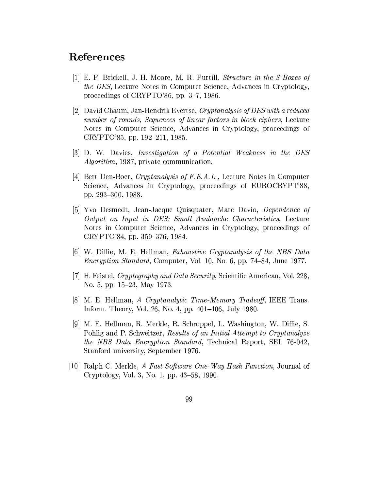## References

- [1] E. F. Brickell, J. H. Moore, M. R. Purtill, *Structure in the S-Boxes of the DES*, Lecture Notes in Computer Science, Advances in Cryptology, proceedings of CRYPTO'86, pp.  $3-7$ , 1986.
- [2] David Chaum, Jan-Hendrik Evertse, Cryptanalysis of DES with a reduced number of rounds. Sequences of linear factors in block ciphers. Lecture Notes in Computer Science, Advances in Cryptology, proceedings of CRYPTO'85, pp. 192-211, 1985.
- [3] D. W. Davies, *Investigation of a Potential Weakness in the DES* Algorithm, 1987, private communication.
- [4] Bert Den-Boer, Cryptanalysis of F.E.A.L., Lecture Notes in Computer Science, Advances in Cryptology, proceedings of EUROCRYPT'88, pp. 293-300, 1988.
- [5] Yvo Desmedt, Jean-Jacque Quisquater, Marc Davio, Dependence of Output on Input in DES: Small Avalanche Characteristics, Lecture Notes in Computer Science, Advances in Cryptology, proceedings of CRYPTO'84, pp. 359-376, 1984.
- [6] W. Diffie, M. E. Hellman, Exhaustive Cryptanalysis of the NBS Data *Encryption Standard*, Computer, Vol. 10, No. 6, pp. 74–84, June 1977.
- [7] H. Feistel, *Cryptography and Data Security*, Scientific American, Vol. 228, No. 5, pp. 15–23, May 1973.
- [8] M. E. Hellman, A Cryptanalytic Time-Memory Tradeoff, IEEE Trans. Inform. Theory, Vol. 26, No. 4, pp. 401–406, July 1980.
- [9] M. E. Hellman, R. Merkle, R. Schroppel, L. Washington, W. Diffie, S. Pohlig and P. Schweitzer, Results of an Initial Attempt to Cryptanalyze the NBS Data Encryption Standard, Technical Report, SEL 76-042, Stanford university, September 1976.
- [10] Ralph C. Merkle, A Fast Software One-Way Hash Function, Journal of Cryptology, Vol. 3, No. 1, pp. 43–58, 1990.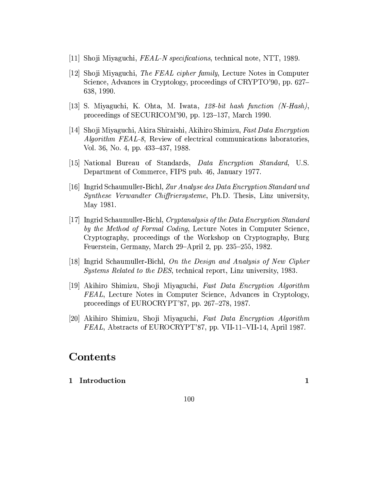- <sup>¼</sup> À:À ¿!=m4FTR0>\_a035"S<X4F0¥¯ ¢ 7[¤"N¤¥n¡Q¯mQEIX4<MF01XI5@/ MFT@QE"¯ ^CDC>¯ À
- <sup>¼</sup> <sup>À</sup> n¿!=m4FTR0,\_a0G5"SFX4F0N¯1©[ ¤[©[/£}"W¤«ª%n¯ »EXQS<BE@^T@QEIP;0KM /3T@7L[FS?QEIB =mXI01EMFXIED¯F9;:K¦@58MFXIEPD01M /3B+?[?QT/KT:":¯?[FBTmXIEEI:F0KM5P T8V/¶ 
Cµ ¯F[F[1 :½ 638, 1990.
- : in the state of the state of the state of the state of the state of the state of the state of the state of t and the contract of the contract of the contract of the contract of the contract of the contract of the contract of the contract of the contract of the contract of the contract of the contract of the contract of the contra
- <sup>¼</sup> <sup>À</sup> ¿!=m4FTR0\\_a035"@SFX4F0¥¯ 9a\01B5]=m4F01B5@01PR4F0¥¯9c\014F0KBT]=m4F017A01JS1¯9n-("T?¡66f¤¥n¡ ª¬\*n6¤««©\* ¢:¯k¶]E}¦m01E T@V;EI/KEIXQB0KX 5@/ XT7A7SFMF0KX 58Q01TMFP/ 5 TB5cQTBR01EIP}¯ T@/¥ ¯ ^T5 ¯F[F[1 ½\*¯ À
- <sup>¼</sup> À ¿ ^58Q0KTM65@/ 23SFBEI5@S T@V =mQ5@MF:658B:FP}¯ Y"¥ k¡6N¤¥n¡ ¸{T"¡"j"¯?  $U.S.$  $\overline{\phantom{a}}$  ,  $\overline{\phantom{a}}$  ,  $\overline{\phantom{a}}$  ,  $\overline{\phantom{a}}$  ,  $\overline{\phantom{a}}$  ,  $\overline{\phantom{a}}$  ,  $\overline{\phantom{a}}$  ,  $\overline{\phantom{a}}$  ,  $\overline{\phantom{a}}$  ,  $\overline{\phantom{a}}$  ,  $\overline{\phantom{a}}$  ,  $\overline{\phantom{a}}$  ,  $\overline{\phantom{a}}$  ,  $\overline{\phantom{a}}$  ,  $\overline{\phantom{a}}$  ,  $\overline{\phantom{a}}$
- $\mathbb{R}^n$  is a function of  $\mathbb{R}^n$  is the set of  $\mathbb{R}^n$  is the set of  $\mathbb{R}^n$  is the set of  $\mathbb{R}^n$ ¸{n¡[«©[

<"¡"7 ©\*¤ H6¤¥&7i¯ 
41 YX3CD4FEIPR01P ¯b»+0KMFJ SFM<0G¦EBPR0KQ7:¯ \_a5 <sup>À</sup> QÀ
- $\mathcal{U} = \mathcal{U} = \mathcal{U} = \mathcal{U} = \mathcal{U} = \mathcal{U} = \mathcal{U} = \mathcal{U} = \mathcal{U} = \mathcal{U} = \mathcal{U} = \mathcal{U} = \mathcal{U} = \mathcal{U} = \mathcal{U} = \mathcal{U} = \mathcal{U} = \mathcal{U} = \mathcal{U} = \mathcal{U} = \mathcal{U} = \mathcal{U} = \mathcal{U} = \mathcal{U} = \mathcal{U} = \mathcal{U} = \mathcal{U} = \mathcal{U} = \mathcal{U} = \mathcal{U} = \mathcal{U} = \mathcal$ § «©[«©[ £ lnJ"ª? "¤«¡\*¬"¯P»EIX(QSFBRE ^T8QEIP!01M /3T7L[<S<QEB=?X01EIM<XIE"¯ Cryptography, proceedings of the Workshop on Cryptography, Burg !6ESFEIBRPRQE01M1¯ HEIBR7b5@M"¯ \_5@BRX4 9;[FBR01/4\*¯F[F[1 ¯À K
- $\mathcal{V}$  , and  $\mathcal{V}$  is the constant of  $\mathcal{V}$  and  $\mathcal{V}$  are  $\mathcal{V}$  . The constant of  $\mathcal{V}$  $\overline{\phantom{a}}$   $\overline{\phantom{a}}$   $\overline{\phantom{a}}$   $\overline{\phantom{a}}$   $\overline{\phantom{a}}$   $\overline{\phantom{a}}$   $\overline{\phantom{a}}$   $\overline{\phantom{a}}$   $\overline{\phantom{a}}$   $\overline{\phantom{a}}$   $\overline{\phantom{a}}$   $\overline{\phantom{a}}$   $\overline{\phantom{a}}$   $\overline{\phantom{a}}$   $\overline{\phantom{a}}$   $\overline{\phantom{a}}$   $\overline{\phantom{a}}$   $\overline{\phantom{a}}$   $\overline{\$
- <sup>¼</sup> À¿U9a\014F0KBT =?4F017A01JS1¯'=?4<TR0\_`0G5DSFX4F0N¯9n Y"¥ ?¡66f¤¥n¡ ª¬\*n6¤««©\* FEAL, Lecture Notes in Computer Science, Advances in Cryptology,  $\blacksquare$  and  $\blacksquare$  . The set of  $\blacksquare$  . The set of  $\blacksquare$  . The set of  $\blacksquare$  . The set of  $\blacksquare$  . The set of  $\blacksquare$
- <sup>¼</sup> ¿U9a\014F0KBT =?4F017A01JS1¯'=?4<TR0\_`0G5DSFX4F0N¯9n Y"¥ ?¡66f¤¥n¡ ª¬\*n6¤««©\* ¯69PQB5@XQP^T@V,.3 c¶Oµ/¶ 
C ½\*¯\*[<[1 ZNRN¥° À:ÀZNN¥° <sup>À</sup> ¯?9;[FBR01/ À ½K

# Contents

 !#"%\$'&)( . The contract of the contract of the contract of the contract of the contract of the contract of the contract of the contract of the contract of the contract of the contract of the contract of the contract of the contrac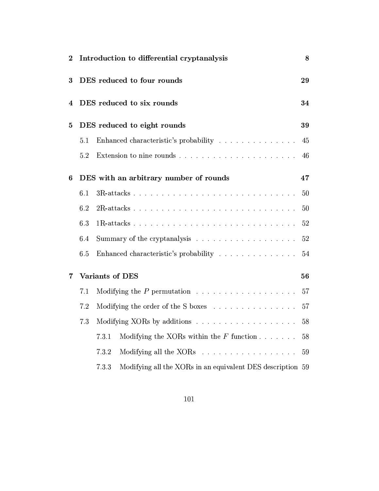| $\overline{2}$ |     | Introduction to differential cryptanalysis                                | 8  |
|----------------|-----|---------------------------------------------------------------------------|----|
| 3              |     | DES reduced to four rounds                                                | 29 |
| 4              |     | DES reduced to six rounds                                                 | 34 |
| $\overline{5}$ |     | DES reduced to eight rounds                                               | 39 |
|                | 5.1 | Enhanced characteristic's probability                                     | 45 |
|                | 5.2 |                                                                           | 46 |
| 6              |     | DES with an arbitrary number of rounds                                    | 47 |
|                | 6.1 |                                                                           | 50 |
|                | 6.2 |                                                                           | 50 |
|                | 6.3 |                                                                           | 52 |
|                | 6.4 |                                                                           | 52 |
|                | 6.5 | Enhanced characteristic's probability                                     | 54 |
| 7              |     | <b>Variants of DES</b>                                                    | 56 |
|                | 7.1 | Modifying the $P$ permutation $\ldots \ldots \ldots \ldots \ldots \ldots$ | 57 |
|                | 7.2 | Modifying the order of the S boxes                                        | 57 |
|                | 7.3 |                                                                           | 58 |
|                |     | 7.3.1<br>Modifying the XORs within the $F$ function $\ldots$              | 58 |
|                |     | 7.3.2                                                                     | 59 |
|                |     | Modifying all the XORs in an equivalent DES description 59<br>7.3.3       |    |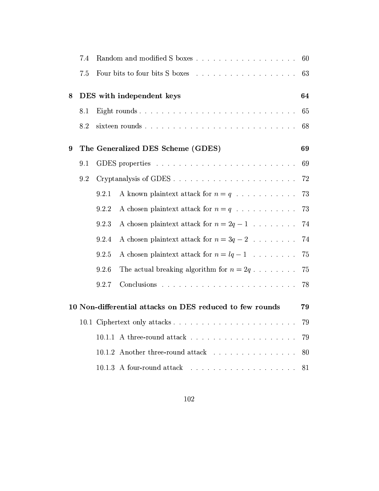|   | 7.4 | 60                                                             |  |
|---|-----|----------------------------------------------------------------|--|
|   | 7.5 | 63                                                             |  |
| 8 |     | DES with independent keys<br>64                                |  |
|   | 8.1 | 65                                                             |  |
|   | 8.2 | 68                                                             |  |
| 9 |     | The Generalized DES Scheme (GDES)<br>69                        |  |
|   | 9.1 | 69                                                             |  |
|   | 9.2 | Cryptanalysis of GDES<br>72                                    |  |
|   |     | 73<br>9.2.1<br>A known plaintext attack for $n = q$            |  |
|   |     | 73<br>9.2.2<br>A chosen plaintext attack for $n = q$           |  |
|   |     | 9.2.3<br>A chosen plaintext attack for $n = 2q - 1$<br>74      |  |
|   |     | A chosen plaintext attack for $n = 3q - 2$<br>74<br>9.2.4      |  |
|   |     | A chosen plaintext attack for $n = lq - 1$<br>9.2.5<br>75      |  |
|   |     | The actual breaking algorithm for $n = 2q$<br>75<br>9.2.6      |  |
|   |     | 9.2.7<br>78                                                    |  |
|   |     | 10 Non-differential attacks on DES reduced to few rounds<br>79 |  |
|   |     | 79                                                             |  |
|   |     | 79                                                             |  |
|   |     | 10.1.2 Another three-round attack<br>80                        |  |
|   |     |                                                                |  |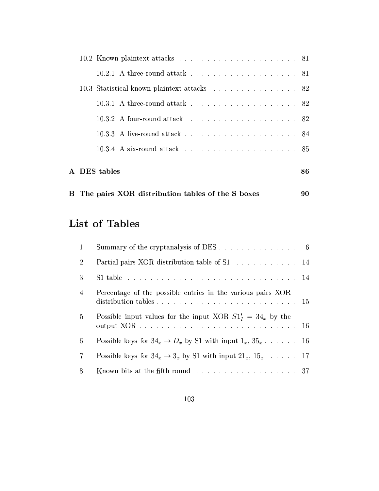| $10.3.1$ A three-round attack 82 |    |
|----------------------------------|----|
| $10.3.2$ A four-round attack 82  |    |
|                                  |    |
|                                  |    |
| A DES tables                     | 86 |
|                                  |    |

# )

| $\mathbf{1}$    |                                                                                 |  |
|-----------------|---------------------------------------------------------------------------------|--|
| $\overline{2}$  | Partial pairs XOR distribution table of S1 14                                   |  |
| 3               |                                                                                 |  |
| $\overline{4}$  | Percentage of the possible entries in the various pairs XOR                     |  |
| $5\overline{)}$ | Possible input values for the input XOR $S1'_1 = 34_x$ by the                   |  |
| 6               | Possible keys for $34_x \rightarrow D_x$ by S1 with input $1_x, 35_x \ldots$ 16 |  |
| $7\phantom{.}$  | Possible keys for $34_x \rightarrow 3_x$ by S1 with input $21_x$ , $15_x$ 17    |  |
| 8               | Known bits at the fifth round $\ldots \ldots \ldots \ldots \ldots \ldots 37$    |  |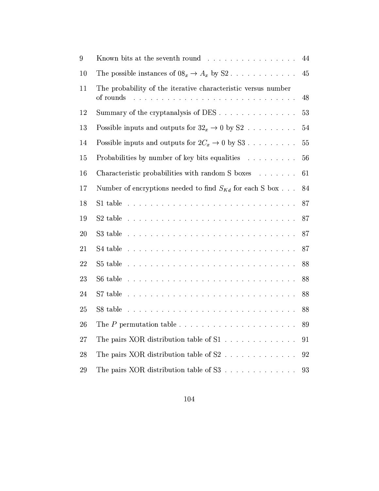| $\boldsymbol{9}$ | Known bits at the seventh round                                                                                                                                                                                                                                                                              | 44 |
|------------------|--------------------------------------------------------------------------------------------------------------------------------------------------------------------------------------------------------------------------------------------------------------------------------------------------------------|----|
| 10               | The possible instances of $08_x \rightarrow A_x$ by S2                                                                                                                                                                                                                                                       | 45 |
| 11               | The probability of the iterative characteristic versus number<br>of rounds<br>and a complete the complete state of the complete state of the complete state of the complete state of the complete state of the complete state of the complete state of the complete state of the complete state of the compl | 48 |
| 12               | Summary of the cryptanalysis of DES                                                                                                                                                                                                                                                                          | 53 |
| 13               | Possible inputs and outputs for $32_x \rightarrow 0$ by $S2$                                                                                                                                                                                                                                                 | 54 |
| 14               | Possible inputs and outputs for $2C_x \rightarrow 0$ by S3                                                                                                                                                                                                                                                   | 55 |
| 15               | Probabilities by number of key bits equalities                                                                                                                                                                                                                                                               | 56 |
| 16               | Characteristic probabilities with random S boxes                                                                                                                                                                                                                                                             | 61 |
| 17               | Number of encryptions needed to find $S_{Kd}$ for each S box                                                                                                                                                                                                                                                 | 84 |
| 18               |                                                                                                                                                                                                                                                                                                              | 87 |
| 19               | S <sub>2</sub> table                                                                                                                                                                                                                                                                                         | 87 |
| 20               | $S3$ table $\ldots \ldots \ldots \ldots \ldots \ldots \ldots \ldots \ldots \ldots \ldots$                                                                                                                                                                                                                    | 87 |
| 21               | $S4$ table $\ldots \ldots \ldots \ldots \ldots \ldots \ldots \ldots \ldots \ldots$                                                                                                                                                                                                                           | 87 |
| 22               | $S5$ table $\ldots \ldots \ldots \ldots \ldots \ldots \ldots \ldots \ldots \ldots \ldots$                                                                                                                                                                                                                    | 88 |
| 23               | S6 table                                                                                                                                                                                                                                                                                                     | 88 |
| $24\,$           |                                                                                                                                                                                                                                                                                                              | 88 |
| $25\,$           | S8 table $\ldots \ldots \ldots \ldots \ldots \ldots \ldots \ldots \ldots \ldots \ldots \ldots$                                                                                                                                                                                                               | 88 |
| 26               |                                                                                                                                                                                                                                                                                                              | 89 |
| 27               | The pairs XOR distribution table of $S1$                                                                                                                                                                                                                                                                     | 91 |
| 28               | The pairs XOR distribution table of $S2$                                                                                                                                                                                                                                                                     | 92 |
| 29               | The pairs XOR distribution table of $S3$                                                                                                                                                                                                                                                                     | 93 |